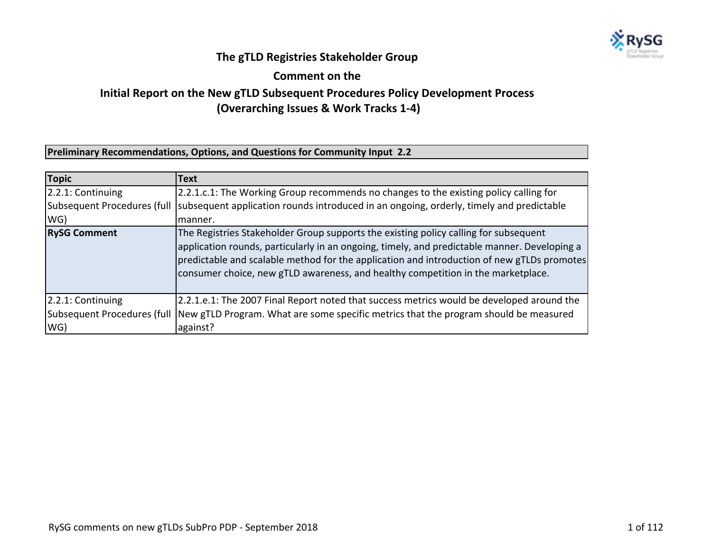

## **The gTLD Registries Stakeholder Group**

**Comment on the** 

## **Initial Report on the New gTLD Subsequent Procedures Policy Development Process (Overarching Issues & Work Tracks 1-4)**

## **Preliminary Recommendations, Options, and Questions for Community Input 2.2**

| Topic               | Text                                                                                                                                                                                                                                                                                                                                                                   |
|---------------------|------------------------------------------------------------------------------------------------------------------------------------------------------------------------------------------------------------------------------------------------------------------------------------------------------------------------------------------------------------------------|
| 2.2.1: Continuing   | 2.2.1.c.1: The Working Group recommends no changes to the existing policy calling for                                                                                                                                                                                                                                                                                  |
|                     | Subsequent Procedures (full  subsequent application rounds introduced in an ongoing, orderly, timely and predictable                                                                                                                                                                                                                                                   |
| WG)                 | manner.                                                                                                                                                                                                                                                                                                                                                                |
| <b>RySG Comment</b> | The Registries Stakeholder Group supports the existing policy calling for subsequent<br>application rounds, particularly in an ongoing, timely, and predictable manner. Developing a<br>predictable and scalable method for the application and introduction of new gTLDs promotes<br>consumer choice, new gTLD awareness, and healthy competition in the marketplace. |
| 2.2.1: Continuing   | 2.2.1.e.1: The 2007 Final Report noted that success metrics would be developed around the                                                                                                                                                                                                                                                                              |
|                     | Subsequent Procedures (full  New gTLD Program. What are some specific metrics that the program should be measured                                                                                                                                                                                                                                                      |
| WG)                 | against?                                                                                                                                                                                                                                                                                                                                                               |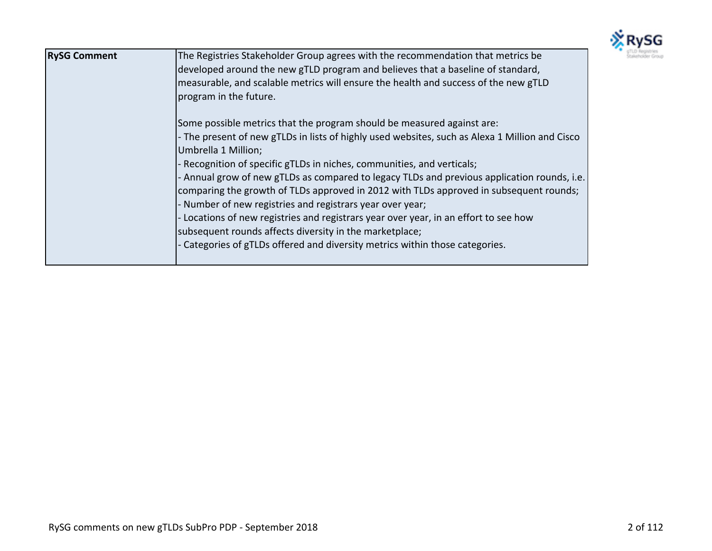

| <b>RySG Comment</b> | The Registries Stakeholder Group agrees with the recommendation that metrics be                                       |
|---------------------|-----------------------------------------------------------------------------------------------------------------------|
|                     | developed around the new gTLD program and believes that a baseline of standard,                                       |
|                     | measurable, and scalable metrics will ensure the health and success of the new gTLD<br>program in the future.         |
|                     |                                                                                                                       |
|                     | Some possible metrics that the program should be measured against are:                                                |
|                     | - The present of new gTLDs in lists of highly used websites, such as Alexa 1 Million and Cisco<br>Umbrella 1 Million; |
|                     | - Recognition of specific gTLDs in niches, communities, and verticals;                                                |
|                     | - Annual grow of new gTLDs as compared to legacy TLDs and previous application rounds, i.e.                           |
|                     | comparing the growth of TLDs approved in 2012 with TLDs approved in subsequent rounds;                                |
|                     | - Number of new registries and registrars year over year;                                                             |
|                     | Locations of new registries and registrars year over year, in an effort to see how                                    |
|                     | subsequent rounds affects diversity in the marketplace;                                                               |
|                     | - Categories of gTLDs offered and diversity metrics within those categories.                                          |
|                     |                                                                                                                       |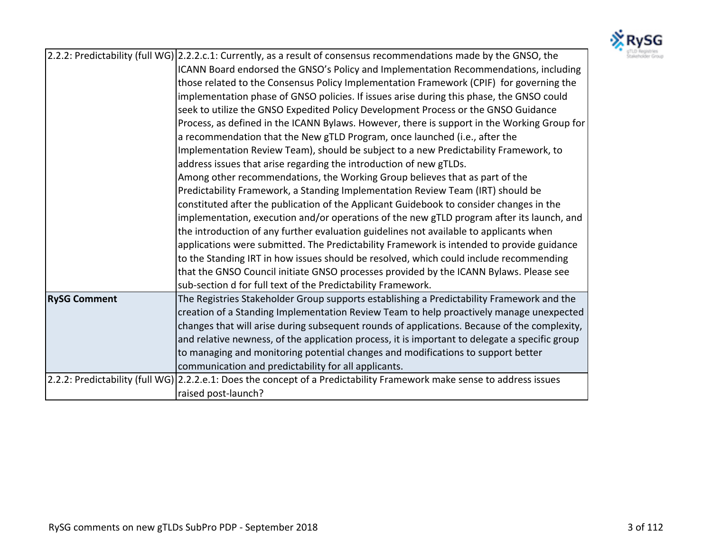

|                     | 2.2.2: Predictability (full WG) 2.2.2.c.1: Currently, as a result of consensus recommendations made by the GNSO, the   |
|---------------------|------------------------------------------------------------------------------------------------------------------------|
|                     | ICANN Board endorsed the GNSO's Policy and Implementation Recommendations, including                                   |
|                     | those related to the Consensus Policy Implementation Framework (CPIF) for governing the                                |
|                     | implementation phase of GNSO policies. If issues arise during this phase, the GNSO could                               |
|                     | seek to utilize the GNSO Expedited Policy Development Process or the GNSO Guidance                                     |
|                     | Process, as defined in the ICANN Bylaws. However, there is support in the Working Group for                            |
|                     | a recommendation that the New gTLD Program, once launched (i.e., after the                                             |
|                     | Implementation Review Team), should be subject to a new Predictability Framework, to                                   |
|                     | address issues that arise regarding the introduction of new gTLDs.                                                     |
|                     | Among other recommendations, the Working Group believes that as part of the                                            |
|                     | Predictability Framework, a Standing Implementation Review Team (IRT) should be                                        |
|                     | constituted after the publication of the Applicant Guidebook to consider changes in the                                |
|                     | implementation, execution and/or operations of the new gTLD program after its launch, and                              |
|                     | the introduction of any further evaluation guidelines not available to applicants when                                 |
|                     | applications were submitted. The Predictability Framework is intended to provide guidance                              |
|                     | to the Standing IRT in how issues should be resolved, which could include recommending                                 |
|                     | that the GNSO Council initiate GNSO processes provided by the ICANN Bylaws. Please see                                 |
|                     | sub-section d for full text of the Predictability Framework.                                                           |
| <b>RySG Comment</b> | The Registries Stakeholder Group supports establishing a Predictability Framework and the                              |
|                     | creation of a Standing Implementation Review Team to help proactively manage unexpected                                |
|                     | changes that will arise during subsequent rounds of applications. Because of the complexity,                           |
|                     | and relative newness, of the application process, it is important to delegate a specific group                         |
|                     | to managing and monitoring potential changes and modifications to support better                                       |
|                     | communication and predictability for all applicants.                                                                   |
|                     | 2.2.2: Predictability (full WG) 2.2.2.e.1: Does the concept of a Predictability Framework make sense to address issues |
|                     | raised post-launch?                                                                                                    |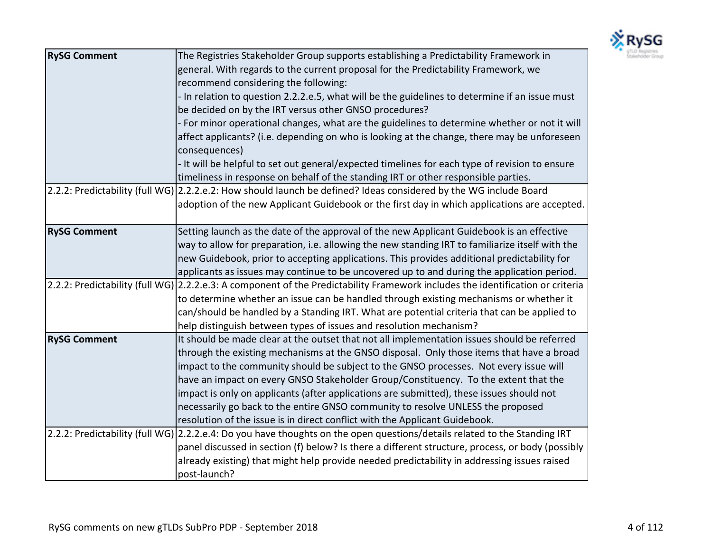

| <b>RySG Comment</b> | The Registries Stakeholder Group supports establishing a Predictability Framework in                                           |
|---------------------|--------------------------------------------------------------------------------------------------------------------------------|
|                     | general. With regards to the current proposal for the Predictability Framework, we                                             |
|                     | recommend considering the following:                                                                                           |
|                     | - In relation to question 2.2.2.e.5, what will be the guidelines to determine if an issue must                                 |
|                     | be decided on by the IRT versus other GNSO procedures?                                                                         |
|                     | - For minor operational changes, what are the guidelines to determine whether or not it will                                   |
|                     | affect applicants? (i.e. depending on who is looking at the change, there may be unforeseen<br>consequences)                   |
|                     | - It will be helpful to set out general/expected timelines for each type of revision to ensure                                 |
|                     | timeliness in response on behalf of the standing IRT or other responsible parties.                                             |
|                     | 2.2.2: Predictability (full WG) 2.2.2.e.2: How should launch be defined? Ideas considered by the WG include Board              |
|                     | adoption of the new Applicant Guidebook or the first day in which applications are accepted.                                   |
|                     |                                                                                                                                |
| <b>RySG Comment</b> | Setting launch as the date of the approval of the new Applicant Guidebook is an effective                                      |
|                     | way to allow for preparation, i.e. allowing the new standing IRT to familiarize itself with the                                |
|                     | new Guidebook, prior to accepting applications. This provides additional predictability for                                    |
|                     | applicants as issues may continue to be uncovered up to and during the application period.                                     |
|                     | 2.2.2: Predictability (full WG) 2.2.2.e.3: A component of the Predictability Framework includes the identification or criteria |
|                     | to determine whether an issue can be handled through existing mechanisms or whether it                                         |
|                     | can/should be handled by a Standing IRT. What are potential criteria that can be applied to                                    |
|                     | help distinguish between types of issues and resolution mechanism?                                                             |
| <b>RySG Comment</b> | It should be made clear at the outset that not all implementation issues should be referred                                    |
|                     | through the existing mechanisms at the GNSO disposal. Only those items that have a broad                                       |
|                     | impact to the community should be subject to the GNSO processes. Not every issue will                                          |
|                     | have an impact on every GNSO Stakeholder Group/Constituency. To the extent that the                                            |
|                     | impact is only on applicants (after applications are submitted), these issues should not                                       |
|                     | necessarily go back to the entire GNSO community to resolve UNLESS the proposed                                                |
|                     | resolution of the issue is in direct conflict with the Applicant Guidebook.                                                    |
|                     | 2.2.2: Predictability (full WG) 2.2.2.e.4: Do you have thoughts on the open questions/details related to the Standing IRT      |
|                     | panel discussed in section (f) below? Is there a different structure, process, or body (possibly                               |
|                     | already existing) that might help provide needed predictability in addressing issues raised                                    |
|                     | post-launch?                                                                                                                   |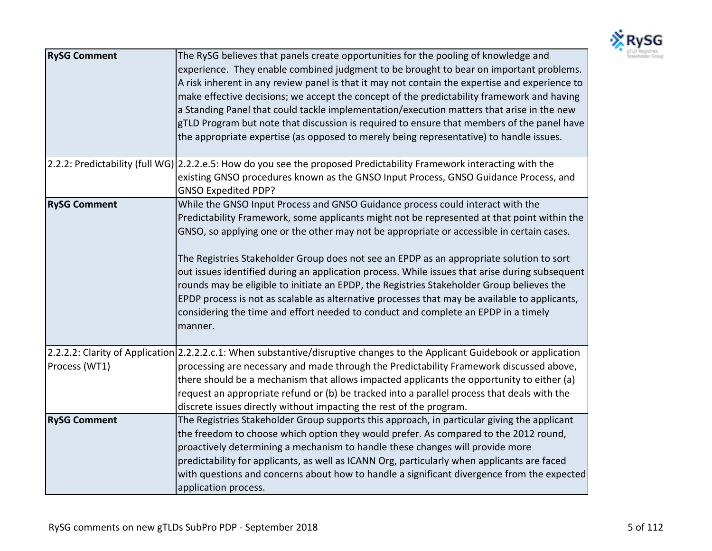

| <b>RySG Comment</b> | The RySG believes that panels create opportunities for the pooling of knowledge and<br>experience. They enable combined judgment to be brought to bear on important problems.<br>A risk inherent in any review panel is that it may not contain the expertise and experience to<br>make effective decisions; we accept the concept of the predictability framework and having<br>a Standing Panel that could tackle implementation/execution matters that arise in the new<br>gTLD Program but note that discussion is required to ensure that members of the panel have<br>the appropriate expertise (as opposed to merely being representative) to handle issues.                                                                                                     |
|---------------------|-------------------------------------------------------------------------------------------------------------------------------------------------------------------------------------------------------------------------------------------------------------------------------------------------------------------------------------------------------------------------------------------------------------------------------------------------------------------------------------------------------------------------------------------------------------------------------------------------------------------------------------------------------------------------------------------------------------------------------------------------------------------------|
|                     | 2.2.2: Predictability (full WG) 2.2.2.e.5: How do you see the proposed Predictability Framework interacting with the<br>existing GNSO procedures known as the GNSO Input Process, GNSO Guidance Process, and<br><b>GNSO Expedited PDP?</b>                                                                                                                                                                                                                                                                                                                                                                                                                                                                                                                              |
| <b>RySG Comment</b> | While the GNSO Input Process and GNSO Guidance process could interact with the<br>Predictability Framework, some applicants might not be represented at that point within the<br>GNSO, so applying one or the other may not be appropriate or accessible in certain cases.<br>The Registries Stakeholder Group does not see an EPDP as an appropriate solution to sort<br>out issues identified during an application process. While issues that arise during subsequent<br>rounds may be eligible to initiate an EPDP, the Registries Stakeholder Group believes the<br>EPDP process is not as scalable as alternative processes that may be available to applicants,<br>considering the time and effort needed to conduct and complete an EPDP in a timely<br>manner. |
| Process (WT1)       | 2.2.2.2: Clarity of Application 2.2.2.2.c.1: When substantive/disruptive changes to the Applicant Guidebook or application<br>processing are necessary and made through the Predictability Framework discussed above,<br>there should be a mechanism that allows impacted applicants the opportunity to either (a)<br>request an appropriate refund or (b) be tracked into a parallel process that deals with the<br>discrete issues directly without impacting the rest of the program.                                                                                                                                                                                                                                                                                |
| <b>RySG Comment</b> | The Registries Stakeholder Group supports this approach, in particular giving the applicant<br>the freedom to choose which option they would prefer. As compared to the 2012 round,<br>proactively determining a mechanism to handle these changes will provide more<br>predictability for applicants, as well as ICANN Org, particularly when applicants are faced<br>with questions and concerns about how to handle a significant divergence from the expected<br>application process.                                                                                                                                                                                                                                                                               |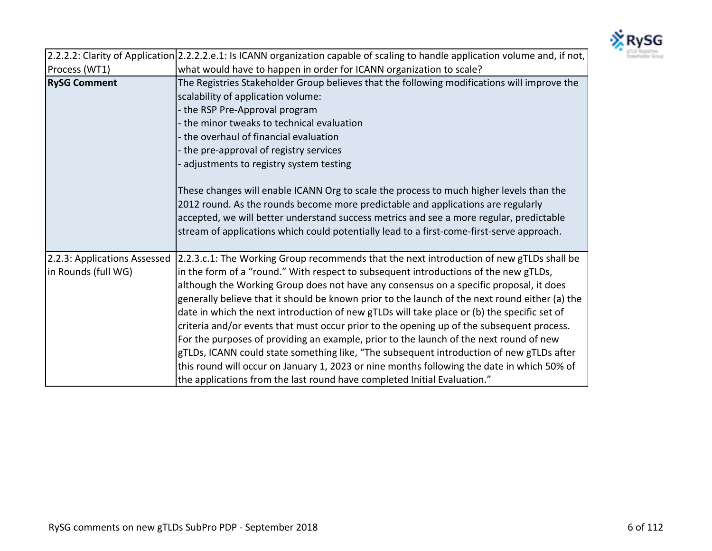

|                                                     | 2.2.2.2: Clarity of Application 2.2.2.2.e.1: Is ICANN organization capable of scaling to handle application volume and, if not,                                                                                                                                                                                                                                                                                                                                                                                                                                                                                                                                                                                                                                                                                                                                                                                                          |
|-----------------------------------------------------|------------------------------------------------------------------------------------------------------------------------------------------------------------------------------------------------------------------------------------------------------------------------------------------------------------------------------------------------------------------------------------------------------------------------------------------------------------------------------------------------------------------------------------------------------------------------------------------------------------------------------------------------------------------------------------------------------------------------------------------------------------------------------------------------------------------------------------------------------------------------------------------------------------------------------------------|
| Process (WT1)                                       | what would have to happen in order for ICANN organization to scale?                                                                                                                                                                                                                                                                                                                                                                                                                                                                                                                                                                                                                                                                                                                                                                                                                                                                      |
| <b>RySG Comment</b>                                 | The Registries Stakeholder Group believes that the following modifications will improve the<br>scalability of application volume:<br>- the RSP Pre-Approval program<br>- the minor tweaks to technical evaluation<br>the overhaul of financial evaluation<br>the pre-approval of registry services<br>adjustments to registry system testing<br>These changes will enable ICANN Org to scale the process to much higher levels than the<br>2012 round. As the rounds become more predictable and applications are regularly<br>accepted, we will better understand success metrics and see a more regular, predictable<br>stream of applications which could potentially lead to a first-come-first-serve approach.                                                                                                                                                                                                                      |
| 2.2.3: Applications Assessed<br>in Rounds (full WG) | 2.2.3.c.1: The Working Group recommends that the next introduction of new gTLDs shall be<br>in the form of a "round." With respect to subsequent introductions of the new gTLDs,<br>although the Working Group does not have any consensus on a specific proposal, it does<br>generally believe that it should be known prior to the launch of the next round either (a) the<br>date in which the next introduction of new gTLDs will take place or (b) the specific set of<br>criteria and/or events that must occur prior to the opening up of the subsequent process.<br>For the purposes of providing an example, prior to the launch of the next round of new<br>gTLDs, ICANN could state something like, "The subsequent introduction of new gTLDs after<br>this round will occur on January 1, 2023 or nine months following the date in which 50% of<br>the applications from the last round have completed Initial Evaluation." |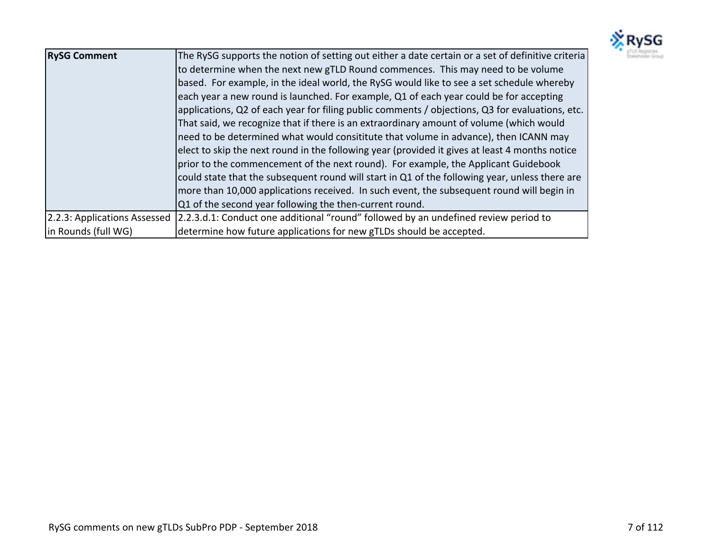

| <b>RySG Comment</b> | The RySG supports the notion of setting out either a date certain or a set of definitive criteria<br>to determine when the next new gTLD Round commences. This may need to be volume<br>based. For example, in the ideal world, the RySG would like to see a set schedule whereby<br>each year a new round is launched. For example, Q1 of each year could be for accepting<br>applications, Q2 of each year for filing public comments / objections, Q3 for evaluations, etc.<br>That said, we recognize that if there is an extraordinary amount of volume (which would<br>need to be determined what would consititute that volume in advance), then ICANN may<br>elect to skip the next round in the following year (provided it gives at least 4 months notice<br>prior to the commencement of the next round). For example, the Applicant Guidebook<br>could state that the subsequent round will start in Q1 of the following year, unless there are<br>more than 10,000 applications received. In such event, the subsequent round will begin in<br>Q1 of the second year following the then-current round. |
|---------------------|---------------------------------------------------------------------------------------------------------------------------------------------------------------------------------------------------------------------------------------------------------------------------------------------------------------------------------------------------------------------------------------------------------------------------------------------------------------------------------------------------------------------------------------------------------------------------------------------------------------------------------------------------------------------------------------------------------------------------------------------------------------------------------------------------------------------------------------------------------------------------------------------------------------------------------------------------------------------------------------------------------------------------------------------------------------------------------------------------------------------|
|                     | 2.2.3: Applications Assessed 2.2.3.d.1: Conduct one additional "round" followed by an undefined review period to                                                                                                                                                                                                                                                                                                                                                                                                                                                                                                                                                                                                                                                                                                                                                                                                                                                                                                                                                                                                    |
| in Rounds (full WG) | determine how future applications for new gTLDs should be accepted.                                                                                                                                                                                                                                                                                                                                                                                                                                                                                                                                                                                                                                                                                                                                                                                                                                                                                                                                                                                                                                                 |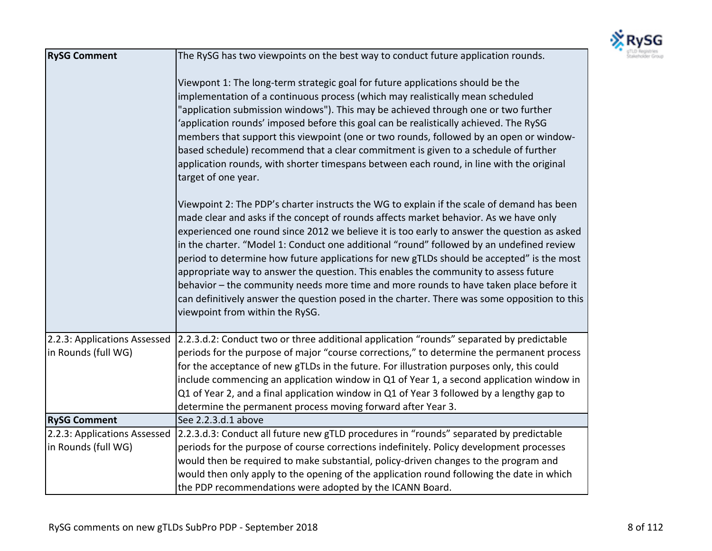

| <b>RySG Comment</b>                                 | The RySG has two viewpoints on the best way to conduct future application rounds.                                                                                                                                                                                                                                                                                                                                                                                                                                                                                                                                                                                                                                                                                                               |
|-----------------------------------------------------|-------------------------------------------------------------------------------------------------------------------------------------------------------------------------------------------------------------------------------------------------------------------------------------------------------------------------------------------------------------------------------------------------------------------------------------------------------------------------------------------------------------------------------------------------------------------------------------------------------------------------------------------------------------------------------------------------------------------------------------------------------------------------------------------------|
|                                                     | Viewpont 1: The long-term strategic goal for future applications should be the<br>implementation of a continuous process (which may realistically mean scheduled<br>"application submission windows"). This may be achieved through one or two further<br>'application rounds' imposed before this goal can be realistically achieved. The RySG<br>members that support this viewpoint (one or two rounds, followed by an open or window-<br>based schedule) recommend that a clear commitment is given to a schedule of further<br>application rounds, with shorter timespans between each round, in line with the original<br>target of one year.                                                                                                                                             |
|                                                     | Viewpoint 2: The PDP's charter instructs the WG to explain if the scale of demand has been<br>made clear and asks if the concept of rounds affects market behavior. As we have only<br>experienced one round since 2012 we believe it is too early to answer the question as asked<br>in the charter. "Model 1: Conduct one additional "round" followed by an undefined review<br>period to determine how future applications for new gTLDs should be accepted" is the most<br>appropriate way to answer the question. This enables the community to assess future<br>behavior - the community needs more time and more rounds to have taken place before it<br>can definitively answer the question posed in the charter. There was some opposition to this<br>viewpoint from within the RySG. |
| 2.2.3: Applications Assessed<br>in Rounds (full WG) | 2.2.3.d.2: Conduct two or three additional application "rounds" separated by predictable<br>periods for the purpose of major "course corrections," to determine the permanent process<br>for the acceptance of new gTLDs in the future. For illustration purposes only, this could<br>include commencing an application window in Q1 of Year 1, a second application window in<br>Q1 of Year 2, and a final application window in Q1 of Year 3 followed by a lengthy gap to<br>determine the permanent process moving forward after Year 3.                                                                                                                                                                                                                                                     |
| <b>RySG Comment</b>                                 | See 2.2.3.d.1 above                                                                                                                                                                                                                                                                                                                                                                                                                                                                                                                                                                                                                                                                                                                                                                             |
| 2.2.3: Applications Assessed                        | 2.2.3.d.3: Conduct all future new gTLD procedures in "rounds" separated by predictable                                                                                                                                                                                                                                                                                                                                                                                                                                                                                                                                                                                                                                                                                                          |
| in Rounds (full WG)                                 | periods for the purpose of course corrections indefinitely. Policy development processes                                                                                                                                                                                                                                                                                                                                                                                                                                                                                                                                                                                                                                                                                                        |
|                                                     | would then be required to make substantial, policy-driven changes to the program and                                                                                                                                                                                                                                                                                                                                                                                                                                                                                                                                                                                                                                                                                                            |
|                                                     | would then only apply to the opening of the application round following the date in which                                                                                                                                                                                                                                                                                                                                                                                                                                                                                                                                                                                                                                                                                                       |
|                                                     | the PDP recommendations were adopted by the ICANN Board.                                                                                                                                                                                                                                                                                                                                                                                                                                                                                                                                                                                                                                                                                                                                        |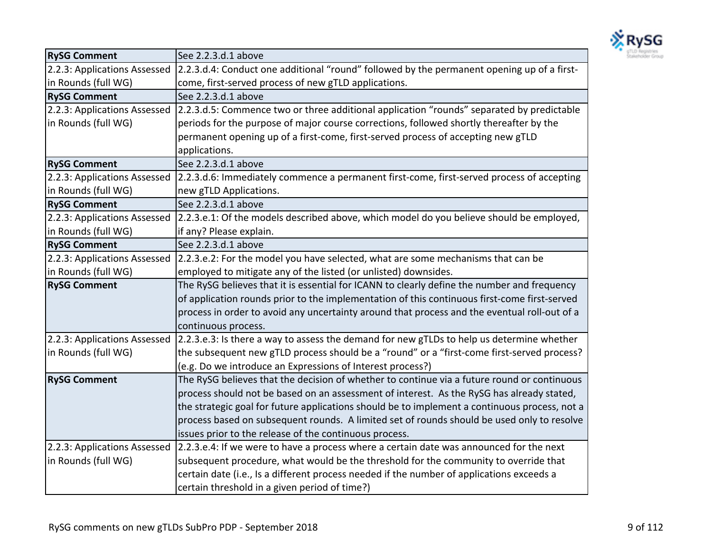

| <b>RySG Comment</b>          | See 2.2.3.d.1 above                                                                           |
|------------------------------|-----------------------------------------------------------------------------------------------|
| 2.2.3: Applications Assessed | 2.2.3.d.4: Conduct one additional "round" followed by the permanent opening up of a first-    |
| in Rounds (full WG)          | come, first-served process of new gTLD applications.                                          |
| <b>RySG Comment</b>          | See 2.2.3.d.1 above                                                                           |
| 2.2.3: Applications Assessed | 2.2.3.d.5: Commence two or three additional application "rounds" separated by predictable     |
| in Rounds (full WG)          | periods for the purpose of major course corrections, followed shortly thereafter by the       |
|                              | permanent opening up of a first-come, first-served process of accepting new gTLD              |
|                              | applications.                                                                                 |
| <b>RySG Comment</b>          | See 2.2.3.d.1 above                                                                           |
| 2.2.3: Applications Assessed | 2.2.3.d.6: Immediately commence a permanent first-come, first-served process of accepting     |
| in Rounds (full WG)          | new gTLD Applications.                                                                        |
| <b>RySG Comment</b>          | See 2.2.3.d.1 above                                                                           |
| 2.2.3: Applications Assessed | 2.2.3.e.1: Of the models described above, which model do you believe should be employed,      |
| in Rounds (full WG)          | if any? Please explain.                                                                       |
| <b>RySG Comment</b>          | See 2.2.3.d.1 above                                                                           |
| 2.2.3: Applications Assessed | 2.2.3.e.2: For the model you have selected, what are some mechanisms that can be              |
| in Rounds (full WG)          | employed to mitigate any of the listed (or unlisted) downsides.                               |
| <b>RySG Comment</b>          | The RySG believes that it is essential for ICANN to clearly define the number and frequency   |
|                              | of application rounds prior to the implementation of this continuous first-come first-served  |
|                              | process in order to avoid any uncertainty around that process and the eventual roll-out of a  |
|                              | continuous process.                                                                           |
| 2.2.3: Applications Assessed | 2.2.3.e.3: Is there a way to assess the demand for new gTLDs to help us determine whether     |
| in Rounds (full WG)          | the subsequent new gTLD process should be a "round" or a "first-come first-served process?    |
|                              | (e.g. Do we introduce an Expressions of Interest process?)                                    |
| <b>RySG Comment</b>          | The RySG believes that the decision of whether to continue via a future round or continuous   |
|                              | process should not be based on an assessment of interest. As the RySG has already stated,     |
|                              | the strategic goal for future applications should be to implement a continuous process, not a |
|                              | process based on subsequent rounds. A limited set of rounds should be used only to resolve    |
|                              | issues prior to the release of the continuous process.                                        |
| 2.2.3: Applications Assessed | 2.2.3.e.4: If we were to have a process where a certain date was announced for the next       |
| in Rounds (full WG)          | subsequent procedure, what would be the threshold for the community to override that          |
|                              | certain date (i.e., Is a different process needed if the number of applications exceeds a     |
|                              | certain threshold in a given period of time?)                                                 |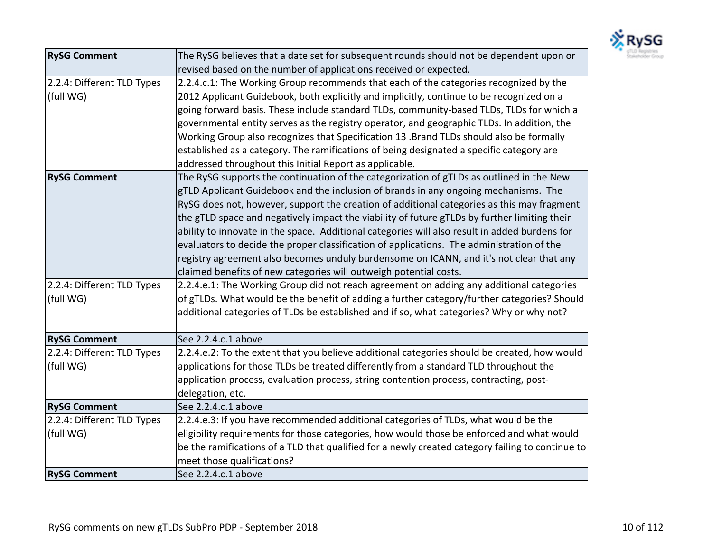

| <b>RySG Comment</b>        | The RySG believes that a date set for subsequent rounds should not be dependent upon or          |
|----------------------------|--------------------------------------------------------------------------------------------------|
|                            | revised based on the number of applications received or expected.                                |
| 2.2.4: Different TLD Types | 2.2.4.c.1: The Working Group recommends that each of the categories recognized by the            |
| (full WG)                  | 2012 Applicant Guidebook, both explicitly and implicitly, continue to be recognized on a         |
|                            | going forward basis. These include standard TLDs, community-based TLDs, TLDs for which a         |
|                            | governmental entity serves as the registry operator, and geographic TLDs. In addition, the       |
|                            | Working Group also recognizes that Specification 13 .Brand TLDs should also be formally          |
|                            | established as a category. The ramifications of being designated a specific category are         |
|                            | addressed throughout this Initial Report as applicable.                                          |
| <b>RySG Comment</b>        | The RySG supports the continuation of the categorization of gTLDs as outlined in the New         |
|                            | gTLD Applicant Guidebook and the inclusion of brands in any ongoing mechanisms. The              |
|                            | RySG does not, however, support the creation of additional categories as this may fragment       |
|                            | the gTLD space and negatively impact the viability of future gTLDs by further limiting their     |
|                            | ability to innovate in the space. Additional categories will also result in added burdens for    |
|                            | evaluators to decide the proper classification of applications. The administration of the        |
|                            | registry agreement also becomes unduly burdensome on ICANN, and it's not clear that any          |
|                            | claimed benefits of new categories will outweigh potential costs.                                |
| 2.2.4: Different TLD Types | 2.2.4.e.1: The Working Group did not reach agreement on adding any additional categories         |
| (full WG)                  | of gTLDs. What would be the benefit of adding a further category/further categories? Should      |
|                            | additional categories of TLDs be established and if so, what categories? Why or why not?         |
|                            |                                                                                                  |
| <b>RySG Comment</b>        | See 2.2.4.c.1 above                                                                              |
| 2.2.4: Different TLD Types | 2.2.4.e.2: To the extent that you believe additional categories should be created, how would     |
| (full WG)                  | applications for those TLDs be treated differently from a standard TLD throughout the            |
|                            | application process, evaluation process, string contention process, contracting, post-           |
|                            | delegation, etc.                                                                                 |
| <b>RySG Comment</b>        | See 2.2.4.c.1 above                                                                              |
| 2.2.4: Different TLD Types | 2.2.4.e.3: If you have recommended additional categories of TLDs, what would be the              |
| (full WG)                  | eligibility requirements for those categories, how would those be enforced and what would        |
|                            | be the ramifications of a TLD that qualified for a newly created category failing to continue to |
|                            | meet those qualifications?                                                                       |
| <b>RySG Comment</b>        | See 2.2.4.c.1 above                                                                              |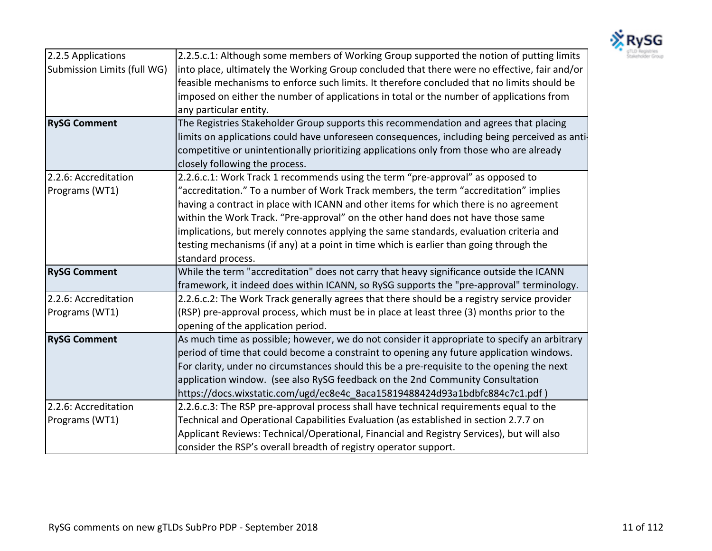

| 2.2.5 Applications          | 2.2.5.c.1: Although some members of Working Group supported the notion of putting limits      |
|-----------------------------|-----------------------------------------------------------------------------------------------|
| Submission Limits (full WG) | into place, ultimately the Working Group concluded that there were no effective, fair and/or  |
|                             | feasible mechanisms to enforce such limits. It therefore concluded that no limits should be   |
|                             | imposed on either the number of applications in total or the number of applications from      |
|                             | any particular entity.                                                                        |
| <b>RySG Comment</b>         | The Registries Stakeholder Group supports this recommendation and agrees that placing         |
|                             | limits on applications could have unforeseen consequences, including being perceived as anti- |
|                             | competitive or unintentionally prioritizing applications only from those who are already      |
|                             | closely following the process.                                                                |
| 2.2.6: Accreditation        | 2.2.6.c.1: Work Track 1 recommends using the term "pre-approval" as opposed to                |
| Programs (WT1)              | "accreditation." To a number of Work Track members, the term "accreditation" implies          |
|                             | having a contract in place with ICANN and other items for which there is no agreement         |
|                             | within the Work Track. "Pre-approval" on the other hand does not have those same              |
|                             | implications, but merely connotes applying the same standards, evaluation criteria and        |
|                             | testing mechanisms (if any) at a point in time which is earlier than going through the        |
|                             | standard process.                                                                             |
| <b>RySG Comment</b>         | While the term "accreditation" does not carry that heavy significance outside the ICANN       |
|                             | framework, it indeed does within ICANN, so RySG supports the "pre-approval" terminology.      |
| 2.2.6: Accreditation        | 2.2.6.c.2: The Work Track generally agrees that there should be a registry service provider   |
| Programs (WT1)              | (RSP) pre-approval process, which must be in place at least three (3) months prior to the     |
|                             | opening of the application period.                                                            |
| <b>RySG Comment</b>         | As much time as possible; however, we do not consider it appropriate to specify an arbitrary  |
|                             | period of time that could become a constraint to opening any future application windows.      |
|                             | For clarity, under no circumstances should this be a pre-requisite to the opening the next    |
|                             | application window. (see also RySG feedback on the 2nd Community Consultation                 |
|                             | https://docs.wixstatic.com/ugd/ec8e4c_8aca15819488424d93a1bdbfc884c7c1.pdf)                   |
| 2.2.6: Accreditation        | 2.2.6.c.3: The RSP pre-approval process shall have technical requirements equal to the        |
| Programs (WT1)              | Technical and Operational Capabilities Evaluation (as established in section 2.7.7 on         |
|                             | Applicant Reviews: Technical/Operational, Financial and Registry Services), but will also     |
|                             | consider the RSP's overall breadth of registry operator support.                              |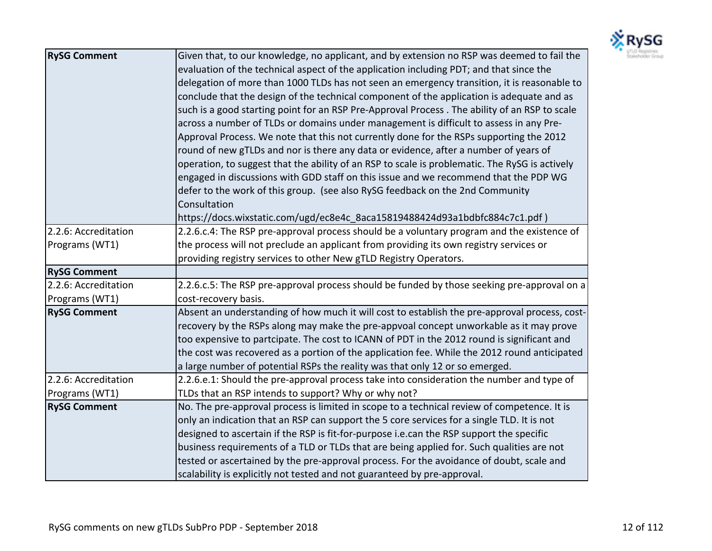

| <b>RySG Comment</b>  | Given that, to our knowledge, no applicant, and by extension no RSP was deemed to fail the     |
|----------------------|------------------------------------------------------------------------------------------------|
|                      | evaluation of the technical aspect of the application including PDT; and that since the        |
|                      | delegation of more than 1000 TLDs has not seen an emergency transition, it is reasonable to    |
|                      | conclude that the design of the technical component of the application is adequate and as      |
|                      | such is a good starting point for an RSP Pre-Approval Process . The ability of an RSP to scale |
|                      | across a number of TLDs or domains under management is difficult to assess in any Pre-         |
|                      | Approval Process. We note that this not currently done for the RSPs supporting the 2012        |
|                      | round of new gTLDs and nor is there any data or evidence, after a number of years of           |
|                      | operation, to suggest that the ability of an RSP to scale is problematic. The RySG is actively |
|                      | engaged in discussions with GDD staff on this issue and we recommend that the PDP WG           |
|                      | defer to the work of this group. (see also RySG feedback on the 2nd Community                  |
|                      | Consultation                                                                                   |
|                      | https://docs.wixstatic.com/ugd/ec8e4c_8aca15819488424d93a1bdbfc884c7c1.pdf)                    |
| 2.2.6: Accreditation | 2.2.6.c.4: The RSP pre-approval process should be a voluntary program and the existence of     |
| Programs (WT1)       | the process will not preclude an applicant from providing its own registry services or         |
|                      | providing registry services to other New gTLD Registry Operators.                              |
| <b>RySG Comment</b>  |                                                                                                |
| 2.2.6: Accreditation | 2.2.6.c.5: The RSP pre-approval process should be funded by those seeking pre-approval on a    |
| Programs (WT1)       | cost-recovery basis.                                                                           |
| <b>RySG Comment</b>  | Absent an understanding of how much it will cost to establish the pre-approval process, cost-  |
|                      | recovery by the RSPs along may make the pre-appvoal concept unworkable as it may prove         |
|                      | too expensive to partcipate. The cost to ICANN of PDT in the 2012 round is significant and     |
|                      | the cost was recovered as a portion of the application fee. While the 2012 round anticipated   |
|                      | a large number of potential RSPs the reality was that only 12 or so emerged.                   |
| 2.2.6: Accreditation | 2.2.6.e.1: Should the pre-approval process take into consideration the number and type of      |
| Programs (WT1)       | TLDs that an RSP intends to support? Why or why not?                                           |
| <b>RySG Comment</b>  | No. The pre-approval process is limited in scope to a technical review of competence. It is    |
|                      | only an indication that an RSP can support the 5 core services for a single TLD. It is not     |
|                      | designed to ascertain if the RSP is fit-for-purpose i.e.can the RSP support the specific       |
|                      | business requirements of a TLD or TLDs that are being applied for. Such qualities are not      |
|                      | tested or ascertained by the pre-approval process. For the avoidance of doubt, scale and       |
|                      | scalability is explicitly not tested and not guaranteed by pre-approval.                       |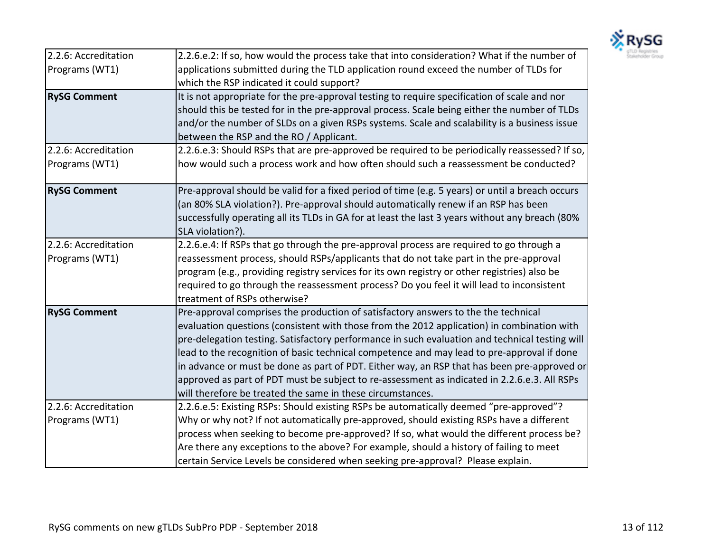

| 2.2.6: Accreditation | 2.2.6.e.2: If so, how would the process take that into consideration? What if the number of                               |
|----------------------|---------------------------------------------------------------------------------------------------------------------------|
| Programs (WT1)       | applications submitted during the TLD application round exceed the number of TLDs for                                     |
|                      | which the RSP indicated it could support?                                                                                 |
| <b>RySG Comment</b>  | It is not appropriate for the pre-approval testing to require specification of scale and nor                              |
|                      | should this be tested for in the pre-approval process. Scale being either the number of TLDs                              |
|                      | and/or the number of SLDs on a given RSPs systems. Scale and scalability is a business issue                              |
|                      | between the RSP and the RO / Applicant.                                                                                   |
| 2.2.6: Accreditation | 2.2.6.e.3: Should RSPs that are pre-approved be required to be periodically reassessed? If so,                            |
| Programs (WT1)       | how would such a process work and how often should such a reassessment be conducted?                                      |
| <b>RySG Comment</b>  | Pre-approval should be valid for a fixed period of time (e.g. 5 years) or until a breach occurs                           |
|                      | (an 80% SLA violation?). Pre-approval should automatically renew if an RSP has been                                       |
|                      | successfully operating all its TLDs in GA for at least the last 3 years without any breach (80%                           |
|                      | SLA violation?).                                                                                                          |
| 2.2.6: Accreditation | 2.2.6.e.4: If RSPs that go through the pre-approval process are required to go through a                                  |
| Programs (WT1)       | reassessment process, should RSPs/applicants that do not take part in the pre-approval                                    |
|                      | program (e.g., providing registry services for its own registry or other registries) also be                              |
|                      | required to go through the reassessment process? Do you feel it will lead to inconsistent<br>treatment of RSPs otherwise? |
| <b>RySG Comment</b>  | Pre-approval comprises the production of satisfactory answers to the the technical                                        |
|                      | evaluation questions (consistent with those from the 2012 application) in combination with                                |
|                      | pre-delegation testing. Satisfactory performance in such evaluation and technical testing will                            |
|                      | lead to the recognition of basic technical competence and may lead to pre-approval if done                                |
|                      | in advance or must be done as part of PDT. Either way, an RSP that has been pre-approved or                               |
|                      | approved as part of PDT must be subject to re-assessment as indicated in 2.2.6.e.3. All RSPs                              |
|                      | will therefore be treated the same in these circumstances.                                                                |
| 2.2.6: Accreditation | 2.2.6.e.5: Existing RSPs: Should existing RSPs be automatically deemed "pre-approved"?                                    |
| Programs (WT1)       | Why or why not? If not automatically pre-approved, should existing RSPs have a different                                  |
|                      | process when seeking to become pre-approved? If so, what would the different process be?                                  |
|                      | Are there any exceptions to the above? For example, should a history of failing to meet                                   |
|                      | certain Service Levels be considered when seeking pre-approval? Please explain.                                           |
|                      |                                                                                                                           |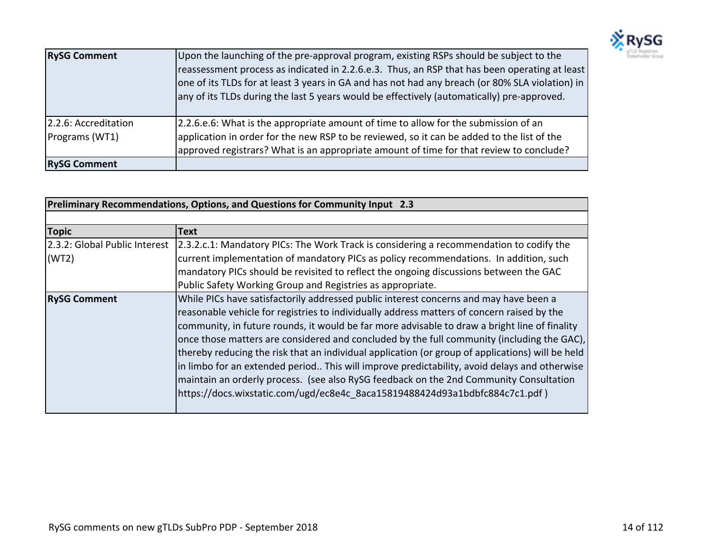

| <b>RySG Comment</b>                    | Upon the launching of the pre-approval program, existing RSPs should be subject to the<br>reassessment process as indicated in 2.2.6.e.3. Thus, an RSP that has been operating at least<br>one of its TLDs for at least 3 years in GA and has not had any breach (or 80% SLA violation) in<br>any of its TLDs during the last 5 years would be effectively (automatically) pre-approved. |
|----------------------------------------|------------------------------------------------------------------------------------------------------------------------------------------------------------------------------------------------------------------------------------------------------------------------------------------------------------------------------------------------------------------------------------------|
| 2.2.6: Accreditation<br>Programs (WT1) | 2.2.6.e.6: What is the appropriate amount of time to allow for the submission of an<br>application in order for the new RSP to be reviewed, so it can be added to the list of the                                                                                                                                                                                                        |
|                                        | approved registrars? What is an appropriate amount of time for that review to conclude?                                                                                                                                                                                                                                                                                                  |
| <b>RySG Comment</b>                    |                                                                                                                                                                                                                                                                                                                                                                                          |

| Preliminary Recommendations, Options, and Questions for Community Input 2.3 |                                                                                                                       |
|-----------------------------------------------------------------------------|-----------------------------------------------------------------------------------------------------------------------|
|                                                                             |                                                                                                                       |
| <b>Topic</b>                                                                | <b>Text</b>                                                                                                           |
|                                                                             | 2.3.2: Global Public Interest 2.3.2.c.1: Mandatory PICs: The Work Track is considering a recommendation to codify the |
| (WT2)                                                                       | current implementation of mandatory PICs as policy recommendations. In addition, such                                 |
|                                                                             | mandatory PICs should be revisited to reflect the ongoing discussions between the GAC                                 |
|                                                                             | Public Safety Working Group and Registries as appropriate.                                                            |
| <b>RySG Comment</b>                                                         | While PICs have satisfactorily addressed public interest concerns and may have been a                                 |
|                                                                             | reasonable vehicle for registries to individually address matters of concern raised by the                            |
|                                                                             | community, in future rounds, it would be far more advisable to draw a bright line of finality                         |
|                                                                             | once those matters are considered and concluded by the full community (including the GAC),                            |
|                                                                             | thereby reducing the risk that an individual application (or group of applications) will be held                      |
|                                                                             | in limbo for an extended period This will improve predictability, avoid delays and otherwise                          |
|                                                                             | maintain an orderly process. (see also RySG feedback on the 2nd Community Consultation                                |
|                                                                             | https://docs.wixstatic.com/ugd/ec8e4c_8aca15819488424d93a1bdbfc884c7c1.pdf)                                           |
|                                                                             |                                                                                                                       |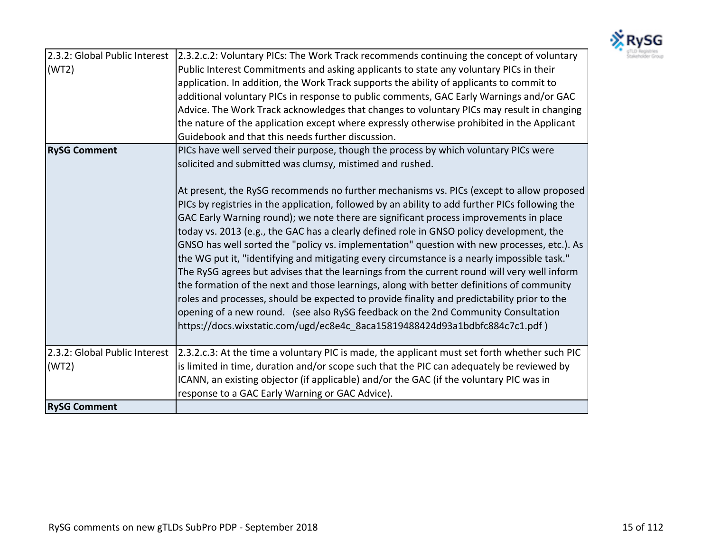

|                               | 2.3.2: Global Public Interest 2.3.2.c.2: Voluntary PICs: The Work Track recommends continuing the concept of voluntary |
|-------------------------------|------------------------------------------------------------------------------------------------------------------------|
| (WT2)                         | Public Interest Commitments and asking applicants to state any voluntary PICs in their                                 |
|                               | application. In addition, the Work Track supports the ability of applicants to commit to                               |
|                               | additional voluntary PICs in response to public comments, GAC Early Warnings and/or GAC                                |
|                               | Advice. The Work Track acknowledges that changes to voluntary PICs may result in changing                              |
|                               | the nature of the application except where expressly otherwise prohibited in the Applicant                             |
|                               | Guidebook and that this needs further discussion.                                                                      |
| <b>RySG Comment</b>           | PICs have well served their purpose, though the process by which voluntary PICs were                                   |
|                               | solicited and submitted was clumsy, mistimed and rushed.                                                               |
|                               |                                                                                                                        |
|                               | At present, the RySG recommends no further mechanisms vs. PICs (except to allow proposed                               |
|                               | PICs by registries in the application, followed by an ability to add further PICs following the                        |
|                               | GAC Early Warning round); we note there are significant process improvements in place                                  |
|                               | today vs. 2013 (e.g., the GAC has a clearly defined role in GNSO policy development, the                               |
|                               | GNSO has well sorted the "policy vs. implementation" question with new processes, etc.). As                            |
|                               | the WG put it, "identifying and mitigating every circumstance is a nearly impossible task."                            |
|                               | The RySG agrees but advises that the learnings from the current round will very well inform                            |
|                               | the formation of the next and those learnings, along with better definitions of community                              |
|                               | roles and processes, should be expected to provide finality and predictability prior to the                            |
|                               | opening of a new round. (see also RySG feedback on the 2nd Community Consultation                                      |
|                               | https://docs.wixstatic.com/ugd/ec8e4c_8aca15819488424d93a1bdbfc884c7c1.pdf)                                            |
|                               |                                                                                                                        |
| 2.3.2: Global Public Interest | [2.3.2.c.3: At the time a voluntary PIC is made, the applicant must set forth whether such PIC                         |
| (WT2)                         | is limited in time, duration and/or scope such that the PIC can adequately be reviewed by                              |
|                               | ICANN, an existing objector (if applicable) and/or the GAC (if the voluntary PIC was in                                |
|                               | response to a GAC Early Warning or GAC Advice).                                                                        |
| <b>RySG Comment</b>           |                                                                                                                        |
|                               |                                                                                                                        |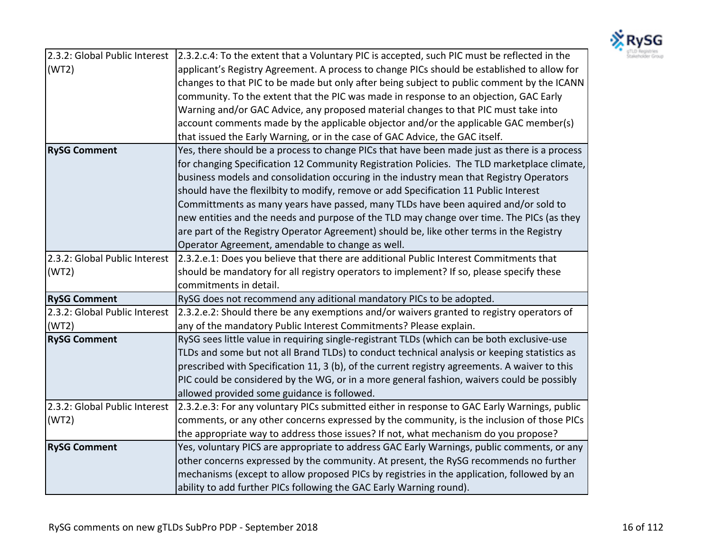

|                               | 2.3.2: Global Public Interest 2.3.2.c.4: To the extent that a Voluntary PIC is accepted, such PIC must be reflected in the |
|-------------------------------|----------------------------------------------------------------------------------------------------------------------------|
| (WT2)                         | applicant's Registry Agreement. A process to change PICs should be established to allow for                                |
|                               | changes to that PIC to be made but only after being subject to public comment by the ICANN                                 |
|                               | community. To the extent that the PIC was made in response to an objection, GAC Early                                      |
|                               | Warning and/or GAC Advice, any proposed material changes to that PIC must take into                                        |
|                               | account comments made by the applicable objector and/or the applicable GAC member(s)                                       |
|                               | that issued the Early Warning, or in the case of GAC Advice, the GAC itself.                                               |
| <b>RySG Comment</b>           | Yes, there should be a process to change PICs that have been made just as there is a process                               |
|                               | for changing Specification 12 Community Registration Policies. The TLD marketplace climate,                                |
|                               | business models and consolidation occuring in the industry mean that Registry Operators                                    |
|                               | should have the flexilbity to modify, remove or add Specification 11 Public Interest                                       |
|                               | Committments as many years have passed, many TLDs have been aquired and/or sold to                                         |
|                               | new entities and the needs and purpose of the TLD may change over time. The PICs (as they                                  |
|                               | are part of the Registry Operator Agreement) should be, like other terms in the Registry                                   |
|                               | Operator Agreement, amendable to change as well.                                                                           |
| 2.3.2: Global Public Interest | [2.3.2.e.1: Does you believe that there are additional Public Interest Commitments that                                    |
| (WT2)                         | should be mandatory for all registry operators to implement? If so, please specify these                                   |
|                               | commitments in detail.                                                                                                     |
| <b>RySG Comment</b>           | RySG does not recommend any aditional mandatory PICs to be adopted.                                                        |
| 2.3.2: Global Public Interest | [2.3.2.e.2: Should there be any exemptions and/or waivers granted to registry operators of                                 |
| (WT2)                         | any of the mandatory Public Interest Commitments? Please explain.                                                          |
| <b>RySG Comment</b>           | RySG sees little value in requiring single-registrant TLDs (which can be both exclusive-use                                |
|                               | TLDs and some but not all Brand TLDs) to conduct technical analysis or keeping statistics as                               |
|                               | prescribed with Specification 11, 3 (b), of the current registry agreements. A waiver to this                              |
|                               | PIC could be considered by the WG, or in a more general fashion, waivers could be possibly                                 |
|                               | allowed provided some guidance is followed.                                                                                |
| 2.3.2: Global Public Interest | [2.3.2.e.3: For any voluntary PICs submitted either in response to GAC Early Warnings, public                              |
| (WT2)                         | comments, or any other concerns expressed by the community, is the inclusion of those PICs                                 |
|                               | the appropriate way to address those issues? If not, what mechanism do you propose?                                        |
| <b>RySG Comment</b>           | Yes, voluntary PICS are appropriate to address GAC Early Warnings, public comments, or any                                 |
|                               | other concerns expressed by the community. At present, the RySG recommends no further                                      |
|                               |                                                                                                                            |
|                               | mechanisms (except to allow proposed PICs by registries in the application, followed by an                                 |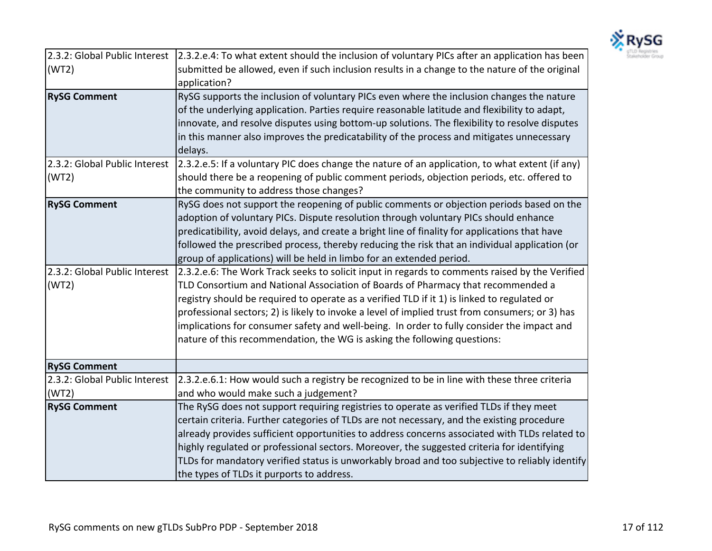

| 2.3.2: Global Public Interest          | [2.3.2.e.4: To what extent should the inclusion of voluntary PICs after an application has been                                                                                                                                                                                                                                                                                                                                                                                                                                                                |
|----------------------------------------|----------------------------------------------------------------------------------------------------------------------------------------------------------------------------------------------------------------------------------------------------------------------------------------------------------------------------------------------------------------------------------------------------------------------------------------------------------------------------------------------------------------------------------------------------------------|
| (WT2)                                  | submitted be allowed, even if such inclusion results in a change to the nature of the original<br>application?                                                                                                                                                                                                                                                                                                                                                                                                                                                 |
| <b>RySG Comment</b>                    | RySG supports the inclusion of voluntary PICs even where the inclusion changes the nature<br>of the underlying application. Parties require reasonable latitude and flexibility to adapt,<br>innovate, and resolve disputes using bottom-up solutions. The flexibility to resolve disputes<br>in this manner also improves the predicatability of the process and mitigates unnecessary<br>delays.                                                                                                                                                             |
| 2.3.2: Global Public Interest<br>(WT2) | [2.3.2.e.5: If a voluntary PIC does change the nature of an application, to what extent (if any)<br>should there be a reopening of public comment periods, objection periods, etc. offered to<br>the community to address those changes?                                                                                                                                                                                                                                                                                                                       |
| <b>RySG Comment</b>                    | RySG does not support the reopening of public comments or objection periods based on the<br>adoption of voluntary PICs. Dispute resolution through voluntary PICs should enhance<br>predicatibility, avoid delays, and create a bright line of finality for applications that have<br>followed the prescribed process, thereby reducing the risk that an individual application (or<br>group of applications) will be held in limbo for an extended period.                                                                                                    |
| 2.3.2: Global Public Interest<br>(WT2) | 2.3.2.e.6: The Work Track seeks to solicit input in regards to comments raised by the Verified<br>TLD Consortium and National Association of Boards of Pharmacy that recommended a<br>registry should be required to operate as a verified TLD if it 1) is linked to regulated or<br>professional sectors; 2) is likely to invoke a level of implied trust from consumers; or 3) has<br>implications for consumer safety and well-being. In order to fully consider the impact and<br>nature of this recommendation, the WG is asking the following questions: |
| <b>RySG Comment</b>                    |                                                                                                                                                                                                                                                                                                                                                                                                                                                                                                                                                                |
| 2.3.2: Global Public Interest<br>(WT2) | 2.3.2.e.6.1: How would such a registry be recognized to be in line with these three criteria<br>and who would make such a judgement?                                                                                                                                                                                                                                                                                                                                                                                                                           |
| <b>RySG Comment</b>                    | The RySG does not support requiring registries to operate as verified TLDs if they meet<br>certain criteria. Further categories of TLDs are not necessary, and the existing procedure<br>already provides sufficient opportunities to address concerns associated with TLDs related to<br>highly regulated or professional sectors. Moreover, the suggested criteria for identifying<br>TLDs for mandatory verified status is unworkably broad and too subjective to reliably identify<br>the types of TLDs it purports to address.                            |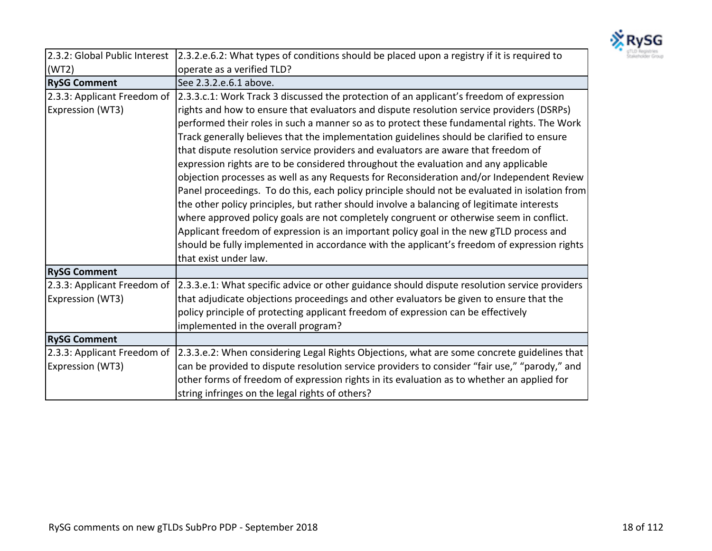

|                             | 2.3.2: Global Public Interest 2.3.2.e.6.2: What types of conditions should be placed upon a registry if it is required to |
|-----------------------------|---------------------------------------------------------------------------------------------------------------------------|
| (WT2)                       | operate as a verified TLD?                                                                                                |
| <b>RySG Comment</b>         | See 2.3.2.e.6.1 above.                                                                                                    |
|                             | 2.3.3: Applicant Freedom of 2.3.3.c.1: Work Track 3 discussed the protection of an applicant's freedom of expression      |
| Expression (WT3)            | rights and how to ensure that evaluators and dispute resolution service providers (DSRPs)                                 |
|                             | performed their roles in such a manner so as to protect these fundamental rights. The Work                                |
|                             | Track generally believes that the implementation guidelines should be clarified to ensure                                 |
|                             | that dispute resolution service providers and evaluators are aware that freedom of                                        |
|                             | expression rights are to be considered throughout the evaluation and any applicable                                       |
|                             | objection processes as well as any Requests for Reconsideration and/or Independent Review                                 |
|                             | Panel proceedings. To do this, each policy principle should not be evaluated in isolation from                            |
|                             | the other policy principles, but rather should involve a balancing of legitimate interests                                |
|                             | where approved policy goals are not completely congruent or otherwise seem in conflict.                                   |
|                             | Applicant freedom of expression is an important policy goal in the new gTLD process and                                   |
|                             | should be fully implemented in accordance with the applicant's freedom of expression rights                               |
|                             | that exist under law.                                                                                                     |
| <b>RySG Comment</b>         |                                                                                                                           |
| 2.3.3: Applicant Freedom of | [2.3.3.e.1: What specific advice or other guidance should dispute resolution service providers                            |
| <b>Expression (WT3)</b>     | that adjudicate objections proceedings and other evaluators be given to ensure that the                                   |
|                             | policy principle of protecting applicant freedom of expression can be effectively                                         |
|                             | implemented in the overall program?                                                                                       |
| <b>RySG Comment</b>         |                                                                                                                           |
| 2.3.3: Applicant Freedom of | [2.3.3.e.2: When considering Legal Rights Objections, what are some concrete guidelines that                              |
| Expression (WT3)            | can be provided to dispute resolution service providers to consider "fair use," "parody," and                             |
|                             | other forms of freedom of expression rights in its evaluation as to whether an applied for                                |
|                             | string infringes on the legal rights of others?                                                                           |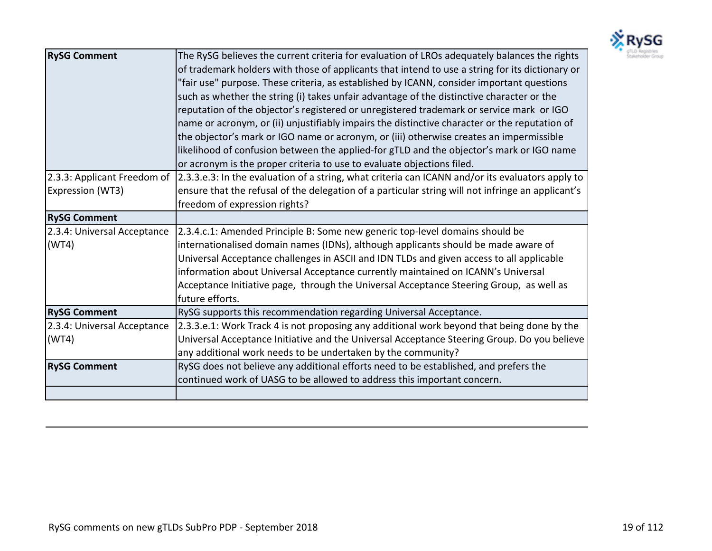

| <b>RySG Comment</b>         | The RySG believes the current criteria for evaluation of LROs adequately balances the rights<br>of trademark holders with those of applicants that intend to use a string for its dictionary or<br>"fair use" purpose. These criteria, as established by ICANN, consider important questions<br>such as whether the string (i) takes unfair advantage of the distinctive character or the<br>reputation of the objector's registered or unregistered trademark or service mark or IGO<br>name or acronym, or (ii) unjustifiably impairs the distinctive character or the reputation of<br>the objector's mark or IGO name or acronym, or (iii) otherwise creates an impermissible<br>likelihood of confusion between the applied-for gTLD and the objector's mark or IGO name<br>or acronym is the proper criteria to use to evaluate objections filed. |
|-----------------------------|---------------------------------------------------------------------------------------------------------------------------------------------------------------------------------------------------------------------------------------------------------------------------------------------------------------------------------------------------------------------------------------------------------------------------------------------------------------------------------------------------------------------------------------------------------------------------------------------------------------------------------------------------------------------------------------------------------------------------------------------------------------------------------------------------------------------------------------------------------|
| 2.3.3: Applicant Freedom of | [2.3.3.e.3: In the evaluation of a string, what criteria can ICANN and/or its evaluators apply to                                                                                                                                                                                                                                                                                                                                                                                                                                                                                                                                                                                                                                                                                                                                                       |
| Expression (WT3)            | ensure that the refusal of the delegation of a particular string will not infringe an applicant's                                                                                                                                                                                                                                                                                                                                                                                                                                                                                                                                                                                                                                                                                                                                                       |
|                             | freedom of expression rights?                                                                                                                                                                                                                                                                                                                                                                                                                                                                                                                                                                                                                                                                                                                                                                                                                           |
| <b>RySG Comment</b>         |                                                                                                                                                                                                                                                                                                                                                                                                                                                                                                                                                                                                                                                                                                                                                                                                                                                         |
| 2.3.4: Universal Acceptance | 2.3.4.c.1: Amended Principle B: Some new generic top-level domains should be                                                                                                                                                                                                                                                                                                                                                                                                                                                                                                                                                                                                                                                                                                                                                                            |
| (WT4)                       | internationalised domain names (IDNs), although applicants should be made aware of                                                                                                                                                                                                                                                                                                                                                                                                                                                                                                                                                                                                                                                                                                                                                                      |
|                             | Universal Acceptance challenges in ASCII and IDN TLDs and given access to all applicable                                                                                                                                                                                                                                                                                                                                                                                                                                                                                                                                                                                                                                                                                                                                                                |
|                             | information about Universal Acceptance currently maintained on ICANN's Universal                                                                                                                                                                                                                                                                                                                                                                                                                                                                                                                                                                                                                                                                                                                                                                        |
|                             | Acceptance Initiative page, through the Universal Acceptance Steering Group, as well as                                                                                                                                                                                                                                                                                                                                                                                                                                                                                                                                                                                                                                                                                                                                                                 |
|                             | future efforts.                                                                                                                                                                                                                                                                                                                                                                                                                                                                                                                                                                                                                                                                                                                                                                                                                                         |
| <b>RySG Comment</b>         | RySG supports this recommendation regarding Universal Acceptance.                                                                                                                                                                                                                                                                                                                                                                                                                                                                                                                                                                                                                                                                                                                                                                                       |
| 2.3.4: Universal Acceptance | 2.3.3.e.1: Work Track 4 is not proposing any additional work beyond that being done by the                                                                                                                                                                                                                                                                                                                                                                                                                                                                                                                                                                                                                                                                                                                                                              |
| (WT4)                       | Universal Acceptance Initiative and the Universal Acceptance Steering Group. Do you believe                                                                                                                                                                                                                                                                                                                                                                                                                                                                                                                                                                                                                                                                                                                                                             |
|                             | any additional work needs to be undertaken by the community?                                                                                                                                                                                                                                                                                                                                                                                                                                                                                                                                                                                                                                                                                                                                                                                            |
| <b>RySG Comment</b>         | RySG does not believe any additional efforts need to be established, and prefers the                                                                                                                                                                                                                                                                                                                                                                                                                                                                                                                                                                                                                                                                                                                                                                    |
|                             | continued work of UASG to be allowed to address this important concern.                                                                                                                                                                                                                                                                                                                                                                                                                                                                                                                                                                                                                                                                                                                                                                                 |
|                             |                                                                                                                                                                                                                                                                                                                                                                                                                                                                                                                                                                                                                                                                                                                                                                                                                                                         |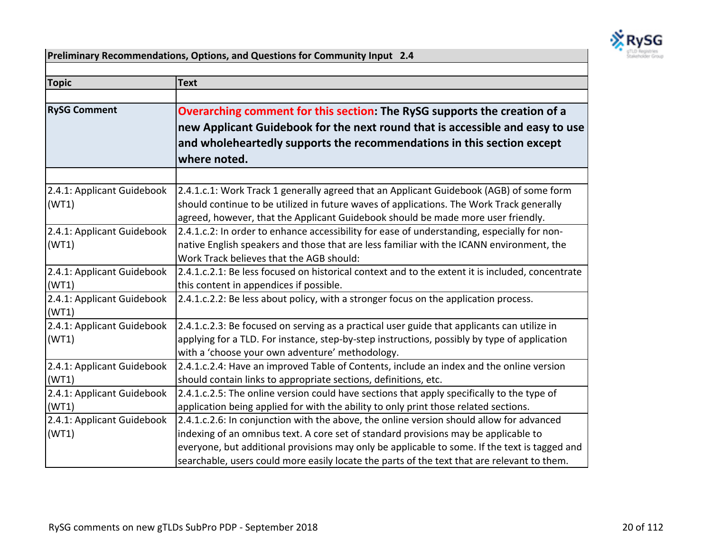

**Preliminary Recommendations, Options, and Questions for Community Input 2.4** 

| <b>Topic</b>                        | <b>Text</b>                                                                                                                                                                                                                                                                                                                                                                     |
|-------------------------------------|---------------------------------------------------------------------------------------------------------------------------------------------------------------------------------------------------------------------------------------------------------------------------------------------------------------------------------------------------------------------------------|
| <b>RySG Comment</b>                 | Overarching comment for this section: The RySG supports the creation of a<br>new Applicant Guidebook for the next round that is accessible and easy to use<br>and wholeheartedly supports the recommendations in this section except<br>where noted.                                                                                                                            |
|                                     |                                                                                                                                                                                                                                                                                                                                                                                 |
| 2.4.1: Applicant Guidebook<br>(WT1) | 2.4.1.c.1: Work Track 1 generally agreed that an Applicant Guidebook (AGB) of some form<br>should continue to be utilized in future waves of applications. The Work Track generally<br>agreed, however, that the Applicant Guidebook should be made more user friendly.                                                                                                         |
| 2.4.1: Applicant Guidebook<br>(WT1) | 2.4.1.c.2: In order to enhance accessibility for ease of understanding, especially for non-<br>native English speakers and those that are less familiar with the ICANN environment, the<br>Work Track believes that the AGB should:                                                                                                                                             |
| 2.4.1: Applicant Guidebook<br>(WT1) | 2.4.1.c.2.1: Be less focused on historical context and to the extent it is included, concentrate<br>this content in appendices if possible.                                                                                                                                                                                                                                     |
| 2.4.1: Applicant Guidebook<br>(WT1) | 2.4.1.c.2.2: Be less about policy, with a stronger focus on the application process.                                                                                                                                                                                                                                                                                            |
| 2.4.1: Applicant Guidebook<br>(WT1) | 2.4.1.c.2.3: Be focused on serving as a practical user guide that applicants can utilize in<br>applying for a TLD. For instance, step-by-step instructions, possibly by type of application<br>with a 'choose your own adventure' methodology.                                                                                                                                  |
| 2.4.1: Applicant Guidebook<br>(WT1) | 2.4.1.c.2.4: Have an improved Table of Contents, include an index and the online version<br>should contain links to appropriate sections, definitions, etc.                                                                                                                                                                                                                     |
| 2.4.1: Applicant Guidebook<br>(WT1) | 2.4.1.c.2.5: The online version could have sections that apply specifically to the type of<br>application being applied for with the ability to only print those related sections.                                                                                                                                                                                              |
| 2.4.1: Applicant Guidebook<br>(WT1) | 2.4.1.c.2.6: In conjunction with the above, the online version should allow for advanced<br>indexing of an omnibus text. A core set of standard provisions may be applicable to<br>everyone, but additional provisions may only be applicable to some. If the text is tagged and<br>searchable, users could more easily locate the parts of the text that are relevant to them. |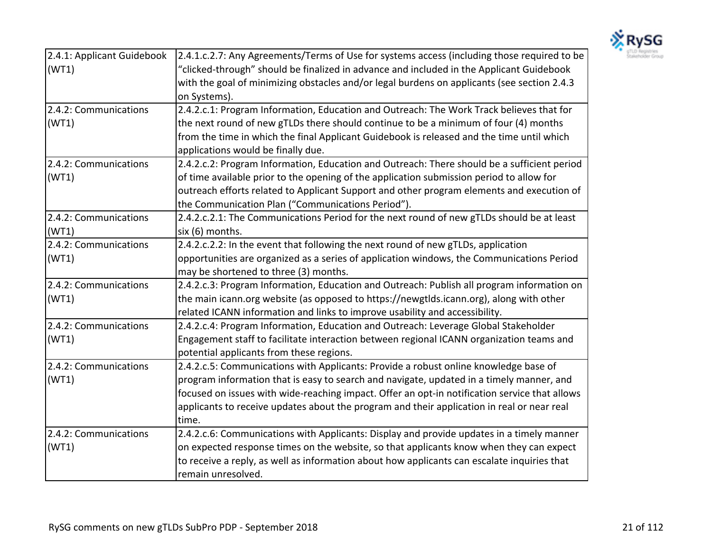

| 2.4.1: Applicant Guidebook | 2.4.1.c.2.7: Any Agreements/Terms of Use for systems access (including those required to be   |
|----------------------------|-----------------------------------------------------------------------------------------------|
| (WT1)                      | "clicked-through" should be finalized in advance and included in the Applicant Guidebook      |
|                            | with the goal of minimizing obstacles and/or legal burdens on applicants (see section 2.4.3   |
|                            | on Systems).                                                                                  |
| 2.4.2: Communications      | 2.4.2.c.1: Program Information, Education and Outreach: The Work Track believes that for      |
| (WT1)                      | the next round of new gTLDs there should continue to be a minimum of four (4) months          |
|                            | from the time in which the final Applicant Guidebook is released and the time until which     |
|                            | applications would be finally due.                                                            |
| 2.4.2: Communications      | 2.4.2.c.2: Program Information, Education and Outreach: There should be a sufficient period   |
| (WT1)                      | of time available prior to the opening of the application submission period to allow for      |
|                            | outreach efforts related to Applicant Support and other program elements and execution of     |
|                            | the Communication Plan ("Communications Period").                                             |
| 2.4.2: Communications      | 2.4.2.c.2.1: The Communications Period for the next round of new gTLDs should be at least     |
| (WT1)                      | six (6) months.                                                                               |
| 2.4.2: Communications      | 2.4.2.c.2.2: In the event that following the next round of new gTLDs, application             |
| (WT1)                      | opportunities are organized as a series of application windows, the Communications Period     |
|                            | may be shortened to three (3) months.                                                         |
| 2.4.2: Communications      | 2.4.2.c.3: Program Information, Education and Outreach: Publish all program information on    |
| (WT1)                      | the main icann.org website (as opposed to https://newgtlds.icann.org), along with other       |
|                            | related ICANN information and links to improve usability and accessibility.                   |
| 2.4.2: Communications      | 2.4.2.c.4: Program Information, Education and Outreach: Leverage Global Stakeholder           |
| (WT1)                      | Engagement staff to facilitate interaction between regional ICANN organization teams and      |
|                            | potential applicants from these regions.                                                      |
| 2.4.2: Communications      | 2.4.2.c.5: Communications with Applicants: Provide a robust online knowledge base of          |
| (WT1)                      | program information that is easy to search and navigate, updated in a timely manner, and      |
|                            | focused on issues with wide-reaching impact. Offer an opt-in notification service that allows |
|                            | applicants to receive updates about the program and their application in real or near real    |
|                            | time.                                                                                         |
| 2.4.2: Communications      | 2.4.2.c.6: Communications with Applicants: Display and provide updates in a timely manner     |
| (WT1)                      | on expected response times on the website, so that applicants know when they can expect       |
|                            | to receive a reply, as well as information about how applicants can escalate inquiries that   |
|                            | remain unresolved.                                                                            |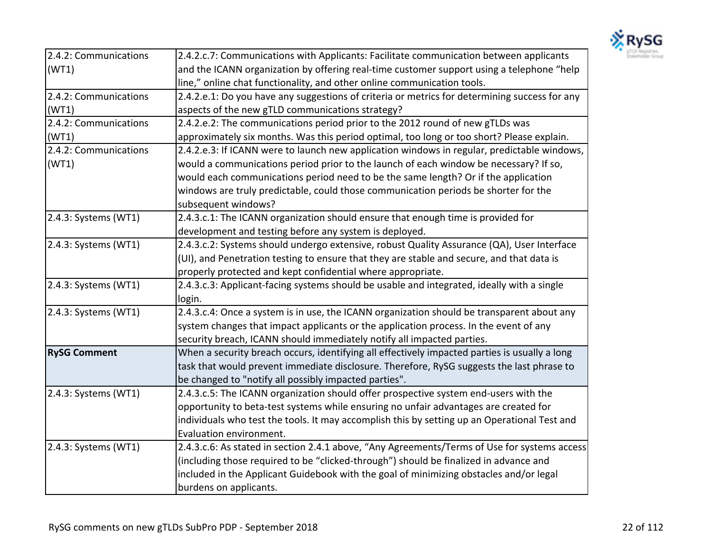

| 2.4.2: Communications | 2.4.2.c.7: Communications with Applicants: Facilitate communication between applicants        |
|-----------------------|-----------------------------------------------------------------------------------------------|
| (WT1)                 | and the ICANN organization by offering real-time customer support using a telephone "help     |
|                       | line," online chat functionality, and other online communication tools.                       |
| 2.4.2: Communications | 2.4.2.e.1: Do you have any suggestions of criteria or metrics for determining success for any |
| (WT1)                 | aspects of the new gTLD communications strategy?                                              |
| 2.4.2: Communications | 2.4.2.e.2: The communications period prior to the 2012 round of new gTLDs was                 |
| (WT1)                 | approximately six months. Was this period optimal, too long or too short? Please explain.     |
| 2.4.2: Communications | 2.4.2.e.3: If ICANN were to launch new application windows in regular, predictable windows,   |
| (WT1)                 | would a communications period prior to the launch of each window be necessary? If so,         |
|                       | would each communications period need to be the same length? Or if the application            |
|                       | windows are truly predictable, could those communication periods be shorter for the           |
|                       | subsequent windows?                                                                           |
| 2.4.3: Systems (WT1)  | 2.4.3.c.1: The ICANN organization should ensure that enough time is provided for              |
|                       | development and testing before any system is deployed.                                        |
| 2.4.3: Systems (WT1)  | 2.4.3.c.2: Systems should undergo extensive, robust Quality Assurance (QA), User Interface    |
|                       | (UI), and Penetration testing to ensure that they are stable and secure, and that data is     |
|                       | properly protected and kept confidential where appropriate.                                   |
| 2.4.3: Systems (WT1)  | 2.4.3.c.3: Applicant-facing systems should be usable and integrated, ideally with a single    |
|                       | login.                                                                                        |
| 2.4.3: Systems (WT1)  | 2.4.3.c.4: Once a system is in use, the ICANN organization should be transparent about any    |
|                       | system changes that impact applicants or the application process. In the event of any         |
|                       | security breach, ICANN should immediately notify all impacted parties.                        |
| <b>RySG Comment</b>   | When a security breach occurs, identifying all effectively impacted parties is usually a long |
|                       | task that would prevent immediate disclosure. Therefore, RySG suggests the last phrase to     |
|                       | be changed to "notify all possibly impacted parties".                                         |
| 2.4.3: Systems (WT1)  | 2.4.3.c.5: The ICANN organization should offer prospective system end-users with the          |
|                       | opportunity to beta-test systems while ensuring no unfair advantages are created for          |
|                       | individuals who test the tools. It may accomplish this by setting up an Operational Test and  |
|                       | Evaluation environment.                                                                       |
| 2.4.3: Systems (WT1)  | 2.4.3.c.6: As stated in section 2.4.1 above, "Any Agreements/Terms of Use for systems access  |
|                       | (including those required to be "clicked-through") should be finalized in advance and         |
|                       | included in the Applicant Guidebook with the goal of minimizing obstacles and/or legal        |
|                       | burdens on applicants.                                                                        |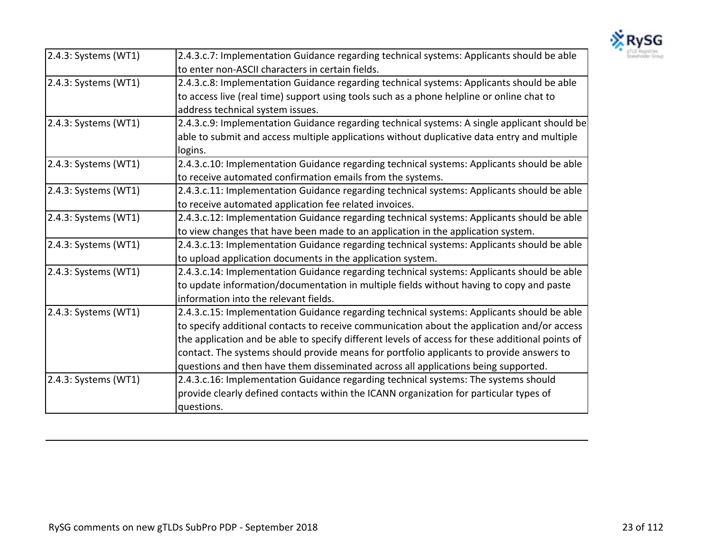

| 2.4.3: Systems (WT1) | 2.4.3.c.7: Implementation Guidance regarding technical systems: Applicants should be able        |
|----------------------|--------------------------------------------------------------------------------------------------|
|                      | to enter non-ASCII characters in certain fields.                                                 |
| 2.4.3: Systems (WT1) | 2.4.3.c.8: Implementation Guidance regarding technical systems: Applicants should be able        |
|                      | to access live (real time) support using tools such as a phone helpline or online chat to        |
|                      | address technical system issues.                                                                 |
| 2.4.3: Systems (WT1) | 2.4.3.c.9: Implementation Guidance regarding technical systems: A single applicant should be     |
|                      | able to submit and access multiple applications without duplicative data entry and multiple      |
|                      | logins.                                                                                          |
| 2.4.3: Systems (WT1) | 2.4.3.c.10: Implementation Guidance regarding technical systems: Applicants should be able       |
|                      | to receive automated confirmation emails from the systems.                                       |
| 2.4.3: Systems (WT1) | 2.4.3.c.11: Implementation Guidance regarding technical systems: Applicants should be able       |
|                      | to receive automated application fee related invoices.                                           |
| 2.4.3: Systems (WT1) | 2.4.3.c.12: Implementation Guidance regarding technical systems: Applicants should be able       |
|                      | to view changes that have been made to an application in the application system.                 |
| 2.4.3: Systems (WT1) | 2.4.3.c.13: Implementation Guidance regarding technical systems: Applicants should be able       |
|                      | to upload application documents in the application system.                                       |
| 2.4.3: Systems (WT1) | 2.4.3.c.14: Implementation Guidance regarding technical systems: Applicants should be able       |
|                      | to update information/documentation in multiple fields without having to copy and paste          |
|                      | information into the relevant fields.                                                            |
| 2.4.3: Systems (WT1) | 2.4.3.c.15: Implementation Guidance regarding technical systems: Applicants should be able       |
|                      | to specify additional contacts to receive communication about the application and/or access      |
|                      | the application and be able to specify different levels of access for these additional points of |
|                      | contact. The systems should provide means for portfolio applicants to provide answers to         |
|                      | questions and then have them disseminated across all applications being supported.               |
| 2.4.3: Systems (WT1) | 2.4.3.c.16: Implementation Guidance regarding technical systems: The systems should              |
|                      | provide clearly defined contacts within the ICANN organization for particular types of           |
|                      | questions.                                                                                       |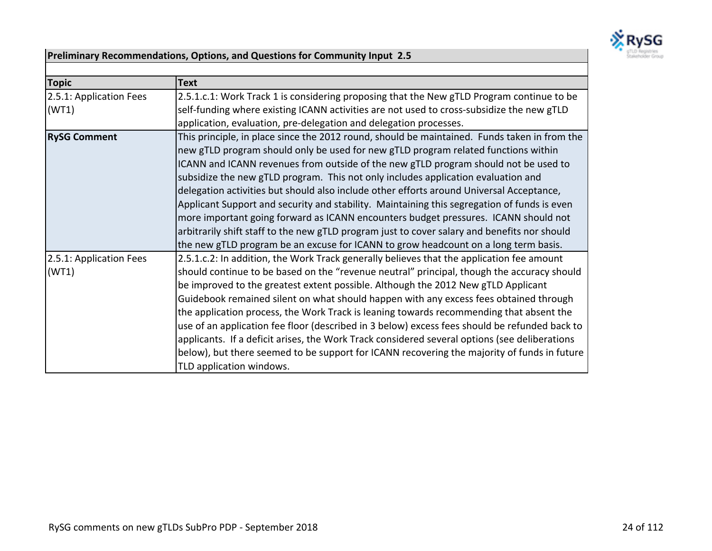

## **Preliminary Recommendations, Options, and Questions for Community Input 2.5**

| <b>Topic</b>            | <b>Text</b>                                                                                   |
|-------------------------|-----------------------------------------------------------------------------------------------|
| 2.5.1: Application Fees | 2.5.1.c.1: Work Track 1 is considering proposing that the New gTLD Program continue to be     |
| (WT1)                   | self-funding where existing ICANN activities are not used to cross-subsidize the new gTLD     |
|                         | application, evaluation, pre-delegation and delegation processes.                             |
| <b>RySG Comment</b>     | This principle, in place since the 2012 round, should be maintained. Funds taken in from the  |
|                         | new gTLD program should only be used for new gTLD program related functions within            |
|                         | ICANN and ICANN revenues from outside of the new gTLD program should not be used to           |
|                         | subsidize the new gTLD program. This not only includes application evaluation and             |
|                         | delegation activities but should also include other efforts around Universal Acceptance,      |
|                         | Applicant Support and security and stability. Maintaining this segregation of funds is even   |
|                         | more important going forward as ICANN encounters budget pressures. ICANN should not           |
|                         | arbitrarily shift staff to the new gTLD program just to cover salary and benefits nor should  |
|                         | the new gTLD program be an excuse for ICANN to grow headcount on a long term basis.           |
| 2.5.1: Application Fees | 2.5.1.c.2: In addition, the Work Track generally believes that the application fee amount     |
| (WT1)                   | should continue to be based on the "revenue neutral" principal, though the accuracy should    |
|                         | be improved to the greatest extent possible. Although the 2012 New gTLD Applicant             |
|                         | Guidebook remained silent on what should happen with any excess fees obtained through         |
|                         | the application process, the Work Track is leaning towards recommending that absent the       |
|                         | use of an application fee floor (described in 3 below) excess fees should be refunded back to |
|                         | applicants. If a deficit arises, the Work Track considered several options (see deliberations |
|                         | below), but there seemed to be support for ICANN recovering the majority of funds in future   |
|                         | TLD application windows.                                                                      |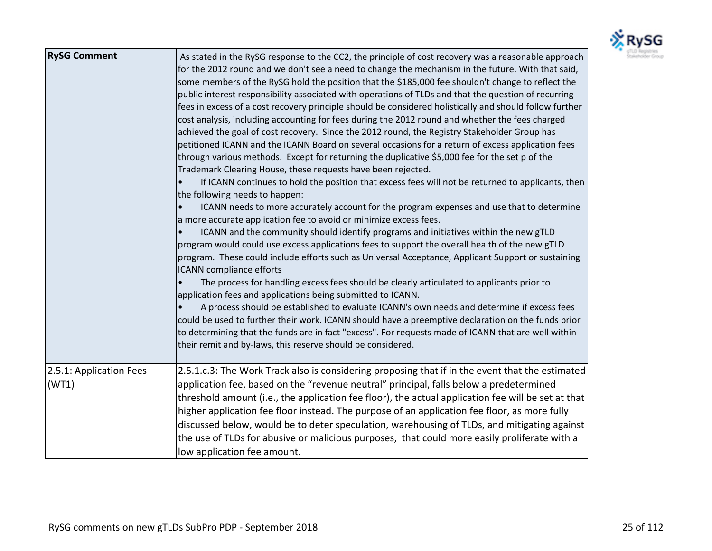

| <b>RySG Comment</b>              | As stated in the RySG response to the CC2, the principle of cost recovery was a reasonable approach<br>for the 2012 round and we don't see a need to change the mechanism in the future. With that said,<br>some members of the RySG hold the position that the \$185,000 fee shouldn't change to reflect the<br>public interest responsibility associated with operations of TLDs and that the question of recurring<br>fees in excess of a cost recovery principle should be considered holistically and should follow further<br>cost analysis, including accounting for fees during the 2012 round and whether the fees charged<br>achieved the goal of cost recovery. Since the 2012 round, the Registry Stakeholder Group has<br>petitioned ICANN and the ICANN Board on several occasions for a return of excess application fees<br>through various methods. Except for returning the duplicative \$5,000 fee for the set p of the<br>Trademark Clearing House, these requests have been rejected.<br>If ICANN continues to hold the position that excess fees will not be returned to applicants, then<br>the following needs to happen:<br>ICANN needs to more accurately account for the program expenses and use that to determine<br>$\bullet$<br>a more accurate application fee to avoid or minimize excess fees.<br>ICANN and the community should identify programs and initiatives within the new gTLD<br>program would could use excess applications fees to support the overall health of the new gTLD<br>program. These could include efforts such as Universal Acceptance, Applicant Support or sustaining<br><b>ICANN</b> compliance efforts<br>The process for handling excess fees should be clearly articulated to applicants prior to<br>application fees and applications being submitted to ICANN.<br>A process should be established to evaluate ICANN's own needs and determine if excess fees<br>could be used to further their work. ICANN should have a preemptive declaration on the funds prior<br>to determining that the funds are in fact "excess". For requests made of ICANN that are well within<br>their remit and by-laws, this reserve should be considered. |
|----------------------------------|-----------------------------------------------------------------------------------------------------------------------------------------------------------------------------------------------------------------------------------------------------------------------------------------------------------------------------------------------------------------------------------------------------------------------------------------------------------------------------------------------------------------------------------------------------------------------------------------------------------------------------------------------------------------------------------------------------------------------------------------------------------------------------------------------------------------------------------------------------------------------------------------------------------------------------------------------------------------------------------------------------------------------------------------------------------------------------------------------------------------------------------------------------------------------------------------------------------------------------------------------------------------------------------------------------------------------------------------------------------------------------------------------------------------------------------------------------------------------------------------------------------------------------------------------------------------------------------------------------------------------------------------------------------------------------------------------------------------------------------------------------------------------------------------------------------------------------------------------------------------------------------------------------------------------------------------------------------------------------------------------------------------------------------------------------------------------------------------------------------------------------------------------------------------------------------------------------------|
| 2.5.1: Application Fees<br>(WT1) | 2.5.1.c.3: The Work Track also is considering proposing that if in the event that the estimated<br>application fee, based on the "revenue neutral" principal, falls below a predetermined<br>threshold amount (i.e., the application fee floor), the actual application fee will be set at that<br>higher application fee floor instead. The purpose of an application fee floor, as more fully<br>discussed below, would be to deter speculation, warehousing of TLDs, and mitigating against<br>the use of TLDs for abusive or malicious purposes, that could more easily proliferate with a<br>low application fee amount.                                                                                                                                                                                                                                                                                                                                                                                                                                                                                                                                                                                                                                                                                                                                                                                                                                                                                                                                                                                                                                                                                                                                                                                                                                                                                                                                                                                                                                                                                                                                                                             |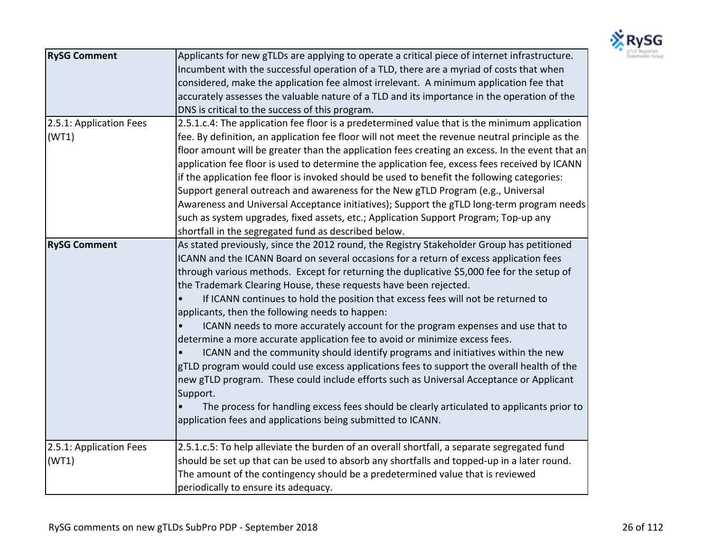

| <b>RySG Comment</b>     | Applicants for new gTLDs are applying to operate a critical piece of internet infrastructure.   |
|-------------------------|-------------------------------------------------------------------------------------------------|
|                         | Incumbent with the successful operation of a TLD, there are a myriad of costs that when         |
|                         | considered, make the application fee almost irrelevant. A minimum application fee that          |
|                         | accurately assesses the valuable nature of a TLD and its importance in the operation of the     |
|                         | DNS is critical to the success of this program.                                                 |
| 2.5.1: Application Fees | 2.5.1.c.4: The application fee floor is a predetermined value that is the minimum application   |
| (WT1)                   | fee. By definition, an application fee floor will not meet the revenue neutral principle as the |
|                         | floor amount will be greater than the application fees creating an excess. In the event that an |
|                         | application fee floor is used to determine the application fee, excess fees received by ICANN   |
|                         | if the application fee floor is invoked should be used to benefit the following categories:     |
|                         | Support general outreach and awareness for the New gTLD Program (e.g., Universal                |
|                         | Awareness and Universal Acceptance initiatives); Support the gTLD long-term program needs       |
|                         | such as system upgrades, fixed assets, etc.; Application Support Program; Top-up any            |
|                         | shortfall in the segregated fund as described below.                                            |
| <b>RySG Comment</b>     | As stated previously, since the 2012 round, the Registry Stakeholder Group has petitioned       |
|                         | ICANN and the ICANN Board on several occasions for a return of excess application fees          |
|                         | through various methods. Except for returning the duplicative \$5,000 fee for the setup of      |
|                         | the Trademark Clearing House, these requests have been rejected.                                |
|                         | If ICANN continues to hold the position that excess fees will not be returned to                |
|                         | applicants, then the following needs to happen:                                                 |
|                         | ICANN needs to more accurately account for the program expenses and use that to                 |
|                         | determine a more accurate application fee to avoid or minimize excess fees.                     |
|                         | ICANN and the community should identify programs and initiatives within the new                 |
|                         | gTLD program would could use excess applications fees to support the overall health of the      |
|                         | new gTLD program. These could include efforts such as Universal Acceptance or Applicant         |
|                         | Support.                                                                                        |
|                         | The process for handling excess fees should be clearly articulated to applicants prior to       |
|                         | application fees and applications being submitted to ICANN.                                     |
|                         |                                                                                                 |
| 2.5.1: Application Fees | 2.5.1.c.5: To help alleviate the burden of an overall shortfall, a separate segregated fund     |
| (WT1)                   | should be set up that can be used to absorb any shortfalls and topped-up in a later round.      |
|                         | The amount of the contingency should be a predetermined value that is reviewed                  |
|                         | periodically to ensure its adequacy.                                                            |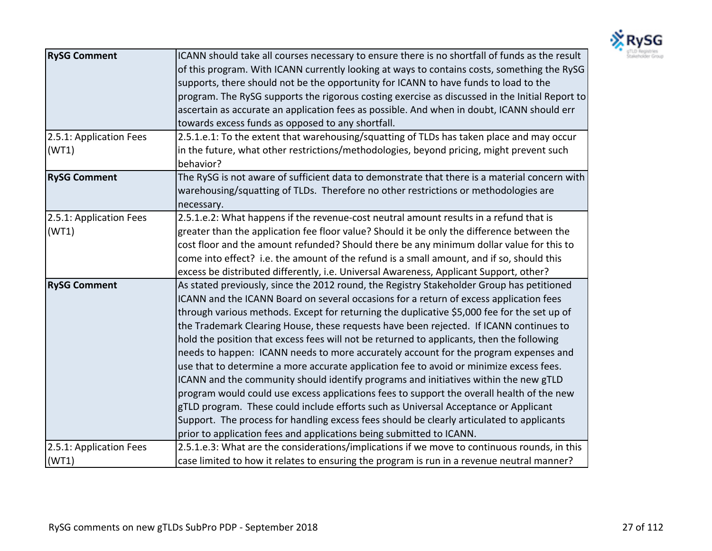

| <b>RySG Comment</b>              | ICANN should take all courses necessary to ensure there is no shortfall of funds as the result<br>of this program. With ICANN currently looking at ways to contains costs, something the RySG<br>supports, there should not be the opportunity for ICANN to have funds to load to the<br>program. The RySG supports the rigorous costing exercise as discussed in the Initial Report to<br>ascertain as accurate an application fees as possible. And when in doubt, ICANN should err<br>towards excess funds as opposed to any shortfall.                                                                                                                                                                                                                                                                                                                                                                                                                                                                                                                                                                    |
|----------------------------------|---------------------------------------------------------------------------------------------------------------------------------------------------------------------------------------------------------------------------------------------------------------------------------------------------------------------------------------------------------------------------------------------------------------------------------------------------------------------------------------------------------------------------------------------------------------------------------------------------------------------------------------------------------------------------------------------------------------------------------------------------------------------------------------------------------------------------------------------------------------------------------------------------------------------------------------------------------------------------------------------------------------------------------------------------------------------------------------------------------------|
| 2.5.1: Application Fees<br>(WT1) | 2.5.1.e.1: To the extent that warehousing/squatting of TLDs has taken place and may occur<br>in the future, what other restrictions/methodologies, beyond pricing, might prevent such<br>behavior?                                                                                                                                                                                                                                                                                                                                                                                                                                                                                                                                                                                                                                                                                                                                                                                                                                                                                                            |
| <b>RySG Comment</b>              | The RySG is not aware of sufficient data to demonstrate that there is a material concern with<br>warehousing/squatting of TLDs. Therefore no other restrictions or methodologies are<br>necessary.                                                                                                                                                                                                                                                                                                                                                                                                                                                                                                                                                                                                                                                                                                                                                                                                                                                                                                            |
| 2.5.1: Application Fees<br>(WT1) | 2.5.1.e.2: What happens if the revenue-cost neutral amount results in a refund that is<br>greater than the application fee floor value? Should it be only the difference between the<br>cost floor and the amount refunded? Should there be any minimum dollar value for this to<br>come into effect? i.e. the amount of the refund is a small amount, and if so, should this<br>excess be distributed differently, i.e. Universal Awareness, Applicant Support, other?                                                                                                                                                                                                                                                                                                                                                                                                                                                                                                                                                                                                                                       |
| <b>RySG Comment</b>              | As stated previously, since the 2012 round, the Registry Stakeholder Group has petitioned<br>ICANN and the ICANN Board on several occasions for a return of excess application fees<br>through various methods. Except for returning the duplicative \$5,000 fee for the set up of<br>the Trademark Clearing House, these requests have been rejected. If ICANN continues to<br>hold the position that excess fees will not be returned to applicants, then the following<br>needs to happen: ICANN needs to more accurately account for the program expenses and<br>use that to determine a more accurate application fee to avoid or minimize excess fees.<br>ICANN and the community should identify programs and initiatives within the new gTLD<br>program would could use excess applications fees to support the overall health of the new<br>gTLD program. These could include efforts such as Universal Acceptance or Applicant<br>Support. The process for handling excess fees should be clearly articulated to applicants<br>prior to application fees and applications being submitted to ICANN. |
| 2.5.1: Application Fees<br>(WT1) | 2.5.1.e.3: What are the considerations/implications if we move to continuous rounds, in this<br>case limited to how it relates to ensuring the program is run in a revenue neutral manner?                                                                                                                                                                                                                                                                                                                                                                                                                                                                                                                                                                                                                                                                                                                                                                                                                                                                                                                    |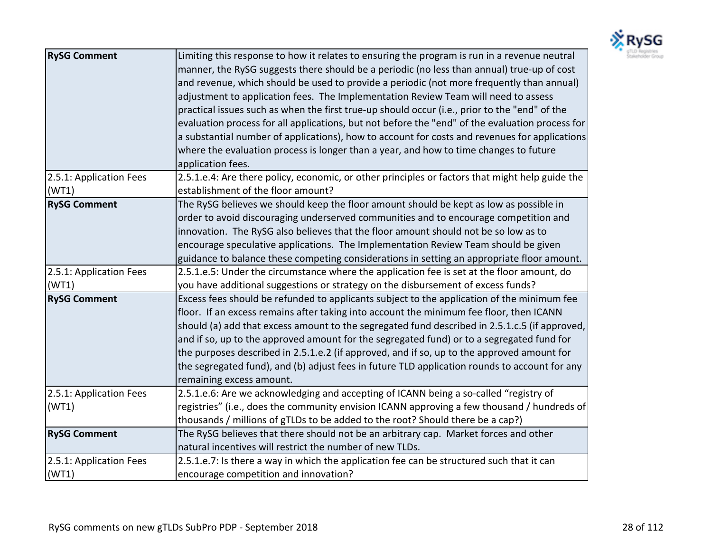

| <b>RySG Comment</b>              | Limiting this response to how it relates to ensuring the program is run in a revenue neutral<br>manner, the RySG suggests there should be a periodic (no less than annual) true-up of cost<br>and revenue, which should be used to provide a periodic (not more frequently than annual)<br>adjustment to application fees. The Implementation Review Team will need to assess<br>practical issues such as when the first true-up should occur (i.e., prior to the "end" of the<br>evaluation process for all applications, but not before the "end" of the evaluation process for<br>a substantial number of applications), how to account for costs and revenues for applications |
|----------------------------------|------------------------------------------------------------------------------------------------------------------------------------------------------------------------------------------------------------------------------------------------------------------------------------------------------------------------------------------------------------------------------------------------------------------------------------------------------------------------------------------------------------------------------------------------------------------------------------------------------------------------------------------------------------------------------------|
|                                  | where the evaluation process is longer than a year, and how to time changes to future<br>application fees.                                                                                                                                                                                                                                                                                                                                                                                                                                                                                                                                                                         |
| 2.5.1: Application Fees<br>(WT1) | 2.5.1.e.4: Are there policy, economic, or other principles or factors that might help guide the<br>establishment of the floor amount?                                                                                                                                                                                                                                                                                                                                                                                                                                                                                                                                              |
| <b>RySG Comment</b>              | The RySG believes we should keep the floor amount should be kept as low as possible in<br>order to avoid discouraging underserved communities and to encourage competition and<br>innovation. The RySG also believes that the floor amount should not be so low as to<br>encourage speculative applications. The Implementation Review Team should be given<br>guidance to balance these competing considerations in setting an appropriate floor amount.                                                                                                                                                                                                                          |
| 2.5.1: Application Fees<br>(WT1) | 2.5.1.e.5: Under the circumstance where the application fee is set at the floor amount, do<br>you have additional suggestions or strategy on the disbursement of excess funds?                                                                                                                                                                                                                                                                                                                                                                                                                                                                                                     |
| <b>RySG Comment</b>              | Excess fees should be refunded to applicants subject to the application of the minimum fee<br>floor. If an excess remains after taking into account the minimum fee floor, then ICANN<br>should (a) add that excess amount to the segregated fund described in 2.5.1.c.5 (if approved,<br>and if so, up to the approved amount for the segregated fund) or to a segregated fund for<br>the purposes described in 2.5.1.e.2 (if approved, and if so, up to the approved amount for<br>the segregated fund), and (b) adjust fees in future TLD application rounds to account for any<br>remaining excess amount.                                                                     |
| 2.5.1: Application Fees<br>(WT1) | 2.5.1.e.6: Are we acknowledging and accepting of ICANN being a so-called "registry of<br>registries" (i.e., does the community envision ICANN approving a few thousand / hundreds of<br>thousands / millions of gTLDs to be added to the root? Should there be a cap?)                                                                                                                                                                                                                                                                                                                                                                                                             |
| <b>RySG Comment</b>              | The RySG believes that there should not be an arbitrary cap. Market forces and other<br>natural incentives will restrict the number of new TLDs.                                                                                                                                                                                                                                                                                                                                                                                                                                                                                                                                   |
| 2.5.1: Application Fees<br>(WT1) | 2.5.1.e.7: Is there a way in which the application fee can be structured such that it can<br>encourage competition and innovation?                                                                                                                                                                                                                                                                                                                                                                                                                                                                                                                                                 |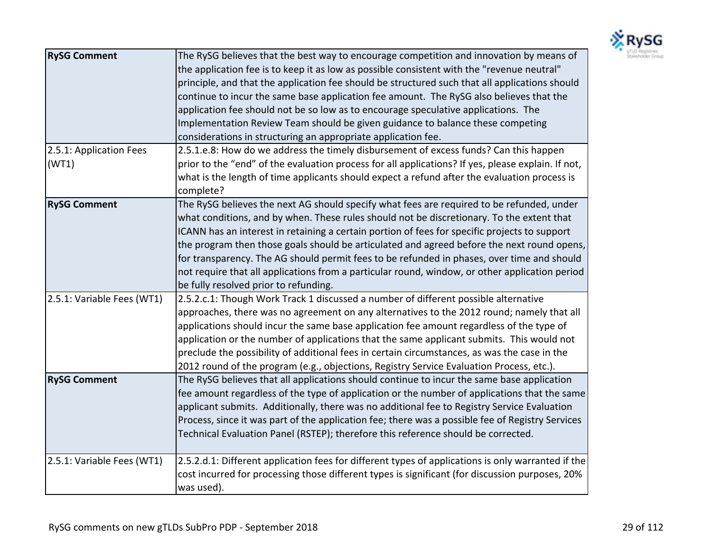

| <b>RySG Comment</b><br>2.5.1: Application Fees | The RySG believes that the best way to encourage competition and innovation by means of<br>the application fee is to keep it as low as possible consistent with the "revenue neutral"<br>principle, and that the application fee should be structured such that all applications should<br>continue to incur the same base application fee amount. The RySG also believes that the<br>application fee should not be so low as to encourage speculative applications. The<br>Implementation Review Team should be given guidance to balance these competing<br>considerations in structuring an appropriate application fee.<br>2.5.1.e.8: How do we address the timely disbursement of excess funds? Can this happen |
|------------------------------------------------|----------------------------------------------------------------------------------------------------------------------------------------------------------------------------------------------------------------------------------------------------------------------------------------------------------------------------------------------------------------------------------------------------------------------------------------------------------------------------------------------------------------------------------------------------------------------------------------------------------------------------------------------------------------------------------------------------------------------|
| (WT1)                                          | prior to the "end" of the evaluation process for all applications? If yes, please explain. If not,<br>what is the length of time applicants should expect a refund after the evaluation process is<br>complete?                                                                                                                                                                                                                                                                                                                                                                                                                                                                                                      |
| <b>RySG Comment</b>                            | The RySG believes the next AG should specify what fees are required to be refunded, under<br>what conditions, and by when. These rules should not be discretionary. To the extent that<br>ICANN has an interest in retaining a certain portion of fees for specific projects to support<br>the program then those goals should be articulated and agreed before the next round opens,<br>for transparency. The AG should permit fees to be refunded in phases, over time and should<br>not require that all applications from a particular round, window, or other application period<br>be fully resolved prior to refunding.                                                                                       |
| 2.5.1: Variable Fees (WT1)                     | 2.5.2.c.1: Though Work Track 1 discussed a number of different possible alternative<br>approaches, there was no agreement on any alternatives to the 2012 round; namely that all<br>applications should incur the same base application fee amount regardless of the type of<br>application or the number of applications that the same applicant submits. This would not<br>preclude the possibility of additional fees in certain circumstances, as was the case in the<br>2012 round of the program (e.g., objections, Registry Service Evaluation Process, etc.).                                                                                                                                                |
| <b>RySG Comment</b>                            | The RySG believes that all applications should continue to incur the same base application<br>fee amount regardless of the type of application or the number of applications that the same<br>applicant submits. Additionally, there was no additional fee to Registry Service Evaluation<br>Process, since it was part of the application fee; there was a possible fee of Registry Services<br>Technical Evaluation Panel (RSTEP); therefore this reference should be corrected.                                                                                                                                                                                                                                   |
| 2.5.1: Variable Fees (WT1)                     | 2.5.2.d.1: Different application fees for different types of applications is only warranted if the<br>cost incurred for processing those different types is significant (for discussion purposes, 20%<br>was used).                                                                                                                                                                                                                                                                                                                                                                                                                                                                                                  |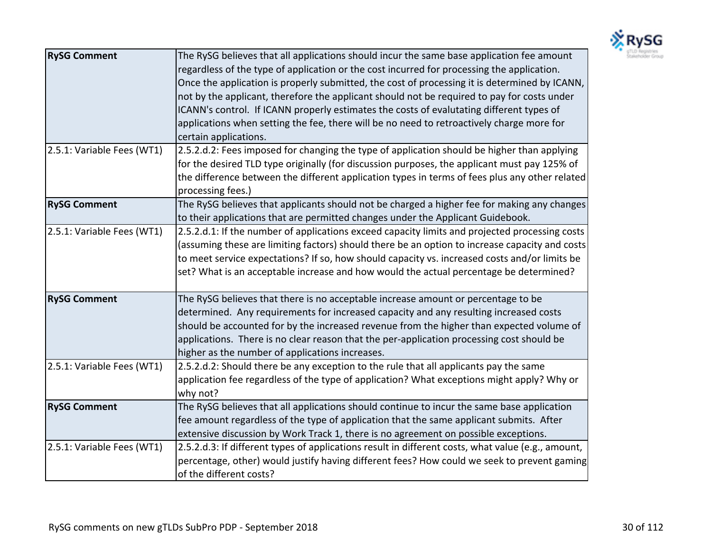

| <b>RySG Comment</b>        | The RySG believes that all applications should incur the same base application fee amount<br>regardless of the type of application or the cost incurred for processing the application.<br>Once the application is properly submitted, the cost of processing it is determined by ICANN,<br>not by the applicant, therefore the applicant should not be required to pay for costs under<br>ICANN's control. If ICANN properly estimates the costs of evalutating different types of<br>applications when setting the fee, there will be no need to retroactively charge more for<br>certain applications. |
|----------------------------|-----------------------------------------------------------------------------------------------------------------------------------------------------------------------------------------------------------------------------------------------------------------------------------------------------------------------------------------------------------------------------------------------------------------------------------------------------------------------------------------------------------------------------------------------------------------------------------------------------------|
| 2.5.1: Variable Fees (WT1) | 2.5.2.d.2: Fees imposed for changing the type of application should be higher than applying<br>for the desired TLD type originally (for discussion purposes, the applicant must pay 125% of<br>the difference between the different application types in terms of fees plus any other related<br>processing fees.)                                                                                                                                                                                                                                                                                        |
| <b>RySG Comment</b>        | The RySG believes that applicants should not be charged a higher fee for making any changes<br>to their applications that are permitted changes under the Applicant Guidebook.                                                                                                                                                                                                                                                                                                                                                                                                                            |
| 2.5.1: Variable Fees (WT1) | 2.5.2.d.1: If the number of applications exceed capacity limits and projected processing costs<br>(assuming these are limiting factors) should there be an option to increase capacity and costs<br>to meet service expectations? If so, how should capacity vs. increased costs and/or limits be<br>set? What is an acceptable increase and how would the actual percentage be determined?                                                                                                                                                                                                               |
| <b>RySG Comment</b>        | The RySG believes that there is no acceptable increase amount or percentage to be<br>determined. Any requirements for increased capacity and any resulting increased costs<br>should be accounted for by the increased revenue from the higher than expected volume of<br>applications. There is no clear reason that the per-application processing cost should be<br>higher as the number of applications increases.                                                                                                                                                                                    |
| 2.5.1: Variable Fees (WT1) | 2.5.2.d.2: Should there be any exception to the rule that all applicants pay the same<br>application fee regardless of the type of application? What exceptions might apply? Why or<br>why not?                                                                                                                                                                                                                                                                                                                                                                                                           |
| <b>RySG Comment</b>        | The RySG believes that all applications should continue to incur the same base application<br>fee amount regardless of the type of application that the same applicant submits. After<br>extensive discussion by Work Track 1, there is no agreement on possible exceptions.                                                                                                                                                                                                                                                                                                                              |
| 2.5.1: Variable Fees (WT1) | 2.5.2.d.3: If different types of applications result in different costs, what value (e.g., amount,<br>percentage, other) would justify having different fees? How could we seek to prevent gaming<br>of the different costs?                                                                                                                                                                                                                                                                                                                                                                              |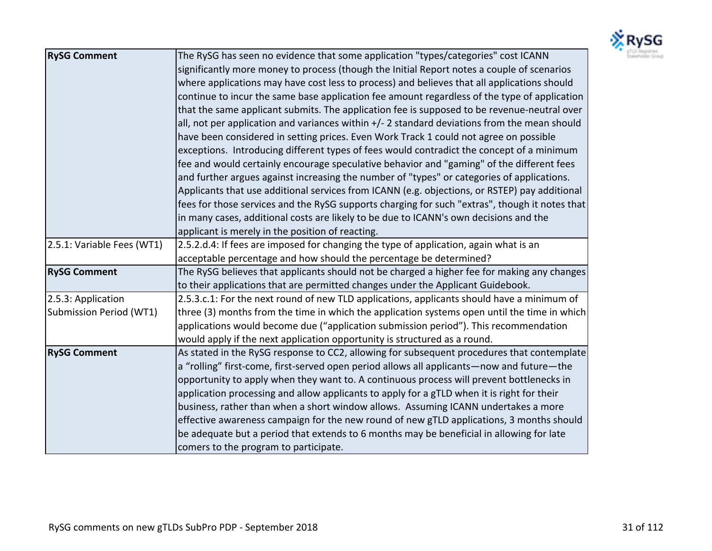

| <b>RySG Comment</b>        | The RySG has seen no evidence that some application "types/categories" cost ICANN              |
|----------------------------|------------------------------------------------------------------------------------------------|
|                            | significantly more money to process (though the Initial Report notes a couple of scenarios     |
|                            | where applications may have cost less to process) and believes that all applications should    |
|                            | continue to incur the same base application fee amount regardless of the type of application   |
|                            | that the same applicant submits. The application fee is supposed to be revenue-neutral over    |
|                            | all, not per application and variances within $+/-$ 2 standard deviations from the mean should |
|                            | have been considered in setting prices. Even Work Track 1 could not agree on possible          |
|                            | exceptions. Introducing different types of fees would contradict the concept of a minimum      |
|                            | fee and would certainly encourage speculative behavior and "gaming" of the different fees      |
|                            | and further argues against increasing the number of "types" or categories of applications.     |
|                            | Applicants that use additional services from ICANN (e.g. objections, or RSTEP) pay additional  |
|                            | fees for those services and the RySG supports charging for such "extras", though it notes that |
|                            | in many cases, additional costs are likely to be due to ICANN's own decisions and the          |
|                            | applicant is merely in the position of reacting.                                               |
| 2.5.1: Variable Fees (WT1) | 2.5.2.d.4: If fees are imposed for changing the type of application, again what is an          |
|                            | acceptable percentage and how should the percentage be determined?                             |
| <b>RySG Comment</b>        | The RySG believes that applicants should not be charged a higher fee for making any changes    |
|                            | to their applications that are permitted changes under the Applicant Guidebook.                |
| 2.5.3: Application         | 2.5.3.c.1: For the next round of new TLD applications, applicants should have a minimum of     |
| Submission Period (WT1)    | three (3) months from the time in which the application systems open until the time in which   |
|                            | applications would become due ("application submission period"). This recommendation           |
|                            | would apply if the next application opportunity is structured as a round.                      |
| <b>RySG Comment</b>        | As stated in the RySG response to CC2, allowing for subsequent procedures that contemplate     |
|                            | a "rolling" first-come, first-served open period allows all applicants—now and future—the      |
|                            | opportunity to apply when they want to. A continuous process will prevent bottlenecks in       |
|                            | application processing and allow applicants to apply for a gTLD when it is right for their     |
|                            | business, rather than when a short window allows. Assuming ICANN undertakes a more             |
|                            | effective awareness campaign for the new round of new gTLD applications, 3 months should       |
|                            | be adequate but a period that extends to 6 months may be beneficial in allowing for late       |
|                            | comers to the program to participate.                                                          |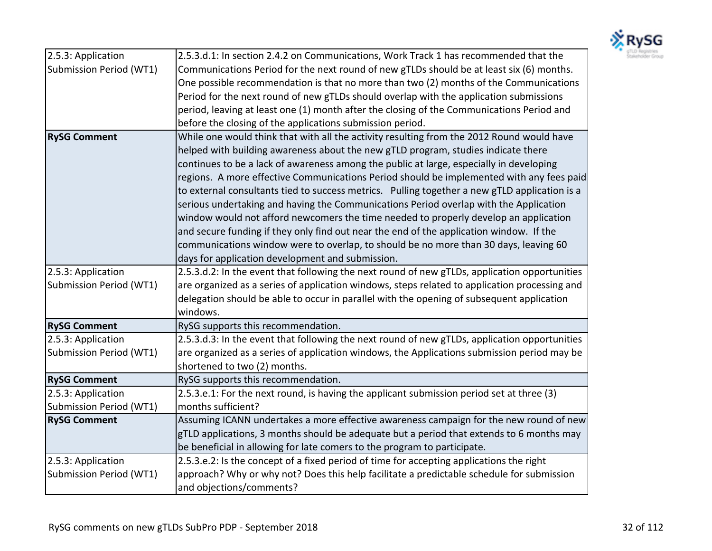

| 2.5.3: Application      | 2.5.3.d.1: In section 2.4.2 on Communications, Work Track 1 has recommended that the          |
|-------------------------|-----------------------------------------------------------------------------------------------|
| Submission Period (WT1) | Communications Period for the next round of new gTLDs should be at least six (6) months.      |
|                         | One possible recommendation is that no more than two (2) months of the Communications         |
|                         | Period for the next round of new gTLDs should overlap with the application submissions        |
|                         | period, leaving at least one (1) month after the closing of the Communications Period and     |
|                         | before the closing of the applications submission period.                                     |
| <b>RySG Comment</b>     | While one would think that with all the activity resulting from the 2012 Round would have     |
|                         | helped with building awareness about the new gTLD program, studies indicate there             |
|                         | continues to be a lack of awareness among the public at large, especially in developing       |
|                         | regions. A more effective Communications Period should be implemented with any fees paid      |
|                         | to external consultants tied to success metrics. Pulling together a new gTLD application is a |
|                         | serious undertaking and having the Communications Period overlap with the Application         |
|                         | window would not afford newcomers the time needed to properly develop an application          |
|                         | and secure funding if they only find out near the end of the application window. If the       |
|                         | communications window were to overlap, to should be no more than 30 days, leaving 60          |
|                         | days for application development and submission.                                              |
| 2.5.3: Application      | 2.5.3.d.2: In the event that following the next round of new gTLDs, application opportunities |
| Submission Period (WT1) | are organized as a series of application windows, steps related to application processing and |
|                         | delegation should be able to occur in parallel with the opening of subsequent application     |
|                         | windows.                                                                                      |
| <b>RySG Comment</b>     | RySG supports this recommendation.                                                            |
| 2.5.3: Application      | 2.5.3.d.3: In the event that following the next round of new gTLDs, application opportunities |
| Submission Period (WT1) | are organized as a series of application windows, the Applications submission period may be   |
|                         | shortened to two (2) months.                                                                  |
| <b>RySG Comment</b>     | RySG supports this recommendation.                                                            |
| 2.5.3: Application      | 2.5.3.e.1: For the next round, is having the applicant submission period set at three (3)     |
| Submission Period (WT1) | months sufficient?                                                                            |
| <b>RySG Comment</b>     | Assuming ICANN undertakes a more effective awareness campaign for the new round of new        |
|                         | gTLD applications, 3 months should be adequate but a period that extends to 6 months may      |
|                         | be beneficial in allowing for late comers to the program to participate.                      |
| 2.5.3: Application      | 2.5.3.e.2: Is the concept of a fixed period of time for accepting applications the right      |
| Submission Period (WT1) | approach? Why or why not? Does this help facilitate a predictable schedule for submission     |
|                         | and objections/comments?                                                                      |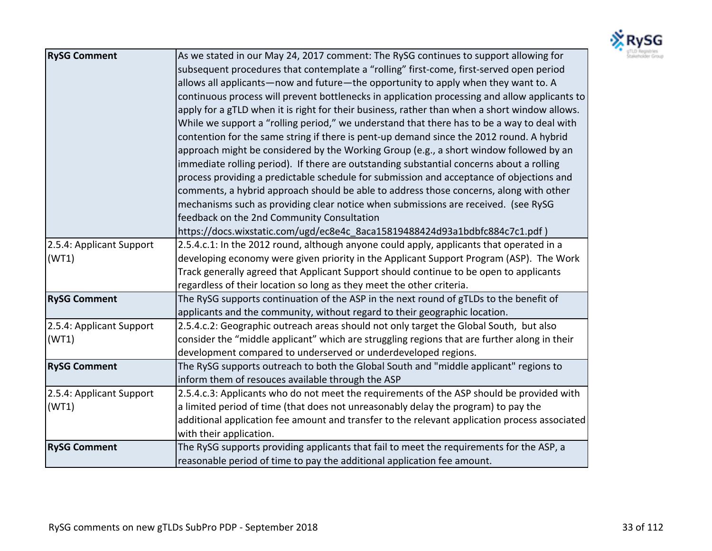

| <b>RySG Comment</b>      | As we stated in our May 24, 2017 comment: The RySG continues to support allowing for          |
|--------------------------|-----------------------------------------------------------------------------------------------|
|                          | subsequent procedures that contemplate a "rolling" first-come, first-served open period       |
|                          | allows all applicants-now and future-the opportunity to apply when they want to. A            |
|                          | continuous process will prevent bottlenecks in application processing and allow applicants to |
|                          | apply for a gTLD when it is right for their business, rather than when a short window allows. |
|                          | While we support a "rolling period," we understand that there has to be a way to deal with    |
|                          | contention for the same string if there is pent-up demand since the 2012 round. A hybrid      |
|                          | approach might be considered by the Working Group (e.g., a short window followed by an        |
|                          | immediate rolling period). If there are outstanding substantial concerns about a rolling      |
|                          | process providing a predictable schedule for submission and acceptance of objections and      |
|                          | comments, a hybrid approach should be able to address those concerns, along with other        |
|                          | mechanisms such as providing clear notice when submissions are received. (see RySG            |
|                          | feedback on the 2nd Community Consultation                                                    |
|                          | https://docs.wixstatic.com/ugd/ec8e4c 8aca15819488424d93a1bdbfc884c7c1.pdf)                   |
| 2.5.4: Applicant Support | 2.5.4.c.1: In the 2012 round, although anyone could apply, applicants that operated in a      |
| (WT1)                    | developing economy were given priority in the Applicant Support Program (ASP). The Work       |
|                          | Track generally agreed that Applicant Support should continue to be open to applicants        |
|                          | regardless of their location so long as they meet the other criteria.                         |
| <b>RySG Comment</b>      | The RySG supports continuation of the ASP in the next round of gTLDs to the benefit of        |
|                          | applicants and the community, without regard to their geographic location.                    |
| 2.5.4: Applicant Support | 2.5.4.c.2: Geographic outreach areas should not only target the Global South, but also        |
| (WT1)                    | consider the "middle applicant" which are struggling regions that are further along in their  |
|                          | development compared to underserved or underdeveloped regions.                                |
| <b>RySG Comment</b>      | The RySG supports outreach to both the Global South and "middle applicant" regions to         |
|                          | inform them of resouces available through the ASP                                             |
| 2.5.4: Applicant Support | 2.5.4.c.3: Applicants who do not meet the requirements of the ASP should be provided with     |
| (WT1)                    | a limited period of time (that does not unreasonably delay the program) to pay the            |
|                          | additional application fee amount and transfer to the relevant application process associated |
|                          | with their application.                                                                       |
| <b>RySG Comment</b>      | The RySG supports providing applicants that fail to meet the requirements for the ASP, a      |
|                          | reasonable period of time to pay the additional application fee amount.                       |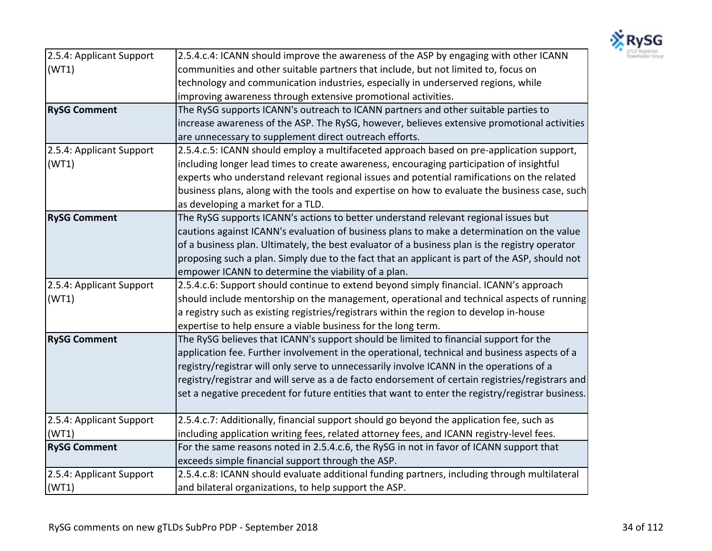

| 2.5.4: Applicant Support | 2.5.4.c.4: ICANN should improve the awareness of the ASP by engaging with other ICANN            |
|--------------------------|--------------------------------------------------------------------------------------------------|
| (WT1)                    | communities and other suitable partners that include, but not limited to, focus on               |
|                          | technology and communication industries, especially in underserved regions, while                |
|                          | improving awareness through extensive promotional activities.                                    |
| <b>RySG Comment</b>      | The RySG supports ICANN's outreach to ICANN partners and other suitable parties to               |
|                          | increase awareness of the ASP. The RySG, however, believes extensive promotional activities      |
|                          | are unnecessary to supplement direct outreach efforts.                                           |
| 2.5.4: Applicant Support | 2.5.4.c.5: ICANN should employ a multifaceted approach based on pre-application support,         |
| (WT1)                    | including longer lead times to create awareness, encouraging participation of insightful         |
|                          | experts who understand relevant regional issues and potential ramifications on the related       |
|                          | business plans, along with the tools and expertise on how to evaluate the business case, such    |
|                          | as developing a market for a TLD.                                                                |
| <b>RySG Comment</b>      | The RySG supports ICANN's actions to better understand relevant regional issues but              |
|                          | cautions against ICANN's evaluation of business plans to make a determination on the value       |
|                          | of a business plan. Ultimately, the best evaluator of a business plan is the registry operator   |
|                          | proposing such a plan. Simply due to the fact that an applicant is part of the ASP, should not   |
|                          | empower ICANN to determine the viability of a plan.                                              |
| 2.5.4: Applicant Support | 2.5.4.c.6: Support should continue to extend beyond simply financial. ICANN's approach           |
| (WT1)                    | should include mentorship on the management, operational and technical aspects of running        |
|                          | a registry such as existing registries/registrars within the region to develop in-house          |
|                          | expertise to help ensure a viable business for the long term.                                    |
| <b>RySG Comment</b>      | The RySG believes that ICANN's support should be limited to financial support for the            |
|                          | application fee. Further involvement in the operational, technical and business aspects of a     |
|                          | registry/registrar will only serve to unnecessarily involve ICANN in the operations of a         |
|                          | registry/registrar and will serve as a de facto endorsement of certain registries/registrars and |
|                          | set a negative precedent for future entities that want to enter the registry/registrar business. |
|                          |                                                                                                  |
| 2.5.4: Applicant Support | 2.5.4.c.7: Additionally, financial support should go beyond the application fee, such as         |
| (WT1)                    | including application writing fees, related attorney fees, and ICANN registry-level fees.        |
| <b>RySG Comment</b>      | For the same reasons noted in 2.5.4.c.6, the RySG in not in favor of ICANN support that          |
|                          | exceeds simple financial support through the ASP.                                                |
| 2.5.4: Applicant Support | 2.5.4.c.8: ICANN should evaluate additional funding partners, including through multilateral     |
| (WT1)                    | and bilateral organizations, to help support the ASP.                                            |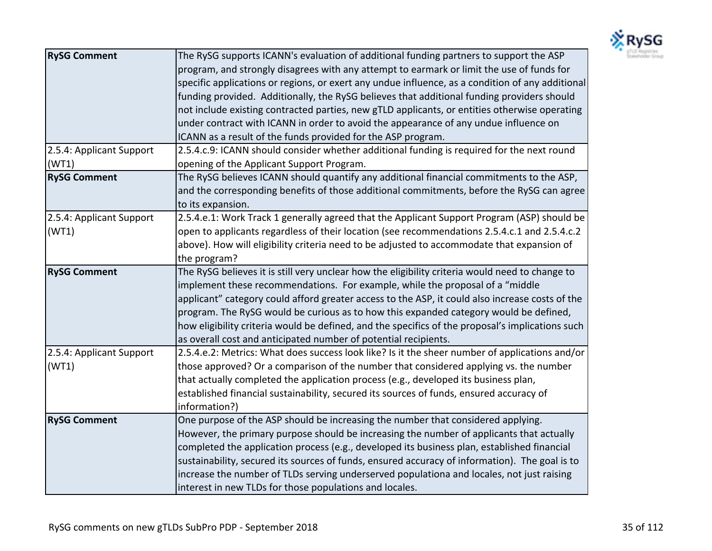

| <b>RySG Comment</b>               | The RySG supports ICANN's evaluation of additional funding partners to support the ASP<br>program, and strongly disagrees with any attempt to earmark or limit the use of funds for<br>specific applications or regions, or exert any undue influence, as a condition of any additional<br>funding provided. Additionally, the RySG believes that additional funding providers should<br>not include existing contracted parties, new gTLD applicants, or entities otherwise operating                                                              |
|-----------------------------------|-----------------------------------------------------------------------------------------------------------------------------------------------------------------------------------------------------------------------------------------------------------------------------------------------------------------------------------------------------------------------------------------------------------------------------------------------------------------------------------------------------------------------------------------------------|
|                                   | under contract with ICANN in order to avoid the appearance of any undue influence on<br>ICANN as a result of the funds provided for the ASP program.                                                                                                                                                                                                                                                                                                                                                                                                |
| 2.5.4: Applicant Support<br>(WT1) | 2.5.4.c.9: ICANN should consider whether additional funding is required for the next round<br>opening of the Applicant Support Program.                                                                                                                                                                                                                                                                                                                                                                                                             |
| <b>RySG Comment</b>               | The RySG believes ICANN should quantify any additional financial commitments to the ASP,<br>and the corresponding benefits of those additional commitments, before the RySG can agree<br>to its expansion.                                                                                                                                                                                                                                                                                                                                          |
| 2.5.4: Applicant Support<br>(WT1) | 2.5.4.e.1: Work Track 1 generally agreed that the Applicant Support Program (ASP) should be<br>open to applicants regardless of their location (see recommendations 2.5.4.c.1 and 2.5.4.c.2<br>above). How will eligibility criteria need to be adjusted to accommodate that expansion of<br>the program?                                                                                                                                                                                                                                           |
| <b>RySG Comment</b>               | The RySG believes it is still very unclear how the eligibility criteria would need to change to<br>implement these recommendations. For example, while the proposal of a "middle<br>applicant" category could afford greater access to the ASP, it could also increase costs of the<br>program. The RySG would be curious as to how this expanded category would be defined,<br>how eligibility criteria would be defined, and the specifics of the proposal's implications such<br>as overall cost and anticipated number of potential recipients. |
| 2.5.4: Applicant Support<br>(WT1) | 2.5.4.e.2: Metrics: What does success look like? Is it the sheer number of applications and/or<br>those approved? Or a comparison of the number that considered applying vs. the number<br>that actually completed the application process (e.g., developed its business plan,<br>established financial sustainability, secured its sources of funds, ensured accuracy of<br>information?)                                                                                                                                                          |
| <b>RySG Comment</b>               | One purpose of the ASP should be increasing the number that considered applying.<br>However, the primary purpose should be increasing the number of applicants that actually<br>completed the application process (e.g., developed its business plan, established financial<br>sustainability, secured its sources of funds, ensured accuracy of information). The goal is to<br>increase the number of TLDs serving underserved populationa and locales, not just raising<br>interest in new TLDs for those populations and locales.               |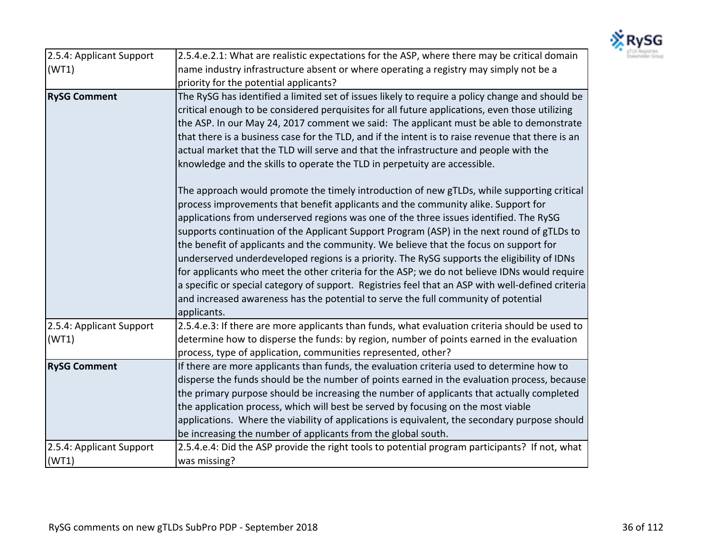

| 2.5.4: Applicant Support          | 2.5.4.e.2.1: What are realistic expectations for the ASP, where there may be critical domain                                                                                                                                                                                                                                                                                                                                                                                                                                                                                                                                                                                                                                                                                                                                                                                                                                                                                                                                                                                                                                                                                                                                                                                                                                                                                                                                          |
|-----------------------------------|---------------------------------------------------------------------------------------------------------------------------------------------------------------------------------------------------------------------------------------------------------------------------------------------------------------------------------------------------------------------------------------------------------------------------------------------------------------------------------------------------------------------------------------------------------------------------------------------------------------------------------------------------------------------------------------------------------------------------------------------------------------------------------------------------------------------------------------------------------------------------------------------------------------------------------------------------------------------------------------------------------------------------------------------------------------------------------------------------------------------------------------------------------------------------------------------------------------------------------------------------------------------------------------------------------------------------------------------------------------------------------------------------------------------------------------|
| (WT1)                             | name industry infrastructure absent or where operating a registry may simply not be a                                                                                                                                                                                                                                                                                                                                                                                                                                                                                                                                                                                                                                                                                                                                                                                                                                                                                                                                                                                                                                                                                                                                                                                                                                                                                                                                                 |
|                                   | priority for the potential applicants?                                                                                                                                                                                                                                                                                                                                                                                                                                                                                                                                                                                                                                                                                                                                                                                                                                                                                                                                                                                                                                                                                                                                                                                                                                                                                                                                                                                                |
| <b>RySG Comment</b>               | The RySG has identified a limited set of issues likely to require a policy change and should be<br>critical enough to be considered perquisites for all future applications, even those utilizing<br>the ASP. In our May 24, 2017 comment we said: The applicant must be able to demonstrate<br>that there is a business case for the TLD, and if the intent is to raise revenue that there is an<br>actual market that the TLD will serve and that the infrastructure and people with the<br>knowledge and the skills to operate the TLD in perpetuity are accessible.<br>The approach would promote the timely introduction of new gTLDs, while supporting critical<br>process improvements that benefit applicants and the community alike. Support for<br>applications from underserved regions was one of the three issues identified. The RySG<br>supports continuation of the Applicant Support Program (ASP) in the next round of gTLDs to<br>the benefit of applicants and the community. We believe that the focus on support for<br>underserved underdeveloped regions is a priority. The RySG supports the eligibility of IDNs<br>for applicants who meet the other criteria for the ASP; we do not believe IDNs would require<br>a specific or special category of support. Registries feel that an ASP with well-defined criteria<br>and increased awareness has the potential to serve the full community of potential |
|                                   | applicants.                                                                                                                                                                                                                                                                                                                                                                                                                                                                                                                                                                                                                                                                                                                                                                                                                                                                                                                                                                                                                                                                                                                                                                                                                                                                                                                                                                                                                           |
| 2.5.4: Applicant Support<br>(WT1) | 2.5.4.e.3: If there are more applicants than funds, what evaluation criteria should be used to<br>determine how to disperse the funds: by region, number of points earned in the evaluation<br>process, type of application, communities represented, other?                                                                                                                                                                                                                                                                                                                                                                                                                                                                                                                                                                                                                                                                                                                                                                                                                                                                                                                                                                                                                                                                                                                                                                          |
| <b>RySG Comment</b>               | If there are more applicants than funds, the evaluation criteria used to determine how to<br>disperse the funds should be the number of points earned in the evaluation process, because<br>the primary purpose should be increasing the number of applicants that actually completed<br>the application process, which will best be served by focusing on the most viable<br>applications. Where the viability of applications is equivalent, the secondary purpose should<br>be increasing the number of applicants from the global south.                                                                                                                                                                                                                                                                                                                                                                                                                                                                                                                                                                                                                                                                                                                                                                                                                                                                                          |
| 2.5.4: Applicant Support<br>(WT1) | 2.5.4.e.4: Did the ASP provide the right tools to potential program participants? If not, what<br>was missing?                                                                                                                                                                                                                                                                                                                                                                                                                                                                                                                                                                                                                                                                                                                                                                                                                                                                                                                                                                                                                                                                                                                                                                                                                                                                                                                        |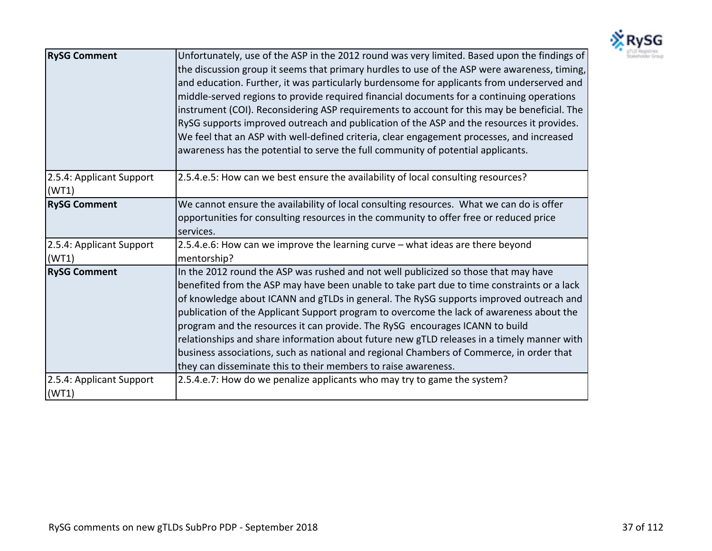

| <b>RySG Comment</b>               | Unfortunately, use of the ASP in the 2012 round was very limited. Based upon the findings of<br>the discussion group it seems that primary hurdles to use of the ASP were awareness, timing,<br>and education. Further, it was particularly burdensome for applicants from underserved and<br>middle-served regions to provide required financial documents for a continuing operations<br>instrument (COI). Reconsidering ASP requirements to account for this may be beneficial. The<br>RySG supports improved outreach and publication of the ASP and the resources it provides.<br>We feel that an ASP with well-defined criteria, clear engagement processes, and increased<br>awareness has the potential to serve the full community of potential applicants. |
|-----------------------------------|----------------------------------------------------------------------------------------------------------------------------------------------------------------------------------------------------------------------------------------------------------------------------------------------------------------------------------------------------------------------------------------------------------------------------------------------------------------------------------------------------------------------------------------------------------------------------------------------------------------------------------------------------------------------------------------------------------------------------------------------------------------------|
| 2.5.4: Applicant Support<br>(WT1) | 2.5.4.e.5: How can we best ensure the availability of local consulting resources?                                                                                                                                                                                                                                                                                                                                                                                                                                                                                                                                                                                                                                                                                    |
| <b>RySG Comment</b>               | We cannot ensure the availability of local consulting resources. What we can do is offer<br>opportunities for consulting resources in the community to offer free or reduced price<br>services.                                                                                                                                                                                                                                                                                                                                                                                                                                                                                                                                                                      |
| 2.5.4: Applicant Support<br>(WT1) | 2.5.4.e.6: How can we improve the learning curve - what ideas are there beyond<br>mentorship?                                                                                                                                                                                                                                                                                                                                                                                                                                                                                                                                                                                                                                                                        |
| <b>RySG Comment</b>               | In the 2012 round the ASP was rushed and not well publicized so those that may have<br>benefited from the ASP may have been unable to take part due to time constraints or a lack<br>of knowledge about ICANN and gTLDs in general. The RySG supports improved outreach and<br>publication of the Applicant Support program to overcome the lack of awareness about the<br>program and the resources it can provide. The RySG encourages ICANN to build<br>relationships and share information about future new gTLD releases in a timely manner with<br>business associations, such as national and regional Chambers of Commerce, in order that<br>they can disseminate this to their members to raise awareness.                                                  |
| 2.5.4: Applicant Support<br>(WT1) | 2.5.4.e.7: How do we penalize applicants who may try to game the system?                                                                                                                                                                                                                                                                                                                                                                                                                                                                                                                                                                                                                                                                                             |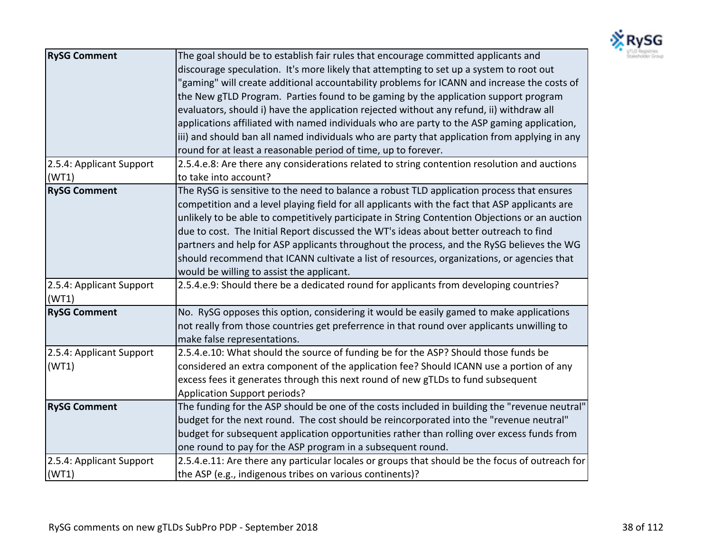

| <b>RySG Comment</b>               | The goal should be to establish fair rules that encourage committed applicants and<br>discourage speculation. It's more likely that attempting to set up a system to root out<br>"gaming" will create additional accountability problems for ICANN and increase the costs of<br>the New gTLD Program. Parties found to be gaming by the application support program<br>evaluators, should i) have the application rejected without any refund, ii) withdraw all<br>applications affiliated with named individuals who are party to the ASP gaming application,<br>iii) and should ban all named individuals who are party that application from applying in any<br>round for at least a reasonable period of time, up to forever. |
|-----------------------------------|-----------------------------------------------------------------------------------------------------------------------------------------------------------------------------------------------------------------------------------------------------------------------------------------------------------------------------------------------------------------------------------------------------------------------------------------------------------------------------------------------------------------------------------------------------------------------------------------------------------------------------------------------------------------------------------------------------------------------------------|
| 2.5.4: Applicant Support<br>(WT1) | 2.5.4.e.8: Are there any considerations related to string contention resolution and auctions<br>to take into account?                                                                                                                                                                                                                                                                                                                                                                                                                                                                                                                                                                                                             |
| <b>RySG Comment</b>               | The RySG is sensitive to the need to balance a robust TLD application process that ensures<br>competition and a level playing field for all applicants with the fact that ASP applicants are<br>unlikely to be able to competitively participate in String Contention Objections or an auction<br>due to cost. The Initial Report discussed the WT's ideas about better outreach to find<br>partners and help for ASP applicants throughout the process, and the RySG believes the WG<br>should recommend that ICANN cultivate a list of resources, organizations, or agencies that<br>would be willing to assist the applicant.                                                                                                  |
| 2.5.4: Applicant Support<br>(WT1) | 2.5.4.e.9: Should there be a dedicated round for applicants from developing countries?                                                                                                                                                                                                                                                                                                                                                                                                                                                                                                                                                                                                                                            |
| <b>RySG Comment</b>               | No. RySG opposes this option, considering it would be easily gamed to make applications<br>not really from those countries get preferrence in that round over applicants unwilling to<br>make false representations.                                                                                                                                                                                                                                                                                                                                                                                                                                                                                                              |
| 2.5.4: Applicant Support<br>(WT1) | 2.5.4.e.10: What should the source of funding be for the ASP? Should those funds be<br>considered an extra component of the application fee? Should ICANN use a portion of any<br>excess fees it generates through this next round of new gTLDs to fund subsequent<br>Application Support periods?                                                                                                                                                                                                                                                                                                                                                                                                                                |
| <b>RySG Comment</b>               | The funding for the ASP should be one of the costs included in building the "revenue neutral"<br>budget for the next round. The cost should be reincorporated into the "revenue neutral"<br>budget for subsequent application opportunities rather than rolling over excess funds from<br>one round to pay for the ASP program in a subsequent round.                                                                                                                                                                                                                                                                                                                                                                             |
| 2.5.4: Applicant Support<br>(WT1) | 2.5.4.e.11: Are there any particular locales or groups that should be the focus of outreach for<br>the ASP (e.g., indigenous tribes on various continents)?                                                                                                                                                                                                                                                                                                                                                                                                                                                                                                                                                                       |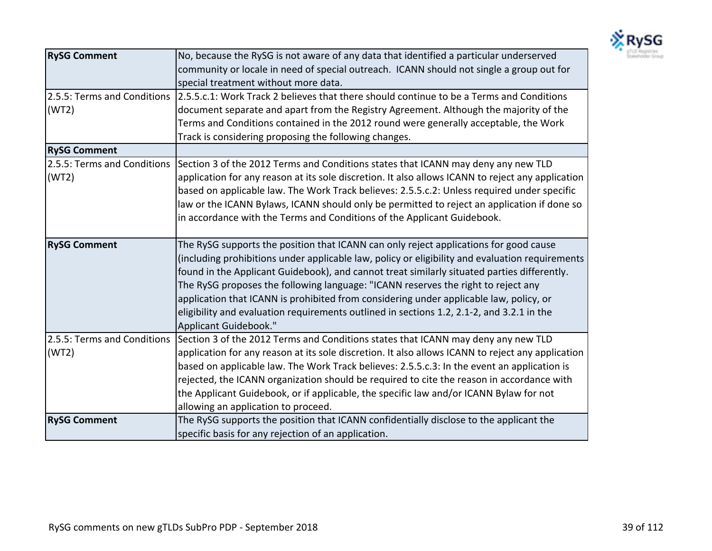

| <b>RySG Comment</b>         | No, because the RySG is not aware of any data that identified a particular underserved                               |
|-----------------------------|----------------------------------------------------------------------------------------------------------------------|
|                             | community or locale in need of special outreach. ICANN should not single a group out for                             |
|                             | special treatment without more data.                                                                                 |
|                             | 2.5.5: Terms and Conditions 2.5.5.c.1: Work Track 2 believes that there should continue to be a Terms and Conditions |
| (WT2)                       | document separate and apart from the Registry Agreement. Although the majority of the                                |
|                             | Terms and Conditions contained in the 2012 round were generally acceptable, the Work                                 |
|                             | Track is considering proposing the following changes.                                                                |
| <b>RySG Comment</b>         |                                                                                                                      |
| 2.5.5: Terms and Conditions | Section 3 of the 2012 Terms and Conditions states that ICANN may deny any new TLD                                    |
| (WT2)                       | application for any reason at its sole discretion. It also allows ICANN to reject any application                    |
|                             | based on applicable law. The Work Track believes: 2.5.5.c.2: Unless required under specific                          |
|                             | law or the ICANN Bylaws, ICANN should only be permitted to reject an application if done so                          |
|                             | in accordance with the Terms and Conditions of the Applicant Guidebook.                                              |
|                             |                                                                                                                      |
| <b>RySG Comment</b>         | The RySG supports the position that ICANN can only reject applications for good cause                                |
|                             | (including prohibitions under applicable law, policy or eligibility and evaluation requirements                      |
|                             | found in the Applicant Guidebook), and cannot treat similarly situated parties differently.                          |
|                             | The RySG proposes the following language: "ICANN reserves the right to reject any                                    |
|                             | application that ICANN is prohibited from considering under applicable law, policy, or                               |
|                             | eligibility and evaluation requirements outlined in sections 1.2, 2.1-2, and 3.2.1 in the                            |
|                             | Applicant Guidebook."                                                                                                |
| 2.5.5: Terms and Conditions | Section 3 of the 2012 Terms and Conditions states that ICANN may deny any new TLD                                    |
| (WT2)                       | application for any reason at its sole discretion. It also allows ICANN to reject any application                    |
|                             | based on applicable law. The Work Track believes: 2.5.5.c.3: In the event an application is                          |
|                             | rejected, the ICANN organization should be required to cite the reason in accordance with                            |
|                             | the Applicant Guidebook, or if applicable, the specific law and/or ICANN Bylaw for not                               |
|                             | allowing an application to proceed.                                                                                  |
| <b>RySG Comment</b>         | The RySG supports the position that ICANN confidentially disclose to the applicant the                               |
|                             | specific basis for any rejection of an application.                                                                  |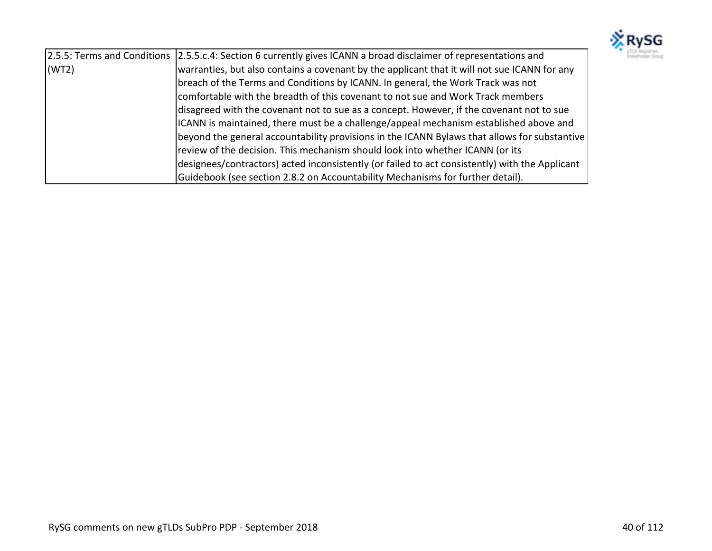

|       | [2.5.5: Terms and Conditions [2.5.5.c.4: Section 6 currently gives ICANN a broad disclaimer of representations and |
|-------|--------------------------------------------------------------------------------------------------------------------|
| (WT2) | warranties, but also contains a covenant by the applicant that it will not sue ICANN for any                       |
|       | breach of the Terms and Conditions by ICANN. In general, the Work Track was not                                    |
|       | comfortable with the breadth of this covenant to not sue and Work Track members                                    |
|       | disagreed with the covenant not to sue as a concept. However, if the covenant not to sue                           |
|       | ICANN is maintained, there must be a challenge/appeal mechanism established above and                              |
|       | beyond the general accountability provisions in the ICANN Bylaws that allows for substantive                       |
|       | review of the decision. This mechanism should look into whether ICANN (or its                                      |
|       | designees/contractors) acted inconsistently (or failed to act consistently) with the Applicant                     |
|       | Guidebook (see section 2.8.2 on Accountability Mechanisms for further detail).                                     |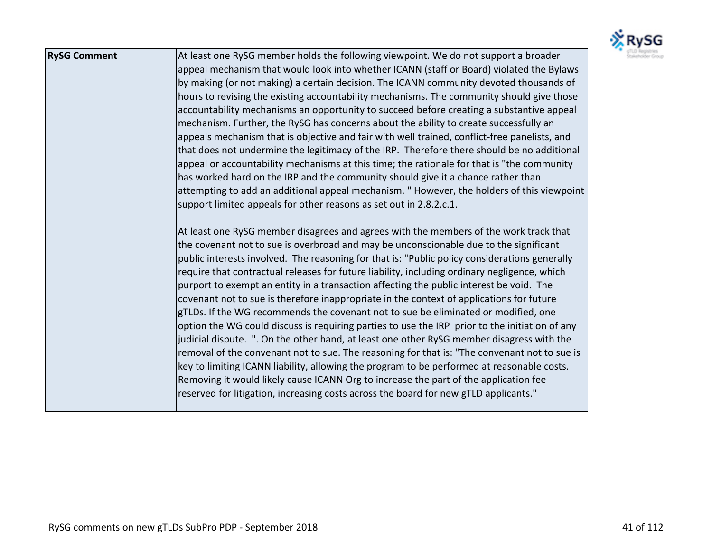

| <b>RySG Comment</b> | At least one RySG member holds the following viewpoint. We do not support a broader            |
|---------------------|------------------------------------------------------------------------------------------------|
|                     | appeal mechanism that would look into whether ICANN (staff or Board) violated the Bylaws       |
|                     | by making (or not making) a certain decision. The ICANN community devoted thousands of         |
|                     | hours to revising the existing accountability mechanisms. The community should give those      |
|                     | accountability mechanisms an opportunity to succeed before creating a substantive appeal       |
|                     | mechanism. Further, the RySG has concerns about the ability to create successfully an          |
|                     | appeals mechanism that is objective and fair with well trained, conflict-free panelists, and   |
|                     | that does not undermine the legitimacy of the IRP. Therefore there should be no additional     |
|                     | appeal or accountability mechanisms at this time; the rationale for that is "the community     |
|                     | has worked hard on the IRP and the community should give it a chance rather than               |
|                     | attempting to add an additional appeal mechanism. "However, the holders of this viewpoint      |
|                     | support limited appeals for other reasons as set out in 2.8.2.c.1.                             |
|                     |                                                                                                |
|                     | At least one RySG member disagrees and agrees with the members of the work track that          |
|                     | the covenant not to sue is overbroad and may be unconscionable due to the significant          |
|                     | public interests involved. The reasoning for that is: "Public policy considerations generally  |
|                     | require that contractual releases for future liability, including ordinary negligence, which   |
|                     | purport to exempt an entity in a transaction affecting the public interest be void. The        |
|                     | covenant not to sue is therefore inappropriate in the context of applications for future       |
|                     | gTLDs. If the WG recommends the covenant not to sue be eliminated or modified, one             |
|                     | option the WG could discuss is requiring parties to use the IRP prior to the initiation of any |
|                     | judicial dispute. ". On the other hand, at least one other RySG member disagress with the      |
|                     | removal of the convenant not to sue. The reasoning for that is: "The convenant not to sue is   |
|                     | key to limiting ICANN liability, allowing the program to be performed at reasonable costs.     |
|                     | Removing it would likely cause ICANN Org to increase the part of the application fee           |
|                     | reserved for litigation, increasing costs across the board for new gTLD applicants."           |
|                     |                                                                                                |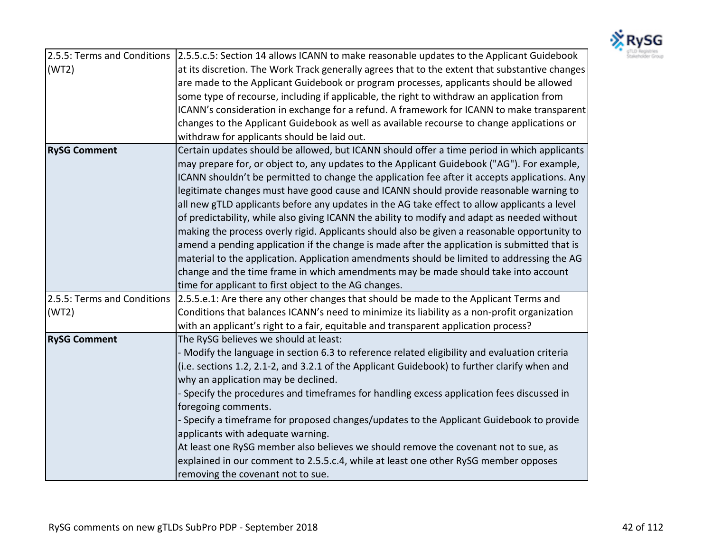

|                             | 2.5.5: Terms and Conditions 2.5.5.c.5: Section 14 allows ICANN to make reasonable updates to the Applicant Guidebook |
|-----------------------------|----------------------------------------------------------------------------------------------------------------------|
| (WT2)                       | at its discretion. The Work Track generally agrees that to the extent that substantive changes                       |
|                             | are made to the Applicant Guidebook or program processes, applicants should be allowed                               |
|                             | some type of recourse, including if applicable, the right to withdraw an application from                            |
|                             | ICANN's consideration in exchange for a refund. A framework for ICANN to make transparent                            |
|                             | changes to the Applicant Guidebook as well as available recourse to change applications or                           |
|                             | withdraw for applicants should be laid out.                                                                          |
| <b>RySG Comment</b>         | Certain updates should be allowed, but ICANN should offer a time period in which applicants                          |
|                             | may prepare for, or object to, any updates to the Applicant Guidebook ("AG"). For example,                           |
|                             | ICANN shouldn't be permitted to change the application fee after it accepts applications. Any                        |
|                             | legitimate changes must have good cause and ICANN should provide reasonable warning to                               |
|                             | all new gTLD applicants before any updates in the AG take effect to allow applicants a level                         |
|                             | of predictability, while also giving ICANN the ability to modify and adapt as needed without                         |
|                             | making the process overly rigid. Applicants should also be given a reasonable opportunity to                         |
|                             | amend a pending application if the change is made after the application is submitted that is                         |
|                             | material to the application. Application amendments should be limited to addressing the AG                           |
|                             | change and the time frame in which amendments may be made should take into account                                   |
|                             | time for applicant to first object to the AG changes.                                                                |
| 2.5.5: Terms and Conditions | 2.5.5.e.1: Are there any other changes that should be made to the Applicant Terms and                                |
| (WT2)                       | Conditions that balances ICANN's need to minimize its liability as a non-profit organization                         |
|                             | with an applicant's right to a fair, equitable and transparent application process?                                  |
| <b>RySG Comment</b>         | The RySG believes we should at least:                                                                                |
|                             | - Modify the language in section 6.3 to reference related eligibility and evaluation criteria                        |
|                             | (i.e. sections 1.2, 2.1-2, and 3.2.1 of the Applicant Guidebook) to further clarify when and                         |
|                             | why an application may be declined.                                                                                  |
|                             | - Specify the procedures and timeframes for handling excess application fees discussed in                            |
|                             | foregoing comments.                                                                                                  |
|                             | - Specify a timeframe for proposed changes/updates to the Applicant Guidebook to provide                             |
|                             | applicants with adequate warning.                                                                                    |
|                             | At least one RySG member also believes we should remove the covenant not to sue, as                                  |
|                             | explained in our comment to 2.5.5.c.4, while at least one other RySG member opposes                                  |
|                             | removing the covenant not to sue.                                                                                    |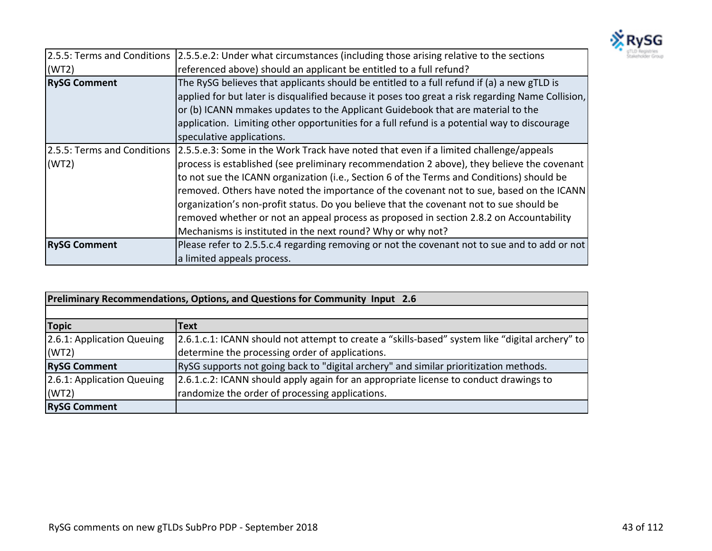

|                     | [2.5.5: Terms and Conditions [2.5.5.e.2: Under what circumstances (including those arising relative to the sections |
|---------------------|---------------------------------------------------------------------------------------------------------------------|
| (WT2)               | referenced above) should an applicant be entitled to a full refund?                                                 |
| <b>RySG Comment</b> | The RySG believes that applicants should be entitled to a full refund if (a) a new gTLD is                          |
|                     | applied for but later is disqualified because it poses too great a risk regarding Name Collision,                   |
|                     | or (b) ICANN mmakes updates to the Applicant Guidebook that are material to the                                     |
|                     | application. Limiting other opportunities for a full refund is a potential way to discourage                        |
|                     | speculative applications.                                                                                           |
|                     | 2.5.5: Terms and Conditions 2.5.5.e.3: Some in the Work Track have noted that even if a limited challenge/appeals   |
| (WT2)               | process is established (see preliminary recommendation 2 above), they believe the covenant                          |
|                     | to not sue the ICANN organization (i.e., Section 6 of the Terms and Conditions) should be                           |
|                     | removed. Others have noted the importance of the covenant not to sue, based on the ICANN                            |
|                     | organization's non-profit status. Do you believe that the covenant not to sue should be                             |
|                     | removed whether or not an appeal process as proposed in section 2.8.2 on Accountability                             |
|                     | Mechanisms is instituted in the next round? Why or why not?                                                         |
| <b>RySG Comment</b> | Please refer to 2.5.5.c.4 regarding removing or not the covenant not to sue and to add or not                       |
|                     | a limited appeals process.                                                                                          |

| Preliminary Recommendations, Options, and Questions for Community Input 2.6 |                                                                                                  |
|-----------------------------------------------------------------------------|--------------------------------------------------------------------------------------------------|
|                                                                             |                                                                                                  |
| <b>Topic</b>                                                                | <b>Text</b>                                                                                      |
| 2.6.1: Application Queuing                                                  | [2.6.1.c.1: ICANN should not attempt to create a "skills-based" system like "digital archery" to |
| (WT2)                                                                       | determine the processing order of applications.                                                  |
| <b>RySG Comment</b>                                                         | RySG supports not going back to "digital archery" and similar prioritization methods.            |
| 2.6.1: Application Queuing                                                  | 2.6.1.c.2: ICANN should apply again for an appropriate license to conduct drawings to            |
| (WT2)                                                                       | randomize the order of processing applications.                                                  |
| <b>RySG Comment</b>                                                         |                                                                                                  |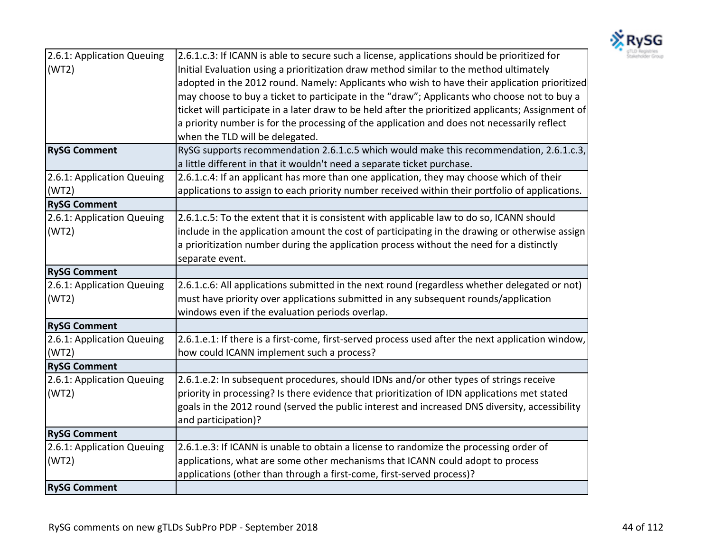

| 2.6.1: Application Queuing | 2.6.1.c.3: If ICANN is able to secure such a license, applications should be prioritized for       |
|----------------------------|----------------------------------------------------------------------------------------------------|
| (WT2)                      | Initial Evaluation using a prioritization draw method similar to the method ultimately             |
|                            | adopted in the 2012 round. Namely: Applicants who wish to have their application prioritized       |
|                            | may choose to buy a ticket to participate in the "draw"; Applicants who choose not to buy a        |
|                            | ticket will participate in a later draw to be held after the prioritized applicants; Assignment of |
|                            | a priority number is for the processing of the application and does not necessarily reflect        |
|                            | when the TLD will be delegated.                                                                    |
| <b>RySG Comment</b>        | RySG supports recommendation 2.6.1.c.5 which would make this recommendation, 2.6.1.c.3,            |
|                            | a little different in that it wouldn't need a separate ticket purchase.                            |
| 2.6.1: Application Queuing | 2.6.1.c.4: If an applicant has more than one application, they may choose which of their           |
| (WT2)                      | applications to assign to each priority number received within their portfolio of applications.    |
| <b>RySG Comment</b>        |                                                                                                    |
| 2.6.1: Application Queuing | 2.6.1.c.5: To the extent that it is consistent with applicable law to do so, ICANN should          |
| (WT2)                      | include in the application amount the cost of participating in the drawing or otherwise assign     |
|                            | a prioritization number during the application process without the need for a distinctly           |
|                            | separate event.                                                                                    |
| <b>RySG Comment</b>        |                                                                                                    |
| 2.6.1: Application Queuing | 2.6.1.c.6: All applications submitted in the next round (regardless whether delegated or not)      |
| (WT2)                      | must have priority over applications submitted in any subsequent rounds/application                |
|                            | windows even if the evaluation periods overlap.                                                    |
| <b>RySG Comment</b>        |                                                                                                    |
| 2.6.1: Application Queuing | 2.6.1.e.1: If there is a first-come, first-served process used after the next application window,  |
| (WT2)                      | how could ICANN implement such a process?                                                          |
| <b>RySG Comment</b>        |                                                                                                    |
| 2.6.1: Application Queuing | 2.6.1.e.2: In subsequent procedures, should IDNs and/or other types of strings receive             |
| (WT2)                      | priority in processing? Is there evidence that prioritization of IDN applications met stated       |
|                            | goals in the 2012 round (served the public interest and increased DNS diversity, accessibility     |
|                            | and participation)?                                                                                |
| <b>RySG Comment</b>        |                                                                                                    |
| 2.6.1: Application Queuing | 2.6.1.e.3: If ICANN is unable to obtain a license to randomize the processing order of             |
| (WT2)                      | applications, what are some other mechanisms that ICANN could adopt to process                     |
|                            | applications (other than through a first-come, first-served process)?                              |
| <b>RySG Comment</b>        |                                                                                                    |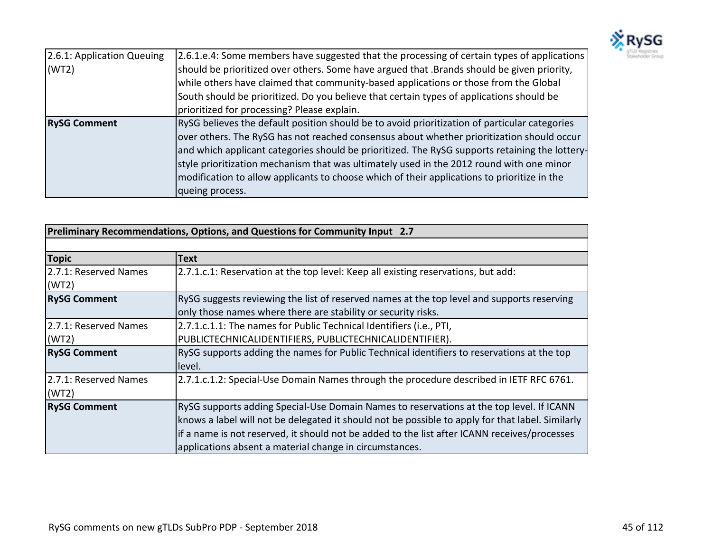

| 2.6.1: Application Queuing | 2.6.1.e.4: Some members have suggested that the processing of certain types of applications    |
|----------------------------|------------------------------------------------------------------------------------------------|
| (WT2)                      | should be prioritized over others. Some have argued that .Brands should be given priority,     |
|                            | while others have claimed that community-based applications or those from the Global           |
|                            | South should be prioritized. Do you believe that certain types of applications should be       |
|                            | prioritized for processing? Please explain.                                                    |
| <b>RySG Comment</b>        | RySG believes the default position should be to avoid prioritization of particular categories  |
|                            | over others. The RySG has not reached consensus about whether prioritization should occur      |
|                            | and which applicant categories should be prioritized. The RySG supports retaining the lottery- |
|                            | style prioritization mechanism that was ultimately used in the 2012 round with one minor       |
|                            | modification to allow applicants to choose which of their applications to prioritize in the    |
|                            | queing process.                                                                                |

| Preliminary Recommendations, Options, and Questions for Community Input 2.7 |                                                                                                                                                                                                                                                                                                                                                         |
|-----------------------------------------------------------------------------|---------------------------------------------------------------------------------------------------------------------------------------------------------------------------------------------------------------------------------------------------------------------------------------------------------------------------------------------------------|
|                                                                             |                                                                                                                                                                                                                                                                                                                                                         |
| <b>Topic</b>                                                                | <b>Text</b>                                                                                                                                                                                                                                                                                                                                             |
| 2.7.1: Reserved Names<br>(WT2)                                              | 2.7.1.c.1: Reservation at the top level: Keep all existing reservations, but add:                                                                                                                                                                                                                                                                       |
| <b>RySG Comment</b>                                                         | RySG suggests reviewing the list of reserved names at the top level and supports reserving<br>only those names where there are stability or security risks.                                                                                                                                                                                             |
| 2.7.1: Reserved Names<br>(WT2)                                              | 2.7.1.c.1.1: The names for Public Technical Identifiers (i.e., PTI,<br>PUBLICTECHNICALIDENTIFIERS, PUBLICTECHNICALIDENTIFIER).                                                                                                                                                                                                                          |
| <b>RySG Comment</b>                                                         | RySG supports adding the names for Public Technical identifiers to reservations at the top<br>level.                                                                                                                                                                                                                                                    |
| 2.7.1: Reserved Names<br>(WT2)                                              | 2.7.1.c.1.2: Special-Use Domain Names through the procedure described in IETF RFC 6761.                                                                                                                                                                                                                                                                 |
| <b>RySG Comment</b>                                                         | RySG supports adding Special-Use Domain Names to reservations at the top level. If ICANN<br>knows a label will not be delegated it should not be possible to apply for that label. Similarly<br>If a name is not reserved, it should not be added to the list after ICANN receives/processes<br>applications absent a material change in circumstances. |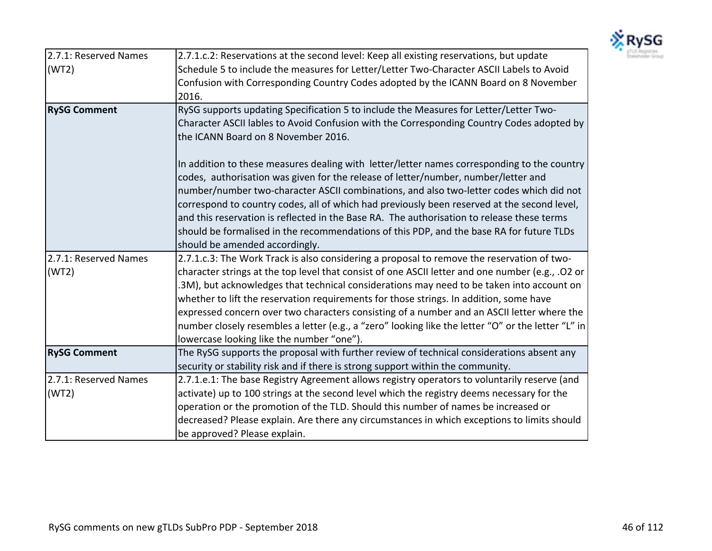

| 2.7.1: Reserved Names<br>(WT2) | 2.7.1.c.2: Reservations at the second level: Keep all existing reservations, but update<br>Schedule 5 to include the measures for Letter/Letter Two-Character ASCII Labels to Avoid<br>Confusion with Corresponding Country Codes adopted by the ICANN Board on 8 November                                                                                                                                                                                                                                                                                                                              |
|--------------------------------|---------------------------------------------------------------------------------------------------------------------------------------------------------------------------------------------------------------------------------------------------------------------------------------------------------------------------------------------------------------------------------------------------------------------------------------------------------------------------------------------------------------------------------------------------------------------------------------------------------|
|                                | 2016.                                                                                                                                                                                                                                                                                                                                                                                                                                                                                                                                                                                                   |
| <b>RySG Comment</b>            | RySG supports updating Specification 5 to include the Measures for Letter/Letter Two-<br>Character ASCII lables to Avoid Confusion with the Corresponding Country Codes adopted by<br>the ICANN Board on 8 November 2016.                                                                                                                                                                                                                                                                                                                                                                               |
|                                | In addition to these measures dealing with letter/letter names corresponding to the country<br>codes, authorisation was given for the release of letter/number, number/letter and<br>number/number two-character ASCII combinations, and also two-letter codes which did not<br>correspond to country codes, all of which had previously been reserved at the second level,<br>and this reservation is reflected in the Base RA. The authorisation to release these terms<br>should be formalised in the recommendations of this PDP, and the base RA for future TLDs<br>should be amended accordingly. |
| 2.7.1: Reserved Names          | 2.7.1.c.3: The Work Track is also considering a proposal to remove the reservation of two-                                                                                                                                                                                                                                                                                                                                                                                                                                                                                                              |
| (WT2)                          | character strings at the top level that consist of one ASCII letter and one number (e.g., .O2 or<br>.3M), but acknowledges that technical considerations may need to be taken into account on<br>whether to lift the reservation requirements for those strings. In addition, some have<br>expressed concern over two characters consisting of a number and an ASCII letter where the<br>number closely resembles a letter (e.g., a "zero" looking like the letter "O" or the letter "L" in<br>lowercase looking like the number "one").                                                                |
| <b>RySG Comment</b>            | The RySG supports the proposal with further review of technical considerations absent any<br>security or stability risk and if there is strong support within the community.                                                                                                                                                                                                                                                                                                                                                                                                                            |
| 2.7.1: Reserved Names<br>(WT2) | 2.7.1.e.1: The base Registry Agreement allows registry operators to voluntarily reserve (and<br>activate) up to 100 strings at the second level which the registry deems necessary for the<br>operation or the promotion of the TLD. Should this number of names be increased or<br>decreased? Please explain. Are there any circumstances in which exceptions to limits should<br>be approved? Please explain.                                                                                                                                                                                         |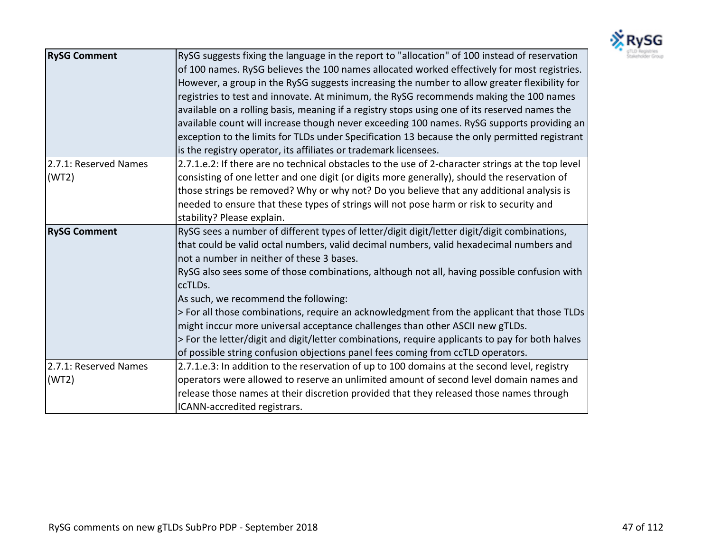

| <b>RySG Comment</b>            | RySG suggests fixing the language in the report to "allocation" of 100 instead of reservation<br>of 100 names. RySG believes the 100 names allocated worked effectively for most registries.<br>However, a group in the RySG suggests increasing the number to allow greater flexibility for<br>registries to test and innovate. At minimum, the RySG recommends making the 100 names<br>available on a rolling basis, meaning if a registry stops using one of its reserved names the<br>available count will increase though never exceeding 100 names. RySG supports providing an<br>exception to the limits for TLDs under Specification 13 because the only permitted registrant<br>is the registry operator, its affiliates or trademark licensees.   |
|--------------------------------|-------------------------------------------------------------------------------------------------------------------------------------------------------------------------------------------------------------------------------------------------------------------------------------------------------------------------------------------------------------------------------------------------------------------------------------------------------------------------------------------------------------------------------------------------------------------------------------------------------------------------------------------------------------------------------------------------------------------------------------------------------------|
| 2.7.1: Reserved Names<br>(WT2) | 2.7.1.e.2: If there are no technical obstacles to the use of 2-character strings at the top level<br>consisting of one letter and one digit (or digits more generally), should the reservation of<br>those strings be removed? Why or why not? Do you believe that any additional analysis is<br>needed to ensure that these types of strings will not pose harm or risk to security and<br>stability? Please explain.                                                                                                                                                                                                                                                                                                                                      |
| <b>RySG Comment</b>            | RySG sees a number of different types of letter/digit digit/letter digit/digit combinations,<br>that could be valid octal numbers, valid decimal numbers, valid hexadecimal numbers and<br>not a number in neither of these 3 bases.<br>RySG also sees some of those combinations, although not all, having possible confusion with<br>ccTLDs.<br>As such, we recommend the following:<br>> For all those combinations, require an acknowledgment from the applicant that those TLDs<br>might inccur more universal acceptance challenges than other ASCII new gTLDs.<br>> For the letter/digit and digit/letter combinations, require applicants to pay for both halves<br>of possible string confusion objections panel fees coming from ccTLD operators. |
| 2.7.1: Reserved Names<br>(WT2) | 2.7.1.e.3: In addition to the reservation of up to 100 domains at the second level, registry<br>operators were allowed to reserve an unlimited amount of second level domain names and<br>release those names at their discretion provided that they released those names through<br>ICANN-accredited registrars.                                                                                                                                                                                                                                                                                                                                                                                                                                           |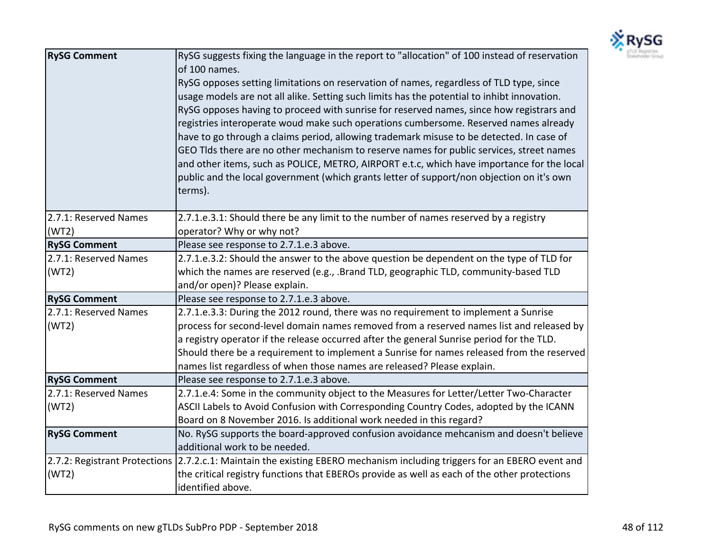

| <b>RySG Comment</b>           | RySG suggests fixing the language in the report to "allocation" of 100 instead of reservation<br>of 100 names.<br>RySG opposes setting limitations on reservation of names, regardless of TLD type, since<br>usage models are not all alike. Setting such limits has the potential to inhibt innovation.<br>RySG opposes having to proceed with sunrise for reserved names, since how registrars and<br>registries interoperate woud make such operations cumbersome. Reserved names already<br>have to go through a claims period, allowing trademark misuse to be detected. In case of<br>GEO Tlds there are no other mechanism to reserve names for public services, street names<br>and other items, such as POLICE, METRO, AIRPORT e.t.c, which have importance for the local<br>public and the local government (which grants letter of support/non objection on it's own<br>terms). |
|-------------------------------|--------------------------------------------------------------------------------------------------------------------------------------------------------------------------------------------------------------------------------------------------------------------------------------------------------------------------------------------------------------------------------------------------------------------------------------------------------------------------------------------------------------------------------------------------------------------------------------------------------------------------------------------------------------------------------------------------------------------------------------------------------------------------------------------------------------------------------------------------------------------------------------------|
| 2.7.1: Reserved Names         | 2.7.1.e.3.1: Should there be any limit to the number of names reserved by a registry                                                                                                                                                                                                                                                                                                                                                                                                                                                                                                                                                                                                                                                                                                                                                                                                       |
| (WT2)                         | operator? Why or why not?                                                                                                                                                                                                                                                                                                                                                                                                                                                                                                                                                                                                                                                                                                                                                                                                                                                                  |
| <b>RySG Comment</b>           | Please see response to 2.7.1.e.3 above.                                                                                                                                                                                                                                                                                                                                                                                                                                                                                                                                                                                                                                                                                                                                                                                                                                                    |
| 2.7.1: Reserved Names         | 2.7.1.e.3.2: Should the answer to the above question be dependent on the type of TLD for                                                                                                                                                                                                                                                                                                                                                                                                                                                                                                                                                                                                                                                                                                                                                                                                   |
| (WT2)                         | which the names are reserved (e.g., .Brand TLD, geographic TLD, community-based TLD                                                                                                                                                                                                                                                                                                                                                                                                                                                                                                                                                                                                                                                                                                                                                                                                        |
|                               | and/or open)? Please explain.                                                                                                                                                                                                                                                                                                                                                                                                                                                                                                                                                                                                                                                                                                                                                                                                                                                              |
| <b>RySG Comment</b>           | Please see response to 2.7.1.e.3 above.                                                                                                                                                                                                                                                                                                                                                                                                                                                                                                                                                                                                                                                                                                                                                                                                                                                    |
| 2.7.1: Reserved Names         | 2.7.1.e.3.3: During the 2012 round, there was no requirement to implement a Sunrise                                                                                                                                                                                                                                                                                                                                                                                                                                                                                                                                                                                                                                                                                                                                                                                                        |
| (WT2)                         | process for second-level domain names removed from a reserved names list and released by                                                                                                                                                                                                                                                                                                                                                                                                                                                                                                                                                                                                                                                                                                                                                                                                   |
|                               | a registry operator if the release occurred after the general Sunrise period for the TLD.                                                                                                                                                                                                                                                                                                                                                                                                                                                                                                                                                                                                                                                                                                                                                                                                  |
|                               | Should there be a requirement to implement a Sunrise for names released from the reserved                                                                                                                                                                                                                                                                                                                                                                                                                                                                                                                                                                                                                                                                                                                                                                                                  |
|                               | names list regardless of when those names are released? Please explain.                                                                                                                                                                                                                                                                                                                                                                                                                                                                                                                                                                                                                                                                                                                                                                                                                    |
| <b>RySG Comment</b>           | Please see response to 2.7.1.e.3 above.                                                                                                                                                                                                                                                                                                                                                                                                                                                                                                                                                                                                                                                                                                                                                                                                                                                    |
| 2.7.1: Reserved Names         | 2.7.1.e.4: Some in the community object to the Measures for Letter/Letter Two-Character                                                                                                                                                                                                                                                                                                                                                                                                                                                                                                                                                                                                                                                                                                                                                                                                    |
| (WT2)                         | ASCII Labels to Avoid Confusion with Corresponding Country Codes, adopted by the ICANN                                                                                                                                                                                                                                                                                                                                                                                                                                                                                                                                                                                                                                                                                                                                                                                                     |
|                               | Board on 8 November 2016. Is additional work needed in this regard?                                                                                                                                                                                                                                                                                                                                                                                                                                                                                                                                                                                                                                                                                                                                                                                                                        |
| <b>RySG Comment</b>           | No. RySG supports the board-approved confusion avoidance mehcanism and doesn't believe                                                                                                                                                                                                                                                                                                                                                                                                                                                                                                                                                                                                                                                                                                                                                                                                     |
|                               | additional work to be needed.                                                                                                                                                                                                                                                                                                                                                                                                                                                                                                                                                                                                                                                                                                                                                                                                                                                              |
| 2.7.2: Registrant Protections | 2.7.2.c.1: Maintain the existing EBERO mechanism including triggers for an EBERO event and                                                                                                                                                                                                                                                                                                                                                                                                                                                                                                                                                                                                                                                                                                                                                                                                 |
| (WT2)                         | the critical registry functions that EBEROs provide as well as each of the other protections                                                                                                                                                                                                                                                                                                                                                                                                                                                                                                                                                                                                                                                                                                                                                                                               |
|                               | identified above.                                                                                                                                                                                                                                                                                                                                                                                                                                                                                                                                                                                                                                                                                                                                                                                                                                                                          |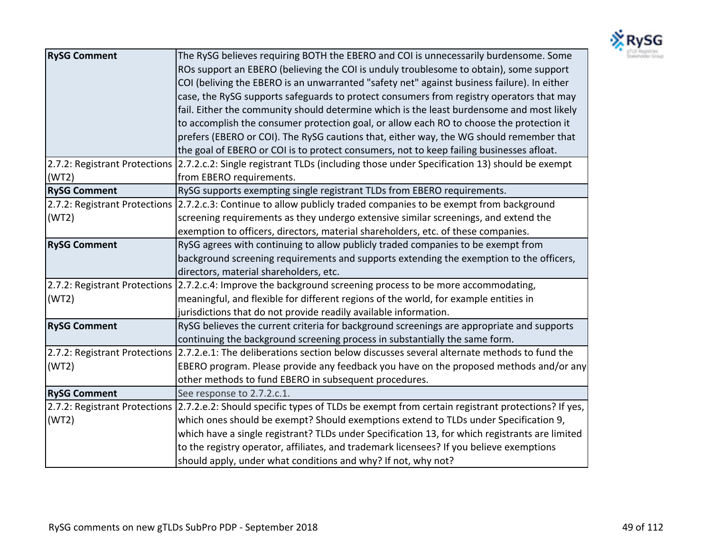

| <b>RySG Comment</b>           | The RySG believes requiring BOTH the EBERO and COI is unnecessarily burdensome. Some                                      |
|-------------------------------|---------------------------------------------------------------------------------------------------------------------------|
|                               | ROs support an EBERO (believing the COI is unduly troublesome to obtain), some support                                    |
|                               | COI (beliving the EBERO is an unwarranted "safety net" against business failure). In either                               |
|                               | case, the RySG supports safeguards to protect consumers from registry operators that may                                  |
|                               | fail. Either the community should determine which is the least burdensome and most likely                                 |
|                               | to accomplish the consumer protection goal, or allow each RO to choose the protection it                                  |
|                               | prefers (EBERO or COI). The RySG cautions that, either way, the WG should remember that                                   |
|                               | the goal of EBERO or COI is to protect consumers, not to keep failing businesses afloat.                                  |
|                               | 2.7.2: Registrant Protections 2.7.2.c.2: Single registrant TLDs (including those under Specification 13) should be exempt |
| (WT2)                         | from EBERO requirements.                                                                                                  |
| <b>RySG Comment</b>           | RySG supports exempting single registrant TLDs from EBERO requirements.                                                   |
|                               | 2.7.2: Registrant Protections 2.7.2.c.3: Continue to allow publicly traded companies to be exempt from background         |
| (WT2)                         | screening requirements as they undergo extensive similar screenings, and extend the                                       |
|                               | exemption to officers, directors, material shareholders, etc. of these companies.                                         |
| <b>RySG Comment</b>           | RySG agrees with continuing to allow publicly traded companies to be exempt from                                          |
|                               | background screening requirements and supports extending the exemption to the officers,                                   |
|                               | directors, material shareholders, etc.                                                                                    |
|                               | 2.7.2: Registrant Protections 2.7.2.c.4: Improve the background screening process to be more accommodating,               |
| (WT2)                         | meaningful, and flexible for different regions of the world, for example entities in                                      |
|                               | jurisdictions that do not provide readily available information.                                                          |
| <b>RySG Comment</b>           | RySG believes the current criteria for background screenings are appropriate and supports                                 |
|                               | continuing the background screening process in substantially the same form.                                               |
|                               | 2.7.2: Registrant Protections 2.7.2.e.1: The deliberations section below discusses several alternate methods to fund the  |
| (WT2)                         | EBERO program. Please provide any feedback you have on the proposed methods and/or any                                    |
|                               | other methods to fund EBERO in subsequent procedures.                                                                     |
| <b>RySG Comment</b>           | See response to 2.7.2.c.1.                                                                                                |
| 2.7.2: Registrant Protections | [2.7.2.e.2: Should specific types of TLDs be exempt from certain registrant protections? If yes,                          |
| (WT2)                         | which ones should be exempt? Should exemptions extend to TLDs under Specification 9,                                      |
|                               | which have a single registrant? TLDs under Specification 13, for which registrants are limited                            |
|                               | to the registry operator, affiliates, and trademark licensees? If you believe exemptions                                  |
|                               | should apply, under what conditions and why? If not, why not?                                                             |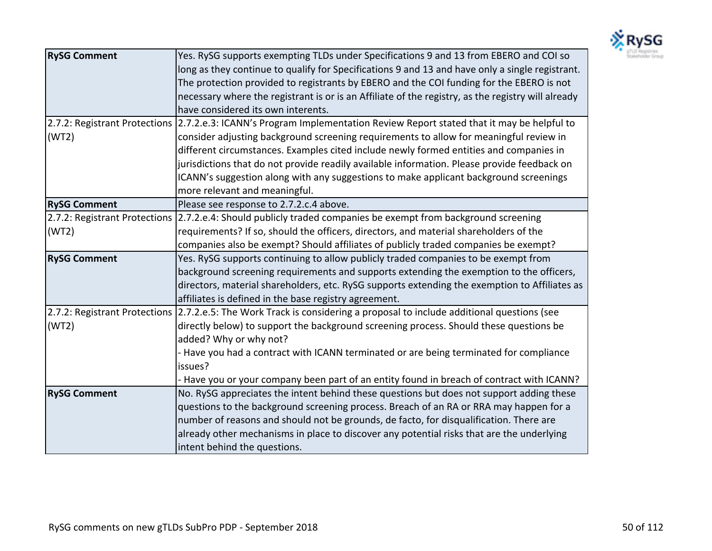

| <b>RySG Comment</b> | Yes. RySG supports exempting TLDs under Specifications 9 and 13 from EBERO and COI so                                  |
|---------------------|------------------------------------------------------------------------------------------------------------------------|
|                     | long as they continue to qualify for Specifications 9 and 13 and have only a single registrant.                        |
|                     | The protection provided to registrants by EBERO and the COI funding for the EBERO is not                               |
|                     | necessary where the registrant is or is an Affiliate of the registry, as the registry will already                     |
|                     | have considered its own interents.                                                                                     |
|                     | 2.7.2: Registrant Protections 2.7.2.e.3: ICANN's Program Implementation Review Report stated that it may be helpful to |
| (WT2)               | consider adjusting background screening requirements to allow for meaningful review in                                 |
|                     | different circumstances. Examples cited include newly formed entities and companies in                                 |
|                     | jurisdictions that do not provide readily available information. Please provide feedback on                            |
|                     | ICANN's suggestion along with any suggestions to make applicant background screenings                                  |
|                     | more relevant and meaningful.                                                                                          |
| <b>RySG Comment</b> | Please see response to 2.7.2.c.4 above.                                                                                |
|                     | 2.7.2: Registrant Protections 2.7.2.e.4: Should publicly traded companies be exempt from background screening          |
| (WT2)               | requirements? If so, should the officers, directors, and material shareholders of the                                  |
|                     | companies also be exempt? Should affiliates of publicly traded companies be exempt?                                    |
| <b>RySG Comment</b> | Yes. RySG supports continuing to allow publicly traded companies to be exempt from                                     |
|                     | background screening requirements and supports extending the exemption to the officers,                                |
|                     | directors, material shareholders, etc. RySG supports extending the exemption to Affiliates as                          |
|                     | affiliates is defined in the base registry agreement.                                                                  |
|                     | 2.7.2: Registrant Protections 2.7.2.e.5: The Work Track is considering a proposal to include additional questions (see |
| (WT2)               | directly below) to support the background screening process. Should these questions be                                 |
|                     | added? Why or why not?                                                                                                 |
|                     | - Have you had a contract with ICANN terminated or are being terminated for compliance                                 |
|                     | issues?                                                                                                                |
|                     | - Have you or your company been part of an entity found in breach of contract with ICANN?                              |
| <b>RySG Comment</b> | No. RySG appreciates the intent behind these questions but does not support adding these                               |
|                     | questions to the background screening process. Breach of an RA or RRA may happen for a                                 |
|                     | number of reasons and should not be grounds, de facto, for disqualification. There are                                 |
|                     | already other mechanisms in place to discover any potential risks that are the underlying                              |
|                     | intent behind the questions.                                                                                           |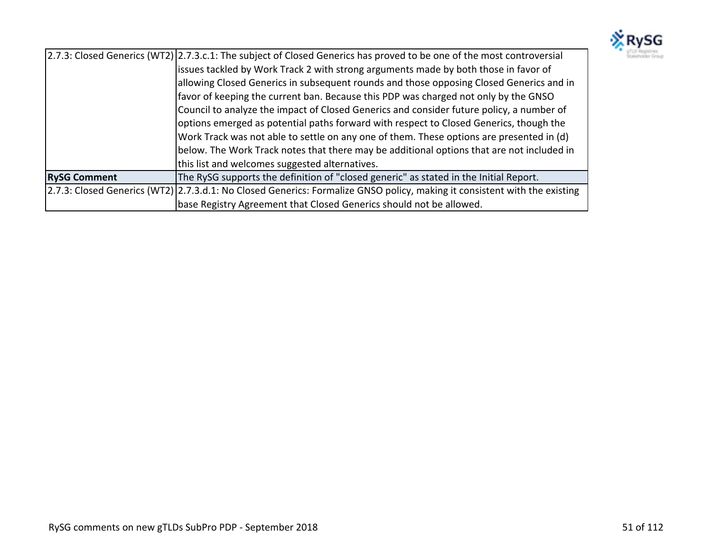

|                     | 2.7.3: Closed Generics (WT2) 2.7.3.c.1: The subject of Closed Generics has proved to be one of the most controversial     |
|---------------------|---------------------------------------------------------------------------------------------------------------------------|
|                     | issues tackled by Work Track 2 with strong arguments made by both those in favor of                                       |
|                     | allowing Closed Generics in subsequent rounds and those opposing Closed Generics and in                                   |
|                     | favor of keeping the current ban. Because this PDP was charged not only by the GNSO                                       |
|                     | Council to analyze the impact of Closed Generics and consider future policy, a number of                                  |
|                     | options emerged as potential paths forward with respect to Closed Generics, though the                                    |
|                     | Work Track was not able to settle on any one of them. These options are presented in (d)                                  |
|                     | below. The Work Track notes that there may be additional options that are not included in                                 |
|                     | this list and welcomes suggested alternatives.                                                                            |
| <b>RySG Comment</b> | The RySG supports the definition of "closed generic" as stated in the Initial Report.                                     |
|                     | 2.7.3: Closed Generics (WT2) 2.7.3.d.1: No Closed Generics: Formalize GNSO policy, making it consistent with the existing |
|                     | base Registry Agreement that Closed Generics should not be allowed.                                                       |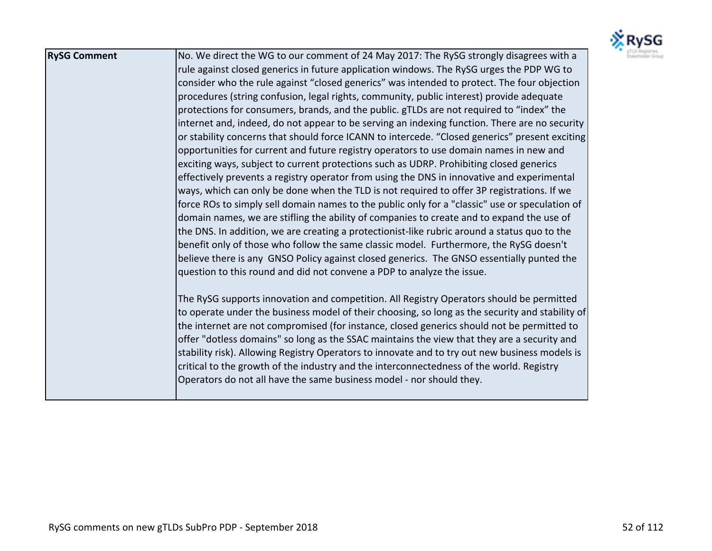

| <b>RySG Comment</b> | No. We direct the WG to our comment of 24 May 2017: The RySG strongly disagrees with a          |
|---------------------|-------------------------------------------------------------------------------------------------|
|                     | rule against closed generics in future application windows. The RySG urges the PDP WG to        |
|                     | consider who the rule against "closed generics" was intended to protect. The four objection     |
|                     | procedures (string confusion, legal rights, community, public interest) provide adequate        |
|                     | protections for consumers, brands, and the public. gTLDs are not required to "index" the        |
|                     | internet and, indeed, do not appear to be serving an indexing function. There are no security   |
|                     | or stability concerns that should force ICANN to intercede. "Closed generics" present exciting  |
|                     | opportunities for current and future registry operators to use domain names in new and          |
|                     | exciting ways, subject to current protections such as UDRP. Prohibiting closed generics         |
|                     | effectively prevents a registry operator from using the DNS in innovative and experimental      |
|                     | ways, which can only be done when the TLD is not required to offer 3P registrations. If we      |
|                     | force ROs to simply sell domain names to the public only for a "classic" use or speculation of  |
|                     | domain names, we are stifling the ability of companies to create and to expand the use of       |
|                     | the DNS. In addition, we are creating a protectionist-like rubric around a status quo to the    |
|                     | benefit only of those who follow the same classic model. Furthermore, the RySG doesn't          |
|                     | believe there is any GNSO Policy against closed generics. The GNSO essentially punted the       |
|                     | question to this round and did not convene a PDP to analyze the issue.                          |
|                     | The RySG supports innovation and competition. All Registry Operators should be permitted        |
|                     | to operate under the business model of their choosing, so long as the security and stability of |
|                     | the internet are not compromised (for instance, closed generics should not be permitted to      |
|                     | offer "dotless domains" so long as the SSAC maintains the view that they are a security and     |
|                     | stability risk). Allowing Registry Operators to innovate and to try out new business models is  |
|                     | critical to the growth of the industry and the interconnectedness of the world. Registry        |
|                     | Operators do not all have the same business model - nor should they.                            |
|                     |                                                                                                 |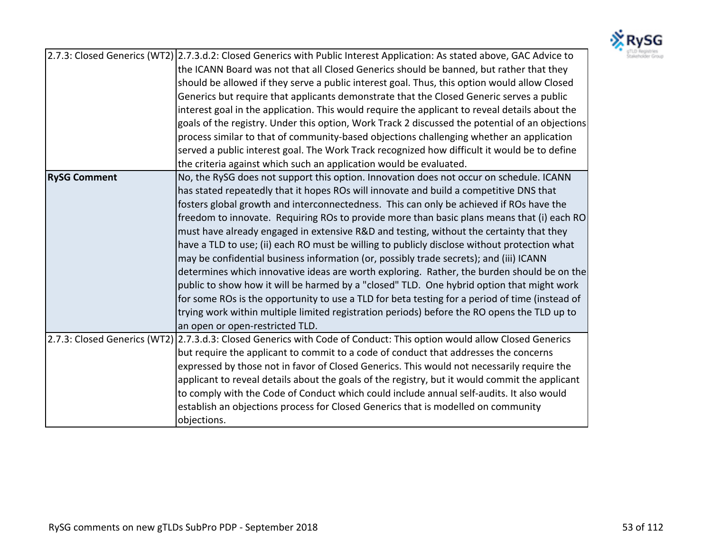

|                     | 2.7.3: Closed Generics (WT2) 2.7.3.d.2: Closed Generics with Public Interest Application: As stated above, GAC Advice to |
|---------------------|--------------------------------------------------------------------------------------------------------------------------|
|                     | the ICANN Board was not that all Closed Generics should be banned, but rather that they                                  |
|                     | should be allowed if they serve a public interest goal. Thus, this option would allow Closed                             |
|                     | Generics but require that applicants demonstrate that the Closed Generic serves a public                                 |
|                     | interest goal in the application. This would require the applicant to reveal details about the                           |
|                     | goals of the registry. Under this option, Work Track 2 discussed the potential of an objections                          |
|                     | process similar to that of community-based objections challenging whether an application                                 |
|                     | served a public interest goal. The Work Track recognized how difficult it would be to define                             |
|                     | the criteria against which such an application would be evaluated.                                                       |
| <b>RySG Comment</b> | No, the RySG does not support this option. Innovation does not occur on schedule. ICANN                                  |
|                     | has stated repeatedly that it hopes ROs will innovate and build a competitive DNS that                                   |
|                     | fosters global growth and interconnectedness. This can only be achieved if ROs have the                                  |
|                     | freedom to innovate. Requiring ROs to provide more than basic plans means that (i) each RO                               |
|                     | must have already engaged in extensive R&D and testing, without the certainty that they                                  |
|                     | have a TLD to use; (ii) each RO must be willing to publicly disclose without protection what                             |
|                     | may be confidential business information (or, possibly trade secrets); and (iii) ICANN                                   |
|                     | determines which innovative ideas are worth exploring. Rather, the burden should be on the                               |
|                     | public to show how it will be harmed by a "closed" TLD. One hybrid option that might work                                |
|                     | for some ROs is the opportunity to use a TLD for beta testing for a period of time (instead of                           |
|                     | trying work within multiple limited registration periods) before the RO opens the TLD up to                              |
|                     | an open or open-restricted TLD.                                                                                          |
|                     | 2.7.3: Closed Generics (WT2) 2.7.3.d.3: Closed Generics with Code of Conduct: This option would allow Closed Generics    |
|                     | but require the applicant to commit to a code of conduct that addresses the concerns                                     |
|                     | expressed by those not in favor of Closed Generics. This would not necessarily require the                               |
|                     | applicant to reveal details about the goals of the registry, but it would commit the applicant                           |
|                     | to comply with the Code of Conduct which could include annual self-audits. It also would                                 |
|                     | establish an objections process for Closed Generics that is modelled on community                                        |
|                     | objections.                                                                                                              |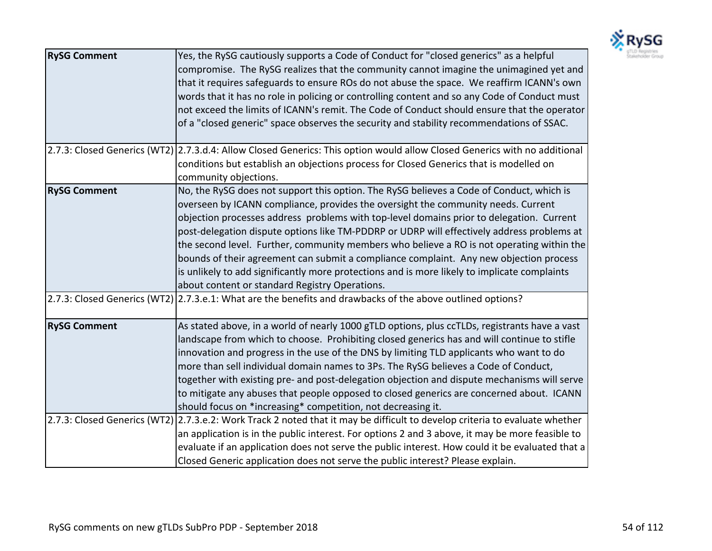

| <b>RySG Comment</b> | Yes, the RySG cautiously supports a Code of Conduct for "closed generics" as a helpful<br>compromise. The RySG realizes that the community cannot imagine the unimagined yet and<br>that it requires safeguards to ensure ROs do not abuse the space. We reaffirm ICANN's own<br>words that it has no role in policing or controlling content and so any Code of Conduct must<br>not exceed the limits of ICANN's remit. The Code of Conduct should ensure that the operator<br>of a "closed generic" space observes the security and stability recommendations of SSAC.                                                                                                                                         |
|---------------------|------------------------------------------------------------------------------------------------------------------------------------------------------------------------------------------------------------------------------------------------------------------------------------------------------------------------------------------------------------------------------------------------------------------------------------------------------------------------------------------------------------------------------------------------------------------------------------------------------------------------------------------------------------------------------------------------------------------|
|                     | 2.7.3: Closed Generics (WT2) 2.7.3.d.4: Allow Closed Generics: This option would allow Closed Generics with no additional<br>conditions but establish an objections process for Closed Generics that is modelled on<br>community objections.                                                                                                                                                                                                                                                                                                                                                                                                                                                                     |
| <b>RySG Comment</b> | No, the RySG does not support this option. The RySG believes a Code of Conduct, which is<br>overseen by ICANN compliance, provides the oversight the community needs. Current<br>objection processes address problems with top-level domains prior to delegation. Current<br>post-delegation dispute options like TM-PDDRP or UDRP will effectively address problems at<br>the second level. Further, community members who believe a RO is not operating within the<br>bounds of their agreement can submit a compliance complaint. Any new objection process<br>is unlikely to add significantly more protections and is more likely to implicate complaints<br>about content or standard Registry Operations. |
|                     | [2.7.3: Closed Generics (WT2) [2.7.3.e.1: What are the benefits and drawbacks of the above outlined options?                                                                                                                                                                                                                                                                                                                                                                                                                                                                                                                                                                                                     |
| <b>RySG Comment</b> | As stated above, in a world of nearly 1000 gTLD options, plus ccTLDs, registrants have a vast<br>landscape from which to choose. Prohibiting closed generics has and will continue to stifle<br>innovation and progress in the use of the DNS by limiting TLD applicants who want to do<br>more than sell individual domain names to 3Ps. The RySG believes a Code of Conduct,<br>together with existing pre- and post-delegation objection and dispute mechanisms will serve<br>to mitigate any abuses that people opposed to closed generics are concerned about. ICANN<br>should focus on *increasing* competition, not decreasing it.                                                                        |
|                     | 2.7.3: Closed Generics (WT2) 2.7.3.e.2: Work Track 2 noted that it may be difficult to develop criteria to evaluate whether<br>an application is in the public interest. For options 2 and 3 above, it may be more feasible to<br>evaluate if an application does not serve the public interest. How could it be evaluated that a<br>Closed Generic application does not serve the public interest? Please explain.                                                                                                                                                                                                                                                                                              |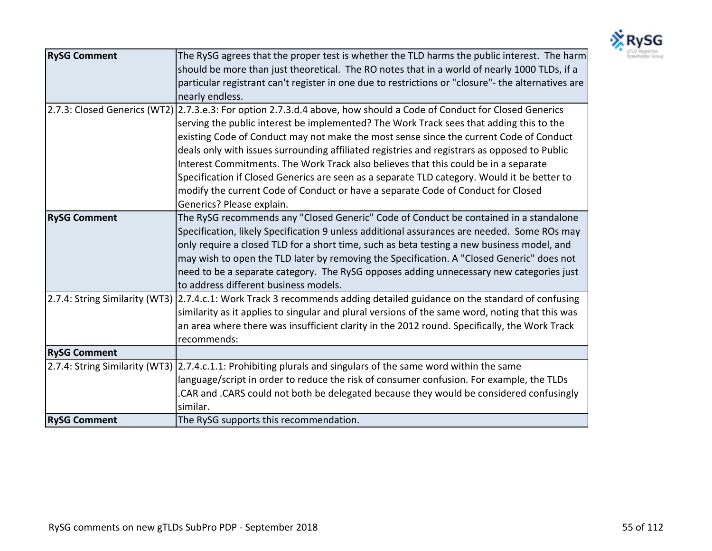

| <b>RySG Comment</b>            | The RySG agrees that the proper test is whether the TLD harms the public interest. The harm                             |
|--------------------------------|-------------------------------------------------------------------------------------------------------------------------|
|                                | should be more than just theoretical. The RO notes that in a world of nearly 1000 TLDs, if a                            |
|                                | particular registrant can't register in one due to restrictions or "closure"- the alternatives are                      |
|                                | nearly endless.                                                                                                         |
|                                | 2.7.3: Closed Generics (WT2) 2.7.3.e.3: For option 2.7.3.d.4 above, how should a Code of Conduct for Closed Generics    |
|                                | serving the public interest be implemented? The Work Track sees that adding this to the                                 |
|                                | existing Code of Conduct may not make the most sense since the current Code of Conduct                                  |
|                                | deals only with issues surrounding affiliated registries and registrars as opposed to Public                            |
|                                | Interest Commitments. The Work Track also believes that this could be in a separate                                     |
|                                | Specification if Closed Generics are seen as a separate TLD category. Would it be better to                             |
|                                | modify the current Code of Conduct or have a separate Code of Conduct for Closed                                        |
|                                | Generics? Please explain.                                                                                               |
| <b>RySG Comment</b>            | The RySG recommends any "Closed Generic" Code of Conduct be contained in a standalone                                   |
|                                | Specification, likely Specification 9 unless additional assurances are needed. Some ROs may                             |
|                                | only require a closed TLD for a short time, such as beta testing a new business model, and                              |
|                                | may wish to open the TLD later by removing the Specification. A "Closed Generic" does not                               |
|                                | need to be a separate category. The RySG opposes adding unnecessary new categories just                                 |
|                                | to address different business models.                                                                                   |
|                                | 2.7.4: String Similarity (WT3) 2.7.4.c.1: Work Track 3 recommends adding detailed guidance on the standard of confusing |
|                                | similarity as it applies to singular and plural versions of the same word, noting that this was                         |
|                                | an area where there was insufficient clarity in the 2012 round. Specifically, the Work Track                            |
|                                | recommends:                                                                                                             |
| <b>RySG Comment</b>            |                                                                                                                         |
| 2.7.4: String Similarity (WT3) | 2.7.4.c.1.1: Prohibiting plurals and singulars of the same word within the same                                         |
|                                | language/script in order to reduce the risk of consumer confusion. For example, the TLDs                                |
|                                | .CAR and .CARS could not both be delegated because they would be considered confusingly                                 |
|                                | similar.                                                                                                                |
| <b>RySG Comment</b>            | The RySG supports this recommendation.                                                                                  |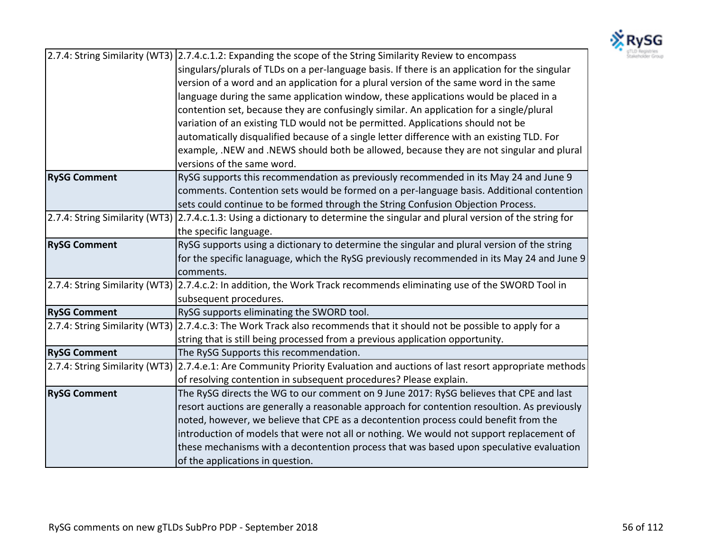

|                                | 2.7.4: String Similarity (WT3) 2.7.4.c.1.2: Expanding the scope of the String Similarity Review to encompass           |
|--------------------------------|------------------------------------------------------------------------------------------------------------------------|
|                                | singulars/plurals of TLDs on a per-language basis. If there is an application for the singular                         |
|                                | version of a word and an application for a plural version of the same word in the same                                 |
|                                | language during the same application window, these applications would be placed in a                                   |
|                                | contention set, because they are confusingly similar. An application for a single/plural                               |
|                                | variation of an existing TLD would not be permitted. Applications should not be                                        |
|                                | automatically disqualified because of a single letter difference with an existing TLD. For                             |
|                                | example, .NEW and .NEWS should both be allowed, because they are not singular and plural                               |
|                                | versions of the same word.                                                                                             |
| <b>RySG Comment</b>            | RySG supports this recommendation as previously recommended in its May 24 and June 9                                   |
|                                | comments. Contention sets would be formed on a per-language basis. Additional contention                               |
|                                | sets could continue to be formed through the String Confusion Objection Process.                                       |
| 2.7.4: String Similarity (WT3) | 2.7.4.c.1.3: Using a dictionary to determine the singular and plural version of the string for                         |
|                                | the specific language.                                                                                                 |
| <b>RySG Comment</b>            | RySG supports using a dictionary to determine the singular and plural version of the string                            |
|                                | for the specific lanaguage, which the RySG previously recommended in its May 24 and June 9                             |
|                                | comments.                                                                                                              |
| 2.7.4: String Similarity (WT3) | [2.7.4.c.2: In addition, the Work Track recommends eliminating use of the SWORD Tool in                                |
|                                | subsequent procedures.                                                                                                 |
| <b>RySG Comment</b>            | RySG supports eliminating the SWORD tool.                                                                              |
|                                | 2.7.4: String Similarity (WT3) 2.7.4.c.3: The Work Track also recommends that it should not be possible to apply for a |
|                                | string that is still being processed from a previous application opportunity.                                          |
| <b>RySG Comment</b>            | The RySG Supports this recommendation.                                                                                 |
| 2.7.4: String Similarity (WT3) | 2.7.4.e.1: Are Community Priority Evaluation and auctions of last resort appropriate methods                           |
|                                | of resolving contention in subsequent procedures? Please explain.                                                      |
| <b>RySG Comment</b>            | The RySG directs the WG to our comment on 9 June 2017: RySG believes that CPE and last                                 |
|                                | resort auctions are generally a reasonable approach for contention resoultion. As previously                           |
|                                | noted, however, we believe that CPE as a decontention process could benefit from the                                   |
|                                | introduction of models that were not all or nothing. We would not support replacement of                               |
|                                | these mechanisms with a decontention process that was based upon speculative evaluation                                |
|                                | of the applications in question.                                                                                       |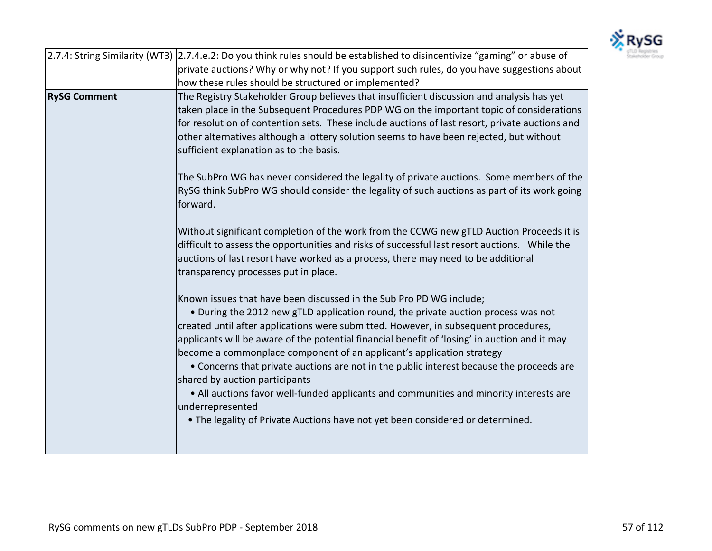

|                     | 2.7.4: String Similarity (WT3) 2.7.4.e.2: Do you think rules should be established to disincentivize "gaming" or abuse of                                                                                                                                                      |
|---------------------|--------------------------------------------------------------------------------------------------------------------------------------------------------------------------------------------------------------------------------------------------------------------------------|
|                     | private auctions? Why or why not? If you support such rules, do you have suggestions about                                                                                                                                                                                     |
|                     | how these rules should be structured or implemented?                                                                                                                                                                                                                           |
| <b>RySG Comment</b> | The Registry Stakeholder Group believes that insufficient discussion and analysis has yet                                                                                                                                                                                      |
|                     | taken place in the Subsequent Procedures PDP WG on the important topic of considerations                                                                                                                                                                                       |
|                     | for resolution of contention sets. These include auctions of last resort, private auctions and                                                                                                                                                                                 |
|                     | other alternatives although a lottery solution seems to have been rejected, but without                                                                                                                                                                                        |
|                     | sufficient explanation as to the basis.                                                                                                                                                                                                                                        |
|                     | The SubPro WG has never considered the legality of private auctions. Some members of the<br>RySG think SubPro WG should consider the legality of such auctions as part of its work going                                                                                       |
|                     | forward.                                                                                                                                                                                                                                                                       |
|                     | Without significant completion of the work from the CCWG new gTLD Auction Proceeds it is<br>difficult to assess the opportunities and risks of successful last resort auctions. While the<br>auctions of last resort have worked as a process, there may need to be additional |
|                     | transparency processes put in place.                                                                                                                                                                                                                                           |
|                     | Known issues that have been discussed in the Sub Pro PD WG include;<br>• During the 2012 new gTLD application round, the private auction process was not<br>created until after applications were submitted. However, in subsequent procedures,                                |
|                     | applicants will be aware of the potential financial benefit of 'losing' in auction and it may<br>become a commonplace component of an applicant's application strategy                                                                                                         |
|                     | • Concerns that private auctions are not in the public interest because the proceeds are<br>shared by auction participants                                                                                                                                                     |
|                     | • All auctions favor well-funded applicants and communities and minority interests are<br>underrepresented                                                                                                                                                                     |
|                     | . The legality of Private Auctions have not yet been considered or determined.                                                                                                                                                                                                 |
|                     |                                                                                                                                                                                                                                                                                |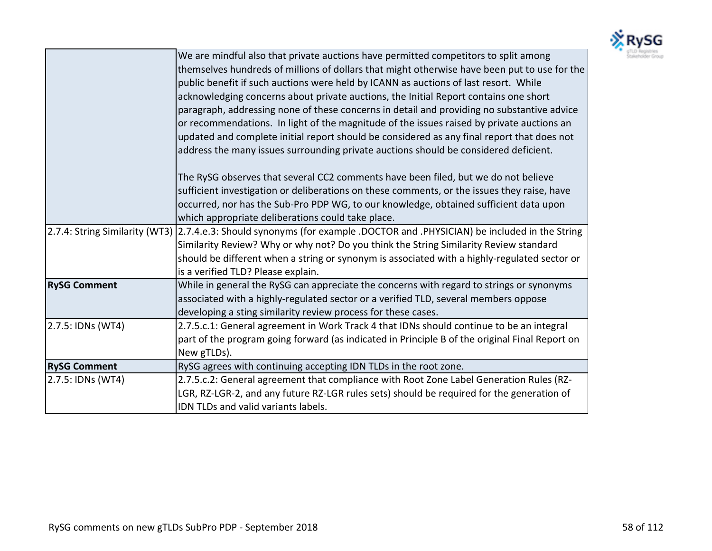

|                     | We are mindful also that private auctions have permitted competitors to split among<br>themselves hundreds of millions of dollars that might otherwise have been put to use for the<br>public benefit if such auctions were held by ICANN as auctions of last resort. While<br>acknowledging concerns about private auctions, the Initial Report contains one short<br>paragraph, addressing none of these concerns in detail and providing no substantive advice<br>or recommendations. In light of the magnitude of the issues raised by private auctions an<br>updated and complete initial report should be considered as any final report that does not<br>address the many issues surrounding private auctions should be considered deficient. |
|---------------------|------------------------------------------------------------------------------------------------------------------------------------------------------------------------------------------------------------------------------------------------------------------------------------------------------------------------------------------------------------------------------------------------------------------------------------------------------------------------------------------------------------------------------------------------------------------------------------------------------------------------------------------------------------------------------------------------------------------------------------------------------|
|                     | The RySG observes that several CC2 comments have been filed, but we do not believe<br>sufficient investigation or deliberations on these comments, or the issues they raise, have<br>occurred, nor has the Sub-Pro PDP WG, to our knowledge, obtained sufficient data upon<br>which appropriate deliberations could take place.                                                                                                                                                                                                                                                                                                                                                                                                                      |
|                     | 2.7.4: String Similarity (WT3) 2.7.4.e.3: Should synonyms (for example .DOCTOR and .PHYSICIAN) be included in the String<br>Similarity Review? Why or why not? Do you think the String Similarity Review standard<br>should be different when a string or synonym is associated with a highly-regulated sector or<br>is a verified TLD? Please explain.                                                                                                                                                                                                                                                                                                                                                                                              |
| <b>RySG Comment</b> | While in general the RySG can appreciate the concerns with regard to strings or synonyms<br>associated with a highly-regulated sector or a verified TLD, several members oppose<br>developing a sting similarity review process for these cases.                                                                                                                                                                                                                                                                                                                                                                                                                                                                                                     |
| 2.7.5: IDNs (WT4)   | 2.7.5.c.1: General agreement in Work Track 4 that IDNs should continue to be an integral<br>part of the program going forward (as indicated in Principle B of the original Final Report on<br>New gTLDs).                                                                                                                                                                                                                                                                                                                                                                                                                                                                                                                                            |
| <b>RySG Comment</b> | RySG agrees with continuing accepting IDN TLDs in the root zone.                                                                                                                                                                                                                                                                                                                                                                                                                                                                                                                                                                                                                                                                                     |
| 2.7.5: IDNs (WT4)   | 2.7.5.c.2: General agreement that compliance with Root Zone Label Generation Rules (RZ-<br>LGR, RZ-LGR-2, and any future RZ-LGR rules sets) should be required for the generation of<br>IDN TLDs and valid variants labels.                                                                                                                                                                                                                                                                                                                                                                                                                                                                                                                          |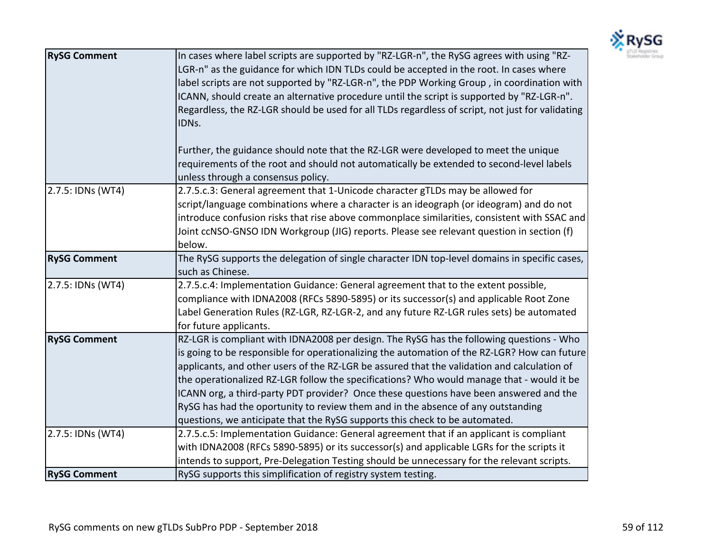

| <b>RySG Comment</b> | In cases where label scripts are supported by "RZ-LGR-n", the RySG agrees with using "RZ-<br>LGR-n" as the guidance for which IDN TLDs could be accepted in the root. In cases where<br>label scripts are not supported by "RZ-LGR-n", the PDP Working Group, in coordination with<br>ICANN, should create an alternative procedure until the script is supported by "RZ-LGR-n".<br>Regardless, the RZ-LGR should be used for all TLDs regardless of script, not just for validating<br>IDNs.<br>Further, the guidance should note that the RZ-LGR were developed to meet the unique<br>requirements of the root and should not automatically be extended to second-level labels<br>unless through a consensus policy. |
|---------------------|------------------------------------------------------------------------------------------------------------------------------------------------------------------------------------------------------------------------------------------------------------------------------------------------------------------------------------------------------------------------------------------------------------------------------------------------------------------------------------------------------------------------------------------------------------------------------------------------------------------------------------------------------------------------------------------------------------------------|
| 2.7.5: IDNs (WT4)   | 2.7.5.c.3: General agreement that 1-Unicode character gTLDs may be allowed for<br>script/language combinations where a character is an ideograph (or ideogram) and do not<br>introduce confusion risks that rise above commonplace similarities, consistent with SSAC and<br>Joint ccNSO-GNSO IDN Workgroup (JIG) reports. Please see relevant question in section (f)<br>below.                                                                                                                                                                                                                                                                                                                                       |
| <b>RySG Comment</b> | The RySG supports the delegation of single character IDN top-level domains in specific cases,<br>such as Chinese.                                                                                                                                                                                                                                                                                                                                                                                                                                                                                                                                                                                                      |
| 2.7.5: IDNs (WT4)   | 2.7.5.c.4: Implementation Guidance: General agreement that to the extent possible,<br>compliance with IDNA2008 (RFCs 5890-5895) or its successor(s) and applicable Root Zone<br>Label Generation Rules (RZ-LGR, RZ-LGR-2, and any future RZ-LGR rules sets) be automated<br>for future applicants.                                                                                                                                                                                                                                                                                                                                                                                                                     |
| <b>RySG Comment</b> | RZ-LGR is compliant with IDNA2008 per design. The RySG has the following questions - Who<br>is going to be responsible for operationalizing the automation of the RZ-LGR? How can future<br>applicants, and other users of the RZ-LGR be assured that the validation and calculation of<br>the operationalized RZ-LGR follow the specifications? Who would manage that - would it be<br>ICANN org, a third-party PDT provider? Once these questions have been answered and the<br>RySG has had the oportunity to review them and in the absence of any outstanding<br>questions, we anticipate that the RySG supports this check to be automated.                                                                      |
| 2.7.5: IDNs (WT4)   | 2.7.5.c.5: Implementation Guidance: General agreement that if an applicant is compliant<br>with IDNA2008 (RFCs 5890-5895) or its successor(s) and applicable LGRs for the scripts it<br>intends to support, Pre-Delegation Testing should be unnecessary for the relevant scripts.                                                                                                                                                                                                                                                                                                                                                                                                                                     |
| <b>RySG Comment</b> | RySG supports this simplification of registry system testing.                                                                                                                                                                                                                                                                                                                                                                                                                                                                                                                                                                                                                                                          |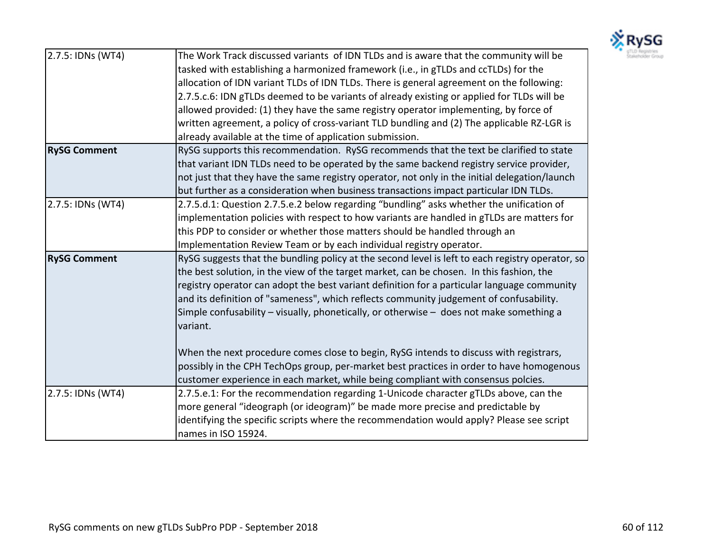

| 2.7.5: IDNs (WT4)   | The Work Track discussed variants of IDN TLDs and is aware that the community will be            |
|---------------------|--------------------------------------------------------------------------------------------------|
|                     | tasked with establishing a harmonized framework (i.e., in gTLDs and ccTLDs) for the              |
|                     | allocation of IDN variant TLDs of IDN TLDs. There is general agreement on the following:         |
|                     | 2.7.5.c.6: IDN gTLDs deemed to be variants of already existing or applied for TLDs will be       |
|                     | allowed provided: (1) they have the same registry operator implementing, by force of             |
|                     | written agreement, a policy of cross-variant TLD bundling and (2) The applicable RZ-LGR is       |
|                     | already available at the time of application submission.                                         |
| <b>RySG Comment</b> | RySG supports this recommendation. RySG recommends that the text be clarified to state           |
|                     | that variant IDN TLDs need to be operated by the same backend registry service provider,         |
|                     | not just that they have the same registry operator, not only in the initial delegation/launch    |
|                     | but further as a consideration when business transactions impact particular IDN TLDs.            |
| 2.7.5: IDNs (WT4)   | 2.7.5.d.1: Question 2.7.5.e.2 below regarding "bundling" asks whether the unification of         |
|                     | implementation policies with respect to how variants are handled in gTLDs are matters for        |
|                     | this PDP to consider or whether those matters should be handled through an                       |
|                     | Implementation Review Team or by each individual registry operator.                              |
| <b>RySG Comment</b> | RySG suggests that the bundling policy at the second level is left to each registry operator, so |
|                     | the best solution, in the view of the target market, can be chosen. In this fashion, the         |
|                     | registry operator can adopt the best variant definition for a particular language community      |
|                     | and its definition of "sameness", which reflects community judgement of confusability.           |
|                     | Simple confusability – visually, phonetically, or otherwise – does not make something a          |
|                     | variant.                                                                                         |
|                     |                                                                                                  |
|                     | When the next procedure comes close to begin, RySG intends to discuss with registrars,           |
|                     | possibly in the CPH TechOps group, per-market best practices in order to have homogenous         |
|                     | customer experience in each market, while being compliant with consensus polcies.                |
| 2.7.5: IDNs (WT4)   | 2.7.5.e.1: For the recommendation regarding 1-Unicode character gTLDs above, can the             |
|                     | more general "ideograph (or ideogram)" be made more precise and predictable by                   |
|                     | identifying the specific scripts where the recommendation would apply? Please see script         |
|                     | names in ISO 15924.                                                                              |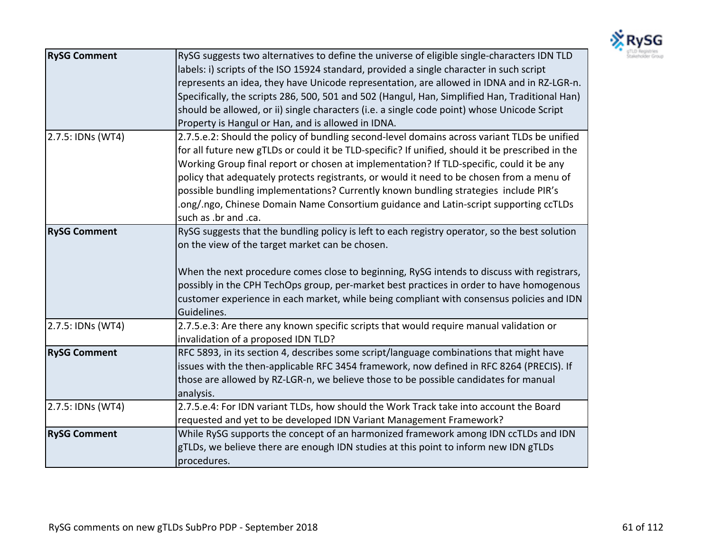

| <b>RySG Comment</b> | RySG suggests two alternatives to define the universe of eligible single-characters IDN TLD      |
|---------------------|--------------------------------------------------------------------------------------------------|
|                     | labels: i) scripts of the ISO 15924 standard, provided a single character in such script         |
|                     | represents an idea, they have Unicode representation, are allowed in IDNA and in RZ-LGR-n.       |
|                     | Specifically, the scripts 286, 500, 501 and 502 (Hangul, Han, Simplified Han, Traditional Han)   |
|                     | should be allowed, or ii) single characters (i.e. a single code point) whose Unicode Script      |
|                     | Property is Hangul or Han, and is allowed in IDNA.                                               |
| 2.7.5: IDNs (WT4)   | 2.7.5.e.2: Should the policy of bundling second-level domains across variant TLDs be unified     |
|                     | for all future new gTLDs or could it be TLD-specific? If unified, should it be prescribed in the |
|                     | Working Group final report or chosen at implementation? If TLD-specific, could it be any         |
|                     | policy that adequately protects registrants, or would it need to be chosen from a menu of        |
|                     | possible bundling implementations? Currently known bundling strategies include PIR's             |
|                     | ong/.ngo, Chinese Domain Name Consortium guidance and Latin-script supporting ccTLDs.            |
|                     | such as .br and .ca.                                                                             |
| <b>RySG Comment</b> | RySG suggests that the bundling policy is left to each registry operator, so the best solution   |
|                     | on the view of the target market can be chosen.                                                  |
|                     |                                                                                                  |
|                     | When the next procedure comes close to beginning, RySG intends to discuss with registrars,       |
|                     | possibly in the CPH TechOps group, per-market best practices in order to have homogenous         |
|                     | customer experience in each market, while being compliant with consensus policies and IDN        |
|                     | Guidelines.                                                                                      |
| 2.7.5: IDNs (WT4)   | 2.7.5.e.3: Are there any known specific scripts that would require manual validation or          |
|                     | invalidation of a proposed IDN TLD?                                                              |
| <b>RySG Comment</b> | RFC 5893, in its section 4, describes some script/language combinations that might have          |
|                     | issues with the then-applicable RFC 3454 framework, now defined in RFC 8264 (PRECIS). If         |
|                     | those are allowed by RZ-LGR-n, we believe those to be possible candidates for manual             |
|                     | analysis.                                                                                        |
| 2.7.5: IDNs (WT4)   | 2.7.5.e.4: For IDN variant TLDs, how should the Work Track take into account the Board           |
|                     | requested and yet to be developed IDN Variant Management Framework?                              |
| <b>RySG Comment</b> | While RySG supports the concept of an harmonized framework among IDN ccTLDs and IDN              |
|                     | gTLDs, we believe there are enough IDN studies at this point to inform new IDN gTLDs             |
|                     | procedures.                                                                                      |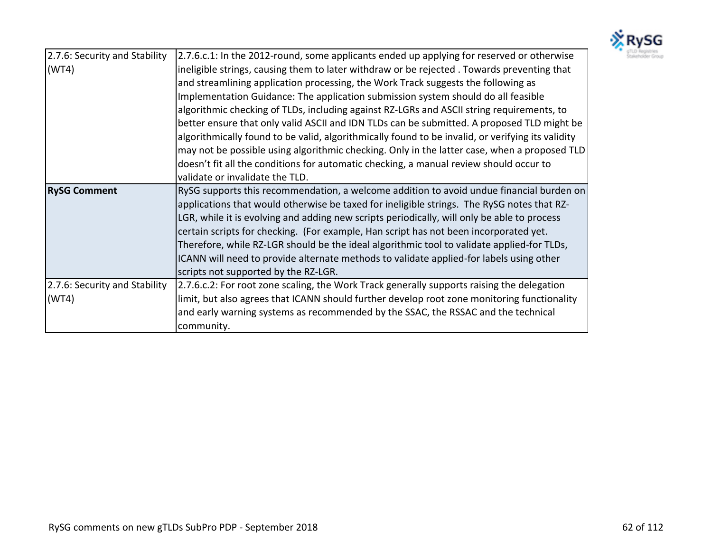

| 2.7.6: Security and Stability | 2.7.6.c.1: In the 2012-round, some applicants ended up applying for reserved or otherwise         |
|-------------------------------|---------------------------------------------------------------------------------------------------|
| (WT4)                         | ineligible strings, causing them to later withdraw or be rejected. Towards preventing that        |
|                               | and streamlining application processing, the Work Track suggests the following as                 |
|                               | Implementation Guidance: The application submission system should do all feasible                 |
|                               | algorithmic checking of TLDs, including against RZ-LGRs and ASCII string requirements, to         |
|                               | better ensure that only valid ASCII and IDN TLDs can be submitted. A proposed TLD might be        |
|                               | algorithmically found to be valid, algorithmically found to be invalid, or verifying its validity |
|                               | may not be possible using algorithmic checking. Only in the latter case, when a proposed TLD      |
|                               | doesn't fit all the conditions for automatic checking, a manual review should occur to            |
|                               | validate or invalidate the TLD.                                                                   |
| <b>RySG Comment</b>           | RySG supports this recommendation, a welcome addition to avoid undue financial burden on          |
|                               | applications that would otherwise be taxed for ineligible strings. The RySG notes that RZ-        |
|                               | LGR, while it is evolving and adding new scripts periodically, will only be able to process       |
|                               | certain scripts for checking. (For example, Han script has not been incorporated yet.             |
|                               | Therefore, while RZ-LGR should be the ideal algorithmic tool to validate applied-for TLDs,        |
|                               | ICANN will need to provide alternate methods to validate applied-for labels using other           |
|                               | scripts not supported by the RZ-LGR.                                                              |
| 2.7.6: Security and Stability | [2.7.6.c.2: For root zone scaling, the Work Track generally supports raising the delegation       |
| (WT4)                         | limit, but also agrees that ICANN should further develop root zone monitoring functionality       |
|                               | and early warning systems as recommended by the SSAC, the RSSAC and the technical                 |
|                               | community.                                                                                        |
|                               |                                                                                                   |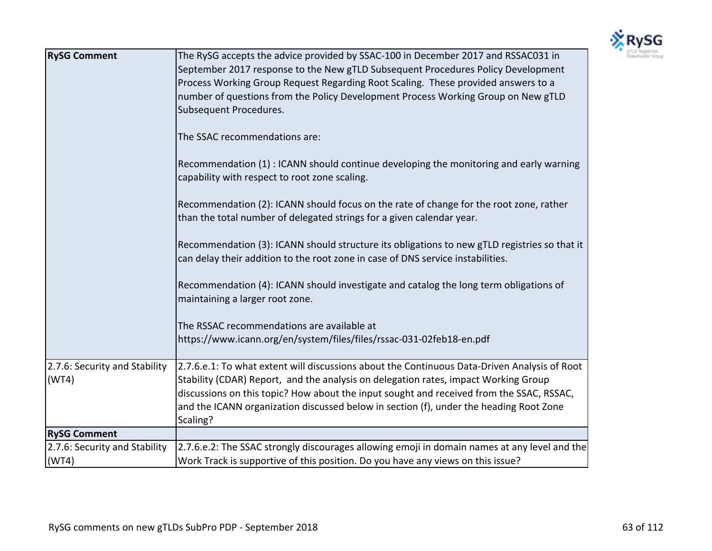

| <b>RySG Comment</b>           | The RySG accepts the advice provided by SSAC-100 in December 2017 and RSSAC031 in<br>September 2017 response to the New gTLD Subsequent Procedures Policy Development<br>Process Working Group Request Regarding Root Scaling. These provided answers to a<br>number of questions from the Policy Development Process Working Group on New gTLD<br>Subsequent Procedures.<br>The SSAC recommendations are:<br>Recommendation (1) : ICANN should continue developing the monitoring and early warning<br>capability with respect to root zone scaling.<br>Recommendation (2): ICANN should focus on the rate of change for the root zone, rather<br>than the total number of delegated strings for a given calendar year.<br>Recommendation (3): ICANN should structure its obligations to new gTLD registries so that it<br>can delay their addition to the root zone in case of DNS service instabilities.<br>Recommendation (4): ICANN should investigate and catalog the long term obligations of<br>maintaining a larger root zone.<br>The RSSAC recommendations are available at<br>https://www.icann.org/en/system/files/files/rssac-031-02feb18-en.pdf |
|-------------------------------|---------------------------------------------------------------------------------------------------------------------------------------------------------------------------------------------------------------------------------------------------------------------------------------------------------------------------------------------------------------------------------------------------------------------------------------------------------------------------------------------------------------------------------------------------------------------------------------------------------------------------------------------------------------------------------------------------------------------------------------------------------------------------------------------------------------------------------------------------------------------------------------------------------------------------------------------------------------------------------------------------------------------------------------------------------------------------------------------------------------------------------------------------------------|
| 2.7.6: Security and Stability | 2.7.6.e.1: To what extent will discussions about the Continuous Data-Driven Analysis of Root                                                                                                                                                                                                                                                                                                                                                                                                                                                                                                                                                                                                                                                                                                                                                                                                                                                                                                                                                                                                                                                                  |
| (WT4)                         | Stability (CDAR) Report, and the analysis on delegation rates, impact Working Group<br>discussions on this topic? How about the input sought and received from the SSAC, RSSAC,<br>and the ICANN organization discussed below in section (f), under the heading Root Zone<br>Scaling?                                                                                                                                                                                                                                                                                                                                                                                                                                                                                                                                                                                                                                                                                                                                                                                                                                                                         |
| <b>RySG Comment</b>           |                                                                                                                                                                                                                                                                                                                                                                                                                                                                                                                                                                                                                                                                                                                                                                                                                                                                                                                                                                                                                                                                                                                                                               |
| 2.7.6: Security and Stability | 2.7.6.e.2: The SSAC strongly discourages allowing emoji in domain names at any level and the                                                                                                                                                                                                                                                                                                                                                                                                                                                                                                                                                                                                                                                                                                                                                                                                                                                                                                                                                                                                                                                                  |
| (WT4)                         | Work Track is supportive of this position. Do you have any views on this issue?                                                                                                                                                                                                                                                                                                                                                                                                                                                                                                                                                                                                                                                                                                                                                                                                                                                                                                                                                                                                                                                                               |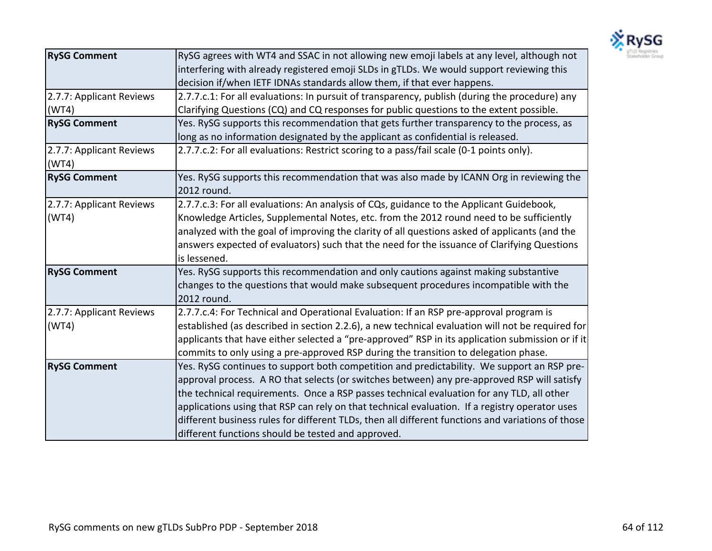

| <b>RySG Comment</b>               | RySG agrees with WT4 and SSAC in not allowing new emoji labels at any level, although not<br>interfering with already registered emoji SLDs in gTLDs. We would support reviewing this |
|-----------------------------------|---------------------------------------------------------------------------------------------------------------------------------------------------------------------------------------|
|                                   | decision if/when IETF IDNAs standards allow them, if that ever happens.                                                                                                               |
| 2.7.7: Applicant Reviews          | 2.7.7.c.1: For all evaluations: In pursuit of transparency, publish (during the procedure) any                                                                                        |
| (WT4)                             | Clarifying Questions (CQ) and CQ responses for public questions to the extent possible.                                                                                               |
| <b>RySG Comment</b>               | Yes. RySG supports this recommendation that gets further transparency to the process, as                                                                                              |
|                                   | long as no information designated by the applicant as confidential is released.                                                                                                       |
| 2.7.7: Applicant Reviews<br>(WT4) | 2.7.7.c.2: For all evaluations: Restrict scoring to a pass/fail scale (0-1 points only).                                                                                              |
| <b>RySG Comment</b>               | Yes. RySG supports this recommendation that was also made by ICANN Org in reviewing the<br>2012 round.                                                                                |
| 2.7.7: Applicant Reviews          | 2.7.7.c.3: For all evaluations: An analysis of CQs, guidance to the Applicant Guidebook,                                                                                              |
| (WT4)                             | Knowledge Articles, Supplemental Notes, etc. from the 2012 round need to be sufficiently                                                                                              |
|                                   | analyzed with the goal of improving the clarity of all questions asked of applicants (and the                                                                                         |
|                                   | answers expected of evaluators) such that the need for the issuance of Clarifying Questions                                                                                           |
|                                   | is lessened.                                                                                                                                                                          |
| <b>RySG Comment</b>               | Yes. RySG supports this recommendation and only cautions against making substantive                                                                                                   |
|                                   | changes to the questions that would make subsequent procedures incompatible with the<br>2012 round.                                                                                   |
| 2.7.7: Applicant Reviews          | 2.7.7.c.4: For Technical and Operational Evaluation: If an RSP pre-approval program is                                                                                                |
| (WT4)                             | established (as described in section 2.2.6), a new technical evaluation will not be required for                                                                                      |
|                                   | applicants that have either selected a "pre-approved" RSP in its application submission or if it                                                                                      |
|                                   | commits to only using a pre-approved RSP during the transition to delegation phase.                                                                                                   |
| <b>RySG Comment</b>               | Yes. RySG continues to support both competition and predictability. We support an RSP pre-                                                                                            |
|                                   | approval process. A RO that selects (or switches between) any pre-approved RSP will satisfy                                                                                           |
|                                   | the technical requirements. Once a RSP passes technical evaluation for any TLD, all other                                                                                             |
|                                   | applications using that RSP can rely on that technical evaluation. If a registry operator uses                                                                                        |
|                                   | different business rules for different TLDs, then all different functions and variations of those                                                                                     |
|                                   | different functions should be tested and approved.                                                                                                                                    |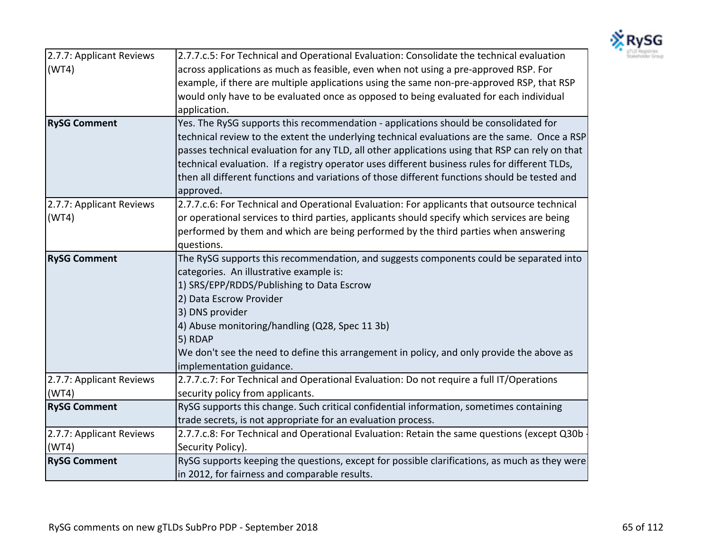

| 2.7.7: Applicant Reviews | 2.7.7.c.5: For Technical and Operational Evaluation: Consolidate the technical evaluation       |
|--------------------------|-------------------------------------------------------------------------------------------------|
| (WT4)                    | across applications as much as feasible, even when not using a pre-approved RSP. For            |
|                          | example, if there are multiple applications using the same non-pre-approved RSP, that RSP       |
|                          | would only have to be evaluated once as opposed to being evaluated for each individual          |
|                          | application.                                                                                    |
| <b>RySG Comment</b>      | Yes. The RySG supports this recommendation - applications should be consolidated for            |
|                          | technical review to the extent the underlying technical evaluations are the same. Once a RSP    |
|                          | passes technical evaluation for any TLD, all other applications using that RSP can rely on that |
|                          | technical evaluation. If a registry operator uses different business rules for different TLDs,  |
|                          | then all different functions and variations of those different functions should be tested and   |
|                          | approved.                                                                                       |
| 2.7.7: Applicant Reviews | 2.7.7.c.6: For Technical and Operational Evaluation: For applicants that outsource technical    |
| (WT4)                    | or operational services to third parties, applicants should specify which services are being    |
|                          | performed by them and which are being performed by the third parties when answering             |
|                          | questions.                                                                                      |
| <b>RySG Comment</b>      | The RySG supports this recommendation, and suggests components could be separated into          |
|                          | categories. An illustrative example is:                                                         |
|                          | 1) SRS/EPP/RDDS/Publishing to Data Escrow                                                       |
|                          | 2) Data Escrow Provider                                                                         |
|                          | 3) DNS provider                                                                                 |
|                          | 4) Abuse monitoring/handling (Q28, Spec 11 3b)                                                  |
|                          | 5) RDAP                                                                                         |
|                          | We don't see the need to define this arrangement in policy, and only provide the above as       |
|                          | implementation guidance.                                                                        |
| 2.7.7: Applicant Reviews | 2.7.7.c.7: For Technical and Operational Evaluation: Do not require a full IT/Operations        |
| (WT4)                    | security policy from applicants.                                                                |
| <b>RySG Comment</b>      | RySG supports this change. Such critical confidential information, sometimes containing         |
|                          | trade secrets, is not appropriate for an evaluation process.                                    |
| 2.7.7: Applicant Reviews | 2.7.7.c.8: For Technical and Operational Evaluation: Retain the same questions (except Q30b     |
| (WT4)                    | Security Policy).                                                                               |
| <b>RySG Comment</b>      | RySG supports keeping the questions, except for possible clarifications, as much as they were   |
|                          | in 2012, for fairness and comparable results.                                                   |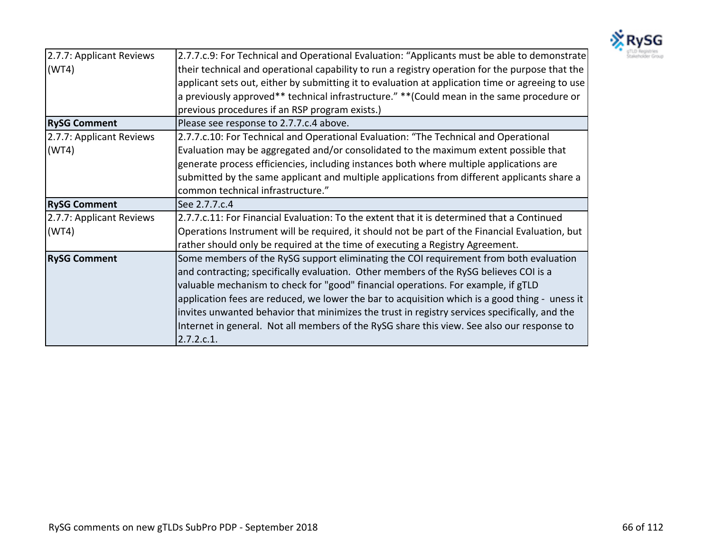

| 2.7.7: Applicant Reviews | 2.7.7.c.9: For Technical and Operational Evaluation: "Applicants must be able to demonstrate     |
|--------------------------|--------------------------------------------------------------------------------------------------|
| (WT4)                    | their technical and operational capability to run a registry operation for the purpose that the  |
|                          | applicant sets out, either by submitting it to evaluation at application time or agreeing to use |
|                          | a previously approved** technical infrastructure." ** (Could mean in the same procedure or       |
|                          | previous procedures if an RSP program exists.)                                                   |
| <b>RySG Comment</b>      | Please see response to 2.7.7.c.4 above.                                                          |
| 2.7.7: Applicant Reviews | 2.7.7.c.10: For Technical and Operational Evaluation: "The Technical and Operational             |
| (WT4)                    | Evaluation may be aggregated and/or consolidated to the maximum extent possible that             |
|                          | generate process efficiencies, including instances both where multiple applications are          |
|                          | submitted by the same applicant and multiple applications from different applicants share a      |
|                          | common technical infrastructure."                                                                |
| <b>RySG Comment</b>      | See 2.7.7.c.4                                                                                    |
| 2.7.7: Applicant Reviews | 2.7.7.c.11: For Financial Evaluation: To the extent that it is determined that a Continued       |
| (WT4)                    | Operations Instrument will be required, it should not be part of the Financial Evaluation, but   |
|                          | rather should only be required at the time of executing a Registry Agreement.                    |
| <b>RySG Comment</b>      | Some members of the RySG support eliminating the COI requirement from both evaluation            |
|                          | and contracting; specifically evaluation. Other members of the RySG believes COI is a            |
|                          | valuable mechanism to check for "good" financial operations. For example, if gTLD                |
|                          | application fees are reduced, we lower the bar to acquisition which is a good thing - uness it   |
|                          | invites unwanted behavior that minimizes the trust in registry services specifically, and the    |
|                          | Internet in general. Not all members of the RySG share this view. See also our response to       |
|                          | 2.7.2.c.1.                                                                                       |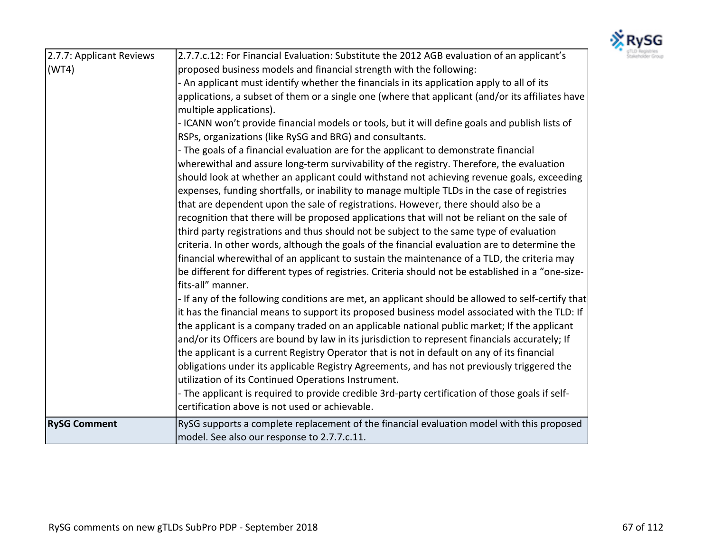

| 2.7.7: Applicant Reviews | 2.7.7.c.12: For Financial Evaluation: Substitute the 2012 AGB evaluation of an applicant's         |
|--------------------------|----------------------------------------------------------------------------------------------------|
| (WT4)                    | proposed business models and financial strength with the following:                                |
|                          | - An applicant must identify whether the financials in its application apply to all of its         |
|                          | applications, a subset of them or a single one (where that applicant (and/or its affiliates have   |
|                          | multiple applications).                                                                            |
|                          | - ICANN won't provide financial models or tools, but it will define goals and publish lists of     |
|                          | RSPs, organizations (like RySG and BRG) and consultants.                                           |
|                          | - The goals of a financial evaluation are for the applicant to demonstrate financial               |
|                          | wherewithal and assure long-term survivability of the registry. Therefore, the evaluation          |
|                          | should look at whether an applicant could withstand not achieving revenue goals, exceeding         |
|                          | expenses, funding shortfalls, or inability to manage multiple TLDs in the case of registries       |
|                          | that are dependent upon the sale of registrations. However, there should also be a                 |
|                          | recognition that there will be proposed applications that will not be reliant on the sale of       |
|                          | third party registrations and thus should not be subject to the same type of evaluation            |
|                          | criteria. In other words, although the goals of the financial evaluation are to determine the      |
|                          | financial wherewithal of an applicant to sustain the maintenance of a TLD, the criteria may        |
|                          | be different for different types of registries. Criteria should not be established in a "one-size- |
|                          | fits-all" manner.                                                                                  |
|                          | - If any of the following conditions are met, an applicant should be allowed to self-certify that  |
|                          | it has the financial means to support its proposed business model associated with the TLD: If      |
|                          | the applicant is a company traded on an applicable national public market; If the applicant        |
|                          | and/or its Officers are bound by law in its jurisdiction to represent financials accurately; If    |
|                          | the applicant is a current Registry Operator that is not in default on any of its financial        |
|                          | obligations under its applicable Registry Agreements, and has not previously triggered the         |
|                          | utilization of its Continued Operations Instrument.                                                |
|                          | - The applicant is required to provide credible 3rd-party certification of those goals if self-    |
|                          | certification above is not used or achievable.                                                     |
| <b>RySG Comment</b>      | RySG supports a complete replacement of the financial evaluation model with this proposed          |
|                          | model. See also our response to 2.7.7.c.11.                                                        |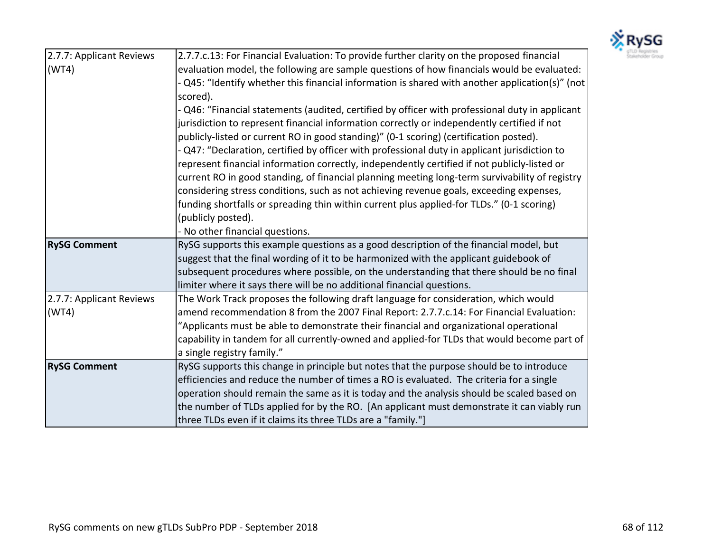

| 2.7.7: Applicant Reviews | 2.7.7.c.13: For Financial Evaluation: To provide further clarity on the proposed financial          |
|--------------------------|-----------------------------------------------------------------------------------------------------|
| (WT4)                    | evaluation model, the following are sample questions of how financials would be evaluated:          |
|                          | - Q45: "Identify whether this financial information is shared with another application(s)" (not $ $ |
|                          | scored).                                                                                            |
|                          | - Q46: "Financial statements (audited, certified by officer with professional duty in applicant     |
|                          | jurisdiction to represent financial information correctly or independently certified if not         |
|                          | publicly-listed or current RO in good standing)" (0-1 scoring) (certification posted).              |
|                          | - Q47: "Declaration, certified by officer with professional duty in applicant jurisdiction to       |
|                          | represent financial information correctly, independently certified if not publicly-listed or        |
|                          | current RO in good standing, of financial planning meeting long-term survivability of registry      |
|                          | considering stress conditions, such as not achieving revenue goals, exceeding expenses,             |
|                          | funding shortfalls or spreading thin within current plus applied-for TLDs." (0-1 scoring)           |
|                          | (publicly posted).                                                                                  |
|                          | - No other financial questions.                                                                     |
| <b>RySG Comment</b>      | RySG supports this example questions as a good description of the financial model, but              |
|                          | suggest that the final wording of it to be harmonized with the applicant guidebook of               |
|                          | subsequent procedures where possible, on the understanding that there should be no final            |
|                          | limiter where it says there will be no additional financial questions.                              |
| 2.7.7: Applicant Reviews | The Work Track proposes the following draft language for consideration, which would                 |
| (WT4)                    | amend recommendation 8 from the 2007 Final Report: 2.7.7.c.14: For Financial Evaluation:            |
|                          | "Applicants must be able to demonstrate their financial and organizational operational              |
|                          | capability in tandem for all currently-owned and applied-for TLDs that would become part of         |
|                          | a single registry family."                                                                          |
| <b>RySG Comment</b>      | RySG supports this change in principle but notes that the purpose should be to introduce            |
|                          | efficiencies and reduce the number of times a RO is evaluated. The criteria for a single            |
|                          | operation should remain the same as it is today and the analysis should be scaled based on          |
|                          | the number of TLDs applied for by the RO. [An applicant must demonstrate it can viably run          |
|                          | three TLDs even if it claims its three TLDs are a "family."]                                        |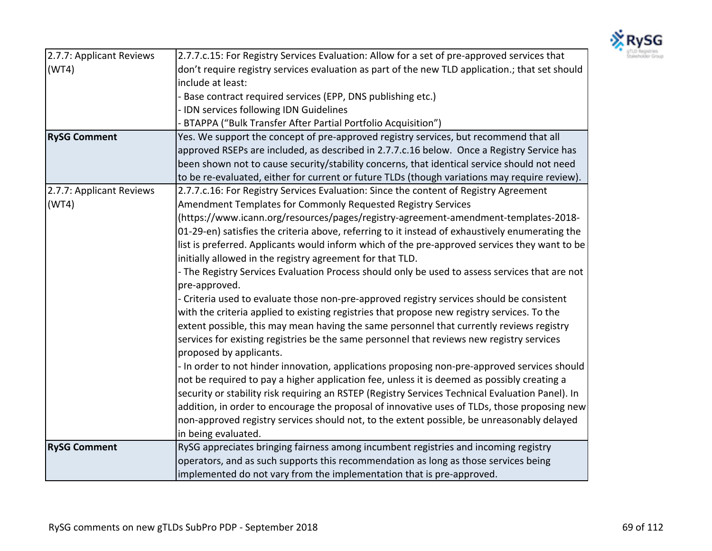

| 2.7.7: Applicant Reviews | 2.7.7.c.15: For Registry Services Evaluation: Allow for a set of pre-approved services that      |
|--------------------------|--------------------------------------------------------------------------------------------------|
| (WT4)                    | don't require registry services evaluation as part of the new TLD application.; that set should  |
|                          | include at least:                                                                                |
|                          | - Base contract required services (EPP, DNS publishing etc.)                                     |
|                          | - IDN services following IDN Guidelines                                                          |
|                          | - BTAPPA ("Bulk Transfer After Partial Portfolio Acquisition")                                   |
| <b>RySG Comment</b>      | Yes. We support the concept of pre-approved registry services, but recommend that all            |
|                          | approved RSEPs are included, as described in 2.7.7.c.16 below. Once a Registry Service has       |
|                          | been shown not to cause security/stability concerns, that identical service should not need      |
|                          | to be re-evaluated, either for current or future TLDs (though variations may require review).    |
| 2.7.7: Applicant Reviews | 2.7.7.c.16: For Registry Services Evaluation: Since the content of Registry Agreement            |
| (WT4)                    | Amendment Templates for Commonly Requested Registry Services                                     |
|                          | (https://www.icann.org/resources/pages/registry-agreement-amendment-templates-2018-              |
|                          | 01-29-en) satisfies the criteria above, referring to it instead of exhaustively enumerating the  |
|                          | list is preferred. Applicants would inform which of the pre-approved services they want to be    |
|                          | initially allowed in the registry agreement for that TLD.                                        |
|                          | - The Registry Services Evaluation Process should only be used to assess services that are not   |
|                          | pre-approved.                                                                                    |
|                          | - Criteria used to evaluate those non-pre-approved registry services should be consistent        |
|                          | with the criteria applied to existing registries that propose new registry services. To the      |
|                          | extent possible, this may mean having the same personnel that currently reviews registry         |
|                          | services for existing registries be the same personnel that reviews new registry services        |
|                          | proposed by applicants.                                                                          |
|                          | - In order to not hinder innovation, applications proposing non-pre-approved services should     |
|                          | not be required to pay a higher application fee, unless it is deemed as possibly creating a      |
|                          | security or stability risk requiring an RSTEP (Registry Services Technical Evaluation Panel). In |
|                          | addition, in order to encourage the proposal of innovative uses of TLDs, those proposing new     |
|                          | non-approved registry services should not, to the extent possible, be unreasonably delayed       |
|                          | in being evaluated.                                                                              |
| <b>RySG Comment</b>      | RySG appreciates bringing fairness among incumbent registries and incoming registry              |
|                          | operators, and as such supports this recommendation as long as those services being              |
|                          | implemented do not vary from the implementation that is pre-approved.                            |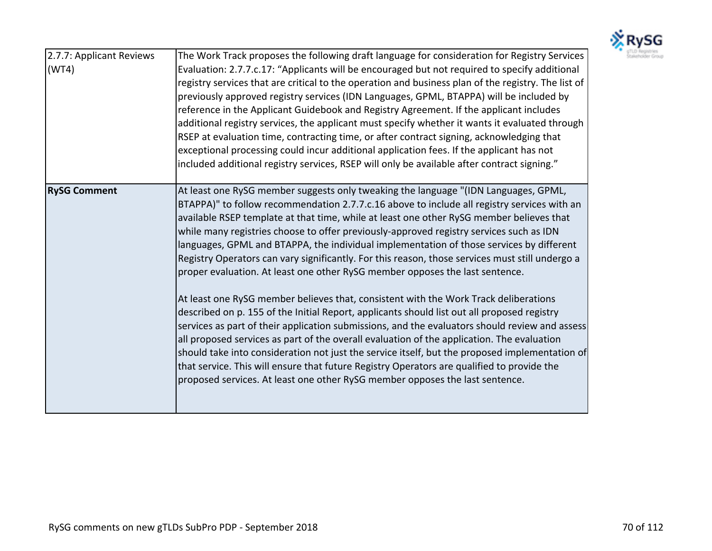

| 2.7.7: Applicant Reviews<br>(WT4) | The Work Track proposes the following draft language for consideration for Registry Services<br>Evaluation: 2.7.7.c.17: "Applicants will be encouraged but not required to specify additional<br>registry services that are critical to the operation and business plan of the registry. The list of<br>previously approved registry services (IDN Languages, GPML, BTAPPA) will be included by<br>reference in the Applicant Guidebook and Registry Agreement. If the applicant includes<br>additional registry services, the applicant must specify whether it wants it evaluated through<br>RSEP at evaluation time, contracting time, or after contract signing, acknowledging that<br>exceptional processing could incur additional application fees. If the applicant has not<br>included additional registry services, RSEP will only be available after contract signing." |
|-----------------------------------|------------------------------------------------------------------------------------------------------------------------------------------------------------------------------------------------------------------------------------------------------------------------------------------------------------------------------------------------------------------------------------------------------------------------------------------------------------------------------------------------------------------------------------------------------------------------------------------------------------------------------------------------------------------------------------------------------------------------------------------------------------------------------------------------------------------------------------------------------------------------------------|
| <b>RySG Comment</b>               | At least one RySG member suggests only tweaking the language "(IDN Languages, GPML,<br>BTAPPA)" to follow recommendation 2.7.7.c.16 above to include all registry services with an<br>available RSEP template at that time, while at least one other RySG member believes that<br>while many registries choose to offer previously-approved registry services such as IDN<br>languages, GPML and BTAPPA, the individual implementation of those services by different<br>Registry Operators can vary significantly. For this reason, those services must still undergo a<br>proper evaluation. At least one other RySG member opposes the last sentence.                                                                                                                                                                                                                           |
|                                   | At least one RySG member believes that, consistent with the Work Track deliberations<br>described on p. 155 of the Initial Report, applicants should list out all proposed registry<br>services as part of their application submissions, and the evaluators should review and assess<br>all proposed services as part of the overall evaluation of the application. The evaluation<br>should take into consideration not just the service itself, but the proposed implementation of<br>that service. This will ensure that future Registry Operators are qualified to provide the<br>proposed services. At least one other RySG member opposes the last sentence.                                                                                                                                                                                                                |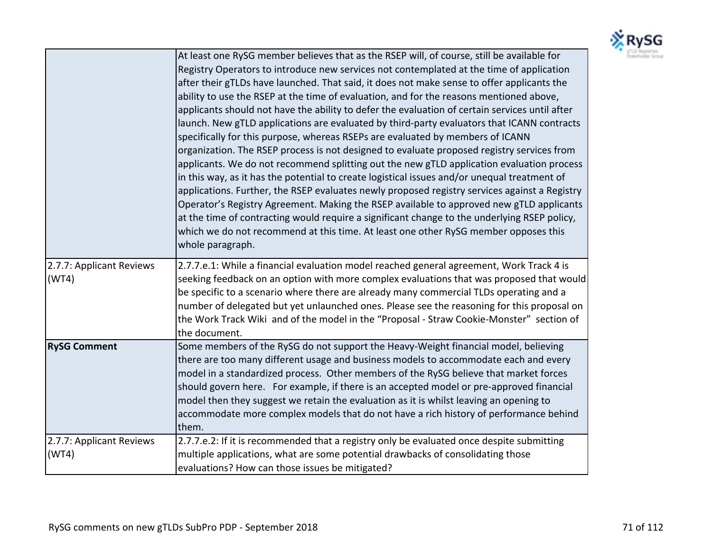

|                                   | At least one RySG member believes that as the RSEP will, of course, still be available for<br>Registry Operators to introduce new services not contemplated at the time of application<br>after their gTLDs have launched. That said, it does not make sense to offer applicants the<br>ability to use the RSEP at the time of evaluation, and for the reasons mentioned above,<br>applicants should not have the ability to defer the evaluation of certain services until after<br>launch. New gTLD applications are evaluated by third-party evaluators that ICANN contracts<br>specifically for this purpose, whereas RSEPs are evaluated by members of ICANN<br>organization. The RSEP process is not designed to evaluate proposed registry services from<br>applicants. We do not recommend splitting out the new gTLD application evaluation process<br>in this way, as it has the potential to create logistical issues and/or unequal treatment of<br>applications. Further, the RSEP evaluates newly proposed registry services against a Registry<br>Operator's Registry Agreement. Making the RSEP available to approved new gTLD applicants<br>at the time of contracting would require a significant change to the underlying RSEP policy,<br>which we do not recommend at this time. At least one other RySG member opposes this<br>whole paragraph. |
|-----------------------------------|----------------------------------------------------------------------------------------------------------------------------------------------------------------------------------------------------------------------------------------------------------------------------------------------------------------------------------------------------------------------------------------------------------------------------------------------------------------------------------------------------------------------------------------------------------------------------------------------------------------------------------------------------------------------------------------------------------------------------------------------------------------------------------------------------------------------------------------------------------------------------------------------------------------------------------------------------------------------------------------------------------------------------------------------------------------------------------------------------------------------------------------------------------------------------------------------------------------------------------------------------------------------------------------------------------------------------------------------------------------------|
| 2.7.7: Applicant Reviews<br>(WT4) | 2.7.7.e.1: While a financial evaluation model reached general agreement, Work Track 4 is<br>seeking feedback on an option with more complex evaluations that was proposed that would<br>be specific to a scenario where there are already many commercial TLDs operating and a<br>number of delegated but yet unlaunched ones. Please see the reasoning for this proposal on<br>the Work Track Wiki and of the model in the "Proposal - Straw Cookie-Monster" section of<br>the document.                                                                                                                                                                                                                                                                                                                                                                                                                                                                                                                                                                                                                                                                                                                                                                                                                                                                            |
| <b>RySG Comment</b>               | Some members of the RySG do not support the Heavy-Weight financial model, believing<br>there are too many different usage and business models to accommodate each and every<br>model in a standardized process. Other members of the RySG believe that market forces<br>should govern here. For example, if there is an accepted model or pre-approved financial<br>model then they suggest we retain the evaluation as it is whilst leaving an opening to<br>accommodate more complex models that do not have a rich history of performance behind<br>them.                                                                                                                                                                                                                                                                                                                                                                                                                                                                                                                                                                                                                                                                                                                                                                                                         |
| 2.7.7: Applicant Reviews<br>(WT4) | 2.7.7.e.2: If it is recommended that a registry only be evaluated once despite submitting<br>multiple applications, what are some potential drawbacks of consolidating those<br>evaluations? How can those issues be mitigated?                                                                                                                                                                                                                                                                                                                                                                                                                                                                                                                                                                                                                                                                                                                                                                                                                                                                                                                                                                                                                                                                                                                                      |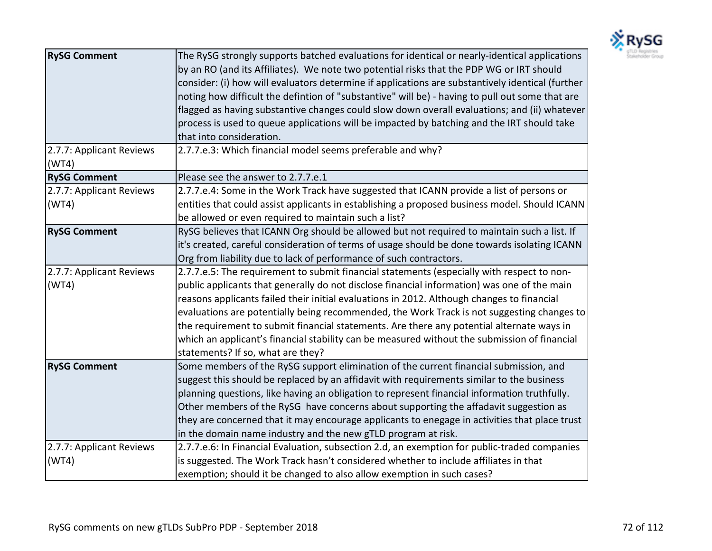

| <b>RySG Comment</b>               | The RySG strongly supports batched evaluations for identical or nearly-identical applications<br>by an RO (and its Affiliates). We note two potential risks that the PDP WG or IRT should<br>consider: (i) how will evaluators determine if applications are substantively identical (further<br>noting how difficult the defintion of "substantive" will be) - having to pull out some that are<br>flagged as having substantive changes could slow down overall evaluations; and (ii) whatever<br>process is used to queue applications will be impacted by batching and the IRT should take<br>that into consideration. |
|-----------------------------------|----------------------------------------------------------------------------------------------------------------------------------------------------------------------------------------------------------------------------------------------------------------------------------------------------------------------------------------------------------------------------------------------------------------------------------------------------------------------------------------------------------------------------------------------------------------------------------------------------------------------------|
| 2.7.7: Applicant Reviews<br>(WT4) | 2.7.7.e.3: Which financial model seems preferable and why?                                                                                                                                                                                                                                                                                                                                                                                                                                                                                                                                                                 |
| <b>RySG Comment</b>               | Please see the answer to 2.7.7.e.1                                                                                                                                                                                                                                                                                                                                                                                                                                                                                                                                                                                         |
| 2.7.7: Applicant Reviews<br>(WT4) | 2.7.7.e.4: Some in the Work Track have suggested that ICANN provide a list of persons or<br>entities that could assist applicants in establishing a proposed business model. Should ICANN<br>be allowed or even required to maintain such a list?                                                                                                                                                                                                                                                                                                                                                                          |
| <b>RySG Comment</b>               | RySG believes that ICANN Org should be allowed but not required to maintain such a list. If<br>it's created, careful consideration of terms of usage should be done towards isolating ICANN<br>Org from liability due to lack of performance of such contractors.                                                                                                                                                                                                                                                                                                                                                          |
| 2.7.7: Applicant Reviews<br>(WT4) | 2.7.7.e.5: The requirement to submit financial statements (especially with respect to non-<br>public applicants that generally do not disclose financial information) was one of the main<br>reasons applicants failed their initial evaluations in 2012. Although changes to financial<br>evaluations are potentially being recommended, the Work Track is not suggesting changes to<br>the requirement to submit financial statements. Are there any potential alternate ways in<br>which an applicant's financial stability can be measured without the submission of financial<br>statements? If so, what are they?    |
| <b>RySG Comment</b>               | Some members of the RySG support elimination of the current financial submission, and<br>suggest this should be replaced by an affidavit with requirements similar to the business<br>planning questions, like having an obligation to represent financial information truthfully.<br>Other members of the RySG have concerns about supporting the affadavit suggestion as<br>they are concerned that it may encourage applicants to enegage in activities that place trust<br>in the domain name industry and the new gTLD program at risk.                                                                               |
| 2.7.7: Applicant Reviews<br>(WT4) | 2.7.7.e.6: In Financial Evaluation, subsection 2.d, an exemption for public-traded companies<br>is suggested. The Work Track hasn't considered whether to include affiliates in that<br>exemption; should it be changed to also allow exemption in such cases?                                                                                                                                                                                                                                                                                                                                                             |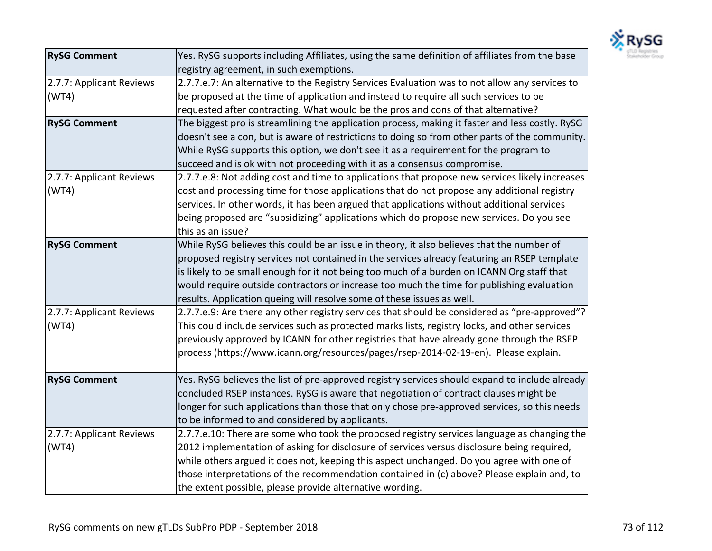

| <b>RySG Comment</b>      | Yes. RySG supports including Affiliates, using the same definition of affiliates from the base  |
|--------------------------|-------------------------------------------------------------------------------------------------|
|                          | registry agreement, in such exemptions.                                                         |
| 2.7.7: Applicant Reviews | 2.7.7.e.7: An alternative to the Registry Services Evaluation was to not allow any services to  |
| (WT4)                    | be proposed at the time of application and instead to require all such services to be           |
|                          | requested after contracting. What would be the pros and cons of that alternative?               |
| <b>RySG Comment</b>      | The biggest pro is streamlining the application process, making it faster and less costly. RySG |
|                          | doesn't see a con, but is aware of restrictions to doing so from other parts of the community.  |
|                          | While RySG supports this option, we don't see it as a requirement for the program to            |
|                          | succeed and is ok with not proceeding with it as a consensus compromise.                        |
| 2.7.7: Applicant Reviews | 2.7.7.e.8: Not adding cost and time to applications that propose new services likely increases  |
| (WT4)                    | cost and processing time for those applications that do not propose any additional registry     |
|                          | services. In other words, it has been argued that applications without additional services      |
|                          | being proposed are "subsidizing" applications which do propose new services. Do you see         |
|                          | this as an issue?                                                                               |
| <b>RySG Comment</b>      | While RySG believes this could be an issue in theory, it also believes that the number of       |
|                          | proposed registry services not contained in the services already featuring an RSEP template     |
|                          | is likely to be small enough for it not being too much of a burden on ICANN Org staff that      |
|                          | would require outside contractors or increase too much the time for publishing evaluation       |
|                          | results. Application queing will resolve some of these issues as well.                          |
| 2.7.7: Applicant Reviews | 2.7.7.e.9: Are there any other registry services that should be considered as "pre-approved"?   |
| (WT4)                    | This could include services such as protected marks lists, registry locks, and other services   |
|                          | previously approved by ICANN for other registries that have already gone through the RSEP       |
|                          | process (https://www.icann.org/resources/pages/rsep-2014-02-19-en). Please explain.             |
|                          |                                                                                                 |
| <b>RySG Comment</b>      | Yes. RySG believes the list of pre-approved registry services should expand to include already  |
|                          | concluded RSEP instances. RySG is aware that negotiation of contract clauses might be           |
|                          | longer for such applications than those that only chose pre-approved services, so this needs    |
|                          | to be informed to and considered by applicants.                                                 |
| 2.7.7: Applicant Reviews | 2.7.7.e.10: There are some who took the proposed registry services language as changing the     |
| (WT4)                    | 2012 implementation of asking for disclosure of services versus disclosure being required,      |
|                          | while others argued it does not, keeping this aspect unchanged. Do you agree with one of        |
|                          | those interpretations of the recommendation contained in (c) above? Please explain and, to      |
|                          | the extent possible, please provide alternative wording.                                        |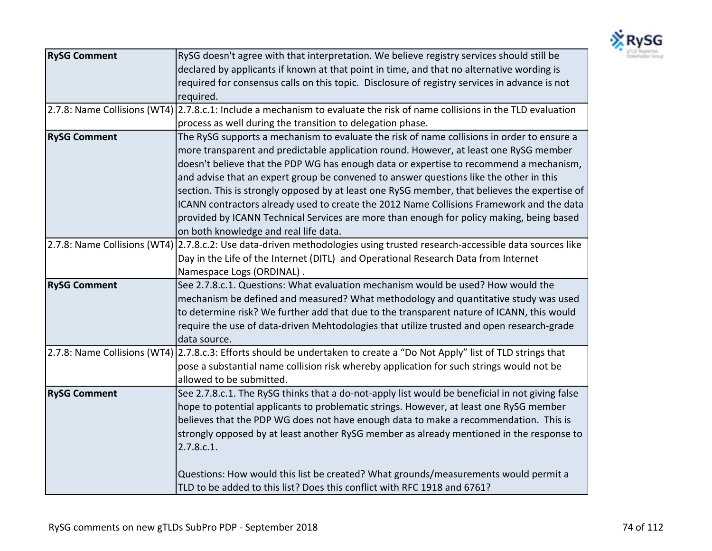

| <b>RySG Comment</b> | RySG doesn't agree with that interpretation. We believe registry services should still be                                 |
|---------------------|---------------------------------------------------------------------------------------------------------------------------|
|                     | declared by applicants if known at that point in time, and that no alternative wording is                                 |
|                     | required for consensus calls on this topic. Disclosure of registry services in advance is not                             |
|                     | required.                                                                                                                 |
|                     | 2.7.8: Name Collisions (WT4) 2.7.8.c.1: Include a mechanism to evaluate the risk of name collisions in the TLD evaluation |
|                     | process as well during the transition to delegation phase.                                                                |
| <b>RySG Comment</b> | The RySG supports a mechanism to evaluate the risk of name collisions in order to ensure a                                |
|                     | more transparent and predictable application round. However, at least one RySG member                                     |
|                     | doesn't believe that the PDP WG has enough data or expertise to recommend a mechanism,                                    |
|                     | and advise that an expert group be convened to answer questions like the other in this                                    |
|                     | section. This is strongly opposed by at least one RySG member, that believes the expertise of                             |
|                     | ICANN contractors already used to create the 2012 Name Collisions Framework and the data                                  |
|                     | provided by ICANN Technical Services are more than enough for policy making, being based                                  |
|                     | on both knowledge and real life data.                                                                                     |
|                     | 2.7.8: Name Collisions (WT4) 2.7.8.c.2: Use data-driven methodologies using trusted research-accessible data sources like |
|                     | Day in the Life of the Internet (DITL) and Operational Research Data from Internet                                        |
|                     | Namespace Logs (ORDINAL).                                                                                                 |
| <b>RySG Comment</b> | See 2.7.8.c.1. Questions: What evaluation mechanism would be used? How would the                                          |
|                     | mechanism be defined and measured? What methodology and quantitative study was used                                       |
|                     | to determine risk? We further add that due to the transparent nature of ICANN, this would                                 |
|                     | require the use of data-driven Mehtodologies that utilize trusted and open research-grade                                 |
|                     | data source.                                                                                                              |
|                     | 2.7.8: Name Collisions (WT4) 2.7.8.c.3: Efforts should be undertaken to create a "Do Not Apply" list of TLD strings that  |
|                     | pose a substantial name collision risk whereby application for such strings would not be                                  |
|                     | allowed to be submitted.                                                                                                  |
| <b>RySG Comment</b> | See 2.7.8.c.1. The RySG thinks that a do-not-apply list would be beneficial in not giving false                           |
|                     | hope to potential applicants to problematic strings. However, at least one RySG member                                    |
|                     | believes that the PDP WG does not have enough data to make a recommendation. This is                                      |
|                     | strongly opposed by at least another RySG member as already mentioned in the response to                                  |
|                     | 2.7.8.c.1.                                                                                                                |
|                     |                                                                                                                           |
|                     | Questions: How would this list be created? What grounds/measurements would permit a                                       |
|                     | TLD to be added to this list? Does this conflict with RFC 1918 and 6761?                                                  |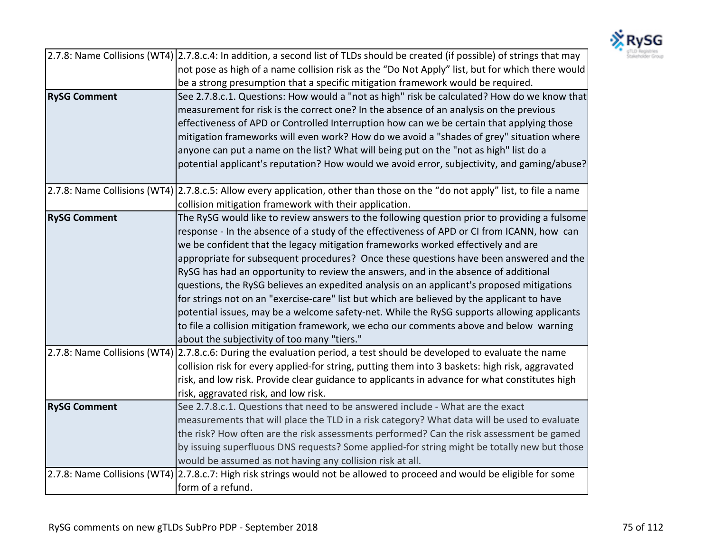

|                     | 2.7.8: Name Collisions (WT4) 2.7.8.c.4: In addition, a second list of TLDs should be created (if possible) of strings that may |
|---------------------|--------------------------------------------------------------------------------------------------------------------------------|
|                     | not pose as high of a name collision risk as the "Do Not Apply" list, but for which there would                                |
|                     | be a strong presumption that a specific mitigation framework would be required.                                                |
| <b>RySG Comment</b> | See 2.7.8.c.1. Questions: How would a "not as high" risk be calculated? How do we know that                                    |
|                     | measurement for risk is the correct one? In the absence of an analysis on the previous                                         |
|                     | effectiveness of APD or Controlled Interruption how can we be certain that applying those                                      |
|                     | mitigation frameworks will even work? How do we avoid a "shades of grey" situation where                                       |
|                     | anyone can put a name on the list? What will being put on the "not as high" list do a                                          |
|                     | potential applicant's reputation? How would we avoid error, subjectivity, and gaming/abuse?                                    |
|                     |                                                                                                                                |
|                     | 2.7.8: Name Collisions (WT4) 2.7.8.c.5: Allow every application, other than those on the "do not apply" list, to file a name   |
|                     | collision mitigation framework with their application.                                                                         |
| <b>RySG Comment</b> | The RySG would like to review answers to the following question prior to providing a fulsome                                   |
|                     | response - In the absence of a study of the effectiveness of APD or CI from ICANN, how can                                     |
|                     | we be confident that the legacy mitigation frameworks worked effectively and are                                               |
|                     | appropriate for subsequent procedures? Once these questions have been answered and the                                         |
|                     | RySG has had an opportunity to review the answers, and in the absence of additional                                            |
|                     | questions, the RySG believes an expedited analysis on an applicant's proposed mitigations                                      |
|                     | for strings not on an "exercise-care" list but which are believed by the applicant to have                                     |
|                     | potential issues, may be a welcome safety-net. While the RySG supports allowing applicants                                     |
|                     | to file a collision mitigation framework, we echo our comments above and below warning                                         |
|                     | about the subjectivity of too many "tiers."                                                                                    |
|                     | 2.7.8: Name Collisions (WT4) 2.7.8.c.6: During the evaluation period, a test should be developed to evaluate the name          |
|                     | collision risk for every applied-for string, putting them into 3 baskets: high risk, aggravated                                |
|                     | risk, and low risk. Provide clear guidance to applicants in advance for what constitutes high                                  |
|                     | risk, aggravated risk, and low risk.                                                                                           |
| <b>RySG Comment</b> | See 2.7.8.c.1. Questions that need to be answered include - What are the exact                                                 |
|                     | measurements that will place the TLD in a risk category? What data will be used to evaluate                                    |
|                     | the risk? How often are the risk assessments performed? Can the risk assessment be gamed                                       |
|                     | by issuing superfluous DNS requests? Some applied-for string might be totally new but those                                    |
|                     | would be assumed as not having any collision risk at all.                                                                      |
|                     | 2.7.8: Name Collisions (WT4) 2.7.8.c.7: High risk strings would not be allowed to proceed and would be eligible for some       |
|                     | form of a refund.                                                                                                              |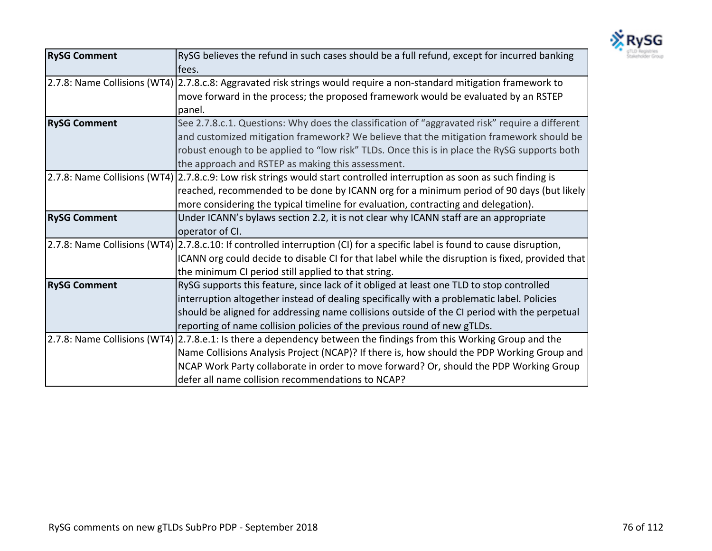

| <b>RySG Comment</b> | RySG believes the refund in such cases should be a full refund, except for incurred banking                                 |
|---------------------|-----------------------------------------------------------------------------------------------------------------------------|
|                     | lfees.                                                                                                                      |
|                     | 2.7.8: Name Collisions (WT4) 2.7.8.c.8: Aggravated risk strings would require a non-standard mitigation framework to        |
|                     | move forward in the process; the proposed framework would be evaluated by an RSTEP                                          |
|                     | panel.                                                                                                                      |
| <b>RySG Comment</b> | See 2.7.8.c.1. Questions: Why does the classification of "aggravated risk" require a different                              |
|                     | and customized mitigation framework? We believe that the mitigation framework should be                                     |
|                     | robust enough to be applied to "low risk" TLDs. Once this is in place the RySG supports both                                |
|                     | the approach and RSTEP as making this assessment.                                                                           |
|                     | 2.7.8: Name Collisions (WT4) 2.7.8.c.9: Low risk strings would start controlled interruption as soon as such finding is     |
|                     | reached, recommended to be done by ICANN org for a minimum period of 90 days (but likely                                    |
|                     | more considering the typical timeline for evaluation, contracting and delegation).                                          |
| <b>RySG Comment</b> | Under ICANN's bylaws section 2.2, it is not clear why ICANN staff are an appropriate                                        |
|                     | operator of CI.                                                                                                             |
|                     | 2.7.8: Name Collisions (WT4) 2.7.8.c.10: If controlled interruption (CI) for a specific label is found to cause disruption, |
|                     | ICANN org could decide to disable CI for that label while the disruption is fixed, provided that                            |
|                     | the minimum CI period still applied to that string.                                                                         |
| <b>RySG Comment</b> | RySG supports this feature, since lack of it obliged at least one TLD to stop controlled                                    |
|                     | interruption altogether instead of dealing specifically with a problematic label. Policies                                  |
|                     | should be aligned for addressing name collisions outside of the CI period with the perpetual                                |
|                     | reporting of name collision policies of the previous round of new gTLDs.                                                    |
|                     | 2.7.8: Name Collisions (WT4) 2.7.8.e.1: Is there a dependency between the findings from this Working Group and the          |
|                     | Name Collisions Analysis Project (NCAP)? If there is, how should the PDP Working Group and                                  |
|                     | NCAP Work Party collaborate in order to move forward? Or, should the PDP Working Group                                      |
|                     | defer all name collision recommendations to NCAP?                                                                           |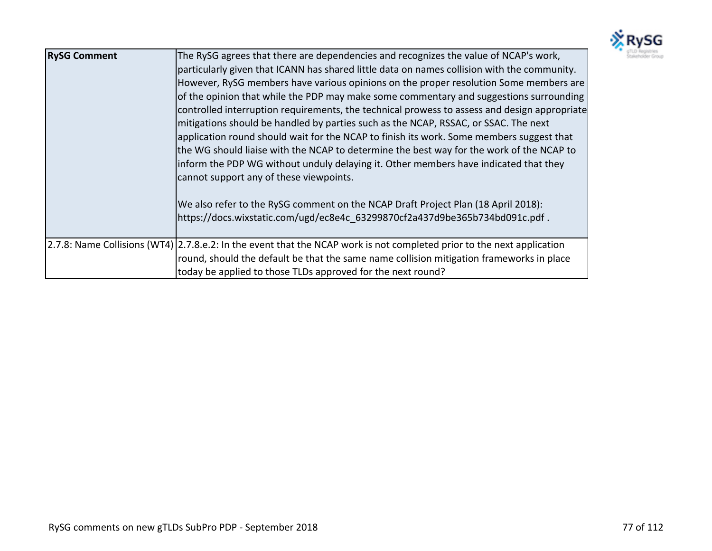

| <b>RySG Comment</b> | The RySG agrees that there are dependencies and recognizes the value of NCAP's work,<br>particularly given that ICANN has shared little data on names collision with the community.<br>However, RySG members have various opinions on the proper resolution Some members are<br>of the opinion that while the PDP may make some commentary and suggestions surrounding<br>controlled interruption requirements, the technical prowess to assess and design appropriate<br>mitigations should be handled by parties such as the NCAP, RSSAC, or SSAC. The next<br>application round should wait for the NCAP to finish its work. Some members suggest that<br>the WG should liaise with the NCAP to determine the best way for the work of the NCAP to<br>inform the PDP WG without unduly delaying it. Other members have indicated that they<br>cannot support any of these viewpoints.<br>We also refer to the RySG comment on the NCAP Draft Project Plan (18 April 2018):<br>https://docs.wixstatic.com/ugd/ec8e4c 63299870cf2a437d9be365b734bd091c.pdf. |
|---------------------|--------------------------------------------------------------------------------------------------------------------------------------------------------------------------------------------------------------------------------------------------------------------------------------------------------------------------------------------------------------------------------------------------------------------------------------------------------------------------------------------------------------------------------------------------------------------------------------------------------------------------------------------------------------------------------------------------------------------------------------------------------------------------------------------------------------------------------------------------------------------------------------------------------------------------------------------------------------------------------------------------------------------------------------------------------------|
|                     | 2.7.8: Name Collisions (WT4) 2.7.8.e.2: In the event that the NCAP work is not completed prior to the next application<br>round, should the default be that the same name collision mitigation frameworks in place<br>today be applied to those TLDs approved for the next round?                                                                                                                                                                                                                                                                                                                                                                                                                                                                                                                                                                                                                                                                                                                                                                            |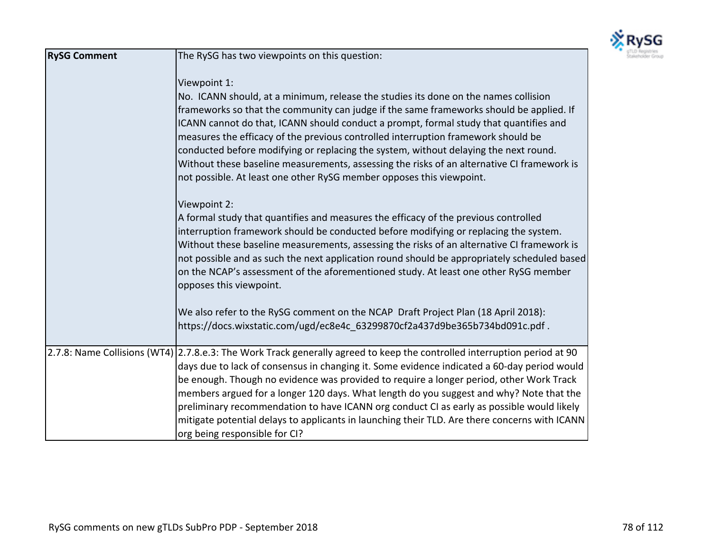

| <b>RySG Comment</b> | The RySG has two viewpoints on this question:                                                                                                                                                                                                                                                                                                                                                                                                                                                                                                                                                                                                |
|---------------------|----------------------------------------------------------------------------------------------------------------------------------------------------------------------------------------------------------------------------------------------------------------------------------------------------------------------------------------------------------------------------------------------------------------------------------------------------------------------------------------------------------------------------------------------------------------------------------------------------------------------------------------------|
|                     | Viewpoint 1:<br>No. ICANN should, at a minimum, release the studies its done on the names collision<br>frameworks so that the community can judge if the same frameworks should be applied. If<br>ICANN cannot do that, ICANN should conduct a prompt, formal study that quantifies and<br>measures the efficacy of the previous controlled interruption framework should be<br>conducted before modifying or replacing the system, without delaying the next round.<br>Without these baseline measurements, assessing the risks of an alternative CI framework is<br>not possible. At least one other RySG member opposes this viewpoint.   |
|                     | Viewpoint 2:<br>A formal study that quantifies and measures the efficacy of the previous controlled<br>interruption framework should be conducted before modifying or replacing the system.<br>Without these baseline measurements, assessing the risks of an alternative CI framework is<br>not possible and as such the next application round should be appropriately scheduled based<br>on the NCAP's assessment of the aforementioned study. At least one other RySG member<br>opposes this viewpoint.                                                                                                                                  |
|                     | We also refer to the RySG comment on the NCAP Draft Project Plan (18 April 2018):<br>https://docs.wixstatic.com/ugd/ec8e4c 63299870cf2a437d9be365b734bd091c.pdf.                                                                                                                                                                                                                                                                                                                                                                                                                                                                             |
|                     | 2.7.8: Name Collisions (WT4) 2.7.8.e.3: The Work Track generally agreed to keep the controlled interruption period at 90<br>days due to lack of consensus in changing it. Some evidence indicated a 60-day period would<br>be enough. Though no evidence was provided to require a longer period, other Work Track<br>members argued for a longer 120 days. What length do you suggest and why? Note that the<br>preliminary recommendation to have ICANN org conduct CI as early as possible would likely<br>mitigate potential delays to applicants in launching their TLD. Are there concerns with ICANN<br>org being responsible for CI? |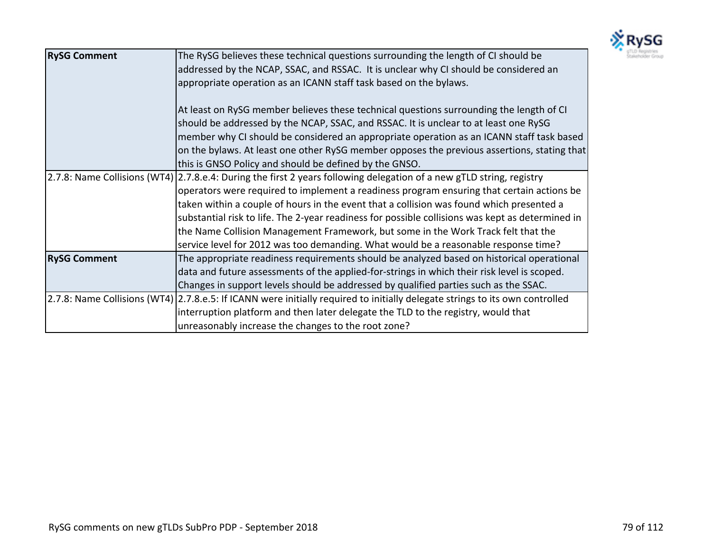

| <b>RySG Comment</b> | The RySG believes these technical questions surrounding the length of CI should be                                           |
|---------------------|------------------------------------------------------------------------------------------------------------------------------|
|                     | addressed by the NCAP, SSAC, and RSSAC. It is unclear why CI should be considered an                                         |
|                     | appropriate operation as an ICANN staff task based on the bylaws.                                                            |
|                     | At least on RySG member believes these technical questions surrounding the length of CI                                      |
|                     | should be addressed by the NCAP, SSAC, and RSSAC. It is unclear to at least one RySG                                         |
|                     | member why CI should be considered an appropriate operation as an ICANN staff task based                                     |
|                     | on the bylaws. At least one other RySG member opposes the previous assertions, stating that                                  |
|                     | this is GNSO Policy and should be defined by the GNSO.                                                                       |
|                     | 2.7.8: Name Collisions (WT4) 2.7.8.e.4: During the first 2 years following delegation of a new gTLD string, registry         |
|                     | operators were required to implement a readiness program ensuring that certain actions be                                    |
|                     | taken within a couple of hours in the event that a collision was found which presented a                                     |
|                     | substantial risk to life. The 2-year readiness for possible collisions was kept as determined in                             |
|                     | the Name Collision Management Framework, but some in the Work Track felt that the                                            |
|                     | service level for 2012 was too demanding. What would be a reasonable response time?                                          |
| <b>RySG Comment</b> | The appropriate readiness requirements should be analyzed based on historical operational                                    |
|                     | data and future assessments of the applied-for-strings in which their risk level is scoped.                                  |
|                     | Changes in support levels should be addressed by qualified parties such as the SSAC.                                         |
|                     | 2.7.8: Name Collisions (WT4) 2.7.8.e.5: If ICANN were initially required to initially delegate strings to its own controlled |
|                     | interruption platform and then later delegate the TLD to the registry, would that                                            |
|                     | unreasonably increase the changes to the root zone?                                                                          |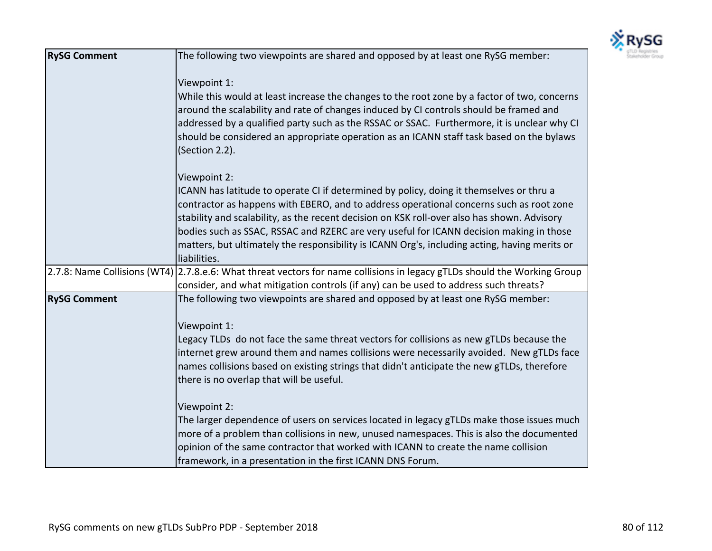

| <b>RySG Comment</b> | The following two viewpoints are shared and opposed by at least one RySG member:                                                                                                                                                                                                                                                                                                                                                                                                              |
|---------------------|-----------------------------------------------------------------------------------------------------------------------------------------------------------------------------------------------------------------------------------------------------------------------------------------------------------------------------------------------------------------------------------------------------------------------------------------------------------------------------------------------|
|                     | Viewpoint 1:                                                                                                                                                                                                                                                                                                                                                                                                                                                                                  |
|                     | While this would at least increase the changes to the root zone by a factor of two, concerns<br>around the scalability and rate of changes induced by CI controls should be framed and<br>addressed by a qualified party such as the RSSAC or SSAC. Furthermore, it is unclear why CI<br>should be considered an appropriate operation as an ICANN staff task based on the bylaws<br>(Section 2.2).                                                                                           |
|                     | Viewpoint 2:                                                                                                                                                                                                                                                                                                                                                                                                                                                                                  |
|                     | ICANN has latitude to operate CI if determined by policy, doing it themselves or thru a<br>contractor as happens with EBERO, and to address operational concerns such as root zone<br>stability and scalability, as the recent decision on KSK roll-over also has shown. Advisory<br>bodies such as SSAC, RSSAC and RZERC are very useful for ICANN decision making in those<br>matters, but ultimately the responsibility is ICANN Org's, including acting, having merits or<br>liabilities. |
|                     | 2.7.8: Name Collisions (WT4) 2.7.8.e.6: What threat vectors for name collisions in legacy gTLDs should the Working Group                                                                                                                                                                                                                                                                                                                                                                      |
| <b>RySG Comment</b> | consider, and what mitigation controls (if any) can be used to address such threats?<br>The following two viewpoints are shared and opposed by at least one RySG member:                                                                                                                                                                                                                                                                                                                      |
|                     | Viewpoint 1:<br>Legacy TLDs do not face the same threat vectors for collisions as new gTLDs because the<br>internet grew around them and names collisions were necessarily avoided. New gTLDs face<br>names collisions based on existing strings that didn't anticipate the new gTLDs, therefore<br>there is no overlap that will be useful.                                                                                                                                                  |
|                     | Viewpoint 2:                                                                                                                                                                                                                                                                                                                                                                                                                                                                                  |
|                     | The larger dependence of users on services located in legacy gTLDs make those issues much<br>more of a problem than collisions in new, unused namespaces. This is also the documented<br>opinion of the same contractor that worked with ICANN to create the name collision<br>framework, in a presentation in the first ICANN DNS Forum.                                                                                                                                                     |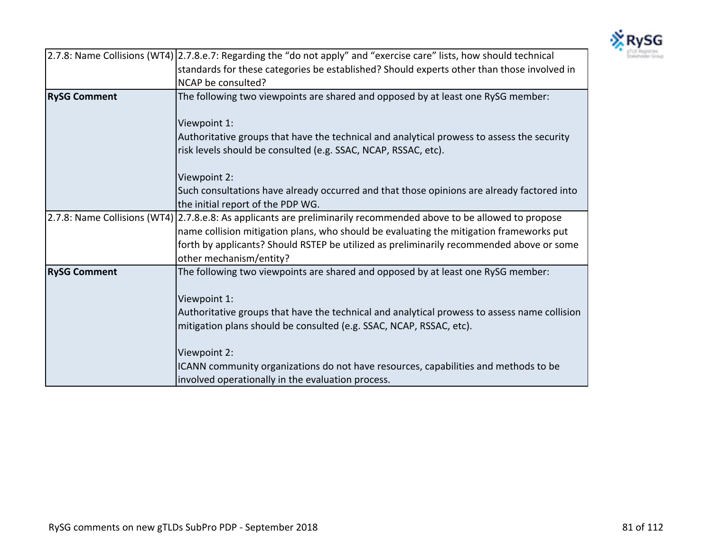

|                     | 2.7.8: Name Collisions (WT4) 2.7.8.e.7: Regarding the "do not apply" and "exercise care" lists, how should technical |
|---------------------|----------------------------------------------------------------------------------------------------------------------|
|                     | standards for these categories be established? Should experts other than those involved in                           |
|                     | NCAP be consulted?                                                                                                   |
| <b>RySG Comment</b> | The following two viewpoints are shared and opposed by at least one RySG member:                                     |
|                     | Viewpoint 1:                                                                                                         |
|                     | Authoritative groups that have the technical and analytical prowess to assess the security                           |
|                     | risk levels should be consulted (e.g. SSAC, NCAP, RSSAC, etc).                                                       |
|                     | Viewpoint 2:                                                                                                         |
|                     | Such consultations have already occurred and that those opinions are already factored into                           |
|                     | the initial report of the PDP WG.                                                                                    |
|                     | 2.7.8: Name Collisions (WT4) 2.7.8.e.8: As applicants are preliminarily recommended above to be allowed to propose   |
|                     | name collision mitigation plans, who should be evaluating the mitigation frameworks put                              |
|                     | forth by applicants? Should RSTEP be utilized as preliminarily recommended above or some<br>other mechanism/entity?  |
| <b>RySG Comment</b> | The following two viewpoints are shared and opposed by at least one RySG member:                                     |
|                     | Viewpoint 1:                                                                                                         |
|                     | Authoritative groups that have the technical and analytical prowess to assess name collision                         |
|                     | mitigation plans should be consulted (e.g. SSAC, NCAP, RSSAC, etc).                                                  |
|                     | Viewpoint 2:                                                                                                         |
|                     | ICANN community organizations do not have resources, capabilities and methods to be                                  |
|                     | involved operationally in the evaluation process.                                                                    |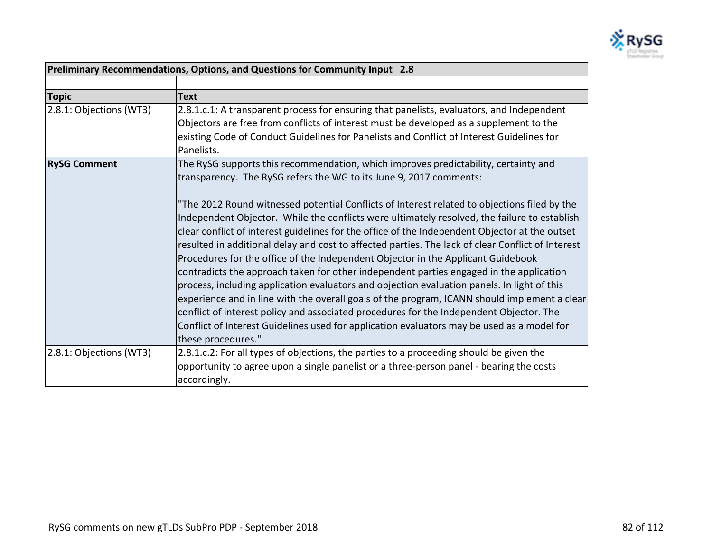

| Preliminary Recommendations, Options, and Questions for Community Input 2.8 |                                                                                                                                                                                                                                                                                                                                                                                                                                                                                                                                                                                                                                                                                                                                                                                                                                                                                                                                                                                                  |
|-----------------------------------------------------------------------------|--------------------------------------------------------------------------------------------------------------------------------------------------------------------------------------------------------------------------------------------------------------------------------------------------------------------------------------------------------------------------------------------------------------------------------------------------------------------------------------------------------------------------------------------------------------------------------------------------------------------------------------------------------------------------------------------------------------------------------------------------------------------------------------------------------------------------------------------------------------------------------------------------------------------------------------------------------------------------------------------------|
|                                                                             |                                                                                                                                                                                                                                                                                                                                                                                                                                                                                                                                                                                                                                                                                                                                                                                                                                                                                                                                                                                                  |
| <b>Topic</b>                                                                | <b>Text</b>                                                                                                                                                                                                                                                                                                                                                                                                                                                                                                                                                                                                                                                                                                                                                                                                                                                                                                                                                                                      |
| 2.8.1: Objections (WT3)                                                     | 2.8.1.c.1: A transparent process for ensuring that panelists, evaluators, and Independent<br>Objectors are free from conflicts of interest must be developed as a supplement to the<br>existing Code of Conduct Guidelines for Panelists and Conflict of Interest Guidelines for<br>Panelists.                                                                                                                                                                                                                                                                                                                                                                                                                                                                                                                                                                                                                                                                                                   |
| <b>RySG Comment</b>                                                         | The RySG supports this recommendation, which improves predictability, certainty and<br>transparency. The RySG refers the WG to its June 9, 2017 comments:                                                                                                                                                                                                                                                                                                                                                                                                                                                                                                                                                                                                                                                                                                                                                                                                                                        |
|                                                                             | "The 2012 Round witnessed potential Conflicts of Interest related to objections filed by the<br>Independent Objector. While the conflicts were ultimately resolved, the failure to establish<br>clear conflict of interest guidelines for the office of the Independent Objector at the outset<br>resulted in additional delay and cost to affected parties. The lack of clear Conflict of Interest<br>Procedures for the office of the Independent Objector in the Applicant Guidebook<br>contradicts the approach taken for other independent parties engaged in the application<br>process, including application evaluators and objection evaluation panels. In light of this<br>experience and in line with the overall goals of the program, ICANN should implement a clear<br>conflict of interest policy and associated procedures for the Independent Objector. The<br>Conflict of Interest Guidelines used for application evaluators may be used as a model for<br>these procedures." |
| 2.8.1: Objections (WT3)                                                     | 2.8.1.c.2: For all types of objections, the parties to a proceeding should be given the<br>opportunity to agree upon a single panelist or a three-person panel - bearing the costs<br>accordingly.                                                                                                                                                                                                                                                                                                                                                                                                                                                                                                                                                                                                                                                                                                                                                                                               |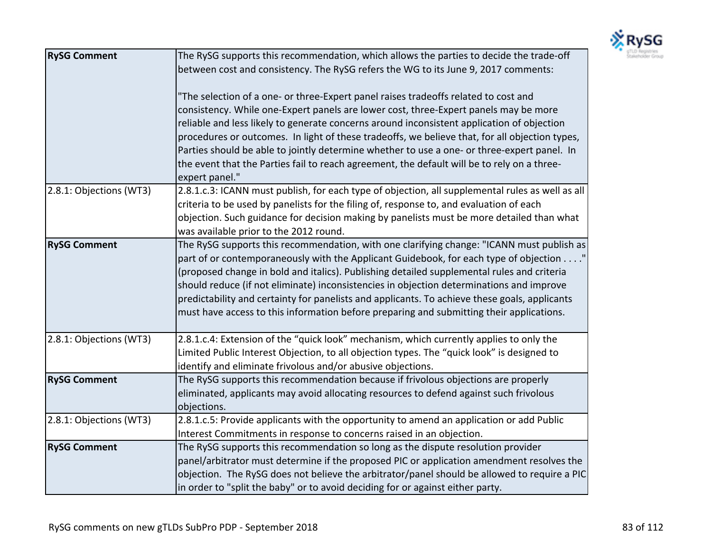

| <b>RySG Comment</b>     | The RySG supports this recommendation, which allows the parties to decide the trade-off          |
|-------------------------|--------------------------------------------------------------------------------------------------|
|                         | between cost and consistency. The RySG refers the WG to its June 9, 2017 comments:               |
|                         |                                                                                                  |
|                         | "The selection of a one- or three-Expert panel raises tradeoffs related to cost and              |
|                         | consistency. While one-Expert panels are lower cost, three-Expert panels may be more             |
|                         | reliable and less likely to generate concerns around inconsistent application of objection       |
|                         | procedures or outcomes. In light of these tradeoffs, we believe that, for all objection types,   |
|                         | Parties should be able to jointly determine whether to use a one- or three-expert panel. In      |
|                         | the event that the Parties fail to reach agreement, the default will be to rely on a three-      |
|                         | expert panel."                                                                                   |
| 2.8.1: Objections (WT3) | 2.8.1.c.3: ICANN must publish, for each type of objection, all supplemental rules as well as all |
|                         | criteria to be used by panelists for the filing of, response to, and evaluation of each          |
|                         | objection. Such guidance for decision making by panelists must be more detailed than what        |
|                         | was available prior to the 2012 round.                                                           |
| <b>RySG Comment</b>     | The RySG supports this recommendation, with one clarifying change: "ICANN must publish as        |
|                         | part of or contemporaneously with the Applicant Guidebook, for each type of objection"           |
|                         | (proposed change in bold and italics). Publishing detailed supplemental rules and criteria       |
|                         | should reduce (if not eliminate) inconsistencies in objection determinations and improve         |
|                         | predictability and certainty for panelists and applicants. To achieve these goals, applicants    |
|                         | must have access to this information before preparing and submitting their applications.         |
|                         |                                                                                                  |
| 2.8.1: Objections (WT3) | 2.8.1.c.4: Extension of the "quick look" mechanism, which currently applies to only the          |
|                         | Limited Public Interest Objection, to all objection types. The "quick look" is designed to       |
|                         | identify and eliminate frivolous and/or abusive objections.                                      |
| <b>RySG Comment</b>     | The RySG supports this recommendation because if frivolous objections are properly               |
|                         | eliminated, applicants may avoid allocating resources to defend against such frivolous           |
|                         | objections.                                                                                      |
| 2.8.1: Objections (WT3) | 2.8.1.c.5: Provide applicants with the opportunity to amend an application or add Public         |
|                         | Interest Commitments in response to concerns raised in an objection.                             |
| <b>RySG Comment</b>     | The RySG supports this recommendation so long as the dispute resolution provider                 |
|                         | panel/arbitrator must determine if the proposed PIC or application amendment resolves the        |
|                         | objection. The RySG does not believe the arbitrator/panel should be allowed to require a PIC     |
|                         | in order to "split the baby" or to avoid deciding for or against either party.                   |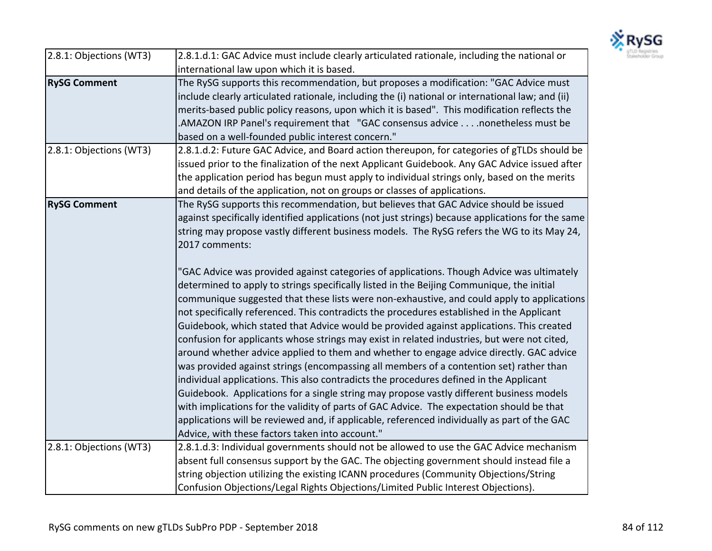

| 2.8.1: Objections (WT3) | 2.8.1.d.1: GAC Advice must include clearly articulated rationale, including the national or       |
|-------------------------|---------------------------------------------------------------------------------------------------|
|                         | international law upon which it is based.                                                         |
| <b>RySG Comment</b>     | The RySG supports this recommendation, but proposes a modification: "GAC Advice must              |
|                         | include clearly articulated rationale, including the (i) national or international law; and (ii)  |
|                         | merits-based public policy reasons, upon which it is based". This modification reflects the       |
|                         | .AMAZON IRP Panel's requirement that "GAC consensus advicenonetheless must be                     |
|                         | based on a well-founded public interest concern."                                                 |
| 2.8.1: Objections (WT3) | 2.8.1.d.2: Future GAC Advice, and Board action thereupon, for categories of gTLDs should be       |
|                         | issued prior to the finalization of the next Applicant Guidebook. Any GAC Advice issued after     |
|                         | the application period has begun must apply to individual strings only, based on the merits       |
|                         | and details of the application, not on groups or classes of applications.                         |
| <b>RySG Comment</b>     | The RySG supports this recommendation, but believes that GAC Advice should be issued              |
|                         | against specifically identified applications (not just strings) because applications for the same |
|                         | string may propose vastly different business models. The RySG refers the WG to its May 24,        |
|                         | 2017 comments:                                                                                    |
|                         |                                                                                                   |
|                         | "GAC Advice was provided against categories of applications. Though Advice was ultimately         |
|                         | determined to apply to strings specifically listed in the Beijing Communique, the initial         |
|                         | communique suggested that these lists were non-exhaustive, and could apply to applications        |
|                         | not specifically referenced. This contradicts the procedures established in the Applicant         |
|                         | Guidebook, which stated that Advice would be provided against applications. This created          |
|                         | confusion for applicants whose strings may exist in related industries, but were not cited,       |
|                         | around whether advice applied to them and whether to engage advice directly. GAC advice           |
|                         | was provided against strings (encompassing all members of a contention set) rather than           |
|                         | individual applications. This also contradicts the procedures defined in the Applicant            |
|                         | Guidebook. Applications for a single string may propose vastly different business models          |
|                         | with implications for the validity of parts of GAC Advice. The expectation should be that         |
|                         | applications will be reviewed and, if applicable, referenced individually as part of the GAC      |
|                         | Advice, with these factors taken into account."                                                   |
| 2.8.1: Objections (WT3) | 2.8.1.d.3: Individual governments should not be allowed to use the GAC Advice mechanism           |
|                         | absent full consensus support by the GAC. The objecting government should instead file a          |
|                         | string objection utilizing the existing ICANN procedures (Community Objections/String             |
|                         | Confusion Objections/Legal Rights Objections/Limited Public Interest Objections).                 |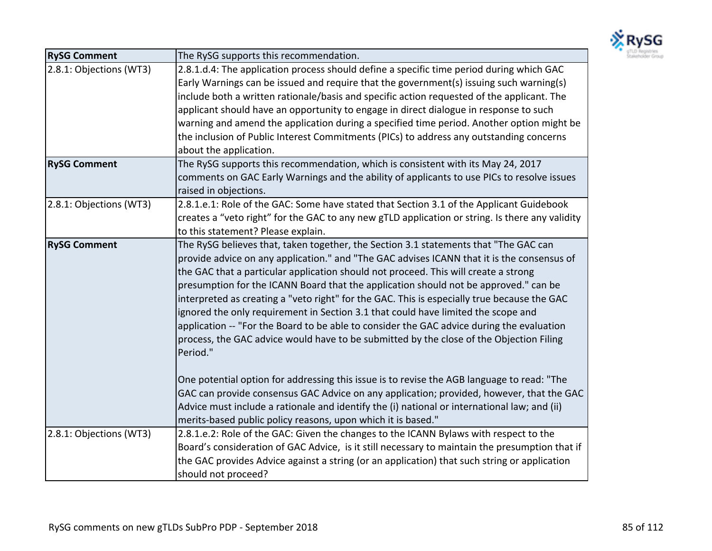

| <b>RySG Comment</b>     | The RySG supports this recommendation.                                                          |
|-------------------------|-------------------------------------------------------------------------------------------------|
| 2.8.1: Objections (WT3) | 2.8.1.d.4: The application process should define a specific time period during which GAC        |
|                         | Early Warnings can be issued and require that the government(s) issuing such warning(s)         |
|                         | include both a written rationale/basis and specific action requested of the applicant. The      |
|                         | applicant should have an opportunity to engage in direct dialogue in response to such           |
|                         | warning and amend the application during a specified time period. Another option might be       |
|                         | the inclusion of Public Interest Commitments (PICs) to address any outstanding concerns         |
|                         | about the application.                                                                          |
| <b>RySG Comment</b>     | The RySG supports this recommendation, which is consistent with its May 24, 2017                |
|                         | comments on GAC Early Warnings and the ability of applicants to use PICs to resolve issues      |
|                         | raised in objections.                                                                           |
| 2.8.1: Objections (WT3) | 2.8.1.e.1: Role of the GAC: Some have stated that Section 3.1 of the Applicant Guidebook        |
|                         | creates a "veto right" for the GAC to any new gTLD application or string. Is there any validity |
|                         | to this statement? Please explain.                                                              |
| <b>RySG Comment</b>     | The RySG believes that, taken together, the Section 3.1 statements that "The GAC can            |
|                         | provide advice on any application." and "The GAC advises ICANN that it is the consensus of      |
|                         | the GAC that a particular application should not proceed. This will create a strong             |
|                         | presumption for the ICANN Board that the application should not be approved." can be            |
|                         | interpreted as creating a "veto right" for the GAC. This is especially true because the GAC     |
|                         | ignored the only requirement in Section 3.1 that could have limited the scope and               |
|                         | application -- "For the Board to be able to consider the GAC advice during the evaluation       |
|                         | process, the GAC advice would have to be submitted by the close of the Objection Filing         |
|                         | Period."                                                                                        |
|                         | One potential option for addressing this issue is to revise the AGB language to read: "The      |
|                         | GAC can provide consensus GAC Advice on any application; provided, however, that the GAC        |
|                         | Advice must include a rationale and identify the (i) national or international law; and (ii)    |
|                         | merits-based public policy reasons, upon which it is based."                                    |
| 2.8.1: Objections (WT3) | 2.8.1.e.2: Role of the GAC: Given the changes to the ICANN Bylaws with respect to the           |
|                         | Board's consideration of GAC Advice, is it still necessary to maintain the presumption that if  |
|                         | the GAC provides Advice against a string (or an application) that such string or application    |
|                         | should not proceed?                                                                             |
|                         |                                                                                                 |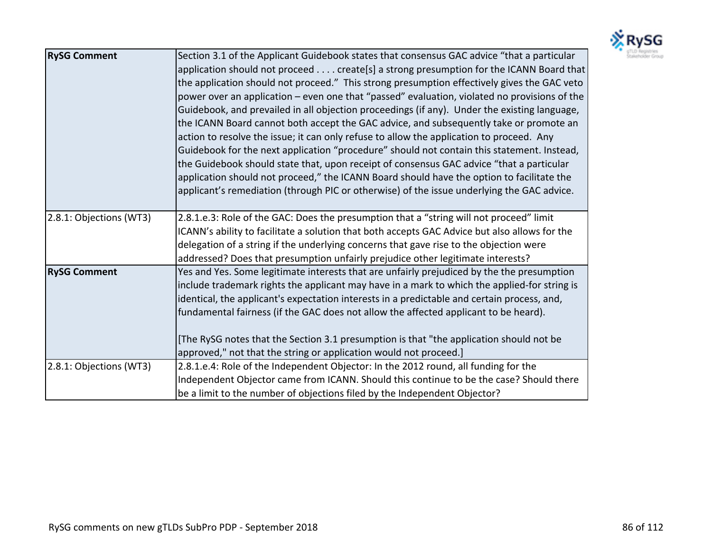

| <b>RySG Comment</b>     | Section 3.1 of the Applicant Guidebook states that consensus GAC advice "that a particular<br>application should not proceed create[s] a strong presumption for the ICANN Board that<br>the application should not proceed." This strong presumption effectively gives the GAC veto<br>power over an application – even one that "passed" evaluation, violated no provisions of the<br>Guidebook, and prevailed in all objection proceedings (if any). Under the existing language,<br>the ICANN Board cannot both accept the GAC advice, and subsequently take or promote an<br>action to resolve the issue; it can only refuse to allow the application to proceed. Any<br>Guidebook for the next application "procedure" should not contain this statement. Instead,<br>the Guidebook should state that, upon receipt of consensus GAC advice "that a particular<br>application should not proceed," the ICANN Board should have the option to facilitate the<br>applicant's remediation (through PIC or otherwise) of the issue underlying the GAC advice. |
|-------------------------|----------------------------------------------------------------------------------------------------------------------------------------------------------------------------------------------------------------------------------------------------------------------------------------------------------------------------------------------------------------------------------------------------------------------------------------------------------------------------------------------------------------------------------------------------------------------------------------------------------------------------------------------------------------------------------------------------------------------------------------------------------------------------------------------------------------------------------------------------------------------------------------------------------------------------------------------------------------------------------------------------------------------------------------------------------------|
| 2.8.1: Objections (WT3) | 2.8.1.e.3: Role of the GAC: Does the presumption that a "string will not proceed" limit<br>ICANN's ability to facilitate a solution that both accepts GAC Advice but also allows for the<br>delegation of a string if the underlying concerns that gave rise to the objection were<br>addressed? Does that presumption unfairly prejudice other legitimate interests?                                                                                                                                                                                                                                                                                                                                                                                                                                                                                                                                                                                                                                                                                          |
| <b>RySG Comment</b>     | Yes and Yes. Some legitimate interests that are unfairly prejudiced by the the presumption<br>include trademark rights the applicant may have in a mark to which the applied-for string is<br>identical, the applicant's expectation interests in a predictable and certain process, and,<br>fundamental fairness (if the GAC does not allow the affected applicant to be heard).<br>The RySG notes that the Section 3.1 presumption is that "the application should not be<br>approved," not that the string or application would not proceed.]                                                                                                                                                                                                                                                                                                                                                                                                                                                                                                               |
| 2.8.1: Objections (WT3) | 2.8.1.e.4: Role of the Independent Objector: In the 2012 round, all funding for the<br>Independent Objector came from ICANN. Should this continue to be the case? Should there<br>be a limit to the number of objections filed by the Independent Objector?                                                                                                                                                                                                                                                                                                                                                                                                                                                                                                                                                                                                                                                                                                                                                                                                    |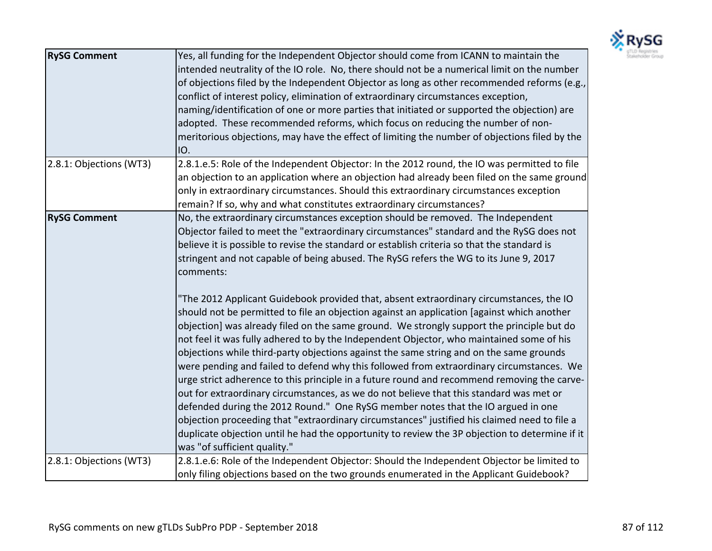

| <b>RySG Comment</b>     | Yes, all funding for the Independent Objector should come from ICANN to maintain the<br>intended neutrality of the IO role. No, there should not be a numerical limit on the number<br>of objections filed by the Independent Objector as long as other recommended reforms (e.g.,<br>conflict of interest policy, elimination of extraordinary circumstances exception,<br>naming/identification of one or more parties that initiated or supported the objection) are<br>adopted. These recommended reforms, which focus on reducing the number of non-<br>meritorious objections, may have the effect of limiting the number of objections filed by the<br>IO.                                                                                                                                                                                                                                                                                                                                                                                                                                                                                                                                                                                                                                                                                                                                                                                                          |
|-------------------------|----------------------------------------------------------------------------------------------------------------------------------------------------------------------------------------------------------------------------------------------------------------------------------------------------------------------------------------------------------------------------------------------------------------------------------------------------------------------------------------------------------------------------------------------------------------------------------------------------------------------------------------------------------------------------------------------------------------------------------------------------------------------------------------------------------------------------------------------------------------------------------------------------------------------------------------------------------------------------------------------------------------------------------------------------------------------------------------------------------------------------------------------------------------------------------------------------------------------------------------------------------------------------------------------------------------------------------------------------------------------------------------------------------------------------------------------------------------------------|
| 2.8.1: Objections (WT3) | 2.8.1.e.5: Role of the Independent Objector: In the 2012 round, the IO was permitted to file<br>an objection to an application where an objection had already been filed on the same ground<br>only in extraordinary circumstances. Should this extraordinary circumstances exception<br>remain? If so, why and what constitutes extraordinary circumstances?                                                                                                                                                                                                                                                                                                                                                                                                                                                                                                                                                                                                                                                                                                                                                                                                                                                                                                                                                                                                                                                                                                              |
| <b>RySG Comment</b>     | No, the extraordinary circumstances exception should be removed. The Independent<br>Objector failed to meet the "extraordinary circumstances" standard and the RySG does not<br>believe it is possible to revise the standard or establish criteria so that the standard is<br>stringent and not capable of being abused. The RySG refers the WG to its June 9, 2017<br>comments:<br>"The 2012 Applicant Guidebook provided that, absent extraordinary circumstances, the IO<br>should not be permitted to file an objection against an application [against which another<br>objection] was already filed on the same ground. We strongly support the principle but do<br>not feel it was fully adhered to by the Independent Objector, who maintained some of his<br>objections while third-party objections against the same string and on the same grounds<br>were pending and failed to defend why this followed from extraordinary circumstances. We<br>urge strict adherence to this principle in a future round and recommend removing the carve-<br>out for extraordinary circumstances, as we do not believe that this standard was met or<br>defended during the 2012 Round." One RySG member notes that the IO argued in one<br>objection proceeding that "extraordinary circumstances" justified his claimed need to file a<br>duplicate objection until he had the opportunity to review the 3P objection to determine if it<br>was "of sufficient quality." |
| 2.8.1: Objections (WT3) | 2.8.1.e.6: Role of the Independent Objector: Should the Independent Objector be limited to<br>only filing objections based on the two grounds enumerated in the Applicant Guidebook?                                                                                                                                                                                                                                                                                                                                                                                                                                                                                                                                                                                                                                                                                                                                                                                                                                                                                                                                                                                                                                                                                                                                                                                                                                                                                       |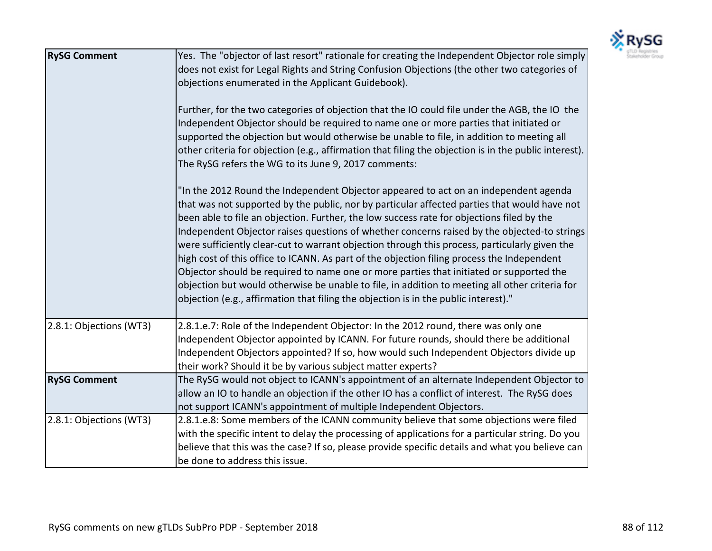

| <b>RySG Comment</b>     | Yes. The "objector of last resort" rationale for creating the Independent Objector role simply<br>does not exist for Legal Rights and String Confusion Objections (the other two categories of<br>objections enumerated in the Applicant Guidebook).<br>Further, for the two categories of objection that the IO could file under the AGB, the IO the<br>Independent Objector should be required to name one or more parties that initiated or<br>supported the objection but would otherwise be unable to file, in addition to meeting all<br>other criteria for objection (e.g., affirmation that filing the objection is in the public interest).<br>The RySG refers the WG to its June 9, 2017 comments:<br>"In the 2012 Round the Independent Objector appeared to act on an independent agenda<br>that was not supported by the public, nor by particular affected parties that would have not<br>been able to file an objection. Further, the low success rate for objections filed by the<br>Independent Objector raises questions of whether concerns raised by the objected-to strings<br>were sufficiently clear-cut to warrant objection through this process, particularly given the<br>high cost of this office to ICANN. As part of the objection filing process the Independent<br>Objector should be required to name one or more parties that initiated or supported the<br>objection but would otherwise be unable to file, in addition to meeting all other criteria for<br>objection (e.g., affirmation that filing the objection is in the public interest)." |
|-------------------------|-------------------------------------------------------------------------------------------------------------------------------------------------------------------------------------------------------------------------------------------------------------------------------------------------------------------------------------------------------------------------------------------------------------------------------------------------------------------------------------------------------------------------------------------------------------------------------------------------------------------------------------------------------------------------------------------------------------------------------------------------------------------------------------------------------------------------------------------------------------------------------------------------------------------------------------------------------------------------------------------------------------------------------------------------------------------------------------------------------------------------------------------------------------------------------------------------------------------------------------------------------------------------------------------------------------------------------------------------------------------------------------------------------------------------------------------------------------------------------------------------------------------------------------------------------------------------------------|
| 2.8.1: Objections (WT3) | 2.8.1.e.7: Role of the Independent Objector: In the 2012 round, there was only one<br>Independent Objector appointed by ICANN. For future rounds, should there be additional<br>Independent Objectors appointed? If so, how would such Independent Objectors divide up<br>their work? Should it be by various subject matter experts?                                                                                                                                                                                                                                                                                                                                                                                                                                                                                                                                                                                                                                                                                                                                                                                                                                                                                                                                                                                                                                                                                                                                                                                                                                               |
| <b>RySG Comment</b>     | The RySG would not object to ICANN's appointment of an alternate Independent Objector to<br>allow an IO to handle an objection if the other IO has a conflict of interest. The RySG does<br>not support ICANN's appointment of multiple Independent Objectors.                                                                                                                                                                                                                                                                                                                                                                                                                                                                                                                                                                                                                                                                                                                                                                                                                                                                                                                                                                                                                                                                                                                                                                                                                                                                                                                      |
| 2.8.1: Objections (WT3) | 2.8.1.e.8: Some members of the ICANN community believe that some objections were filed<br>with the specific intent to delay the processing of applications for a particular string. Do you<br>believe that this was the case? If so, please provide specific details and what you believe can<br>be done to address this issue.                                                                                                                                                                                                                                                                                                                                                                                                                                                                                                                                                                                                                                                                                                                                                                                                                                                                                                                                                                                                                                                                                                                                                                                                                                                     |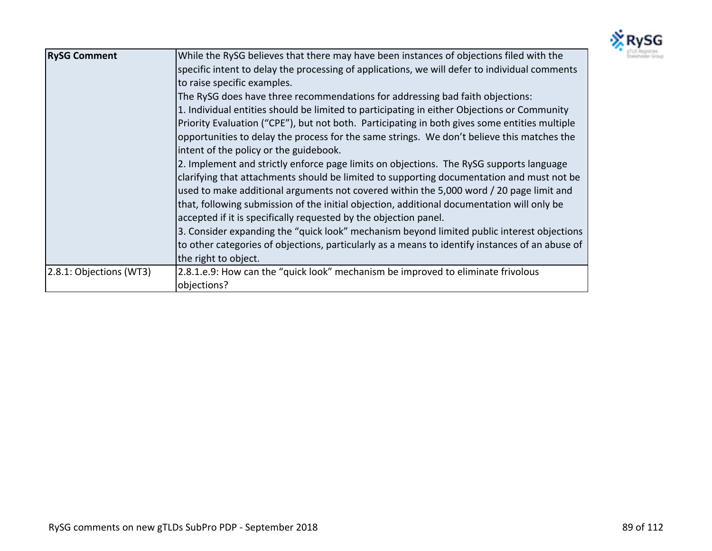

| <b>RySG Comment</b>     | While the RySG believes that there may have been instances of objections filed with the<br>specific intent to delay the processing of applications, we will defer to individual comments<br>to raise specific examples.<br>The RySG does have three recommendations for addressing bad faith objections:<br>1. Individual entities should be limited to participating in either Objections or Community<br>Priority Evaluation ("CPE"), but not both. Participating in both gives some entities multiple<br>opportunities to delay the process for the same strings. We don't believe this matches the<br>intent of the policy or the guidebook.<br>2. Implement and strictly enforce page limits on objections. The RySG supports language<br>clarifying that attachments should be limited to supporting documentation and must not be<br>used to make additional arguments not covered within the 5,000 word / 20 page limit and<br>that, following submission of the initial objection, additional documentation will only be<br>accepted if it is specifically requested by the objection panel.<br>3. Consider expanding the "quick look" mechanism beyond limited public interest objections<br>to other categories of objections, particularly as a means to identify instances of an abuse of<br>the right to object. |
|-------------------------|--------------------------------------------------------------------------------------------------------------------------------------------------------------------------------------------------------------------------------------------------------------------------------------------------------------------------------------------------------------------------------------------------------------------------------------------------------------------------------------------------------------------------------------------------------------------------------------------------------------------------------------------------------------------------------------------------------------------------------------------------------------------------------------------------------------------------------------------------------------------------------------------------------------------------------------------------------------------------------------------------------------------------------------------------------------------------------------------------------------------------------------------------------------------------------------------------------------------------------------------------------------------------------------------------------------------------------|
| 2.8.1: Objections (WT3) | 2.8.1.e.9: How can the "quick look" mechanism be improved to eliminate frivolous<br>objections?                                                                                                                                                                                                                                                                                                                                                                                                                                                                                                                                                                                                                                                                                                                                                                                                                                                                                                                                                                                                                                                                                                                                                                                                                                |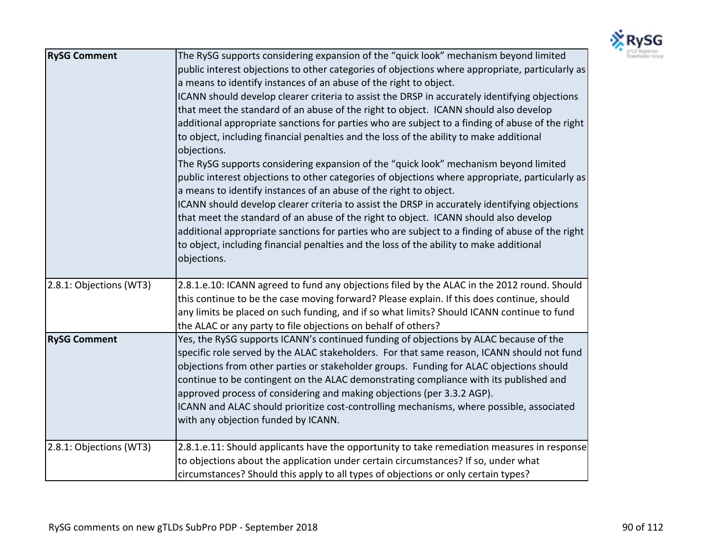

| <b>RySG Comment</b>     | The RySG supports considering expansion of the "quick look" mechanism beyond limited<br>public interest objections to other categories of objections where appropriate, particularly as<br>a means to identify instances of an abuse of the right to object.<br>ICANN should develop clearer criteria to assist the DRSP in accurately identifying objections<br>that meet the standard of an abuse of the right to object. ICANN should also develop<br>additional appropriate sanctions for parties who are subject to a finding of abuse of the right<br>to object, including financial penalties and the loss of the ability to make additional<br>objections.<br>The RySG supports considering expansion of the "quick look" mechanism beyond limited<br>public interest objections to other categories of objections where appropriate, particularly as<br>a means to identify instances of an abuse of the right to object.<br>ICANN should develop clearer criteria to assist the DRSP in accurately identifying objections<br>that meet the standard of an abuse of the right to object. ICANN should also develop<br>additional appropriate sanctions for parties who are subject to a finding of abuse of the right<br>to object, including financial penalties and the loss of the ability to make additional<br>objections. |
|-------------------------|------------------------------------------------------------------------------------------------------------------------------------------------------------------------------------------------------------------------------------------------------------------------------------------------------------------------------------------------------------------------------------------------------------------------------------------------------------------------------------------------------------------------------------------------------------------------------------------------------------------------------------------------------------------------------------------------------------------------------------------------------------------------------------------------------------------------------------------------------------------------------------------------------------------------------------------------------------------------------------------------------------------------------------------------------------------------------------------------------------------------------------------------------------------------------------------------------------------------------------------------------------------------------------------------------------------------------------------|
| 2.8.1: Objections (WT3) | 2.8.1.e.10: ICANN agreed to fund any objections filed by the ALAC in the 2012 round. Should<br>this continue to be the case moving forward? Please explain. If this does continue, should<br>any limits be placed on such funding, and if so what limits? Should ICANN continue to fund<br>the ALAC or any party to file objections on behalf of others?                                                                                                                                                                                                                                                                                                                                                                                                                                                                                                                                                                                                                                                                                                                                                                                                                                                                                                                                                                                 |
| <b>RySG Comment</b>     | Yes, the RySG supports ICANN's continued funding of objections by ALAC because of the<br>specific role served by the ALAC stakeholders. For that same reason, ICANN should not fund<br>objections from other parties or stakeholder groups. Funding for ALAC objections should<br>continue to be contingent on the ALAC demonstrating compliance with its published and<br>approved process of considering and making objections (per 3.3.2 AGP).<br>ICANN and ALAC should prioritize cost-controlling mechanisms, where possible, associated<br>with any objection funded by ICANN.                                                                                                                                                                                                                                                                                                                                                                                                                                                                                                                                                                                                                                                                                                                                                     |
| 2.8.1: Objections (WT3) | 2.8.1.e.11: Should applicants have the opportunity to take remediation measures in response<br>to objections about the application under certain circumstances? If so, under what<br>circumstances? Should this apply to all types of objections or only certain types?                                                                                                                                                                                                                                                                                                                                                                                                                                                                                                                                                                                                                                                                                                                                                                                                                                                                                                                                                                                                                                                                  |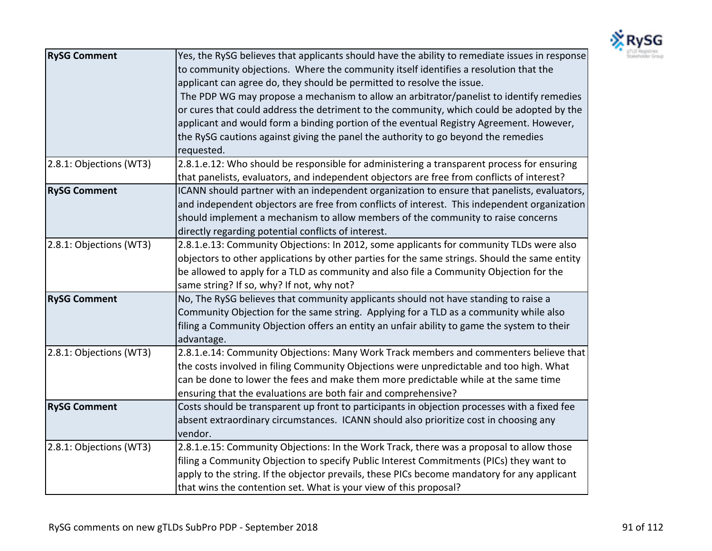

| <b>RySG Comment</b>     | Yes, the RySG believes that applicants should have the ability to remediate issues in response |
|-------------------------|------------------------------------------------------------------------------------------------|
|                         | to community objections. Where the community itself identifies a resolution that the           |
|                         | applicant can agree do, they should be permitted to resolve the issue.                         |
|                         | The PDP WG may propose a mechanism to allow an arbitrator/panelist to identify remedies        |
|                         | or cures that could address the detriment to the community, which could be adopted by the      |
|                         | applicant and would form a binding portion of the eventual Registry Agreement. However,        |
|                         | the RySG cautions against giving the panel the authority to go beyond the remedies             |
|                         | requested.                                                                                     |
| 2.8.1: Objections (WT3) | 2.8.1.e.12: Who should be responsible for administering a transparent process for ensuring     |
|                         | that panelists, evaluators, and independent objectors are free from conflicts of interest?     |
| <b>RySG Comment</b>     | ICANN should partner with an independent organization to ensure that panelists, evaluators,    |
|                         | and independent objectors are free from conflicts of interest. This independent organization   |
|                         | should implement a mechanism to allow members of the community to raise concerns               |
|                         | directly regarding potential conflicts of interest.                                            |
| 2.8.1: Objections (WT3) | 2.8.1.e.13: Community Objections: In 2012, some applicants for community TLDs were also        |
|                         | objectors to other applications by other parties for the same strings. Should the same entity  |
|                         | be allowed to apply for a TLD as community and also file a Community Objection for the         |
|                         | same string? If so, why? If not, why not?                                                      |
| <b>RySG Comment</b>     | No, The RySG believes that community applicants should not have standing to raise a            |
|                         | Community Objection for the same string. Applying for a TLD as a community while also          |
|                         | filing a Community Objection offers an entity an unfair ability to game the system to their    |
|                         | advantage.                                                                                     |
| 2.8.1: Objections (WT3) | 2.8.1.e.14: Community Objections: Many Work Track members and commenters believe that          |
|                         | the costs involved in filing Community Objections were unpredictable and too high. What        |
|                         | can be done to lower the fees and make them more predictable while at the same time            |
|                         | ensuring that the evaluations are both fair and comprehensive?                                 |
| <b>RySG Comment</b>     | Costs should be transparent up front to participants in objection processes with a fixed fee   |
|                         | absent extraordinary circumstances. ICANN should also prioritize cost in choosing any          |
|                         | vendor.                                                                                        |
| 2.8.1: Objections (WT3) | 2.8.1.e.15: Community Objections: In the Work Track, there was a proposal to allow those       |
|                         | filing a Community Objection to specify Public Interest Commitments (PICs) they want to        |
|                         | apply to the string. If the objector prevails, these PICs become mandatory for any applicant   |
|                         | that wins the contention set. What is your view of this proposal?                              |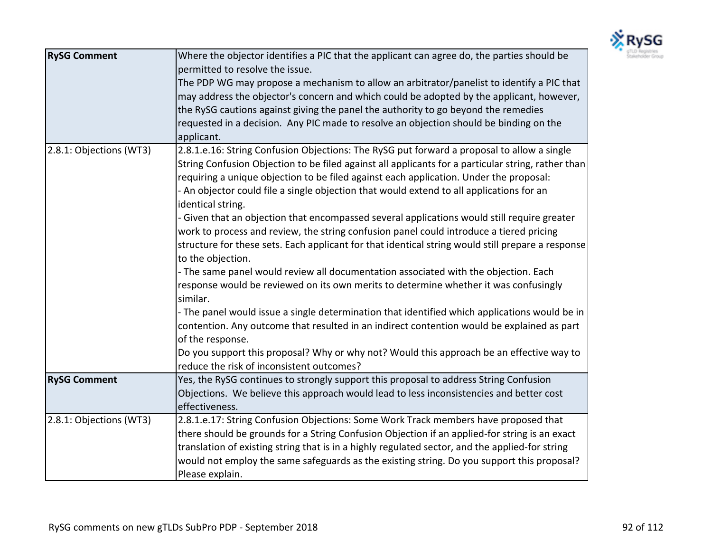

| <b>RySG Comment</b>     | Where the objector identifies a PIC that the applicant can agree do, the parties should be<br>permitted to resolve the issue.<br>The PDP WG may propose a mechanism to allow an arbitrator/panelist to identify a PIC that<br>may address the objector's concern and which could be adopted by the applicant, however,<br>the RySG cautions against giving the panel the authority to go beyond the remedies<br>requested in a decision. Any PIC made to resolve an objection should be binding on the                                                                                                                                                                                                                                                                                                                                                                                                                                                                                                                                                                                                                                                                                                                                                                                 |
|-------------------------|----------------------------------------------------------------------------------------------------------------------------------------------------------------------------------------------------------------------------------------------------------------------------------------------------------------------------------------------------------------------------------------------------------------------------------------------------------------------------------------------------------------------------------------------------------------------------------------------------------------------------------------------------------------------------------------------------------------------------------------------------------------------------------------------------------------------------------------------------------------------------------------------------------------------------------------------------------------------------------------------------------------------------------------------------------------------------------------------------------------------------------------------------------------------------------------------------------------------------------------------------------------------------------------|
|                         | applicant.                                                                                                                                                                                                                                                                                                                                                                                                                                                                                                                                                                                                                                                                                                                                                                                                                                                                                                                                                                                                                                                                                                                                                                                                                                                                             |
| 2.8.1: Objections (WT3) | 2.8.1.e.16: String Confusion Objections: The RySG put forward a proposal to allow a single<br>String Confusion Objection to be filed against all applicants for a particular string, rather than<br>requiring a unique objection to be filed against each application. Under the proposal:<br>- An objector could file a single objection that would extend to all applications for an<br>identical string.<br>- Given that an objection that encompassed several applications would still require greater<br>work to process and review, the string confusion panel could introduce a tiered pricing<br>structure for these sets. Each applicant for that identical string would still prepare a response<br>to the objection.<br>- The same panel would review all documentation associated with the objection. Each<br>response would be reviewed on its own merits to determine whether it was confusingly<br>similar.<br>- The panel would issue a single determination that identified which applications would be in<br>contention. Any outcome that resulted in an indirect contention would be explained as part<br>of the response.<br>Do you support this proposal? Why or why not? Would this approach be an effective way to<br>reduce the risk of inconsistent outcomes? |
| <b>RySG Comment</b>     | Yes, the RySG continues to strongly support this proposal to address String Confusion                                                                                                                                                                                                                                                                                                                                                                                                                                                                                                                                                                                                                                                                                                                                                                                                                                                                                                                                                                                                                                                                                                                                                                                                  |
|                         | Objections. We believe this approach would lead to less inconsistencies and better cost<br>effectiveness.                                                                                                                                                                                                                                                                                                                                                                                                                                                                                                                                                                                                                                                                                                                                                                                                                                                                                                                                                                                                                                                                                                                                                                              |
| 2.8.1: Objections (WT3) | 2.8.1.e.17: String Confusion Objections: Some Work Track members have proposed that<br>there should be grounds for a String Confusion Objection if an applied-for string is an exact<br>translation of existing string that is in a highly regulated sector, and the applied-for string<br>would not employ the same safeguards as the existing string. Do you support this proposal?<br>Please explain.                                                                                                                                                                                                                                                                                                                                                                                                                                                                                                                                                                                                                                                                                                                                                                                                                                                                               |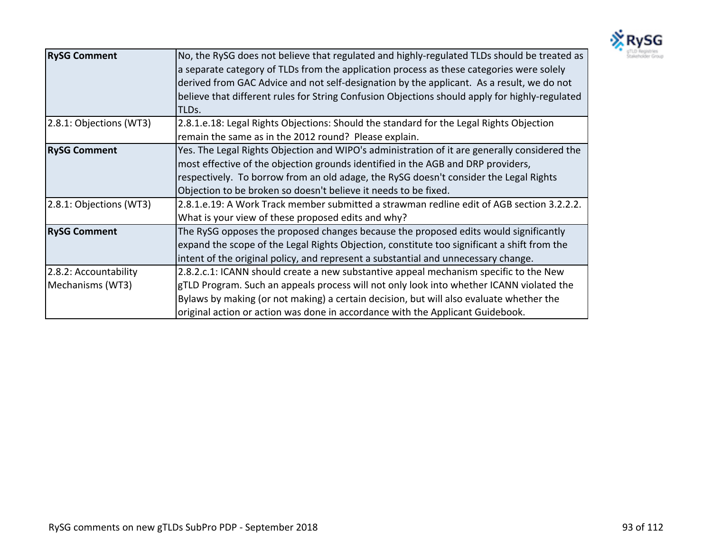

| <b>RySG Comment</b>                       | No, the RySG does not believe that regulated and highly-regulated TLDs should be treated as<br>a separate category of TLDs from the application process as these categories were solely<br>derived from GAC Advice and not self-designation by the applicant. As a result, we do not<br>believe that different rules for String Confusion Objections should apply for highly-regulated<br>TLDs. |
|-------------------------------------------|-------------------------------------------------------------------------------------------------------------------------------------------------------------------------------------------------------------------------------------------------------------------------------------------------------------------------------------------------------------------------------------------------|
| 2.8.1: Objections (WT3)                   | 2.8.1.e.18: Legal Rights Objections: Should the standard for the Legal Rights Objection<br>remain the same as in the 2012 round? Please explain.                                                                                                                                                                                                                                                |
| <b>RySG Comment</b>                       | Yes. The Legal Rights Objection and WIPO's administration of it are generally considered the<br>most effective of the objection grounds identified in the AGB and DRP providers,<br>respectively. To borrow from an old adage, the RySG doesn't consider the Legal Rights<br>Objection to be broken so doesn't believe it needs to be fixed.                                                    |
| 2.8.1: Objections (WT3)                   | 2.8.1.e.19: A Work Track member submitted a strawman redline edit of AGB section 3.2.2.2.<br>What is your view of these proposed edits and why?                                                                                                                                                                                                                                                 |
| <b>RySG Comment</b>                       | The RySG opposes the proposed changes because the proposed edits would significantly<br>expand the scope of the Legal Rights Objection, constitute too significant a shift from the<br>intent of the original policy, and represent a substantial and unnecessary change.                                                                                                                       |
| 2.8.2: Accountability<br>Mechanisms (WT3) | 2.8.2.c.1: ICANN should create a new substantive appeal mechanism specific to the New<br>gTLD Program. Such an appeals process will not only look into whether ICANN violated the<br>Bylaws by making (or not making) a certain decision, but will also evaluate whether the<br>original action or action was done in accordance with the Applicant Guidebook.                                  |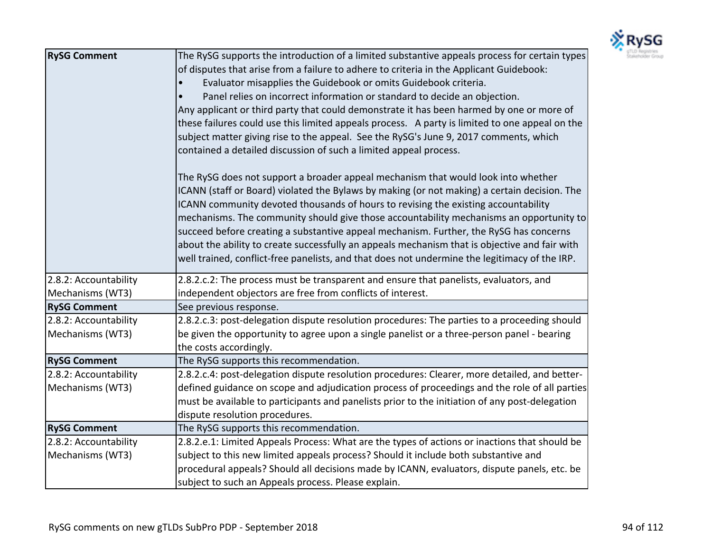

| <b>RySG Comment</b>   | The RySG supports the introduction of a limited substantive appeals process for certain types<br>of disputes that arise from a failure to adhere to criteria in the Applicant Guidebook:<br>Evaluator misapplies the Guidebook or omits Guidebook criteria.<br>Panel relies on incorrect information or standard to decide an objection.<br>Any applicant or third party that could demonstrate it has been harmed by one or more of<br>these failures could use this limited appeals process. A party is limited to one appeal on the<br>subject matter giving rise to the appeal. See the RySG's June 9, 2017 comments, which<br>contained a detailed discussion of such a limited appeal process.<br>The RySG does not support a broader appeal mechanism that would look into whether<br>ICANN (staff or Board) violated the Bylaws by making (or not making) a certain decision. The<br>ICANN community devoted thousands of hours to revising the existing accountability<br>mechanisms. The community should give those accountability mechanisms an opportunity to<br>succeed before creating a substantive appeal mechanism. Further, the RySG has concerns<br>about the ability to create successfully an appeals mechanism that is objective and fair with<br>well trained, conflict-free panelists, and that does not undermine the legitimacy of the IRP. |
|-----------------------|------------------------------------------------------------------------------------------------------------------------------------------------------------------------------------------------------------------------------------------------------------------------------------------------------------------------------------------------------------------------------------------------------------------------------------------------------------------------------------------------------------------------------------------------------------------------------------------------------------------------------------------------------------------------------------------------------------------------------------------------------------------------------------------------------------------------------------------------------------------------------------------------------------------------------------------------------------------------------------------------------------------------------------------------------------------------------------------------------------------------------------------------------------------------------------------------------------------------------------------------------------------------------------------------------------------------------------------------------------------------|
| 2.8.2: Accountability | 2.8.2.c.2: The process must be transparent and ensure that panelists, evaluators, and                                                                                                                                                                                                                                                                                                                                                                                                                                                                                                                                                                                                                                                                                                                                                                                                                                                                                                                                                                                                                                                                                                                                                                                                                                                                                  |
| Mechanisms (WT3)      | independent objectors are free from conflicts of interest.                                                                                                                                                                                                                                                                                                                                                                                                                                                                                                                                                                                                                                                                                                                                                                                                                                                                                                                                                                                                                                                                                                                                                                                                                                                                                                             |
| <b>RySG Comment</b>   | See previous response.                                                                                                                                                                                                                                                                                                                                                                                                                                                                                                                                                                                                                                                                                                                                                                                                                                                                                                                                                                                                                                                                                                                                                                                                                                                                                                                                                 |
| 2.8.2: Accountability | 2.8.2.c.3: post-delegation dispute resolution procedures: The parties to a proceeding should                                                                                                                                                                                                                                                                                                                                                                                                                                                                                                                                                                                                                                                                                                                                                                                                                                                                                                                                                                                                                                                                                                                                                                                                                                                                           |
| Mechanisms (WT3)      | be given the opportunity to agree upon a single panelist or a three-person panel - bearing<br>the costs accordingly.                                                                                                                                                                                                                                                                                                                                                                                                                                                                                                                                                                                                                                                                                                                                                                                                                                                                                                                                                                                                                                                                                                                                                                                                                                                   |
| <b>RySG Comment</b>   | The RySG supports this recommendation.                                                                                                                                                                                                                                                                                                                                                                                                                                                                                                                                                                                                                                                                                                                                                                                                                                                                                                                                                                                                                                                                                                                                                                                                                                                                                                                                 |
| 2.8.2: Accountability | 2.8.2.c.4: post-delegation dispute resolution procedures: Clearer, more detailed, and better-                                                                                                                                                                                                                                                                                                                                                                                                                                                                                                                                                                                                                                                                                                                                                                                                                                                                                                                                                                                                                                                                                                                                                                                                                                                                          |
| Mechanisms (WT3)      | defined guidance on scope and adjudication process of proceedings and the role of all parties                                                                                                                                                                                                                                                                                                                                                                                                                                                                                                                                                                                                                                                                                                                                                                                                                                                                                                                                                                                                                                                                                                                                                                                                                                                                          |
|                       | must be available to participants and panelists prior to the initiation of any post-delegation                                                                                                                                                                                                                                                                                                                                                                                                                                                                                                                                                                                                                                                                                                                                                                                                                                                                                                                                                                                                                                                                                                                                                                                                                                                                         |
|                       | dispute resolution procedures.                                                                                                                                                                                                                                                                                                                                                                                                                                                                                                                                                                                                                                                                                                                                                                                                                                                                                                                                                                                                                                                                                                                                                                                                                                                                                                                                         |
| <b>RySG Comment</b>   | The RySG supports this recommendation.                                                                                                                                                                                                                                                                                                                                                                                                                                                                                                                                                                                                                                                                                                                                                                                                                                                                                                                                                                                                                                                                                                                                                                                                                                                                                                                                 |
| 2.8.2: Accountability | 2.8.2.e.1: Limited Appeals Process: What are the types of actions or inactions that should be                                                                                                                                                                                                                                                                                                                                                                                                                                                                                                                                                                                                                                                                                                                                                                                                                                                                                                                                                                                                                                                                                                                                                                                                                                                                          |
| Mechanisms (WT3)      | subject to this new limited appeals process? Should it include both substantive and                                                                                                                                                                                                                                                                                                                                                                                                                                                                                                                                                                                                                                                                                                                                                                                                                                                                                                                                                                                                                                                                                                                                                                                                                                                                                    |
|                       | procedural appeals? Should all decisions made by ICANN, evaluators, dispute panels, etc. be                                                                                                                                                                                                                                                                                                                                                                                                                                                                                                                                                                                                                                                                                                                                                                                                                                                                                                                                                                                                                                                                                                                                                                                                                                                                            |
|                       | subject to such an Appeals process. Please explain.                                                                                                                                                                                                                                                                                                                                                                                                                                                                                                                                                                                                                                                                                                                                                                                                                                                                                                                                                                                                                                                                                                                                                                                                                                                                                                                    |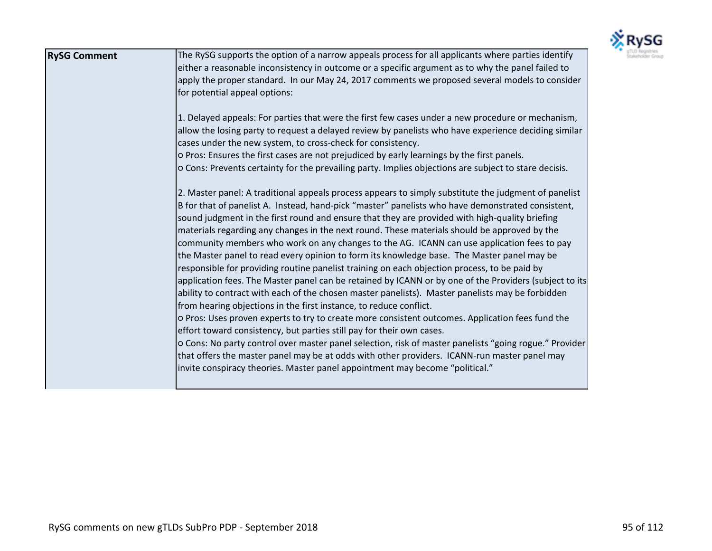

| <b>RySG Comment</b> | The RySG supports the option of a narrow appeals process for all applicants where parties identify<br>either a reasonable inconsistency in outcome or a specific argument as to why the panel failed to<br>apply the proper standard. In our May 24, 2017 comments we proposed several models to consider<br>for potential appeal options:<br>1. Delayed appeals: For parties that were the first few cases under a new procedure or mechanism,<br>allow the losing party to request a delayed review by panelists who have experience deciding similar<br>cases under the new system, to cross-check for consistency.<br>o Pros: Ensures the first cases are not prejudiced by early learnings by the first panels.<br>o Cons: Prevents certainty for the prevailing party. Implies objections are subject to stare decisis.<br>2. Master panel: A traditional appeals process appears to simply substitute the judgment of panelist<br>B for that of panelist A. Instead, hand-pick "master" panelists who have demonstrated consistent,<br>sound judgment in the first round and ensure that they are provided with high-quality briefing<br>materials regarding any changes in the next round. These materials should be approved by the<br>community members who work on any changes to the AG. ICANN can use application fees to pay<br>the Master panel to read every opinion to form its knowledge base. The Master panel may be<br>responsible for providing routine panelist training on each objection process, to be paid by<br>application fees. The Master panel can be retained by ICANN or by one of the Providers (subject to its<br>ability to contract with each of the chosen master panelists). Master panelists may be forbidden<br>from hearing objections in the first instance, to reduce conflict.<br>O Pros: Uses proven experts to try to create more consistent outcomes. Application fees fund the<br>effort toward consistency, but parties still pay for their own cases.<br>o Cons: No party control over master panel selection, risk of master panelists "going rogue." Provider<br>that offers the master panel may be at odds with other providers. ICANN-run master panel may<br>invite conspiracy theories. Master panel appointment may become "political." |
|---------------------|-----------------------------------------------------------------------------------------------------------------------------------------------------------------------------------------------------------------------------------------------------------------------------------------------------------------------------------------------------------------------------------------------------------------------------------------------------------------------------------------------------------------------------------------------------------------------------------------------------------------------------------------------------------------------------------------------------------------------------------------------------------------------------------------------------------------------------------------------------------------------------------------------------------------------------------------------------------------------------------------------------------------------------------------------------------------------------------------------------------------------------------------------------------------------------------------------------------------------------------------------------------------------------------------------------------------------------------------------------------------------------------------------------------------------------------------------------------------------------------------------------------------------------------------------------------------------------------------------------------------------------------------------------------------------------------------------------------------------------------------------------------------------------------------------------------------------------------------------------------------------------------------------------------------------------------------------------------------------------------------------------------------------------------------------------------------------------------------------------------------------------------------------------------------------------------------------------------------------------------------------------------------------------------------------------|
|---------------------|-----------------------------------------------------------------------------------------------------------------------------------------------------------------------------------------------------------------------------------------------------------------------------------------------------------------------------------------------------------------------------------------------------------------------------------------------------------------------------------------------------------------------------------------------------------------------------------------------------------------------------------------------------------------------------------------------------------------------------------------------------------------------------------------------------------------------------------------------------------------------------------------------------------------------------------------------------------------------------------------------------------------------------------------------------------------------------------------------------------------------------------------------------------------------------------------------------------------------------------------------------------------------------------------------------------------------------------------------------------------------------------------------------------------------------------------------------------------------------------------------------------------------------------------------------------------------------------------------------------------------------------------------------------------------------------------------------------------------------------------------------------------------------------------------------------------------------------------------------------------------------------------------------------------------------------------------------------------------------------------------------------------------------------------------------------------------------------------------------------------------------------------------------------------------------------------------------------------------------------------------------------------------------------------------------|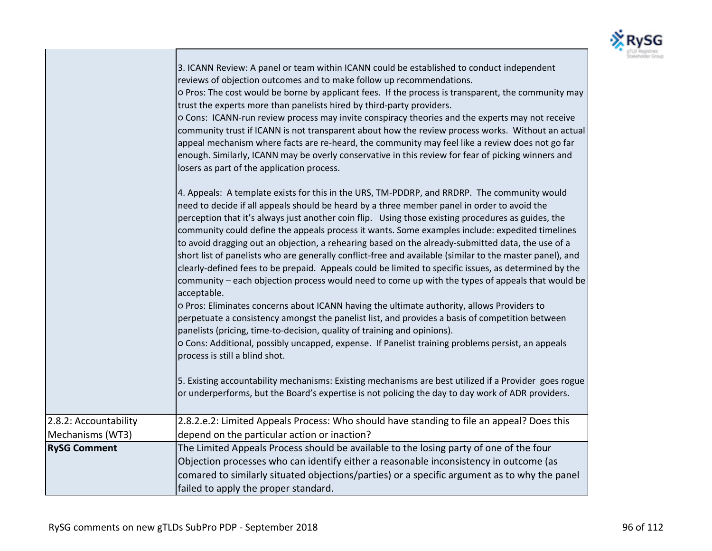

|                       | 5. Existing accountability mechanisms: Existing mechanisms are best utilized if a Provider goes rogue<br>or underperforms, but the Board's expertise is not policing the day to day work of ADR providers. |
|-----------------------|------------------------------------------------------------------------------------------------------------------------------------------------------------------------------------------------------------|
| 2.8.2: Accountability | 2.8.2.e.2: Limited Appeals Process: Who should have standing to file an appeal? Does this                                                                                                                  |
| Mechanisms (WT3)      | depend on the particular action or inaction?                                                                                                                                                               |
| <b>RySG Comment</b>   | The Limited Appeals Process should be available to the losing party of one of the four                                                                                                                     |
|                       |                                                                                                                                                                                                            |
|                       | Objection processes who can identify either a reasonable inconsistency in outcome (as                                                                                                                      |
|                       | comared to similarly situated objections/parties) or a specific argument as to why the panel                                                                                                               |
|                       |                                                                                                                                                                                                            |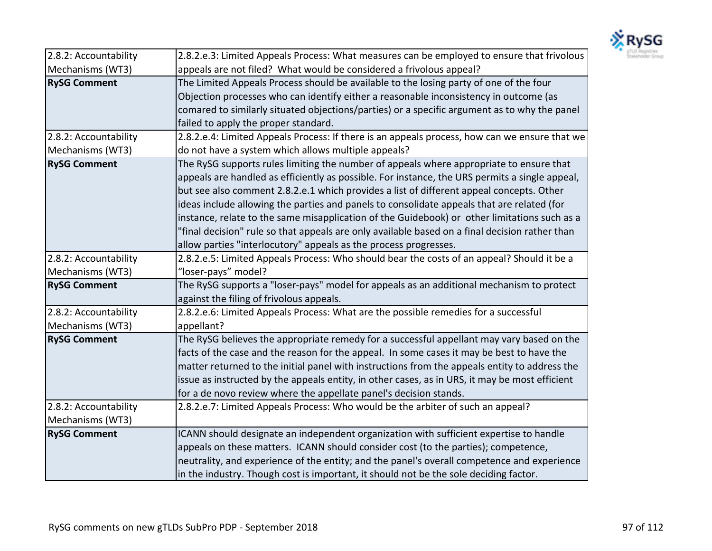

| 2.8.2: Accountability | 2.8.2.e.3: Limited Appeals Process: What measures can be employed to ensure that frivolous     |
|-----------------------|------------------------------------------------------------------------------------------------|
| Mechanisms (WT3)      | appeals are not filed? What would be considered a frivolous appeal?                            |
| <b>RySG Comment</b>   | The Limited Appeals Process should be available to the losing party of one of the four         |
|                       | Objection processes who can identify either a reasonable inconsistency in outcome (as          |
|                       | comared to similarly situated objections/parties) or a specific argument as to why the panel   |
|                       | failed to apply the proper standard.                                                           |
| 2.8.2: Accountability | 2.8.2.e.4: Limited Appeals Process: If there is an appeals process, how can we ensure that we  |
| Mechanisms (WT3)      | do not have a system which allows multiple appeals?                                            |
| <b>RySG Comment</b>   | The RySG supports rules limiting the number of appeals where appropriate to ensure that        |
|                       | appeals are handled as efficiently as possible. For instance, the URS permits a single appeal, |
|                       | but see also comment 2.8.2.e.1 which provides a list of different appeal concepts. Other       |
|                       | ideas include allowing the parties and panels to consolidate appeals that are related (for     |
|                       | instance, relate to the same misapplication of the Guidebook) or other limitations such as a   |
|                       | "final decision" rule so that appeals are only available based on a final decision rather than |
|                       | allow parties "interlocutory" appeals as the process progresses.                               |
| 2.8.2: Accountability | 2.8.2.e.5: Limited Appeals Process: Who should bear the costs of an appeal? Should it be a     |
| Mechanisms (WT3)      | "loser-pays" model?                                                                            |
| <b>RySG Comment</b>   | The RySG supports a "loser-pays" model for appeals as an additional mechanism to protect       |
|                       | against the filing of frivolous appeals.                                                       |
| 2.8.2: Accountability | 2.8.2.e.6: Limited Appeals Process: What are the possible remedies for a successful            |
| Mechanisms (WT3)      | appellant?                                                                                     |
| <b>RySG Comment</b>   | The RySG believes the appropriate remedy for a successful appellant may vary based on the      |
|                       | facts of the case and the reason for the appeal. In some cases it may be best to have the      |
|                       | matter returned to the initial panel with instructions from the appeals entity to address the  |
|                       | issue as instructed by the appeals entity, in other cases, as in URS, it may be most efficient |
|                       | for a de novo review where the appellate panel's decision stands.                              |
| 2.8.2: Accountability | 2.8.2.e.7: Limited Appeals Process: Who would be the arbiter of such an appeal?                |
| Mechanisms (WT3)      |                                                                                                |
| <b>RySG Comment</b>   | ICANN should designate an independent organization with sufficient expertise to handle         |
|                       | appeals on these matters. ICANN should consider cost (to the parties); competence,             |
|                       | neutrality, and experience of the entity; and the panel's overall competence and experience    |
|                       | in the industry. Though cost is important, it should not be the sole deciding factor.          |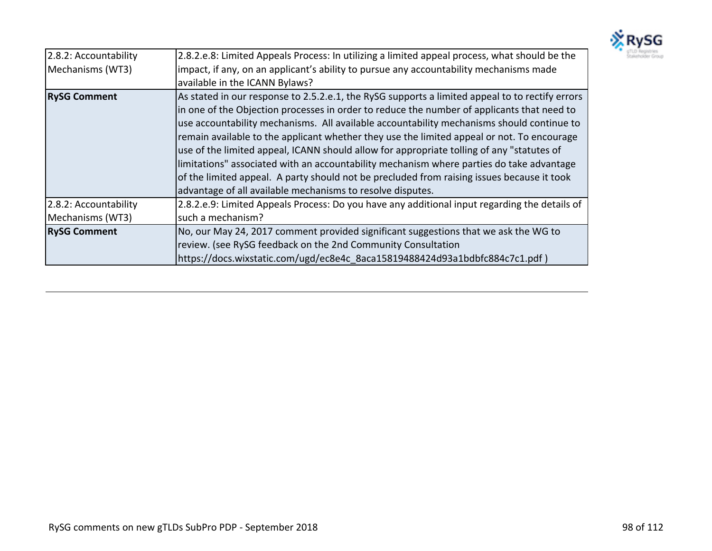

| 2.8.2: Accountability<br>Mechanisms (WT3) | 2.8.2.e.8: Limited Appeals Process: In utilizing a limited appeal process, what should be the<br>limpact, if any, on an applicant's ability to pursue any accountability mechanisms made<br>available in the ICANN Bylaws?                                                                                                                                                                                                                                                                                                                                                                                                                                                                                                                    |
|-------------------------------------------|-----------------------------------------------------------------------------------------------------------------------------------------------------------------------------------------------------------------------------------------------------------------------------------------------------------------------------------------------------------------------------------------------------------------------------------------------------------------------------------------------------------------------------------------------------------------------------------------------------------------------------------------------------------------------------------------------------------------------------------------------|
| <b>RySG Comment</b>                       | As stated in our response to 2.5.2.e.1, the RySG supports a limited appeal to to rectify errors<br>In one of the Objection processes in order to reduce the number of applicants that need to<br>use accountability mechanisms. All available accountability mechanisms should continue to<br>remain available to the applicant whether they use the limited appeal or not. To encourage<br>use of the limited appeal, ICANN should allow for appropriate tolling of any "statutes of<br>limitations" associated with an accountability mechanism where parties do take advantage<br>of the limited appeal. A party should not be precluded from raising issues because it took<br>advantage of all available mechanisms to resolve disputes. |
| 2.8.2: Accountability<br>Mechanisms (WT3) | 2.8.2.e.9: Limited Appeals Process: Do you have any additional input regarding the details of<br>such a mechanism?                                                                                                                                                                                                                                                                                                                                                                                                                                                                                                                                                                                                                            |
| <b>RySG Comment</b>                       | No, our May 24, 2017 comment provided significant suggestions that we ask the WG to<br>review. (see RySG feedback on the 2nd Community Consultation<br>https://docs.wixstatic.com/ugd/ec8e4c 8aca15819488424d93a1bdbfc884c7c1.pdf)                                                                                                                                                                                                                                                                                                                                                                                                                                                                                                            |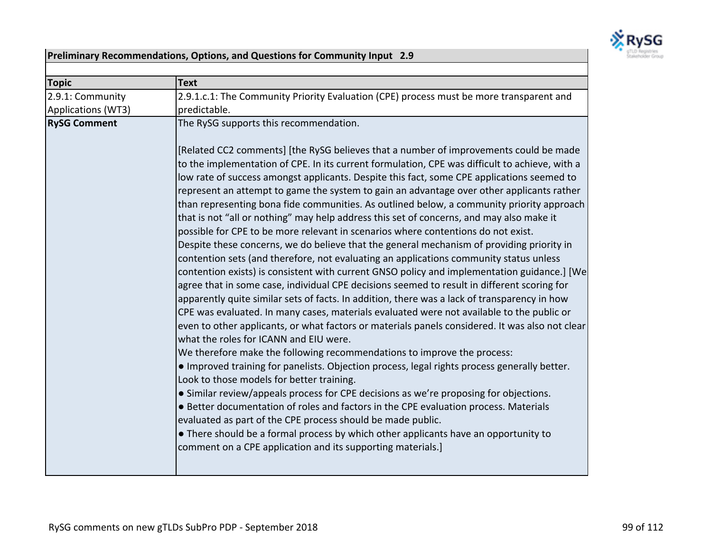

## **Preliminary Recommendations, Options, and Questions for Community Input 2.9**

| <b>Topic</b>        | <b>Text</b>                                                                                                                                                                                                                                                                                                                                                                                                                                                                                                                                                                                                                                                                                                                                                                                                                                                                                                                                                                                                                                                                                                                                                                                                                                                                                                                                                                                                                                                                                                                                                                                                                                                                                                                                                                                                                                                                                                                                                                                                                   |
|---------------------|-------------------------------------------------------------------------------------------------------------------------------------------------------------------------------------------------------------------------------------------------------------------------------------------------------------------------------------------------------------------------------------------------------------------------------------------------------------------------------------------------------------------------------------------------------------------------------------------------------------------------------------------------------------------------------------------------------------------------------------------------------------------------------------------------------------------------------------------------------------------------------------------------------------------------------------------------------------------------------------------------------------------------------------------------------------------------------------------------------------------------------------------------------------------------------------------------------------------------------------------------------------------------------------------------------------------------------------------------------------------------------------------------------------------------------------------------------------------------------------------------------------------------------------------------------------------------------------------------------------------------------------------------------------------------------------------------------------------------------------------------------------------------------------------------------------------------------------------------------------------------------------------------------------------------------------------------------------------------------------------------------------------------------|
| 2.9.1: Community    | 2.9.1.c.1: The Community Priority Evaluation (CPE) process must be more transparent and                                                                                                                                                                                                                                                                                                                                                                                                                                                                                                                                                                                                                                                                                                                                                                                                                                                                                                                                                                                                                                                                                                                                                                                                                                                                                                                                                                                                                                                                                                                                                                                                                                                                                                                                                                                                                                                                                                                                       |
| Applications (WT3)  | predictable.                                                                                                                                                                                                                                                                                                                                                                                                                                                                                                                                                                                                                                                                                                                                                                                                                                                                                                                                                                                                                                                                                                                                                                                                                                                                                                                                                                                                                                                                                                                                                                                                                                                                                                                                                                                                                                                                                                                                                                                                                  |
| <b>RySG Comment</b> | The RySG supports this recommendation.                                                                                                                                                                                                                                                                                                                                                                                                                                                                                                                                                                                                                                                                                                                                                                                                                                                                                                                                                                                                                                                                                                                                                                                                                                                                                                                                                                                                                                                                                                                                                                                                                                                                                                                                                                                                                                                                                                                                                                                        |
|                     | [Related CC2 comments] [the RySG believes that a number of improvements could be made<br>to the implementation of CPE. In its current formulation, CPE was difficult to achieve, with a<br>low rate of success amongst applicants. Despite this fact, some CPE applications seemed to<br>represent an attempt to game the system to gain an advantage over other applicants rather<br>than representing bona fide communities. As outlined below, a community priority approach<br>that is not "all or nothing" may help address this set of concerns, and may also make it<br>possible for CPE to be more relevant in scenarios where contentions do not exist.<br>Despite these concerns, we do believe that the general mechanism of providing priority in<br>contention sets (and therefore, not evaluating an applications community status unless<br>contention exists) is consistent with current GNSO policy and implementation guidance.] [We<br>agree that in some case, individual CPE decisions seemed to result in different scoring for<br>apparently quite similar sets of facts. In addition, there was a lack of transparency in how<br>CPE was evaluated. In many cases, materials evaluated were not available to the public or<br>even to other applicants, or what factors or materials panels considered. It was also not clear<br>what the roles for ICANN and EIU were.<br>We therefore make the following recommendations to improve the process:<br>. Improved training for panelists. Objection process, legal rights process generally better.<br>Look to those models for better training.<br>• Similar review/appeals process for CPE decisions as we're proposing for objections.<br>• Better documentation of roles and factors in the CPE evaluation process. Materials<br>evaluated as part of the CPE process should be made public.<br>• There should be a formal process by which other applicants have an opportunity to<br>comment on a CPE application and its supporting materials.] |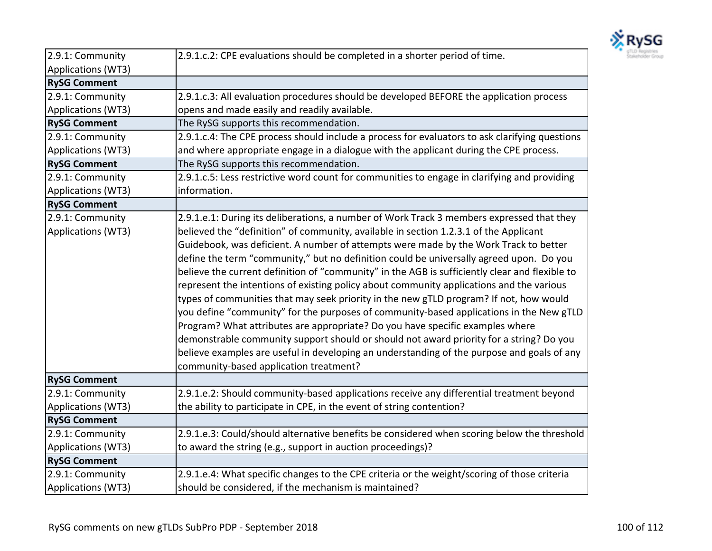

| 2.9.1: Community    | 2.9.1.c.2: CPE evaluations should be completed in a shorter period of time.                    |
|---------------------|------------------------------------------------------------------------------------------------|
| Applications (WT3)  |                                                                                                |
| <b>RySG Comment</b> |                                                                                                |
| 2.9.1: Community    | 2.9.1.c.3: All evaluation procedures should be developed BEFORE the application process        |
| Applications (WT3)  | opens and made easily and readily available.                                                   |
| <b>RySG Comment</b> | The RySG supports this recommendation.                                                         |
| 2.9.1: Community    | 2.9.1.c.4: The CPE process should include a process for evaluators to ask clarifying questions |
| Applications (WT3)  | and where appropriate engage in a dialogue with the applicant during the CPE process.          |
| <b>RySG Comment</b> | The RySG supports this recommendation.                                                         |
| 2.9.1: Community    | 2.9.1.c.5: Less restrictive word count for communities to engage in clarifying and providing   |
| Applications (WT3)  | information.                                                                                   |
| <b>RySG Comment</b> |                                                                                                |
| 2.9.1: Community    | 2.9.1.e.1: During its deliberations, a number of Work Track 3 members expressed that they      |
| Applications (WT3)  | believed the "definition" of community, available in section 1.2.3.1 of the Applicant          |
|                     | Guidebook, was deficient. A number of attempts were made by the Work Track to better           |
|                     | define the term "community," but no definition could be universally agreed upon. Do you        |
|                     | believe the current definition of "community" in the AGB is sufficiently clear and flexible to |
|                     | represent the intentions of existing policy about community applications and the various       |
|                     | types of communities that may seek priority in the new gTLD program? If not, how would         |
|                     | you define "community" for the purposes of community-based applications in the New gTLD        |
|                     | Program? What attributes are appropriate? Do you have specific examples where                  |
|                     | demonstrable community support should or should not award priority for a string? Do you        |
|                     | believe examples are useful in developing an understanding of the purpose and goals of any     |
|                     | community-based application treatment?                                                         |
| <b>RySG Comment</b> |                                                                                                |
| 2.9.1: Community    | 2.9.1.e.2: Should community-based applications receive any differential treatment beyond       |
| Applications (WT3)  | the ability to participate in CPE, in the event of string contention?                          |
| <b>RySG Comment</b> |                                                                                                |
| 2.9.1: Community    | 2.9.1.e.3: Could/should alternative benefits be considered when scoring below the threshold    |
| Applications (WT3)  | to award the string (e.g., support in auction proceedings)?                                    |
| <b>RySG Comment</b> |                                                                                                |
| 2.9.1: Community    | 2.9.1.e.4: What specific changes to the CPE criteria or the weight/scoring of those criteria   |
| Applications (WT3)  | should be considered, if the mechanism is maintained?                                          |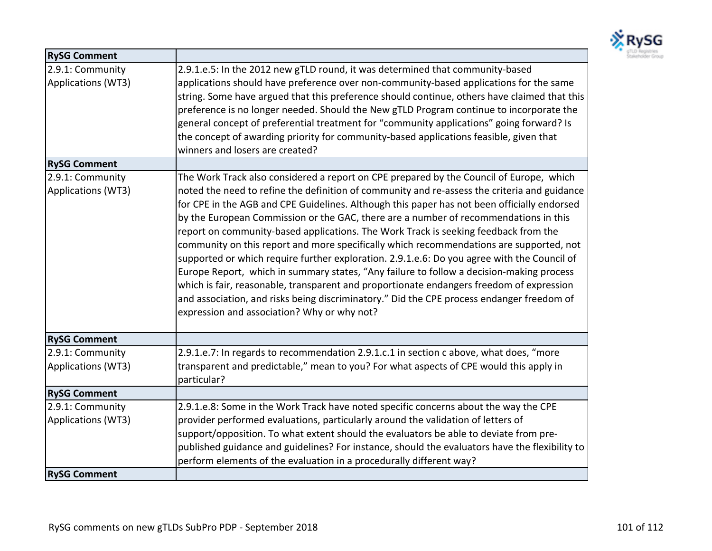

| <b>RySG Comment</b>                    |                                                                                                                                                                                                                                                                                                                                                                                                                                                                                                                                                                                                                                                                                                                                                                                                                                                                                                                                                                                                     |
|----------------------------------------|-----------------------------------------------------------------------------------------------------------------------------------------------------------------------------------------------------------------------------------------------------------------------------------------------------------------------------------------------------------------------------------------------------------------------------------------------------------------------------------------------------------------------------------------------------------------------------------------------------------------------------------------------------------------------------------------------------------------------------------------------------------------------------------------------------------------------------------------------------------------------------------------------------------------------------------------------------------------------------------------------------|
| 2.9.1: Community<br>Applications (WT3) | 2.9.1.e.5: In the 2012 new gTLD round, it was determined that community-based<br>applications should have preference over non-community-based applications for the same<br>string. Some have argued that this preference should continue, others have claimed that this<br>preference is no longer needed. Should the New gTLD Program continue to incorporate the<br>general concept of preferential treatment for "community applications" going forward? Is<br>the concept of awarding priority for community-based applications feasible, given that<br>winners and losers are created?                                                                                                                                                                                                                                                                                                                                                                                                         |
| <b>RySG Comment</b>                    |                                                                                                                                                                                                                                                                                                                                                                                                                                                                                                                                                                                                                                                                                                                                                                                                                                                                                                                                                                                                     |
| 2.9.1: Community<br>Applications (WT3) | The Work Track also considered a report on CPE prepared by the Council of Europe, which<br>noted the need to refine the definition of community and re-assess the criteria and guidance<br>for CPE in the AGB and CPE Guidelines. Although this paper has not been officially endorsed<br>by the European Commission or the GAC, there are a number of recommendations in this<br>report on community-based applications. The Work Track is seeking feedback from the<br>community on this report and more specifically which recommendations are supported, not<br>supported or which require further exploration. 2.9.1.e.6: Do you agree with the Council of<br>Europe Report, which in summary states, "Any failure to follow a decision-making process<br>which is fair, reasonable, transparent and proportionate endangers freedom of expression<br>and association, and risks being discriminatory." Did the CPE process endanger freedom of<br>expression and association? Why or why not? |
| <b>RySG Comment</b>                    |                                                                                                                                                                                                                                                                                                                                                                                                                                                                                                                                                                                                                                                                                                                                                                                                                                                                                                                                                                                                     |
| 2.9.1: Community<br>Applications (WT3) | 2.9.1.e.7: In regards to recommendation 2.9.1.c.1 in section c above, what does, "more<br>transparent and predictable," mean to you? For what aspects of CPE would this apply in<br>particular?                                                                                                                                                                                                                                                                                                                                                                                                                                                                                                                                                                                                                                                                                                                                                                                                     |
| <b>RySG Comment</b>                    |                                                                                                                                                                                                                                                                                                                                                                                                                                                                                                                                                                                                                                                                                                                                                                                                                                                                                                                                                                                                     |
| 2.9.1: Community<br>Applications (WT3) | 2.9.1.e.8: Some in the Work Track have noted specific concerns about the way the CPE<br>provider performed evaluations, particularly around the validation of letters of<br>support/opposition. To what extent should the evaluators be able to deviate from pre-<br>published guidance and guidelines? For instance, should the evaluators have the flexibility to<br>perform elements of the evaluation in a procedurally different way?                                                                                                                                                                                                                                                                                                                                                                                                                                                                                                                                                          |
| <b>RySG Comment</b>                    |                                                                                                                                                                                                                                                                                                                                                                                                                                                                                                                                                                                                                                                                                                                                                                                                                                                                                                                                                                                                     |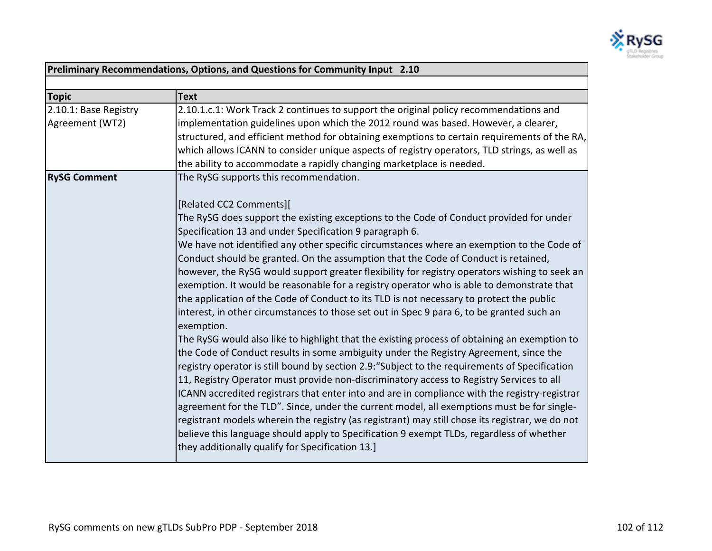

| Preliminary Recommendations, Options, and Questions for Community Input 2.10 |                                                                                                 |
|------------------------------------------------------------------------------|-------------------------------------------------------------------------------------------------|
|                                                                              |                                                                                                 |
| <b>Topic</b>                                                                 | <b>Text</b>                                                                                     |
| 2.10.1: Base Registry                                                        | 2.10.1.c.1: Work Track 2 continues to support the original policy recommendations and           |
| Agreement (WT2)                                                              | implementation guidelines upon which the 2012 round was based. However, a clearer,              |
|                                                                              | structured, and efficient method for obtaining exemptions to certain requirements of the RA,    |
|                                                                              | which allows ICANN to consider unique aspects of registry operators, TLD strings, as well as    |
|                                                                              | the ability to accommodate a rapidly changing marketplace is needed.                            |
| <b>RySG Comment</b>                                                          | The RySG supports this recommendation.                                                          |
|                                                                              |                                                                                                 |
|                                                                              | [Related CC2 Comments][                                                                         |
|                                                                              | The RySG does support the existing exceptions to the Code of Conduct provided for under         |
|                                                                              | Specification 13 and under Specification 9 paragraph 6.                                         |
|                                                                              | We have not identified any other specific circumstances where an exemption to the Code of       |
|                                                                              | Conduct should be granted. On the assumption that the Code of Conduct is retained,              |
|                                                                              | however, the RySG would support greater flexibility for registry operators wishing to seek an   |
|                                                                              | exemption. It would be reasonable for a registry operator who is able to demonstrate that       |
|                                                                              | the application of the Code of Conduct to its TLD is not necessary to protect the public        |
|                                                                              | interest, in other circumstances to those set out in Spec 9 para 6, to be granted such an       |
|                                                                              | exemption.                                                                                      |
|                                                                              | The RySG would also like to highlight that the existing process of obtaining an exemption to    |
|                                                                              | the Code of Conduct results in some ambiguity under the Registry Agreement, since the           |
|                                                                              | registry operator is still bound by section 2.9: "Subject to the requirements of Specification  |
|                                                                              | 11, Registry Operator must provide non-discriminatory access to Registry Services to all        |
|                                                                              | ICANN accredited registrars that enter into and are in compliance with the registry-registrar   |
|                                                                              | agreement for the TLD". Since, under the current model, all exemptions must be for single-      |
|                                                                              | registrant models wherein the registry (as registrant) may still chose its registrar, we do not |
|                                                                              | believe this language should apply to Specification 9 exempt TLDs, regardless of whether        |
|                                                                              | they additionally qualify for Specification 13.]                                                |
|                                                                              |                                                                                                 |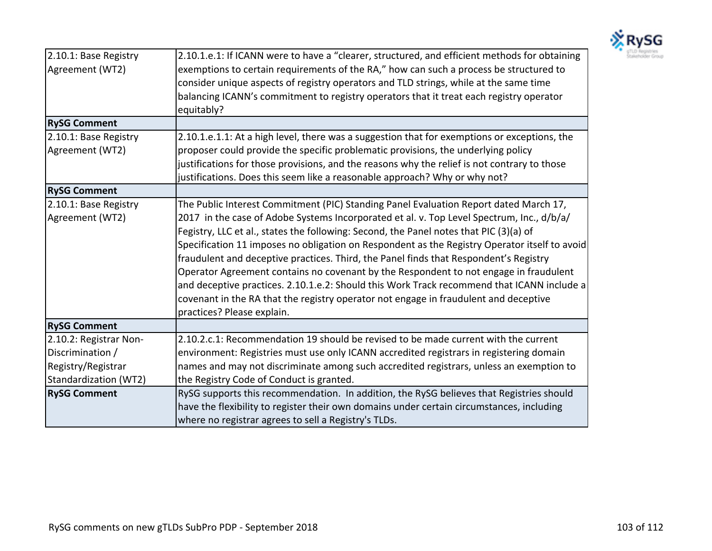

| 2.10.1: Base Registry  | 2.10.1.e.1: If ICANN were to have a "clearer, structured, and efficient methods for obtaining |
|------------------------|-----------------------------------------------------------------------------------------------|
| Agreement (WT2)        | exemptions to certain requirements of the RA," how can such a process be structured to        |
|                        | consider unique aspects of registry operators and TLD strings, while at the same time         |
|                        | balancing ICANN's commitment to registry operators that it treat each registry operator       |
|                        | equitably?                                                                                    |
| <b>RySG Comment</b>    |                                                                                               |
| 2.10.1: Base Registry  | 2.10.1.e.1.1: At a high level, there was a suggestion that for exemptions or exceptions, the  |
| Agreement (WT2)        | proposer could provide the specific problematic provisions, the underlying policy             |
|                        | justifications for those provisions, and the reasons why the relief is not contrary to those  |
|                        | justifications. Does this seem like a reasonable approach? Why or why not?                    |
| <b>RySG Comment</b>    |                                                                                               |
| 2.10.1: Base Registry  | The Public Interest Commitment (PIC) Standing Panel Evaluation Report dated March 17,         |
| Agreement (WT2)        | 2017 in the case of Adobe Systems Incorporated et al. v. Top Level Spectrum, Inc., d/b/a/     |
|                        | Fegistry, LLC et al., states the following: Second, the Panel notes that PIC (3)(a) of        |
|                        | Specification 11 imposes no obligation on Respondent as the Registry Operator itself to avoid |
|                        | fraudulent and deceptive practices. Third, the Panel finds that Respondent's Registry         |
|                        | Operator Agreement contains no covenant by the Respondent to not engage in fraudulent         |
|                        | and deceptive practices. 2.10.1.e.2: Should this Work Track recommend that ICANN include a    |
|                        | covenant in the RA that the registry operator not engage in fraudulent and deceptive          |
|                        | practices? Please explain.                                                                    |
| <b>RySG Comment</b>    |                                                                                               |
| 2.10.2: Registrar Non- | 2.10.2.c.1: Recommendation 19 should be revised to be made current with the current           |
| Discrimination /       | environment: Registries must use only ICANN accredited registrars in registering domain       |
| Registry/Registrar     | names and may not discriminate among such accredited registrars, unless an exemption to       |
| Standardization (WT2)  | the Registry Code of Conduct is granted.                                                      |
| <b>RySG Comment</b>    | RySG supports this recommendation. In addition, the RySG believes that Registries should      |
|                        | have the flexibility to register their own domains under certain circumstances, including     |
|                        | where no registrar agrees to sell a Registry's TLDs.                                          |
|                        |                                                                                               |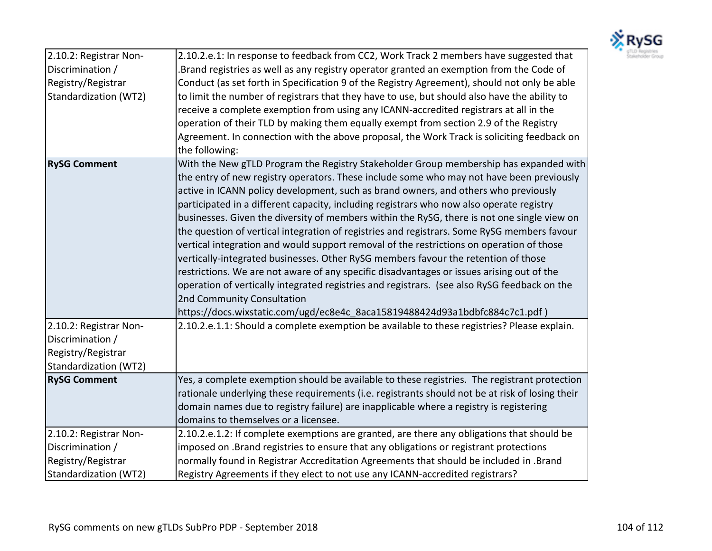

| 2.10.2: Registrar Non- | 2.10.2.e.1: In response to feedback from CC2, Work Track 2 members have suggested that          |
|------------------------|-------------------------------------------------------------------------------------------------|
| Discrimination /       | Brand registries as well as any registry operator granted an exemption from the Code of         |
| Registry/Registrar     | Conduct (as set forth in Specification 9 of the Registry Agreement), should not only be able    |
| Standardization (WT2)  | to limit the number of registrars that they have to use, but should also have the ability to    |
|                        | receive a complete exemption from using any ICANN-accredited registrars at all in the           |
|                        | operation of their TLD by making them equally exempt from section 2.9 of the Registry           |
|                        | Agreement. In connection with the above proposal, the Work Track is soliciting feedback on      |
|                        | the following:                                                                                  |
| <b>RySG Comment</b>    | With the New gTLD Program the Registry Stakeholder Group membership has expanded with           |
|                        | the entry of new registry operators. These include some who may not have been previously        |
|                        | active in ICANN policy development, such as brand owners, and others who previously             |
|                        | participated in a different capacity, including registrars who now also operate registry        |
|                        | businesses. Given the diversity of members within the RySG, there is not one single view on     |
|                        | the question of vertical integration of registries and registrars. Some RySG members favour     |
|                        | vertical integration and would support removal of the restrictions on operation of those        |
|                        | vertically-integrated businesses. Other RySG members favour the retention of those              |
|                        | restrictions. We are not aware of any specific disadvantages or issues arising out of the       |
|                        | operation of vertically integrated registries and registrars. (see also RySG feedback on the    |
|                        | 2nd Community Consultation                                                                      |
|                        | https://docs.wixstatic.com/ugd/ec8e4c 8aca15819488424d93a1bdbfc884c7c1.pdf)                     |
| 2.10.2: Registrar Non- | 2.10.2.e.1.1: Should a complete exemption be available to these registries? Please explain.     |
| Discrimination /       |                                                                                                 |
| Registry/Registrar     |                                                                                                 |
| Standardization (WT2)  |                                                                                                 |
| <b>RySG Comment</b>    | Yes, a complete exemption should be available to these registries. The registrant protection    |
|                        | rationale underlying these requirements (i.e. registrants should not be at risk of losing their |
|                        | domain names due to registry failure) are inapplicable where a registry is registering          |
|                        | domains to themselves or a licensee.                                                            |
| 2.10.2: Registrar Non- | 2.10.2.e.1.2: If complete exemptions are granted, are there any obligations that should be      |
| Discrimination /       | imposed on .Brand registries to ensure that any obligations or registrant protections           |
| Registry/Registrar     | normally found in Registrar Accreditation Agreements that should be included in .Brand          |
| Standardization (WT2)  | Registry Agreements if they elect to not use any ICANN-accredited registrars?                   |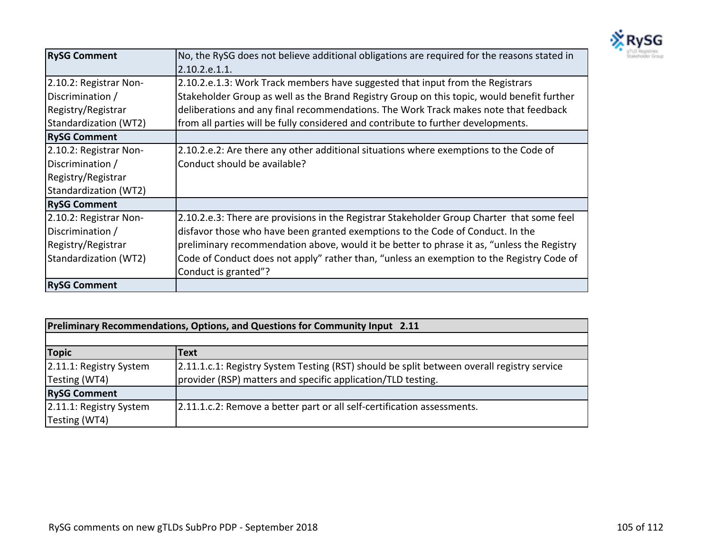

| <b>RySG Comment</b>    | No, the RySG does not believe additional obligations are required for the reasons stated in |
|------------------------|---------------------------------------------------------------------------------------------|
|                        | 2.10.2.e.1.1.                                                                               |
| 2.10.2: Registrar Non- | 2.10.2.e.1.3: Work Track members have suggested that input from the Registrars              |
| Discrimination /       | Stakeholder Group as well as the Brand Registry Group on this topic, would benefit further  |
| Registry/Registrar     | deliberations and any final recommendations. The Work Track makes note that feedback        |
| Standardization (WT2)  | from all parties will be fully considered and contribute to further developments.           |
| <b>RySG Comment</b>    |                                                                                             |
| 2.10.2: Registrar Non- | 2.10.2.e.2: Are there any other additional situations where exemptions to the Code of       |
| Discrimination /       | Conduct should be available?                                                                |
| Registry/Registrar     |                                                                                             |
| Standardization (WT2)  |                                                                                             |
| <b>RySG Comment</b>    |                                                                                             |
| 2.10.2: Registrar Non- | 2.10.2.e.3: There are provisions in the Registrar Stakeholder Group Charter that some feel  |
| Discrimination /       | disfavor those who have been granted exemptions to the Code of Conduct. In the              |
| Registry/Registrar     | preliminary recommendation above, would it be better to phrase it as, "unless the Registry  |
| Standardization (WT2)  | Code of Conduct does not apply" rather than, "unless an exemption to the Registry Code of   |
|                        | Conduct is granted"?                                                                        |
| <b>RySG Comment</b>    |                                                                                             |

| <b>Preliminary Recommendations, Options, and Questions for Community Input 2.11</b> |                                                                                            |
|-------------------------------------------------------------------------------------|--------------------------------------------------------------------------------------------|
|                                                                                     |                                                                                            |
| <b>Topic</b>                                                                        | Text                                                                                       |
| 2.11.1: Registry System                                                             | 2.11.1.c.1: Registry System Testing (RST) should be split between overall registry service |
| Testing (WT4)                                                                       | provider (RSP) matters and specific application/TLD testing.                               |
| <b>RySG Comment</b>                                                                 |                                                                                            |
| 2.11.1: Registry System                                                             | 2.11.1.c.2: Remove a better part or all self-certification assessments.                    |
| Testing (WT4)                                                                       |                                                                                            |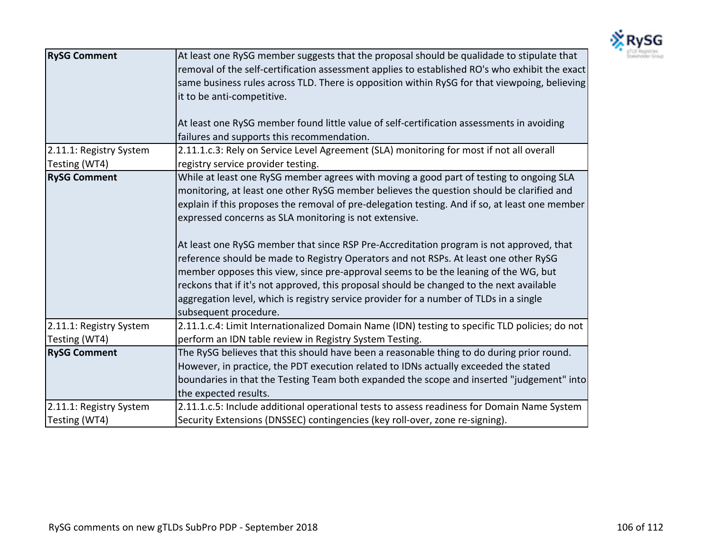

| <b>RySG Comment</b>     | At least one RySG member suggests that the proposal should be qualidade to stipulate that<br>removal of the self-certification assessment applies to established RO's who exhibit the exact<br>same business rules across TLD. There is opposition within RySG for that viewpoing, believing<br>it to be anti-competitive.<br>At least one RySG member found little value of self-certification assessments in avoiding<br>failures and supports this recommendation.                                                                                                                                                                                                                                                                                                                                                                    |
|-------------------------|------------------------------------------------------------------------------------------------------------------------------------------------------------------------------------------------------------------------------------------------------------------------------------------------------------------------------------------------------------------------------------------------------------------------------------------------------------------------------------------------------------------------------------------------------------------------------------------------------------------------------------------------------------------------------------------------------------------------------------------------------------------------------------------------------------------------------------------|
| 2.11.1: Registry System | 2.11.1.c.3: Rely on Service Level Agreement (SLA) monitoring for most if not all overall                                                                                                                                                                                                                                                                                                                                                                                                                                                                                                                                                                                                                                                                                                                                                 |
| Testing (WT4)           | registry service provider testing.                                                                                                                                                                                                                                                                                                                                                                                                                                                                                                                                                                                                                                                                                                                                                                                                       |
| <b>RySG Comment</b>     | While at least one RySG member agrees with moving a good part of testing to ongoing SLA<br>monitoring, at least one other RySG member believes the question should be clarified and<br>explain if this proposes the removal of pre-delegation testing. And if so, at least one member<br>expressed concerns as SLA monitoring is not extensive.<br>At least one RySG member that since RSP Pre-Accreditation program is not approved, that<br>reference should be made to Registry Operators and not RSPs. At least one other RySG<br>member opposes this view, since pre-approval seems to be the leaning of the WG, but<br>reckons that if it's not approved, this proposal should be changed to the next available<br>aggregation level, which is registry service provider for a number of TLDs in a single<br>subsequent procedure. |
| 2.11.1: Registry System | 2.11.1.c.4: Limit Internationalized Domain Name (IDN) testing to specific TLD policies; do not                                                                                                                                                                                                                                                                                                                                                                                                                                                                                                                                                                                                                                                                                                                                           |
| Testing (WT4)           | perform an IDN table review in Registry System Testing.                                                                                                                                                                                                                                                                                                                                                                                                                                                                                                                                                                                                                                                                                                                                                                                  |
| <b>RySG Comment</b>     | The RySG believes that this should have been a reasonable thing to do during prior round.<br>However, in practice, the PDT execution related to IDNs actually exceeded the stated<br>boundaries in that the Testing Team both expanded the scope and inserted "judgement" into<br>the expected results.                                                                                                                                                                                                                                                                                                                                                                                                                                                                                                                                  |
| 2.11.1: Registry System | 2.11.1.c.5: Include additional operational tests to assess readiness for Domain Name System                                                                                                                                                                                                                                                                                                                                                                                                                                                                                                                                                                                                                                                                                                                                              |
| Testing (WT4)           | Security Extensions (DNSSEC) contingencies (key roll-over, zone re-signing).                                                                                                                                                                                                                                                                                                                                                                                                                                                                                                                                                                                                                                                                                                                                                             |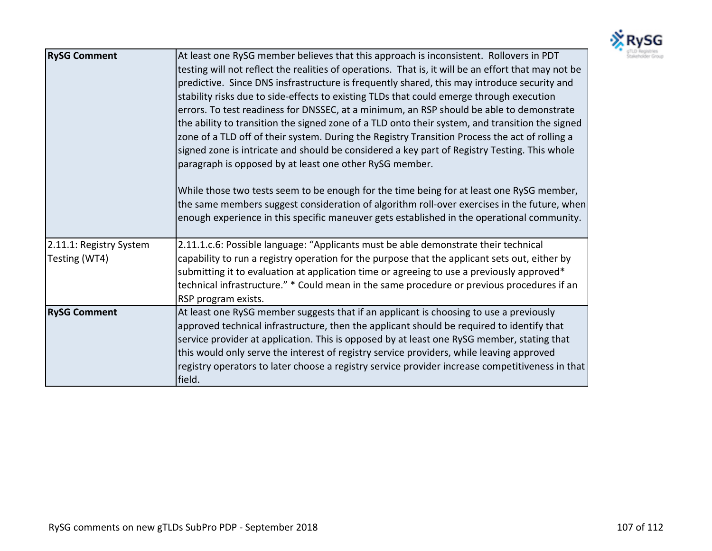

| <b>RySG Comment</b>                      | At least one RySG member believes that this approach is inconsistent. Rollovers in PDT<br>testing will not reflect the realities of operations. That is, it will be an effort that may not be<br>predictive. Since DNS insfrastructure is frequently shared, this may introduce security and<br>stability risks due to side-effects to existing TLDs that could emerge through execution<br>errors. To test readiness for DNSSEC, at a minimum, an RSP should be able to demonstrate<br>the ability to transition the signed zone of a TLD onto their system, and transition the signed<br>zone of a TLD off of their system. During the Registry Transition Process the act of rolling a<br>signed zone is intricate and should be considered a key part of Registry Testing. This whole<br>paragraph is opposed by at least one other RySG member.<br>While those two tests seem to be enough for the time being for at least one RySG member,<br> the same members suggest consideration of algorithm roll-over exercises in the future, when <br>enough experience in this specific maneuver gets established in the operational community. |
|------------------------------------------|-------------------------------------------------------------------------------------------------------------------------------------------------------------------------------------------------------------------------------------------------------------------------------------------------------------------------------------------------------------------------------------------------------------------------------------------------------------------------------------------------------------------------------------------------------------------------------------------------------------------------------------------------------------------------------------------------------------------------------------------------------------------------------------------------------------------------------------------------------------------------------------------------------------------------------------------------------------------------------------------------------------------------------------------------------------------------------------------------------------------------------------------------|
| 2.11.1: Registry System<br>Testing (WT4) | 2.11.1.c.6: Possible language: "Applicants must be able demonstrate their technical<br>capability to run a registry operation for the purpose that the applicant sets out, either by<br>submitting it to evaluation at application time or agreeing to use a previously approved*<br>technical infrastructure." * Could mean in the same procedure or previous procedures if an<br>RSP program exists.                                                                                                                                                                                                                                                                                                                                                                                                                                                                                                                                                                                                                                                                                                                                          |
| <b>RySG Comment</b>                      | At least one RySG member suggests that if an applicant is choosing to use a previously<br>approved technical infrastructure, then the applicant should be required to identify that<br>service provider at application. This is opposed by at least one RySG member, stating that<br>this would only serve the interest of registry service providers, while leaving approved<br>registry operators to later choose a registry service provider increase competitiveness in that<br>field.                                                                                                                                                                                                                                                                                                                                                                                                                                                                                                                                                                                                                                                      |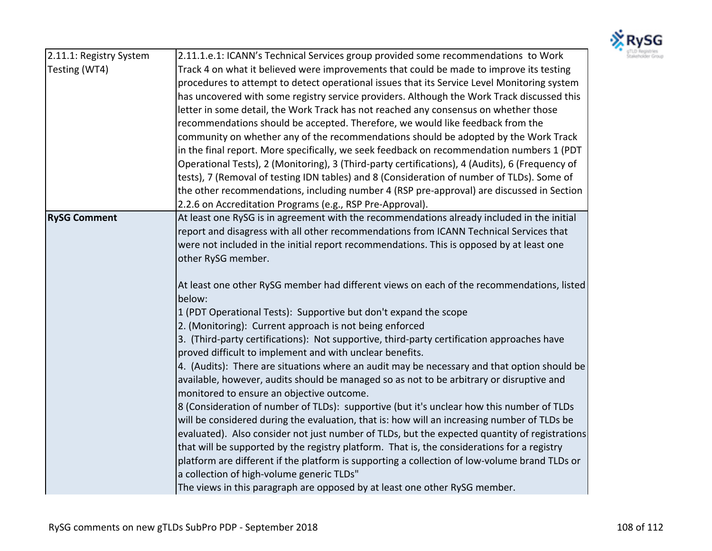

| 2.11.1: Registry System | 2.11.1.e.1: ICANN's Technical Services group provided some recommendations to Work              | gTLD Registries<br>Stakeholder Group |
|-------------------------|-------------------------------------------------------------------------------------------------|--------------------------------------|
| Testing (WT4)           | Track 4 on what it believed were improvements that could be made to improve its testing         |                                      |
|                         | procedures to attempt to detect operational issues that its Service Level Monitoring system     |                                      |
|                         | has uncovered with some registry service providers. Although the Work Track discussed this      |                                      |
|                         | letter in some detail, the Work Track has not reached any consensus on whether those            |                                      |
|                         | recommendations should be accepted. Therefore, we would like feedback from the                  |                                      |
|                         | community on whether any of the recommendations should be adopted by the Work Track             |                                      |
|                         | in the final report. More specifically, we seek feedback on recommendation numbers 1 (PDT       |                                      |
|                         | Operational Tests), 2 (Monitoring), 3 (Third-party certifications), 4 (Audits), 6 (Frequency of |                                      |
|                         | tests), 7 (Removal of testing IDN tables) and 8 (Consideration of number of TLDs). Some of      |                                      |
|                         | the other recommendations, including number 4 (RSP pre-approval) are discussed in Section       |                                      |
|                         | 2.2.6 on Accreditation Programs (e.g., RSP Pre-Approval).                                       |                                      |
| <b>RySG Comment</b>     | At least one RySG is in agreement with the recommendations already included in the initial      |                                      |
|                         | report and disagress with all other recommendations from ICANN Technical Services that          |                                      |
|                         | were not included in the initial report recommendations. This is opposed by at least one        |                                      |
|                         | other RySG member.                                                                              |                                      |
|                         |                                                                                                 |                                      |
|                         | At least one other RySG member had different views on each of the recommendations, listed       |                                      |
|                         | below:                                                                                          |                                      |
|                         | 1 (PDT Operational Tests): Supportive but don't expand the scope                                |                                      |
|                         | 2. (Monitoring): Current approach is not being enforced                                         |                                      |
|                         | 3. (Third-party certifications): Not supportive, third-party certification approaches have      |                                      |
|                         | proved difficult to implement and with unclear benefits.                                        |                                      |
|                         | 4. (Audits): There are situations where an audit may be necessary and that option should be     |                                      |
|                         | available, however, audits should be managed so as not to be arbitrary or disruptive and        |                                      |
|                         | monitored to ensure an objective outcome.                                                       |                                      |
|                         | 8 (Consideration of number of TLDs): supportive (but it's unclear how this number of TLDs       |                                      |
|                         | will be considered during the evaluation, that is: how will an increasing number of TLDs be     |                                      |
|                         | evaluated). Also consider not just number of TLDs, but the expected quantity of registrations   |                                      |
|                         | that will be supported by the registry platform. That is, the considerations for a registry     |                                      |
|                         | platform are different if the platform is supporting a collection of low-volume brand TLDs or   |                                      |
|                         | a collection of high-volume generic TLDs"                                                       |                                      |
|                         | The views in this paragraph are opposed by at least one other RySG member.                      |                                      |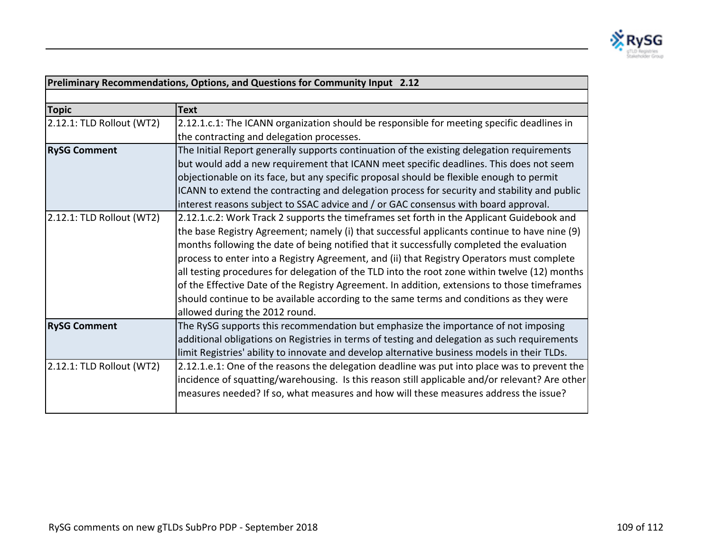

| Preliminary Recommendations, Options, and Questions for Community Input 2.12 |                                                                                                |  |
|------------------------------------------------------------------------------|------------------------------------------------------------------------------------------------|--|
|                                                                              |                                                                                                |  |
| <b>Topic</b>                                                                 | Text                                                                                           |  |
| 2.12.1: TLD Rollout (WT2)                                                    | 2.12.1.c.1: The ICANN organization should be responsible for meeting specific deadlines in     |  |
|                                                                              | the contracting and delegation processes.                                                      |  |
| <b>RySG Comment</b>                                                          | The Initial Report generally supports continuation of the existing delegation requirements     |  |
|                                                                              | but would add a new requirement that ICANN meet specific deadlines. This does not seem         |  |
|                                                                              | objectionable on its face, but any specific proposal should be flexible enough to permit       |  |
|                                                                              | ICANN to extend the contracting and delegation process for security and stability and public   |  |
|                                                                              | interest reasons subject to SSAC advice and / or GAC consensus with board approval.            |  |
| 2.12.1: TLD Rollout (WT2)                                                    | 2.12.1.c.2: Work Track 2 supports the timeframes set forth in the Applicant Guidebook and      |  |
|                                                                              | the base Registry Agreement; namely (i) that successful applicants continue to have nine (9)   |  |
|                                                                              | months following the date of being notified that it successfully completed the evaluation      |  |
|                                                                              | process to enter into a Registry Agreement, and (ii) that Registry Operators must complete     |  |
|                                                                              | all testing procedures for delegation of the TLD into the root zone within twelve (12) months  |  |
|                                                                              | of the Effective Date of the Registry Agreement. In addition, extensions to those timeframes   |  |
|                                                                              | should continue to be available according to the same terms and conditions as they were        |  |
|                                                                              | allowed during the 2012 round.                                                                 |  |
| <b>RySG Comment</b>                                                          | The RySG supports this recommendation but emphasize the importance of not imposing             |  |
|                                                                              | additional obligations on Registries in terms of testing and delegation as such requirements   |  |
|                                                                              | limit Registries' ability to innovate and develop alternative business models in their TLDs.   |  |
| 2.12.1: TLD Rollout (WT2)                                                    | 2.12.1.e.1: One of the reasons the delegation deadline was put into place was to prevent the   |  |
|                                                                              | incidence of squatting/warehousing. Is this reason still applicable and/or relevant? Are other |  |
|                                                                              | measures needed? If so, what measures and how will these measures address the issue?           |  |
|                                                                              |                                                                                                |  |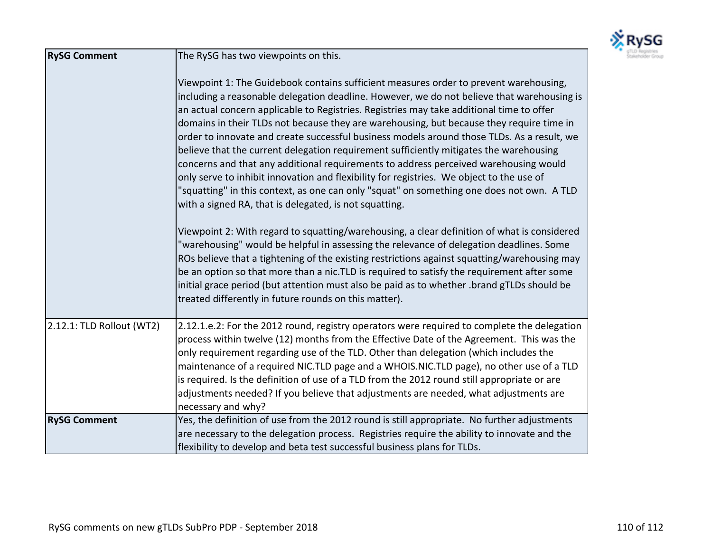

| <b>RySG Comment</b>       | The RySG has two viewpoints on this.                                                                                                                                                                                                                                                                                                                                                                                                                                                                                                                                                                                                                                                                                                                                                                                                                                                                           |  |  |
|---------------------------|----------------------------------------------------------------------------------------------------------------------------------------------------------------------------------------------------------------------------------------------------------------------------------------------------------------------------------------------------------------------------------------------------------------------------------------------------------------------------------------------------------------------------------------------------------------------------------------------------------------------------------------------------------------------------------------------------------------------------------------------------------------------------------------------------------------------------------------------------------------------------------------------------------------|--|--|
|                           | Viewpoint 1: The Guidebook contains sufficient measures order to prevent warehousing,<br>including a reasonable delegation deadline. However, we do not believe that warehousing is<br>an actual concern applicable to Registries. Registries may take additional time to offer<br>domains in their TLDs not because they are warehousing, but because they require time in<br>order to innovate and create successful business models around those TLDs. As a result, we<br>believe that the current delegation requirement sufficiently mitigates the warehousing<br>concerns and that any additional requirements to address perceived warehousing would<br>only serve to inhibit innovation and flexibility for registries. We object to the use of<br>"squatting" in this context, as one can only "squat" on something one does not own. A TLD<br>with a signed RA, that is delegated, is not squatting. |  |  |
|                           | Viewpoint 2: With regard to squatting/warehousing, a clear definition of what is considered<br>"warehousing" would be helpful in assessing the relevance of delegation deadlines. Some<br>ROs believe that a tightening of the existing restrictions against squatting/warehousing may<br>be an option so that more than a nic.TLD is required to satisfy the requirement after some<br>initial grace period (but attention must also be paid as to whether .brand gTLDs should be<br>treated differently in future rounds on this matter).                                                                                                                                                                                                                                                                                                                                                                    |  |  |
| 2.12.1: TLD Rollout (WT2) | 2.12.1.e.2: For the 2012 round, registry operators were required to complete the delegation<br>process within twelve (12) months from the Effective Date of the Agreement. This was the<br>only requirement regarding use of the TLD. Other than delegation (which includes the<br>maintenance of a required NIC.TLD page and a WHOIS.NIC.TLD page), no other use of a TLD<br>is required. Is the definition of use of a TLD from the 2012 round still appropriate or are<br>adjustments needed? If you believe that adjustments are needed, what adjustments are<br>necessary and why?                                                                                                                                                                                                                                                                                                                        |  |  |
| <b>RySG Comment</b>       | Yes, the definition of use from the 2012 round is still appropriate. No further adjustments<br>are necessary to the delegation process. Registries require the ability to innovate and the<br>flexibility to develop and beta test successful business plans for TLDs.                                                                                                                                                                                                                                                                                                                                                                                                                                                                                                                                                                                                                                         |  |  |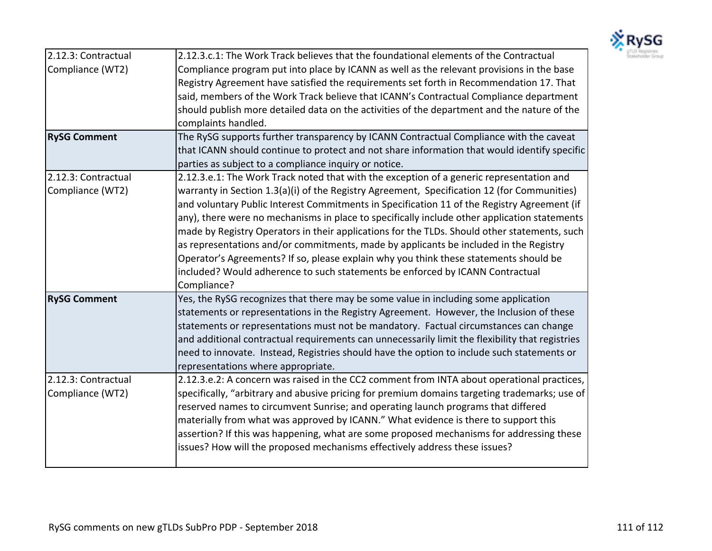

| 2.12.3: Contractual | 2.12.3.c.1: The Work Track believes that the foundational elements of the Contractual           |  |
|---------------------|-------------------------------------------------------------------------------------------------|--|
| Compliance (WT2)    | Compliance program put into place by ICANN as well as the relevant provisions in the base       |  |
|                     | Registry Agreement have satisfied the requirements set forth in Recommendation 17. That         |  |
|                     | said, members of the Work Track believe that ICANN's Contractual Compliance department          |  |
|                     | should publish more detailed data on the activities of the department and the nature of the     |  |
|                     | complaints handled.                                                                             |  |
| <b>RySG Comment</b> | The RySG supports further transparency by ICANN Contractual Compliance with the caveat          |  |
|                     | that ICANN should continue to protect and not share information that would identify specific    |  |
|                     | parties as subject to a compliance inquiry or notice.                                           |  |
| 2.12.3: Contractual | 2.12.3.e.1: The Work Track noted that with the exception of a generic representation and        |  |
| Compliance (WT2)    | warranty in Section 1.3(a)(i) of the Registry Agreement, Specification 12 (for Communities)     |  |
|                     | and voluntary Public Interest Commitments in Specification 11 of the Registry Agreement (if     |  |
|                     | any), there were no mechanisms in place to specifically include other application statements    |  |
|                     | made by Registry Operators in their applications for the TLDs. Should other statements, such    |  |
|                     | as representations and/or commitments, made by applicants be included in the Registry           |  |
|                     | Operator's Agreements? If so, please explain why you think these statements should be           |  |
|                     | included? Would adherence to such statements be enforced by ICANN Contractual                   |  |
|                     | Compliance?                                                                                     |  |
| <b>RySG Comment</b> | Yes, the RySG recognizes that there may be some value in including some application             |  |
|                     | statements or representations in the Registry Agreement. However, the Inclusion of these        |  |
|                     | statements or representations must not be mandatory. Factual circumstances can change           |  |
|                     | and additional contractual requirements can unnecessarily limit the flexibility that registries |  |
|                     | need to innovate. Instead, Registries should have the option to include such statements or      |  |
|                     | representations where appropriate.                                                              |  |
| 2.12.3: Contractual | 2.12.3.e.2: A concern was raised in the CC2 comment from INTA about operational practices,      |  |
| Compliance (WT2)    | specifically, "arbitrary and abusive pricing for premium domains targeting trademarks; use of   |  |
|                     | reserved names to circumvent Sunrise; and operating launch programs that differed               |  |
|                     | materially from what was approved by ICANN." What evidence is there to support this             |  |
|                     | assertion? If this was happening, what are some proposed mechanisms for addressing these        |  |
|                     | issues? How will the proposed mechanisms effectively address these issues?                      |  |
|                     |                                                                                                 |  |